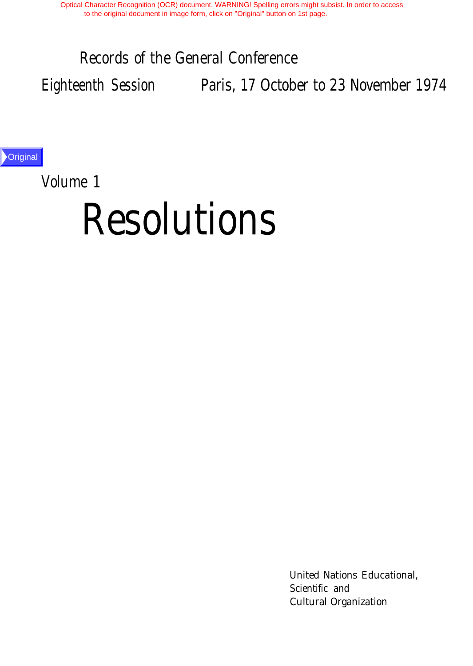# Records of the General Conference

Eighteenth Session Paris, 17 October to 23 November 1974

**Original** 

Volume 1

# Resolutions

United Nations Educational, Scientific and Cultural Organization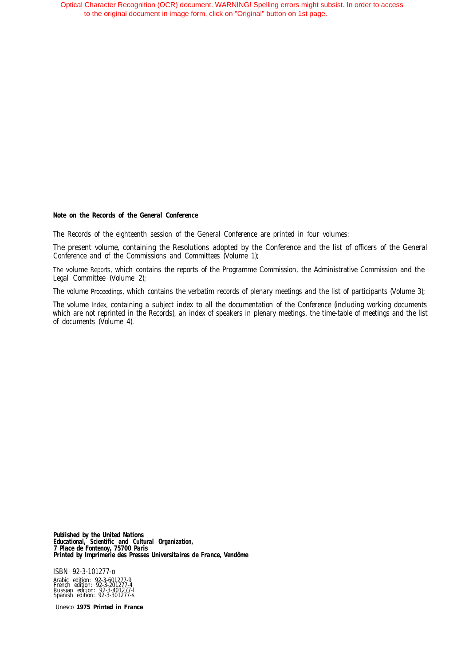#### *Note on the Records of the General Conference*

The Records of the eighteenth session of the General Conference are printed in four volumes:

The present volume, containing the Resolutions adopted by the Conference and the list of officers of the General Conference and of the Commissions and Committees (Volume 1);

The volume *Reports,* which contains the reports of the Programme Commission, the Administrative Commission and the Legal Committee (Volume 2);

The volume *Proceedings,* which contains the verbatim records of plenary meetings and the list of participants (Volume 3);

The volume *Index,* containing a subject index to all the documentation of the Conference (including working documents which are not reprinted in the Records), an index of speakers in plenary meetings, the time-table of meetings and the list of documents (Volume 4).

*Published by the United Nations Educational, Scientific and Cultural Organization, 7 Place de Fontenoy, 75700 Paris Printed by Imprimerie des Presses Universitaires de France, Vendôme*

ISBN 92-3-101277-o Arabic edition: 92-3-601277-9 French edition: 92-3-201277-4 Russian edition: 92-3-401277-l Spanish edition: 92-3-301277-s

Unesco *1975 Printed in France*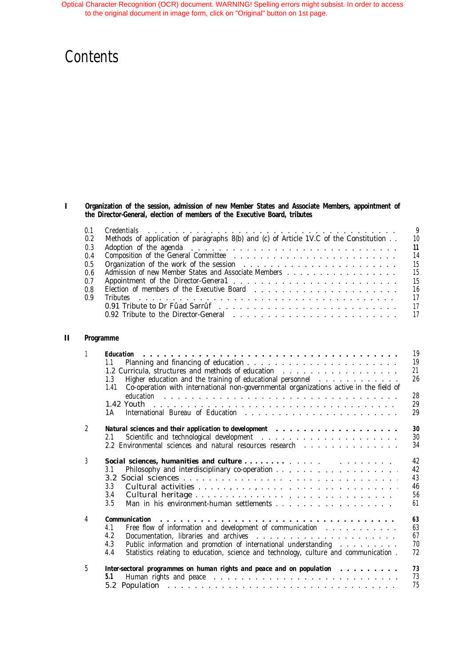# Contents

#### **I Organization of the session, admission of new Member States and Associate Members, appointment of the Director-General, election of members of the Executive Board, tributes**

| 0.1 |                                                                                                                                                                                                                               | 9               |
|-----|-------------------------------------------------------------------------------------------------------------------------------------------------------------------------------------------------------------------------------|-----------------|
| 0.2 | Methods of application of paragraphs 8(b) and (c) of Article 1V.C of the Constitution                                                                                                                                         | 10 <sup>°</sup> |
| 0.3 | Adoption of the agenda response is a series of the series of the agenda response is a series of the series of the series of the series of the series of the series of the series of the series of the series of the series of | 11              |
| 0.4 | Composition of the General Committee (Fig. 2014) (Section 2014) (Section 2014) (Section 2014) (Section 2014) (                                                                                                                | 14              |
| 0.5 |                                                                                                                                                                                                                               | 15              |
| 0 R |                                                                                                                                                                                                                               | 15              |
| 0.7 |                                                                                                                                                                                                                               | 15              |
| 0.8 |                                                                                                                                                                                                                               | 16              |
| 0.9 |                                                                                                                                                                                                                               | 17              |
|     |                                                                                                                                                                                                                               |                 |
|     | 0.92 Tribute to the Director-General enterstanding to the Director-General enterstanding to the entertainment of $17$                                                                                                         |                 |

#### **II Programme**

|   | 19<br>Education<br>19<br>1.1<br>21<br>26<br>Higher education and the training of educational personnel<br>1.3<br>Co-operation with international non-governmental organizations active in the field of<br>1.41<br>28<br>29<br>29<br>1 A                                                                |
|---|--------------------------------------------------------------------------------------------------------------------------------------------------------------------------------------------------------------------------------------------------------------------------------------------------------|
| 2 | 30<br>Natural sciences and their application to development rational containment of the set of the Nutrieri Section A<br>30<br>2.1<br>34<br>2.2 Environmental sciences and natural resources research                                                                                                  |
| 3 | 42<br>42<br>3.1<br>43<br>46<br>3.3<br>56<br>3.4<br>Man in his environment-human settlements<br>61<br>3.5                                                                                                                                                                                               |
| 4 | 63<br><b>Communication</b><br>63<br>Free flow of information and development of communication<br>4.1<br>67<br>4.2<br>Public information and promotion of international understanding<br>70<br>4.3<br>Statistics relating to education, science and technology, culture and communication.<br>72<br>4.4 |
| 5 | 73<br>Inter-sectoral programmes on human rights and peace and on population<br>73<br>5.1<br>75                                                                                                                                                                                                         |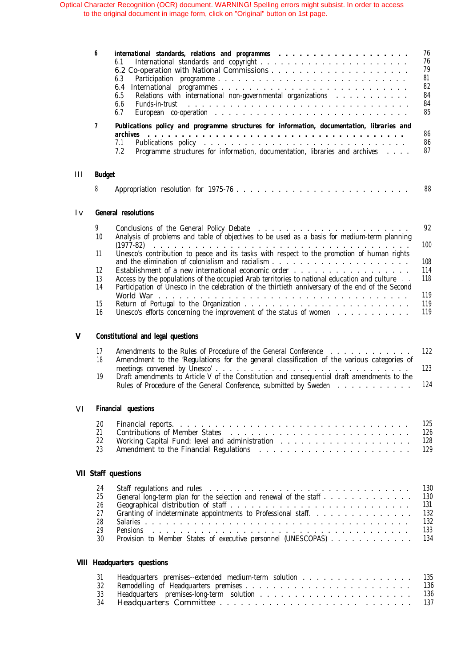|     | 6<br>7                                                        | 6.1<br>6.3<br>6.4<br>Relations with international non-governmental organizations<br>6.5<br>6.6<br>6.7<br>Publications policy and programme structures for information, documentation, libraries and<br>7.1                                                                                                                                                                                                                                                                                                                                                                                                                                                                                                                                                                                                                    | 76<br>76<br>79<br>81<br>82<br>84<br>84<br>85<br>86<br>86                 |
|-----|---------------------------------------------------------------|-------------------------------------------------------------------------------------------------------------------------------------------------------------------------------------------------------------------------------------------------------------------------------------------------------------------------------------------------------------------------------------------------------------------------------------------------------------------------------------------------------------------------------------------------------------------------------------------------------------------------------------------------------------------------------------------------------------------------------------------------------------------------------------------------------------------------------|--------------------------------------------------------------------------|
|     |                                                               | 7.2<br>Programme structures for information, documentation, libraries and archives                                                                                                                                                                                                                                                                                                                                                                                                                                                                                                                                                                                                                                                                                                                                            | 87                                                                       |
| III | <b>Budget</b>                                                 |                                                                                                                                                                                                                                                                                                                                                                                                                                                                                                                                                                                                                                                                                                                                                                                                                               |                                                                          |
|     | 8                                                             |                                                                                                                                                                                                                                                                                                                                                                                                                                                                                                                                                                                                                                                                                                                                                                                                                               | 88                                                                       |
| Iv  |                                                               | General resolutions                                                                                                                                                                                                                                                                                                                                                                                                                                                                                                                                                                                                                                                                                                                                                                                                           |                                                                          |
| V   | 9<br>10<br>11<br>12<br>13<br>14<br>15<br>16<br>17<br>18<br>19 | Analysis of problems and table of objectives to be used as a basis for medium-term planning<br>Unesco's contribution to peace and its tasks with respect to the promotion of human rights<br>Establishment of a new international economic order<br>Access by the populations of the occupied Arab territories to national education and culture<br>Participation of Unesco in the celebration of the thirtieth anniversary of the end of the Second<br>Constitutional and legal questions<br>Amendments to the Rules of Procedure of the General Conference<br>Amendment to the 'Regulations for the general classification of the various categories of<br>Draft amendments to Article V of the Constitution and consequential draft amendments to the<br>Rules of Procedure of the General Conference, submitted by Sweden | 92<br>100<br>108<br>114<br>118<br>119<br>119<br>119<br>122<br>123<br>124 |
| VI  |                                                               | Financial questions                                                                                                                                                                                                                                                                                                                                                                                                                                                                                                                                                                                                                                                                                                                                                                                                           |                                                                          |
|     | 20<br>21<br>22<br>23                                          |                                                                                                                                                                                                                                                                                                                                                                                                                                                                                                                                                                                                                                                                                                                                                                                                                               | 125<br>126<br>128<br>129                                                 |
|     |                                                               | <b>VII Staff questions</b>                                                                                                                                                                                                                                                                                                                                                                                                                                                                                                                                                                                                                                                                                                                                                                                                    |                                                                          |
|     | 24<br>25<br>26<br>27<br>28<br>29<br>30                        | General long-term plan for the selection and renewal of the staff $\dots$ , $\dots$ , $\dots$ , $\dots$<br>Granting of indeterminate appointments to Professional staff.<br>Pensions<br>Provision to Member States of executive personnel (UNESCOPAS)                                                                                                                                                                                                                                                                                                                                                                                                                                                                                                                                                                         | 130<br>130<br>131<br>132<br>132<br>133<br>134                            |
|     |                                                               | VIII Headquarters questions                                                                                                                                                                                                                                                                                                                                                                                                                                                                                                                                                                                                                                                                                                                                                                                                   |                                                                          |
|     | 31                                                            | Headquarters premises--extended medium-term solution                                                                                                                                                                                                                                                                                                                                                                                                                                                                                                                                                                                                                                                                                                                                                                          | 135                                                                      |

| 31 Headquarters premises-extended medium-term solution 135 |      |
|------------------------------------------------------------|------|
|                                                            | 136  |
|                                                            | -136 |
|                                                            |      |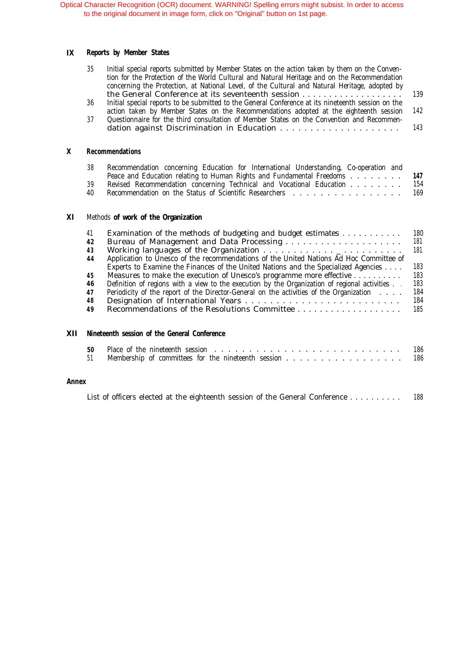#### **IX Reports by Member States**

| 35 | Initial special reports submitted by Member States on the action taken by them on the Conven-<br>tion for the Protection of the World Cultural and Natural Heritage and on the Recommendation<br>concerning the Protection, at National Level, of the Cultural and Natural Heritage, adopted by |     |
|----|-------------------------------------------------------------------------------------------------------------------------------------------------------------------------------------------------------------------------------------------------------------------------------------------------|-----|
|    |                                                                                                                                                                                                                                                                                                 | 139 |
| 36 | Initial special reports to be submitted to the General Conference at its nineteenth session on the                                                                                                                                                                                              |     |
|    | action taken by Member States on the Recommendations adopted at the eighteenth session                                                                                                                                                                                                          | 142 |
| 37 | Questionnaire for the third consultation of Member States on the Convention and Recommen-                                                                                                                                                                                                       |     |
|    |                                                                                                                                                                                                                                                                                                 | 143 |
|    |                                                                                                                                                                                                                                                                                                 |     |
|    | Decemmendations                                                                                                                                                                                                                                                                                 |     |

### **X Recommendations**

| 38 | Recommendation concerning Education for International Understanding, Co-operation and |     |
|----|---------------------------------------------------------------------------------------|-----|
|    | Peace and Education relating to Human Rights and Fundamental Freedoms                 | 147 |
| 39 | Revised Recommendation concerning Technical and Vocational Education                  | 154 |
| 40 | Recommendation on the Status of Scientific Researchers                                | 169 |

#### **XI** Methods **of work of the Organization**

| 41 | Examination of the methods of budgeting and budget estimates                                  | 180 |
|----|-----------------------------------------------------------------------------------------------|-----|
| 42 |                                                                                               | 181 |
| 43 |                                                                                               | 181 |
| 44 | Application to Unesco of the recommendations of the United Nations Ad Hoc Committee of        |     |
|    | Experts to Examine the Finances of the United Nations and the Specialized Agencies            | 183 |
| 45 | Measures to make the execution of Unesco's programme more effective                           | 183 |
| 46 | Definition of regions with a view to the execution by the Organization of regional activities | 183 |
| 47 | Periodicity of the report of the Director-General on the activities of the Organization       | 184 |
| 48 |                                                                                               | 184 |
| 49 |                                                                                               | 185 |
|    |                                                                                               |     |

#### **XII Nineteenth session of the General Conference**

|                                                        | 186 |
|--------------------------------------------------------|-----|
| 51 Membership of committees for the nineteenth session | 186 |

#### **Annex**

List of officers elected at the eighteenth session of the General Conference . . . . . . . . . . [188](#page-184-0)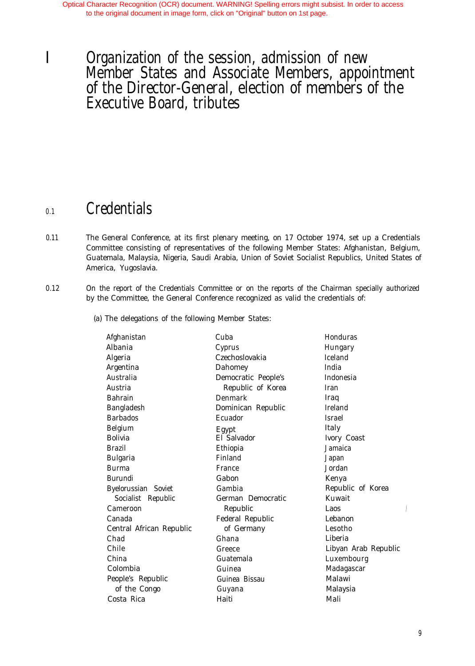<span id="page-5-0"></span>I Organization of the session, admission of new Member States and Associate Members, appointment of the Director-General, election of members of the Executive Board, tributes

# 0.1 Credentials

- 0.11 The General Conference, at its first plenary meeting, on 17 October 1974, set up a Credentials Committee consisting of representatives of the following Member States: Afghanistan, Belgium, Guatemala, Malaysia, Nigeria, Saudi Arabia, Union of Soviet Socialist Republics, United States of America, Yugoslavia.
- 0.12 On the report of the Credentials Committee or on the reports of the Chairman specially authorized by the Committee, the General Conference recognized as valid the credentials of:
	- (a) The delegations of the following Member States:

| Afghanistan              | Cuba                | Honduras             |
|--------------------------|---------------------|----------------------|
| Albania                  | Cyprus              | Hungary              |
| Algeria                  | Czechoslovakia      | Iceland              |
| Argentina                | Dahomey             | India                |
| Australia                | Democratic People's | Indonesia            |
| Austria                  | Republic of Korea   | Iran                 |
| <b>Bahrain</b>           | Denmark             | Iraq                 |
| Bangladesh               | Dominican Republic  | Ireland              |
| <b>Barbados</b>          | Ecuador             | Israel               |
| Belgium                  | Egypt               | Italy                |
| Bolivia                  | El Salvador         | Ivory Coast          |
| Brazil                   | Ethiopia            | Jamaica              |
| Bulgaria                 | Finland             | Japan                |
| Burma                    | France              | Jordan               |
| Burundi                  | Gabon               | Kenya                |
| Byelorussian Soviet      | Gambia              | Republic of Korea    |
| Socialist Republic       | German Democratic   | Kuwait               |
| Cameroon                 | Republic            | Laos                 |
| Canada                   | Federal Republic    | Lebanon              |
| Central African Republic | of Germany          | Lesotho              |
| Chad                     | Ghana               | Liberia              |
| Chile                    | Greece              | Libyan Arab Republic |
| China                    | Guatemala           | Luxembourg           |
| Colombia                 | Guinea              | Madagascar           |
| People's Republic        | Guinea Bissau       | Malawi               |
| of the Congo             | Guyana              | Malaysia             |
| Costa Rica               | Haiti               | Mali                 |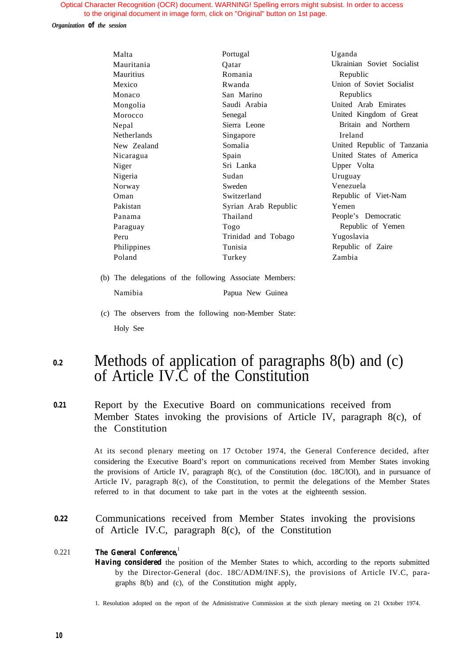<span id="page-6-0"></span>*Organization of the session*

| Malta              | Portugal             | Uganda                      |
|--------------------|----------------------|-----------------------------|
| Mauritania         | Qatar                | Ukrainian Soviet Socialist  |
| <b>Mauritius</b>   | Romania              | Republic                    |
| Mexico             | Rwanda               | Union of Soviet Socialist   |
| Monaco             | San Marino           | Republics                   |
| Mongolia           | Saudi Arabia         | United Arab Emirates        |
| Morocco            | Senegal              | United Kingdom of Great     |
| Nepal              | Sierra Leone         | Britain and Northern        |
| <b>Netherlands</b> | Singapore            | Ireland                     |
| New Zealand        | Somalia              | United Republic of Tanzania |
| Nicaragua          | Spain                | United States of America    |
| Niger              | Sri Lanka            | Upper Volta                 |
| Nigeria            | Sudan                | Uruguay                     |
| Norway             | Sweden               | Venezuela                   |
| Oman               | Switzerland          | Republic of Viet-Nam        |
| Pakistan           | Syrian Arab Republic | Yemen                       |
| Panama             | Thailand             | People's Democratic         |
| Paraguay           | Togo                 | Republic of Yemen           |
| Peru               | Trinidad and Tobago  | Yugoslavia                  |
| Philippines        | Tunisia              | Republic of Zaire           |
| Poland             | Turkey               | Zambia                      |

- (b) The delegations of the following Associate Members: Namibia Papua New Guinea
- (c) The observers from the following non-Member State: Holy See

# *0.2* Methods of application of paragraphs 8(b) and (c) of Article IV.C of the Constitution

## *0.21* Report by the Executive Board on communications received from Member States invoking the provisions of Article IV, paragraph 8(c), of the Constitution

At its second plenary meeting on 17 October 1974, the General Conference decided, after considering the Executive Board's report on communications received from Member States invoking the provisions of Article IV, paragraph 8(c), of the Constitution (doc. 18C/lOl), and in pursuance of Article IV, paragraph 8(c), of the Constitution, to permit the delegations of the Member States referred to in that document to take part in the votes at the eighteenth session.

### *0.22* Communications received from Member States invoking the provisions of Article IV.C, paragraph 8(c), of the Constitution

#### 0.221 **The General Conference**,

**Having considered** the position of the Member States to which, according to the reports submitted by the Director-General (doc. 18C/ADM/INF.S), the provisions of Article IV.C, paragraphs 8(b) and (c), of the Constitution might apply,

<sup>1.</sup> Resolution adopted on the report of the Administrative Commission at the sixth plenary meeting on 21 October 1974.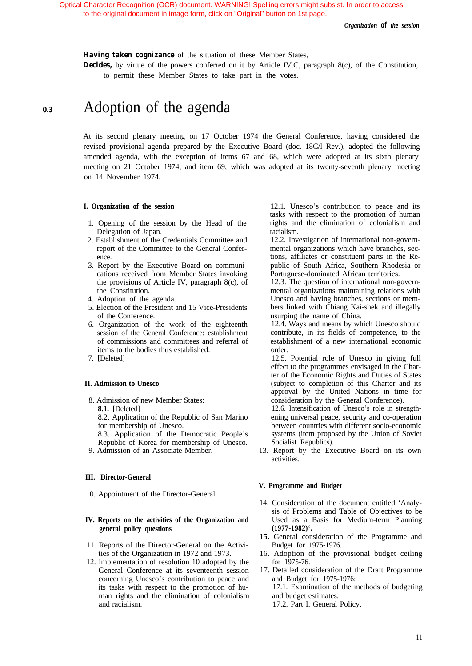*Organization of the session*

*Having taken cognizance* of the situation of these Member States,

**Decides,** by virtue of the powers conferred on it by Article IV.C, paragraph 8(c), of the Constitution, to permit these Member States to take part in the votes.

# <span id="page-7-0"></span>*0.3* Adoption of the agenda

At its second plenary meeting on 17 October 1974 the General Conference, having considered the revised provisional agenda prepared by the Executive Board (doc. 18C/l Rev.), adopted the following amended agenda, with the exception of items 67 and 68, which were adopted at its sixth plenary meeting on 21 October 1974, and item 69, which was adopted at its twenty-seventh plenary meeting on 14 November 1974.

#### **I. Organization of the session**

- 1. Opening of the session by the Head of the Delegation of Japan.
- 2. Establishment of the Credentials Committee and report of the Committee to the General Conference.
- 3. Report by the Executive Board on communications received from Member States invoking the provisions of Article IV, paragraph 8(c), of the Constitution.
- 4. Adoption of the agenda.
- 5. Election of the President and 15 Vice-Presidents of the Conference.
- 6. Organization of the work of the eighteenth session of the General Conference: establishment of commissions and committees and referral of items to the bodies thus established.
- 7. [Deleted]

#### **II. Admission to Unesco**

8. Admission of new Member States: **8.1.** [Deleted] 8.2. Application of the Republic of San Marino for membership of Unesco.

8.3. Application of the Democratic People's Republic of Korea for membership of Unesco. 9. Admission of an Associate Member.

#### **III. Director-General**

10. Appointment of the Director-General.

#### **IV. Reports on the activities of the Organization and general policy questions**

- 11. Reports of the Director-General on the Activities of the Organization in 1972 and 1973.
- 12. Implementation of resolution 10 adopted by the General Conference at its seventeenth session concerning Unesco's contribution to peace and its tasks with respect to the promotion of human rights and the elimination of colonialism and racialism. 17.2. Part I. General Policy.

12.1. Unesco's contribution to peace and its tasks with respect to the promotion of human rights and the elimination of colonialism and racialism.

12.2. Investigation of international non-governmental organizations which have branches, sections, affiliates or constituent parts in the Republic of South Africa, Southern Rhodesia or Portuguese-dominated African territories.

12.3. The question of international non-governmental organizations maintaining relations with Unesco and having branches, sections or members linked with Chiang Kai-shek and illegally usurping the name of China.

12.4. Ways and means by which Unesco should contribute, in its fields of competence, to the establishment of a new international economic order.

12.5. Potential role of Unesco in giving full effect to the programmes envisaged in the Charter of the Economic Rights and Duties of States (subject to completion of this Charter and its approval by the United Nations in time for consideration by the General Conference).

12.6. Intensification of Unesco's role in strengthening universal peace, security and co-operation between countries with different socio-economic systems (item proposed by the Union of Soviet Socialist Republics).

13. Report by the Executive Board on its own activities.

#### **V. Programme and Budget**

- 14. Consideration of the document entitled 'Analysis of Problems and Table of Objectives to be Used as a Basis for Medium-term Planning **(1977-1982)'.**
- **15.** General consideration of the Programme and Budget for 1975-1976.
- 16. Adoption of the provisional budget ceiling for 1975-76.

17. Detailed consideration of the Draft Programme and Budget for 1975-1976: 17.1. Examination of the methods of budgeting and budget estimates.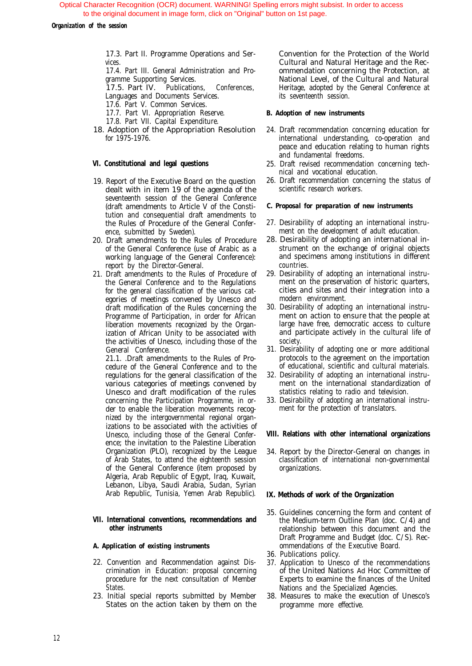#### *Organization of the session*

17.3. Part II. Programme Operations and Services.

17.4. Part III. General Administration and Programme Supporting Services.

17.5. Part IV. Publications, Conferences,

Languages and Documents Services.

17.6. Part V. Common Services.

17.7. Part VI. Appropriation Reserve.

- 17.8. Part VII. Capital Expenditure.
- 18. Adoption of the Appropriation Resolution for 1975-1976.

#### **VI. Constitutional and legal questions**

- 19. Report of the Executive Board on the question dealt with in item 19 of the agenda of the seventeenth session of the General Conference (draft amendments to Article V of the Constitution and consequential draft amendments to the Rules of Procedure of the General Conference, submitted by Sweden).
- 20. Draft amendments to the Rules of Procedure of the General Conference (use of Arabic as a working language of the General Conference): report by the Director-General.
- 21. Draft amendments to the Rules of Procedure of the General Conference and to the Regulations for the general classification of the various categories of meetings convened by Unesco and draft modification of the Rules concerning the Programme of Participation, in order for African liberation movements recognized by the Organization of African Unity to be associated with the activities of Unesco, including those of the General Conference.

21.1. .Draft amendments to the Rules of Procedure of the General Conference and to the regulations for the general classification of the various categories of meetings convened by Unesco and draft modification of the rules concerning the Participation Programme, in order to enable the liberation movements recognized by the intergovernmental regional organizations to be associated with the activities of Unesco, including those of the General Conference; the invitation to the Palestine Liberation Organization (PLO), recognized by the League of Arab States, to attend the eighteenth session of the General Conference (item proposed by Algeria, Arab Republic of Egypt, Iraq, Kuwait, Lebanon, Libya, Saudi Arabia, Sudan, Syrian Arab Republic, Tunisia, Yemen Arab Republic).

#### **VII. International conventions, recommendations and other instruments**

#### *A. Application of existing instruments*

- 22. Convention and Recommendation against Discrimination in Education: proposal concerning procedure for the next consultation of Member States.
- 23. Initial special reports submitted by Member States on the action taken by them on the

Convention for the Protection of the World Cultural and Natural Heritage and the Recommendation concerning the Protection, at National Level, of the Cultural and Natural Heritage, adopted by the General Conference at its seventeenth session.

#### *B. Adoption of new instruments*

- 24. Draft recommendation concerning education for international understanding, co-operation and peace and education relating to human rights and fundamental freedoms.
- 25. Draft revised recommendation concerning technical and vocational education.
- 26. Draft recommendation concerning the status of scientific research workers.

#### *C. Proposal for preparation of new instruments*

- 27. Desirability of adopting an international instrument on the development of adult education.
- 28. Desirability of adopting an international instrument on the exchange of original objects and specimens among institutions in different countries.
- 29. Desirability of adopting an international instrument on the preservation of historic quarters, cities and sites and their integration into a modern environment.
- 30. Desirability of adopting an international instrument on action to ensure that the people at large have free, democratic access to culture and participate actively in the cultural life of society.
- 31. Desirability of adopting one or more additional protocols to the agreement on the importation of educational, scientific and cultural materials.
- 32. Desirability of adopting an international instrument on the international standardization of statistics relating to radio and television.
- 33. Desirability of adopting an international instrument for the protection of translators.

#### **VIII. Relations with other international organizations**

34. Report by the Director-General on changes in classification of international non-governmental organizations.

#### **IX. Methods of work of the Organization**

- 35. Guidelines concerning the form and content of the Medium-term Outline Plan (doc. C/4) and relationship between this document and the Draft Programme and Budget (doc. C/S). Recommendations of the Executive Board.
- 36. Publications policy.
- 37. Application to Unesco of the recommendations of the United Nations *Ad* Hoc Committee of Experts to examine the finances of the United Nations and the Specialized Agencies.
- 38. Measures to make the execution of Unesco's programme more effective.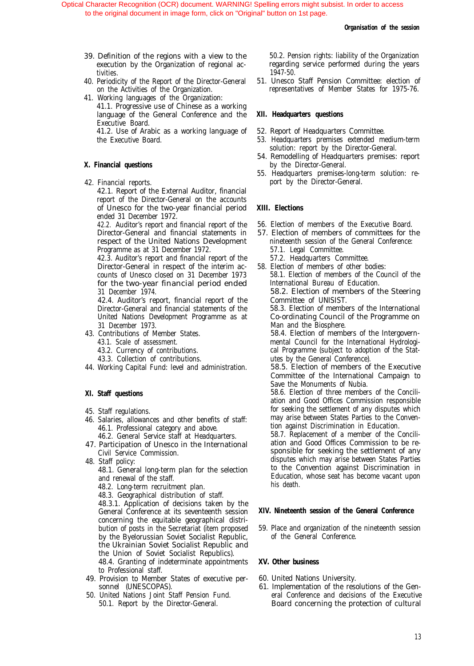- 39. Definition of the regions with a view to the execution by the Organization of regional activities.
- 40. Periodicity of the Report of the Director-General on the Activities of the Organization.
- 41. Working languages of the Organization:

41.1. Progressive use of Chinese as a working language of the General Conference and the Executive Board.

41.2. Use of Arabic as a working language of the Executive Board.

#### **X. Financial questions**

42. Financial reports.

42.1. Report of the External Auditor, financial report of the Director-General on the accounts of Unesco for the two-year financial period ended 31 December 1972.

42.2. Auditor's report and financial report of the Director-General and financial statements in respect of the United Nations Development Programme as at 31 December 1972.

42.3. Auditor's report and financial report of the Director-General in respect of the interim accounts of Unesco closed on 31 December 1973 for the two-year financial period ended 31 December 1974.

42.4. Auditor's report, financial report of the Director-General and financial statements of the United Nations Development Programme as at 31 December 1973.

- 43. Contributions of Member States.
	- 43.1. Scale of assessment.
	- 43.2. Currency of contributions.
	- 43.3. Collection of contributions.
- 44. Working Capital Fund: level and administration.

#### **XI. Staff questions**

- 45. Staff regulations.
- 46. Salaries, allowances and other benefits of staff: 46.1. Professional category and above.
	- 46.2. General Service staff at Headquarters.
- 47. Participation of Unesco in the International Civil Service Commission.
- 48. Staff policy:

48.1. General long-term plan for the selection and renewal of the staff.

- 48.2. Long-term recruitment plan.
- 48.3. Geographical distribution of staff.

48.3.1. Application of decisions taken by the General Conference at its seventeenth session concerning the equitable geographical distribution of posts in the Secretariat (item proposed by the Byelorussian Soviet Socialist Republic, the Ukrainian Soviet Socialist Republic and the Union of Soviet Socialist Republics). 48.4. Granting of indeterminate appointments to Professional staff.

- 49. Provision to Member States of executive personnel (UNESCOPAS).
- 50. United Nations Joint Staff Pension Fund. 50.1. Report by the Director-General.

50.2. Pension rights: liability of the Organization regarding service performed during the years 1947-50.

51. Unesco Staff Pension Committee: election of representatives of Member States for 1975-76.

#### **XII. Headquarters questions**

- 52. Report of Headquarters Committee.
- 53. Headquarters premises extended medium-term solution: report by the Director-General.
- 54. Remodelling of Headquarters premises: report by the Director-General.
- 55. Headquarters premises-long-term solution: report by the Director-General.

#### **XIII. Elections**

- 56. Election of members of the Executive Board.
- 57. Election of members of committees for the nineteenth session of the General Conference: 57.1. Legal Committee.
	- 57.2. Headquarters Committee.
- 58. Election of members of other bodies: 58.1. Election of members of the Council of the International Bureau of Education. 58.2. Election of members of the Steering

Committee of UNISIST.

58.3. Election of members of the International Co-ordinating Council of the Programme on Man and the Biosphere.

58.4. Election of members of the Intergovernmental Council for the International Hydrological Programme (subject to adoption of the Statutes by the General Conference).

58.5. Election of members of the Executive Committee of the International Campaign to Save the Monuments of Nubia.

58.6. Election of three members of the Conciliation and Good Offices Commission responsible for seeking the settlement of any disputes which may arise between States Parties to the Convention against Discrimination in Education.

58.7. Replacement of a member of the Conciliation and Good Offices Commission to be responsible for seeking the settlement of any disputes which may arise between States Parties to the Convention against Discrimination in Education, whose seat has become vacant upon his death.

#### **XIV. Nineteenth session of the General Conference**

59. Place and organization of the nineteenth session of the General Conference.

#### **XV. Other business**

- 60. United Nations University.
- 61. Implementation of the resolutions of the General Conference and decisions of the Executive Board concerning the protection of cultural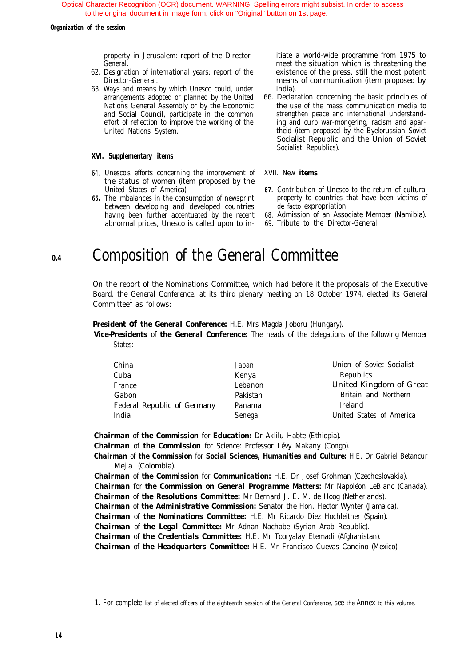#### <span id="page-10-0"></span>*Organization of the session*

property in Jerusalem: report of the Director-General.

- 62. Designation of international years: report of the Director-General.
- 63. Ways and means by which Unesco could, under arrangements adopted or planned by the United Nations General Assembly or by the Economic and Social Council, participate in the common effort of reflection to improve the working of the United Nations System.

#### **XVI. Supplementary items**

- 64. Unesco's efforts concerning the improvement of XVII. New **items** the status of women (item proposed by the United States of America). *67.*
- *65.* The imbalances in the consumption of newsprint between developing and developed countries having been further accentuated by the recent abnormal prices, Unesco is called upon to in-

itiate a world-wide programme from 1975 to meet the situation which is threatening the existence of the press, still the most potent means of communication (item proposed by India).

66. Declaration concerning the basic principles of the use of the mass communication media to strengthen peace and international understanding and curb war-mongering, racism and apartheid (item proposed by the Byelorussian Soviet Socialist Republic and the Union of Soviet Socialist Republics).

- 67. Contribution of Unesco to the return of cultural property to countries that have been victims of de facto expropriation.
- Admission of an Associate Member (Namibia).
- 69. Tribute to the Director-General.

#### *0.4* Composition of the General Committee

On the report of the Nominations Committee, which had before it the proposals of the Executive Board, the General Conference, at its third plenary meeting on 18 October 1974, elected its General Committee $^1$  as follows:

#### **President of the General Conference:** H.E. Mrs Magda Joboru (Hungary).

*Vice-Presidents of the General Conference:* The heads of the delegations of the following Member States:

| China                       | Japan    | Union of Soviet Socialist |
|-----------------------------|----------|---------------------------|
| Cuba                        | Kenya    | Republics                 |
| France                      | Lebanon  | United Kingdom of Great   |
| Gabon                       | Pakistan | Britain and Northern      |
| Federal Republic of Germany | Panama   | Ireland                   |
| India                       | Senegal  | United States of America  |

*Chairman of the Commission for Education:* Dr Aklilu Habte (Ethiopia).

*Chairman of the Commission for Science:* Professor Lévy Makany (Congo).

*Chairman of the Commission for Social Sciences, Humanities and Culture:* H.E. Dr Gabriel Betancur Mejia (Colombia).

*Chairman of the Commission for Communication:* H.E. Dr Josef Grohman (Czechoslovakia).

*Chairman for the Commission on General Programme Matters:* Mr Napoléon LeBlanc (Canada).

*Chairman of the Resolutions Committee:* Mr Bernard J. E. M. de Hoog (Netherlands).

*Chairman of the Administrative Commission:* Senator the Hon. Hector Wynter (Jamaica).

*Chairman of the Nominations Committee:* H.E. Mr Ricardo Diez Hochleitner (Spain).

*Chairman of the Legal Committee:* Mr Adnan Nachabe (Syrian Arab Republic).

*Chairman of the Credentials Committee:* H.E. Mr Tooryalay Etemadi (Afghanistan).

*Chairman of the Headquarters Committee:* H.E. Mr Francisco Cuevas Cancino (Mexico).

<sup>1.</sup> For complete list of elected officers of the eighteenth session of the General Conference, see the Annex to this volume.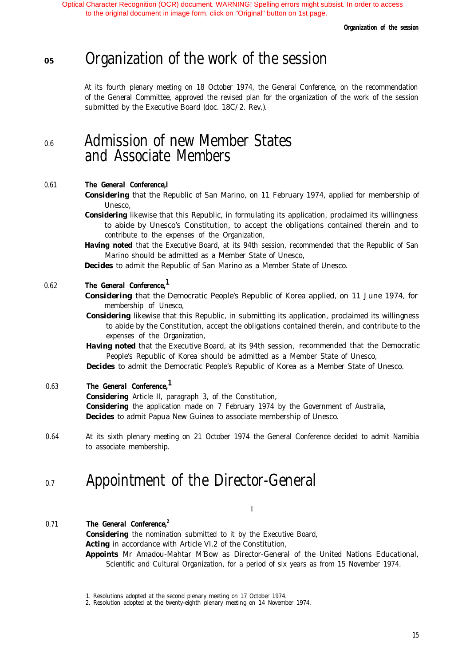*Organization of the session*

# <span id="page-11-0"></span>*<sup>05</sup>* Organization of the work of the session

At its fourth plenary meeting on 18 October 1974, the General Conference, on the recommendation of the General Committee, approved the revised plan for the organization of the work of the session submitted by the Executive Board (doc. 18C/2. Rev.).

# 0.6 Admission of new Member States and Associate Members

#### 0.61 *The General Conference,l*

*Considering* that the Republic of San Marino, on 11 February 1974, applied for membership of Unesco,

- **Considering** likewise that this Republic, in formulating its application, proclaimed its willingness to abide by Unesco's Constitution, to accept the obligations contained therein and to contribute to the expenses of the Organization,
- Having noted that the Executive Board, at its 94th session, recommended that the Republic of San Marino should be admitted as a Member State of Unesco,

*Decides* to admit the Republic of San Marino as a Member State of Unesco.

### 0.62 *The General Conference,1*

*Considering* that the Democratic People's Republic of Korea applied, on 11 June 1974, for membership of Unesco,

**Considering** likewise that this Republic, in submitting its application, proclaimed its willingness to abide by the Constitution, accept the obligations contained therein, and contribute to the expenses of the Organization,

*Having noted* that the Executive Board, at its 94th session, recommended that the Democratic People's Republic of Korea should be admitted as a Member State of Unesco,

*Decides* to admit the Democratic People's Republic of Korea as a Member State of Unesco.

### 0.63 *The General Conference,1*

*Considering* Article II, paragraph 3, of the Constitution, *Considering* the application made on 7 February 1974 by the Government of Australia, **Decides** to admit Papua New Guinea to associate membership of Unesco.

0.64 At its sixth plenary meeting on 21 October 1974 the General Conference decided to admit Namibia to associate membership.

#### 0.7 Appointment of the Director-General

I

#### 0.71 The General Conference,<sup>2</sup>

*Considering* the nomination submitted to it by the Executive Board, Acting in accordance with Article VI.2 of the Constitution, *Appoints* Mr Amadou-Mahtar M'Bow as Director-General of the United Nations Educational, Scientific and Cultural Organization, for a period of six years as from 15 November 1974.

<sup>1.</sup> Resolutions adopted at the second plenary meeting on 17 October 1974.

<sup>2.</sup> Resolution adopted at the twenty-eighth plenary meeting on 14 November 1974.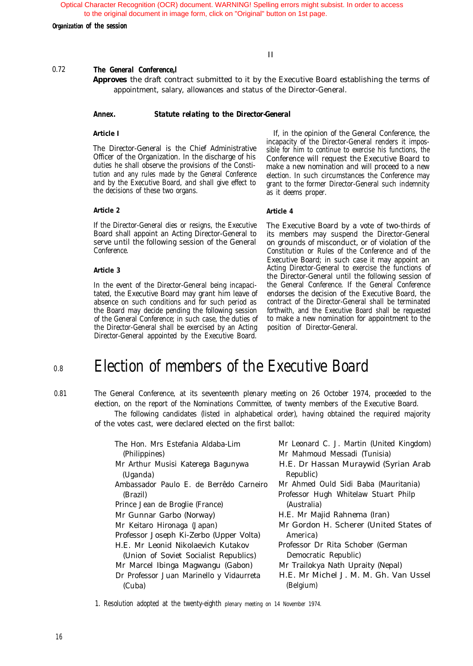<span id="page-12-0"></span>*Organization of the session*

II

#### 0.72 *The General Conference,l*

*Approves* the draft contract submitted to it by the Executive Board establishing the terms of appointment, salary, allowances and status of the Director-General.

#### *Annex. Statute relating to the Director-General*

#### *Article I*

The Director-General is the Chief Administrative Officer of the Organization. In the discharge of his duties he shall observe the provisions of the Constitution and any rules made by the General Conference and by the Executive Board, and shall give effect to the decisions of these two organs.

#### *Article 2 Article 4*

If the Director-General dies or resigns, the Executive Board shall appoint an Acting Director-General to serve until the following session of the General Conference.

#### *Article 3*

In the event of the Director-General being incapacitated, the Executive Board may grant him leave of absence on such conditions and for such period as the Board may decide pending the following session of the General Conference; in such case, the duties of the Director-General shall be exercised by an Acting Director-General appointed by the Executive Board.

If, in the opinion of the General Conference, the incapacity of the Director-General renders it impossible for him to continue to exercise his functions, the Conference will request the Executive Board to make a new nomination and will proceed to a new election. In such circumstances the Conference may grant to the former Director-General such indemnity as it deems proper.

The Executive Board by a vote of two-thirds of its members may suspend the Director-General on grounds of misconduct, or of violation of the Constitution or Rules of the Conference and of the Executive Board; in such case it may appoint an Acting Director-General to exercise the functions of the Director-General until the following session of the General Conference. If the General Conference endorses the decision of the Executive Board, the contract of the Director-General shall be terminated forthwith, and the Executive Board shall be requested to make a new nomination for appointment to the position of Director-General.

# 0.8 Election of members of the Executive Board

0.81 The General Conference, at its seventeenth plenary meeting on 26 October 1974, proceeded to the election, on the report of the Nominations Committee, of twenty members of the Executive Board.

The following candidates (listed in alphabetical order), having obtained the required majority of the votes cast, were declared elected on the first ballot:

| The Hon. Mrs Estefania Aldaba-Lim<br>(Philippines) | Mr Leonard C. J. Martin (United Kingdom)<br>Mr Mahmoud Messadi (Tunisia) |
|----------------------------------------------------|--------------------------------------------------------------------------|
| Mr Arthur Musisi Katerega Bagunywa                 | H.E. Dr Hassan Muraywid (Syrian Arab                                     |
| (Uganda)                                           | Republic)                                                                |
| Ambassador Paulo E. de Berrêdo Carneiro            | Mr Ahmed Ould Sidi Baba (Mauritania)                                     |
| (Brazil)                                           | Professor Hugh Whitelaw Stuart Philp                                     |
| Prince Jean de Broglie (France)                    | (Australia)                                                              |
| Mr Gunnar Garbo (Norway)                           | H.E. Mr Majid Rahnema (Iran)                                             |
| Mr Keitaro Hironaga (Japan)                        | Mr Gordon H. Scherer (United States of                                   |
| Professor Joseph Ki-Zerbo (Upper Volta)            | America)                                                                 |
| H.E. Mr Leonid Nikolaevich Kutakov                 | Professor Dr Rita Schober (German                                        |
| (Union of Soviet Socialist Republics)              | Democratic Republic)                                                     |
| Mr Marcel Ibinga Magwangu (Gabon)                  | Mr Trailokya Nath Upraity (Nepal)                                        |
| Dr Professor Juan Marinello y Vidaurreta           | H.E. Mr Michel J. M. M. Gh. Van Ussel                                    |
| (Cuba)                                             | (Belgium)                                                                |
|                                                    |                                                                          |

1. Resolution adopted at the twenty-eighth plenary meeting on 14 November 1974.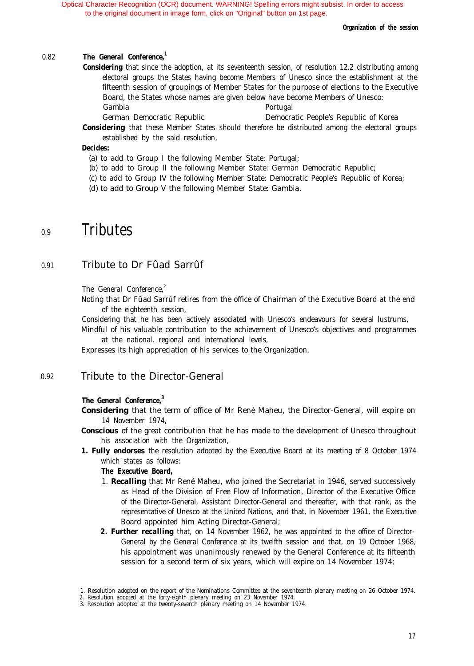#### <span id="page-13-0"></span>0.82 *The General Conference,1*

**Considering** that since the adoption, at its seventeenth session, of resolution 12.2 distributing among electoral groups the States having become Members of Unesco since the establishment at the fifteenth session of groupings of Member States for the purpose of elections to the Executive Board, the States whose names are given below have become Members of Unesco: Gambia Portugal

German Democratic Republic Democratic People's Republic of Korea

**Considering** that these Member States should therefore be distributed among the electoral groups established by the said resolution,

#### *Decides:*

- (a) to add to Group I the following Member State: Portugal;
- (b) to add to Group II the following Member State: German Democratic Republic;
- (c) to add to Group IV the following Member State: Democratic People's Republic of Korea;
- (d) to add to Group V the following Member State: Gambia.

#### 0.9 Tributes

#### 0.91 Tribute to Dr Fûad Sarrûf

The General Conference,<sup>2</sup>

Noting that Dr Fûad Sarrûf retires from the office of Chairman of the Executive Board at the end of the eighteenth session,

Considering that he has been actively associated with Unesco's endeavours for several lustrums,

Mindful of his valuable contribution to the achievement of Unesco's objectives and programmes at the national, regional and international levels,

Expresses its high appreciation of his services to the Organization.

### 0.92 Tribute to the Director-General

#### *The General Conference,3*

*Considering* that the term of office of Mr René Maheu, the Director-General, will expire on 14 November 1974,

- **Conscious** of the great contribution that he has made to the development of Unesco throughout his association with the Organization,
- *1. Fully endorses* the resolution adopted by the Executive Board at its meeting of 8 October 1974 which states as follows:

#### *The Executive Board,*

- 1. *Recalling* that Mr René Maheu, who joined the Secretariat in 1946, served successively as Head of the Division of Free Flow of Information, Director of the Executive Office of the Director-General, Assistant Director-General and thereafter, with that rank, as the representative of Unesco at the United Nations, and that, in November 1961, the Executive Board appointed him Acting Director-General;
- 2. Further recalling that, on 14 November 1962, he was appointed to the office of Director-General by the General Conference at its twelfth session and that, on 19 October 1968, his appointment was unanimously renewed by the General Conference at its fifteenth session for a second term of six years, which will expire on 14 November 1974;

<sup>1.</sup> Resolution adopted on the report of the Nominations Committee at the seventeenth plenary meeting on 26 October 1974.

<sup>2.</sup> Resolution adopted at the forty-eighth plenary meeting on 23 November 1974.

<sup>3.</sup> Resolution adopted at the twenty-seventh plenary meeting on 14 November 1974.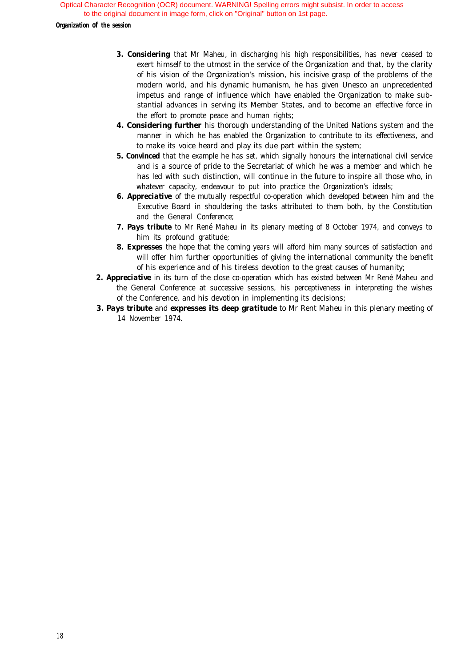*Organization of the session*

- *3. Considering* that Mr Maheu, in discharging his high responsibilities, has never ceased to exert himself to the utmost in the service of the Organization and that, by the clarity of his vision of the Organization's mission, his incisive grasp of the problems of the modern world, and his dynamic humanism, he has given Unesco an unprecedented impetus and range of influence which have enabled the Organization to make substantial advances in serving its Member States, and to become an effective force in the effort to promote peace and human rights;
- *4. Considering further* his thorough understanding of the United Nations system and the manner in which he has enabled the Organization to contribute to its effectiveness, and to make its voice heard and play its due part within the system;
- **5. Convinced** that the example he has set, which signally honours the international civil service and is a source of pride to the Secretariat of which he was a member and which he has led with such distinction, will continue in the future to inspire all those who, in whatever capacity, endeavour to put into practice the Organization's ideals;
- *6. Appreciative* of the mutually respectful co-operation which developed between him and the Executive Board in shouldering the tasks attributed to them both, by the Constitution and the General Conference;
- *7. Pays tribute* to Mr René Maheu in its plenary meeting of 8 October 1974, and conveys to him its profound gratitude;
- 8. **Expresses** the hope that the coming years will afford him many sources of satisfaction and will offer him further opportunities of giving the international community the benefit of his experience and of his tireless devotion to the great causes of humanity;
- 2. Appreciative in its turn of the close co-operation which has existed between Mr René Maheu and the General Conference at successive sessions, his perceptiveness in interpreting the wishes of the Conference, and his devotion in implementing its decisions;
- *3. Pays tribute* and *expresses its deep gratitude* to Mr Rent Maheu in this plenary meeting of 14 November 1974.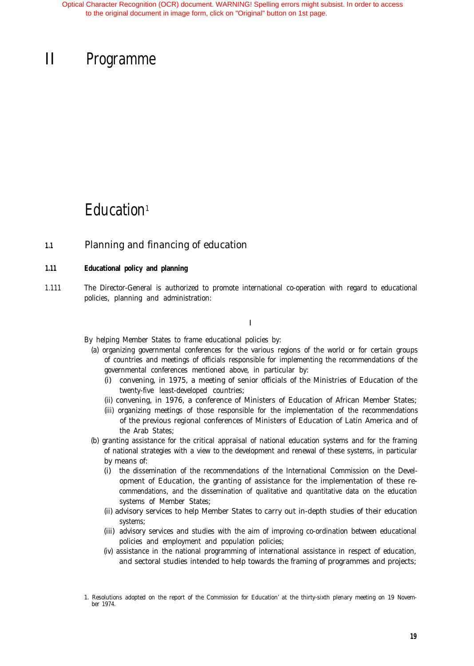# <span id="page-15-0"></span>II Programme

# Education<sup>1</sup>

### **1.1** Planning and financing of education

#### **1.11 Educational policy and planning**

1.111 The Director-General is authorized to promote international co-operation with regard to educational policies, planning and administration:

## I

By helping Member States to frame educational policies by:

- (a) organizing governmental conferences for the various regions of the world or for certain groups of countries and meetings of officials responsible for implementing the recommendations of the governmental conferences mentioned above, in particular by:
	- (i) convening, in 1975, a meeting of senior officials of the Ministries of Education of the twenty-five least-developed countries;
	- (ii) convening, in 1976, a conference of Ministers of Education of African Member States;
	- (iii) organizing meetings of those responsible for the implementation of the recommendations of the previous regional conferences of Ministers of Education of Latin America and of the Arab States;
- (b) granting assistance for the critical appraisal of national education systems and for the framing of national strategies with a view to the development and renewal of these systems, in particular by means of:
	- (i) the dissemination of the recommendations of the International Commission on the Development of Education, the granting of assistance for the implementation of these recommendations, and the dissemination of qualitative and quantitative data on the education systems of Member States;
	- (ii) advisory services to help Member States to carry out in-depth studies of their education systems;
	- (iii) advisory services and studies with the aim of improving co-ordination between educational policies and employment and population policies;
	- (iv) assistance in the national programming of international assistance in respect of education, and sectoral studies intended to help towards the framing of programmes and projects;

<sup>1.</sup> Resolutions adopted on the report of the Commission for Education' at the thirty-sixth plenary meeting on 19 November 1974.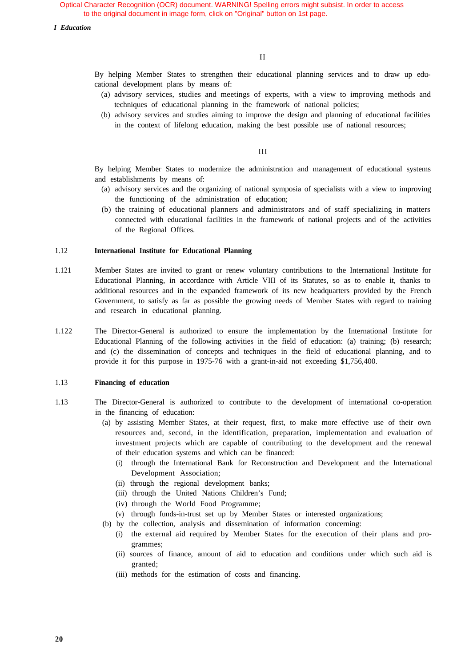*I Education*

By helping Member States to strengthen their educational planning services and to draw up educational development plans by means of:

- (a) advisory services, studies and meetings of experts, with a view to improving methods and techniques of educational planning in the framework of national policies;
- (b) advisory services and studies aiming to improve the design and planning of educational facilities in the context of lifelong education, making the best possible use of national resources;

III

By helping Member States to modernize the administration and management of educational systems and establishments by means of:

- (a) advisory services and the organizing of national symposia of specialists with a view to improving the functioning of the administration of education;
- (b) the training of educational planners and administrators and of staff specializing in matters connected with educational facilities in the framework of national projects and of the activities of the Regional Offices.

#### 1.12 **International Institute for Educational Planning**

- 1.121 Member States are invited to grant or renew voluntary contributions to the International Institute for Educational Planning, in accordance with Article VIII of its Statutes, so as to enable it, thanks to additional resources and in the expanded framework of its new headquarters provided by the French Government, to satisfy as far as possible the growing needs of Member States with regard to training and research in educational planning.
- 1.122 The Director-General is authorized to ensure the implementation by the International Institute for Educational Planning of the following activities in the field of education: (a) training; (b) research; and (c) the dissemination of concepts and techniques in the field of educational planning, and to provide it for this purpose in 1975-76 with a grant-in-aid not exceeding \$1,756,400.

#### 1.13 **Financing of education**

- 1.13 The Director-General is authorized to contribute to the development of international co-operation in the financing of education:
	- (a) by assisting Member States, at their request, first, to make more effective use of their own resources and, second, in the identification, preparation, implementation and evaluation of investment projects which are capable of contributing to the development and the renewal of their education systems and which can be financed:
		- (i) through the International Bank for Reconstruction and Development and the International Development Association;
		- (ii) through the regional development banks;
		- (iii) through the United Nations Children's Fund;
		- (iv) through the World Food Programme;
		- (v) through funds-in-trust set up by Member States or interested organizations;
	- (b) by the collection, analysis and dissemination of information concerning:
		- (i) the external aid required by Member States for the execution of their plans and programmes;
		- (ii) sources of finance, amount of aid to education and conditions under which such aid is granted;
		- (iii) methods for the estimation of costs and financing.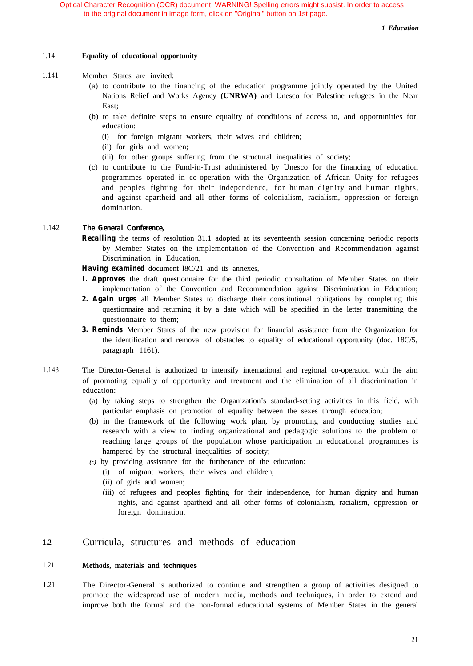#### *1 Education*

#### 1.14 **Equality of educational opportunity**

- <span id="page-17-0"></span>1.141 Member States are invited:
	- (a) to contribute to the financing of the education programme jointly operated by the United Nations Relief and Works Agency **(UNRWA)** and Unesco for Palestine refugees in the Near East;
	- (b) to take definite steps to ensure equality of conditions of access to, and opportunities for, education:
		- (i) for foreign migrant workers, their wives and children;
		- (ii) for girls and women;
		- (iii) for other groups suffering from the structural inequalities of society;
	- (c) to contribute to the Fund-in-Trust administered by Unesco for the financing of education programmes operated in co-operation with the Organization of African Unity for refugees and peoples fighting for their independence, for human dignity and human rights, and against apartheid and all other forms of colonialism, racialism, oppression or foreign domination.

#### 1.142 *The General Conference,*

**Recalling** the terms of resolution 31.1 adopted at its seventeenth session concerning periodic reports by Member States on the implementation of the Convention and Recommendation against Discrimination in Education,

*Having examined* document l8C/21 and its annexes,

- *I. Approves* the draft questionnaire for the third periodic consultation of Member States on their implementation of the Convention and Recommendation against Discrimination in Education;
- *2. Again urges* all Member States to discharge their constitutional obligations by completing this questionnaire and returning it by a date which will be specified in the letter transmitting the questionnaire to them;
- *3. Reminds* Member States of the new provision for financial assistance from the Organization for the identification and removal of obstacles to equality of educational opportunity (doc. 18C/5, paragraph 1161).
- 1.143 The Director-General is authorized to intensify international and regional co-operation with the aim of promoting equality of opportunity and treatment and the elimination of all discrimination in education:
	- (a) by taking steps to strengthen the Organization's standard-setting activities in this field, with particular emphasis on promotion of equality between the sexes through education;
	- (b) in the framework of the following work plan, by promoting and conducting studies and research with a view to finding organizational and pedagogic solutions to the problem of reaching large groups of the population whose participation in educational programmes is hampered by the structural inequalities of society;
	- *(c)* by providing assistance for the furtherance of the education:
		- (i) of migrant workers, their wives and children;
		- (ii) of girls and women;
		- (iii) of refugees and peoples fighting for their independence, for human dignity and human rights, and against apartheid and all other forms of colonialism, racialism, oppression or foreign domination.

### **1.2** Curricula, structures and methods of education

#### 1.21 **Methods, materials and techniques**

1.21 The Director-General is authorized to continue and strengthen a group of activities designed to promote the widespread use of modern media, methods and techniques, in order to extend and improve both the formal and the non-formal educational systems of Member States in the general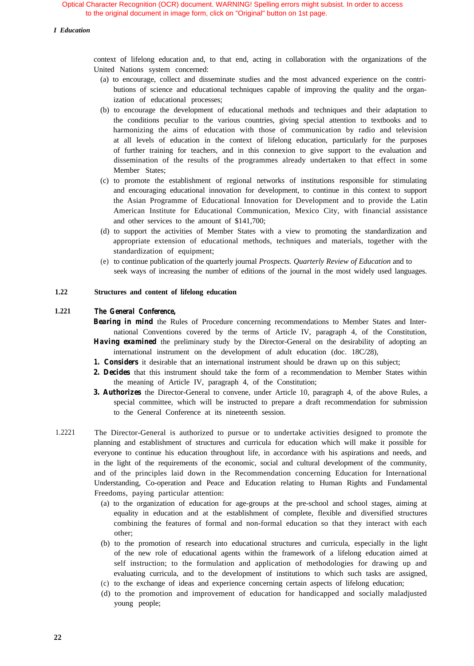#### *I Education*

context of lifelong education and, to that end, acting in collaboration with the organizations of the United Nations system concerned:

- (a) to encourage, collect and disseminate studies and the most advanced experience on the contributions of science and educational techniques capable of improving the quality and the organization of educational processes;
- (b) to encourage the development of educational methods and techniques and their adaptation to the conditions peculiar to the various countries, giving special attention to textbooks and to harmonizing the aims of education with those of communication by radio and television at all levels of education in the context of lifelong education, particularly for the purposes of further training for teachers, and in this connexion to give support to the evaluation and dissemination of the results of the programmes already undertaken to that effect in some Member States;
- (c) to promote the establishment of regional networks of institutions responsible for stimulating and encouraging educational innovation for development, to continue in this context to support the Asian Programme of Educational Innovation for Development and to provide the Latin American Institute for Educational Communication, Mexico City, with financial assistance and other services to the amount of \$141,700;
- (d) to support the activities of Member States with a view to promoting the standardization and appropriate extension of educational methods, techniques and materials, together with the standardization of equipment;
- (e) to continue publication of the quarterly journal *Prospects. Quarterly Review of Education* and to seek ways of increasing the number of editions of the journal in the most widely used languages.

#### **1.22 Structures and content of lifelong education**

#### **1.221** *The General Conference,*

**Bearing in mind** the Rules of Procedure concerning recommendations to Member States and International Conventions covered by the terms of Article IV, paragraph 4, of the Constitution,

- **Having examined** the preliminary study by the Director-General on the desirability of adopting an international instrument on the development of adult education (doc. 18C/28),
- *1. Considers* it desirable that an international instrument should be drawn up on this subject;
- *2. Decides* that this instrument should take the form of a recommendation to Member States within the meaning of Article IV, paragraph 4, of the Constitution;
- *3. Authorizes* the Director-General to convene, under Article 10, paragraph 4, of the above Rules, a special committee, which will be instructed to prepare a draft recommendation for submission to the General Conference at its nineteenth session.
- 1.2221 The Director-General is authorized to pursue or to undertake activities designed to promote the planning and establishment of structures and curricula for education which will make it possible for everyone to continue his education throughout life, in accordance with his aspirations and needs, and in the light of the requirements of the economic, social and cultural development of the community, and of the principles laid down in the Recommendation concerning Education for International Understanding, Co-operation and Peace and Education relating to Human Rights and Fundamental Freedoms, paying particular attention:
	- (a) to the organization of education for age-groups at the pre-school and school stages, aiming at equality in education and at the establishment of complete, flexible and diversified structures combining the features of formal and non-formal education so that they interact with each other;
	- (b) to the promotion of research into educational structures and curricula, especially in the light of the new role of educational agents within the framework of a lifelong education aimed at self instruction; to the formulation and application of methodologies for drawing up and evaluating curricula, and to the development of institutions to which such tasks are assigned,
	- (c) to the exchange of ideas and experience concerning certain aspects of lifelong education;
	- (d) to the promotion and improvement of education for handicapped and socially maladjusted young people;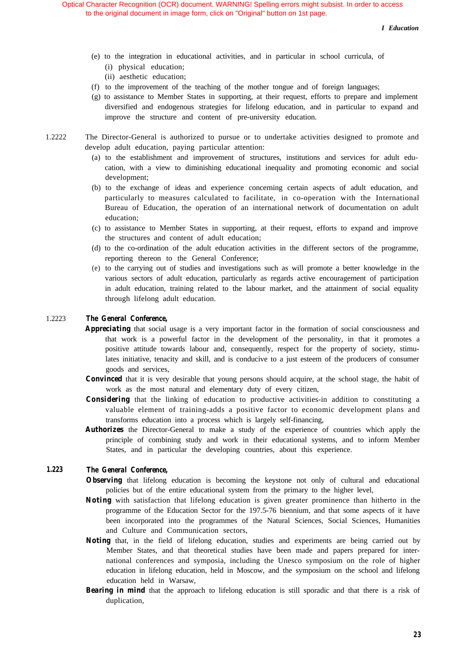*I Education*

- (e) to the integration in educational activities, and in particular in school curricula, of (i) physical education;
	- (ii) aesthetic education;
- (f) to the improvement of the teaching of the mother tongue and of foreign languages;
- (g) to assistance to Member States in supporting, at their request, efforts to prepare and implement diversified and endogenous strategies for lifelong education, and in particular to expand and improve the structure and content of pre-university education.
- 1.2222 The Director-General is authorized to pursue or to undertake activities designed to promote and develop adult education, paying particular attention:
	- (a) to the establishment and improvement of structures, institutions and services for adult education, with a view to diminishing educational inequality and promoting economic and social development;
	- (b) to the exchange of ideas and experience concerning certain aspects of adult education, and particularly to measures calculated to facilitate, in co-operation with the International Bureau of Education, the operation of an international network of documentation on adult education;
	- (c) to assistance to Member States in supporting, at their request, efforts to expand and improve the structures and content of adult education;
	- (d) to the co-ordination of the adult education activities in the different sectors of the programme, reporting thereon to the General Conference;
	- (e) to the carrying out of studies and investigations such as will promote a better knowledge in the various sectors of adult education, particularly as regards active encouragement of participation in adult education, training related to the labour market, and the attainment of social equality through lifelong adult education.

#### 1.2223 *The General Conference,*

- *Appreciating* that social usage is a very important factor in the formation of social consciousness and that work is a powerful factor in the development of the personality, in that it promotes a positive attitude towards labour and, consequently, respect for the property of society, stimulates initiative, tenacity and skill, and is conducive to a just esteem of the producers of consumer goods and services,
- **Convinced** that it is very desirable that young persons should acquire, at the school stage, the habit of work as the most natural and elementary duty of every citizen,
- **Considering** that the linking of education to productive activities-in addition to constituting a valuable element of training-adds a positive factor to economic development plans and transforms education into a process which is largely self-financing,
- *Authorizes* the Director-General to make a study of the experience of countries which apply the principle of combining study and work in their educational systems, and to inform Member States, and in particular the developing countries, about this experience.

### *1.223 The General Conference,*

- **Observing** that lifelong education is becoming the keystone not only of cultural and educational policies but of the entire educational system from the primary to the higher level,
- *Noting* with satisfaction that lifelong education is given greater prominence than hitherto in the programme of the Education Sector for the 197.5-76 biennium, and that some aspects of it have been incorporated into the programmes of the Natural Sciences, Social Sciences, Humanities and Culture and Communication sectors,
- **Noting** that, in the field of lifelong education, studies and experiments are being carried out by Member States, and that theoretical studies have been made and papers prepared for international conferences and symposia, including the Unesco symposium on the role of higher education in lifelong education, held in Moscow, and the symposium on the school and lifelong education held in Warsaw,
- **Bearing in mind** that the approach to lifelong education is still sporadic and that there is a risk of duplication,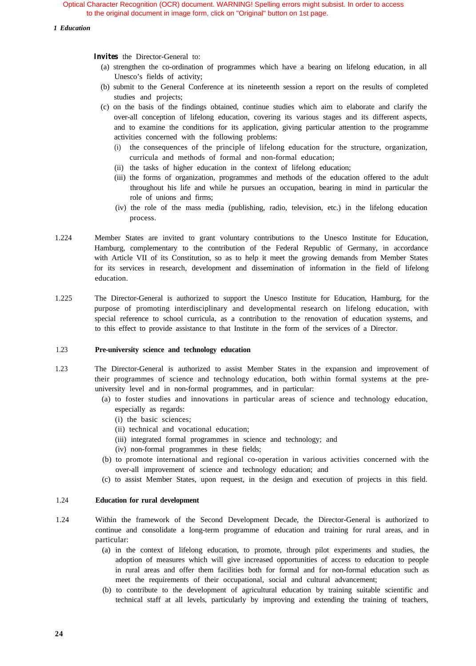#### *1 Education*

**Invites** the Director-General to:

- (a) strengthen the co-ordination of programmes which have a bearing on lifelong education, in all Unesco's fields of activity;
- (b) submit to the General Conference at its nineteenth session a report on the results of completed studies and projects;
- (c) on the basis of the findings obtained, continue studies which aim to elaborate and clarify the over-all conception of lifelong education, covering its various stages and its different aspects, and to examine the conditions for its application, giving particular attention to the programme activities concerned with the following problems:
	- (i) the consequences of the principle of lifelong education for the structure, organization, curricula and methods of formal and non-formal education;
	- (ii) the tasks of higher education in the context of lifelong education;
	- (iii) the forms of organization, programmes and methods of the education offered to the adult throughout his life and while he pursues an occupation, bearing in mind in particular the role of unions and firms;
	- (iv) the role of the mass media (publishing, radio, television, etc.) in the lifelong education process.
- 1.224 Member States are invited to grant voluntary contributions to the Unesco Institute for Education, Hamburg, complementary to the contribution of the Federal Republic of Germany, in accordance with Article VII of its Constitution, so as to help it meet the growing demands from Member States for its services in research, development and dissemination of information in the field of lifelong education.
- 1.225 The Director-General is authorized to support the Unesco Institute for Education, Hamburg, for the purpose of promoting interdisciplinary and developmental research on lifelong education, with special reference to school curricula, as a contribution to the renovation of education systems, and to this effect to provide assistance to that Institute in the form of the services of a Director.

#### 1.23 **Pre-university science and technology education**

- 1.23 The Director-General is authorized to assist Member States in the expansion and improvement of their programmes of science and technology education, both within formal systems at the preuniversity level and in non-formal programmes, and in particular:
	- (a) to foster studies and innovations in particular areas of science and technology education, especially as regards:
		- (i) the basic sciences;
		- (ii) technical and vocational education;
		- (iii) integrated formal programmes in science and technology; and
		- (iv) non-formal programmes in these fields;
	- (b) to promote international and regional co-operation in various activities concerned with the over-all improvement of science and technology education; and
	- (c) to assist Member States, upon request, in the design and execution of projects in this field.

#### 1.24 **Education for rural development**

- 1.24 Within the framework of the Second Development Decade, the Director-General is authorized to continue and consolidate a long-term programme of education and training for rural areas, and in particular:
	- (a) in the context of lifelong education, to promote, through pilot experiments and studies, the adoption of measures which will give increased opportunities of access to education to people in rural areas and offer them facilities both for formal and for non-formal education such as meet the requirements of their occupational, social and cultural advancement;
	- (b) to contribute to the development of agricultural education by training suitable scientific and technical staff at all levels, particularly by improving and extending the training of teachers,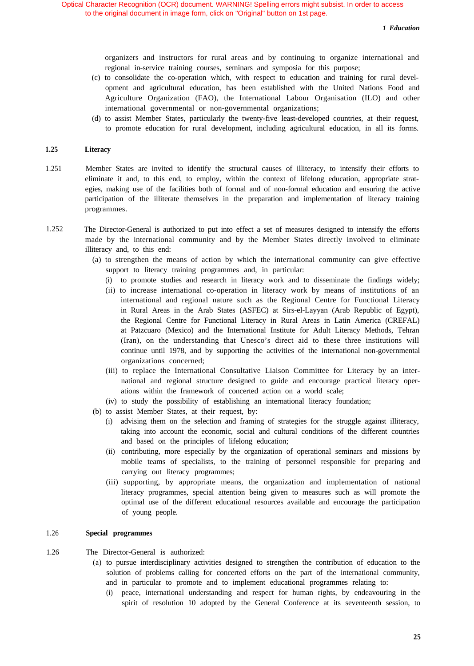organizers and instructors for rural areas and by continuing to organize international and regional in-service training courses, seminars and symposia for this purpose;

- (c) to consolidate the co-operation which, with respect to education and training for rural development and agricultural education, has been established with the United Nations Food and Agriculture Organization (FAO), the International Labour Organisation (ILO) and other international governmental or non-governmental organizations;
- (d) to assist Member States, particularly the twenty-five least-developed countries, at their request, to promote education for rural development, including agricultural education, in all its forms.

#### **1.25 Literacy**

- 1.251 Member States are invited to identify the structural causes of illiteracy, to intensify their efforts to eliminate it and, to this end, to employ, within the context of lifelong education, appropriate strategies, making use of the facilities both of formal and of non-formal education and ensuring the active participation of the illiterate themselves in the preparation and implementation of literacy training programmes.
- 1.252 The Director-General is authorized to put into effect a set of measures designed to intensify the efforts made by the international community and by the Member States directly involved to eliminate illiteracy and, to this end:
	- (a) to strengthen the means of action by which the international community can give effective support to literacy training programmes and, in particular:
		- (i) to promote studies and research in literacy work and to disseminate the findings widely;
		- (ii) to increase international co-operation in literacy work by means of institutions of an international and regional nature such as the Regional Centre for Functional Literacy in Rural Areas in the Arab States (ASFEC) at Sirs-el-Layyan (Arab Republic of Egypt), the Regional Centre for Functional Literacy in Rural Areas in Latin America (CREFAL) at Patzcuaro (Mexico) and the International Institute for Adult Literacy Methods, Tehran (Iran), on the understanding that Unesco's direct aid to these three institutions will continue until 1978, and by supporting the activities of the international non-governmental organizations concerned;
		- (iii) to replace the International Consultative Liaison Committee for Literacy by an international and regional structure designed to guide and encourage practical literacy operations within the framework of concerted action on a world scale;
		- (iv) to study the possibility of establishing an international literacy foundation;
	- (b) to assist Member States, at their request, by:
		- (i) advising them on the selection and framing of strategies for the struggle against illiteracy, taking into account the economic, social and cultural conditions of the different countries and based on the principles of lifelong education;
		- (ii) contributing, more especially by the organization of operational seminars and missions by mobile teams of specialists, to the training of personnel responsible for preparing and carrying out literacy programmes;
		- (iii) supporting, by appropriate means, the organization and implementation of national literacy programmes, special attention being given to measures such as will promote the optimal use of the different educational resources available and encourage the participation of young people.

#### 1.26 **Special programmes**

- 1.26 The Director-General is authorized:
	- (a) to pursue interdisciplinary activities designed to strengthen the contribution of education to the solution of problems calling for concerted efforts on the part of the international community, and in particular to promote and to implement educational programmes relating to:
		- (i) peace, international understanding and respect for human rights, by endeavouring in the spirit of resolution 10 adopted by the General Conference at its seventeenth session, to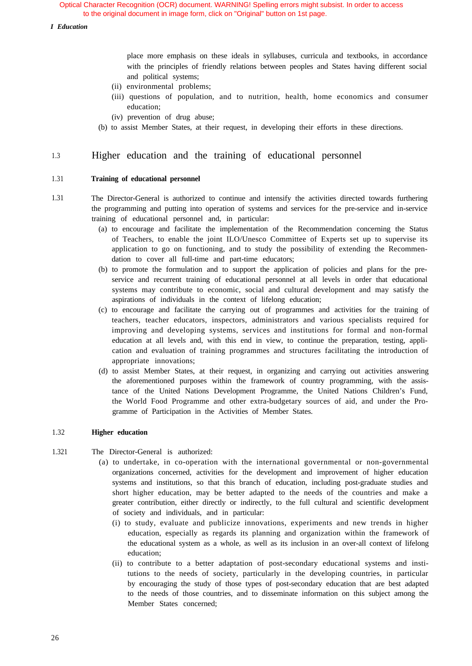#### <span id="page-22-0"></span>*I Education*

place more emphasis on these ideals in syllabuses, curricula and textbooks, in accordance with the principles of friendly relations between peoples and States having different social and political systems;

- (ii) environmental problems;
- (iii) questions of population, and to nutrition, health, home economics and consumer education;
- (iv) prevention of drug abuse;
- (b) to assist Member States, at their request, in developing their efforts in these directions.

### 1.3 Higher education and the training of educational personnel

#### 1.31 **Training of educational personnel**

- 1.31 The Director-General is authorized to continue and intensify the activities directed towards furthering the programming and putting into operation of systems and services for the pre-service and in-service training of educational personnel and, in particular:
	- (a) to encourage and facilitate the implementation of the Recommendation concerning the Status of Teachers, to enable the joint ILO/Unesco Committee of Experts set up to supervise its application to go on functioning, and to study the possibility of extending the Recommendation to cover all full-time and part-time educators;
	- (b) to promote the formulation and to support the application of policies and plans for the preservice and recurrent training of educational personnel at all levels in order that educational systems may contribute to economic, social and cultural development and may satisfy the aspirations of individuals in the context of lifelong education;
	- (c) to encourage and facilitate the carrying out of programmes and activities for the training of teachers, teacher educators, inspectors, administrators and various specialists required for improving and developing systems, services and institutions for formal and non-formal education at all levels and, with this end in view, to continue the preparation, testing, application and evaluation of training programmes and structures facilitating the introduction of appropriate innovations;
	- (d) to assist Member States, at their request, in organizing and carrying out activities answering the aforementioned purposes within the framework of country programming, with the assistance of the United Nations Development Programme, the United Nations Children's Fund, the World Food Programme and other extra-budgetary sources of aid, and under the Programme of Participation in the Activities of Member States.

#### 1.32 **Higher education**

- 1.321 The Director-General is authorized:
	- (a) to undertake, in co-operation with the international governmental or non-governmental organizations concerned, activities for the development and improvement of higher education systems and institutions, so that this branch of education, including post-graduate studies and short higher education, may be better adapted to the needs of the countries and make a greater contribution, either directly or indirectly, to the full cultural and scientific development of society and individuals, and in particular:
		- (i) to study, evaluate and publicize innovations, experiments and new trends in higher education, especially as regards its planning and organization within the framework of the educational system as a whole, as well as its inclusion in an over-all context of lifelong education;
		- (ii) to contribute to a better adaptation of post-secondary educational systems and institutions to the needs of society, particularly in the developing countries, in particular by encouraging the study of those types of post-secondary education that are best adapted to the needs of those countries, and to disseminate information on this subject among the Member States concerned;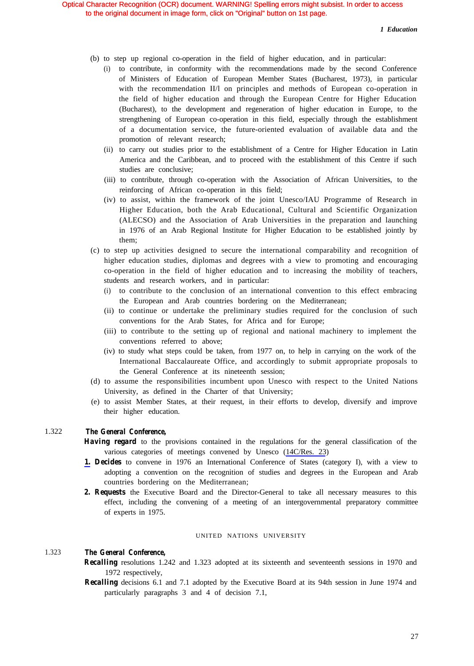Optical Character Recognition (OCR) document. WARNING! Spelling errors might subsist. In order to access Optical Character Recognition (OCR) document. WARNING! Spelling errors might subsist. In order to access to the original document in image form, click on "Original" button on 1st page. to the original document in image form, click on "Original" button on 1st page.

*1 Education*

- (b) to step up regional co-operation in the field of higher education, and in particular:
	- (i) to contribute, in conformity with the recommendations made by the second Conference of Ministers of Education of European Member States (Bucharest, 1973), in particular with the recommendation II/l on principles and methods of European co-operation in the field of higher education and through the European Centre for Higher Education (Bucharest), to the development and regeneration of higher education in Europe, to the strengthening of European co-operation in this field, especially through the establishment of a documentation service, the future-oriented evaluation of available data and the promotion of relevant research;
	- (ii) to carry out studies prior to the establishment of a Centre for Higher Education in Latin America and the Caribbean, and to proceed with the establishment of this Centre if such studies are conclusive;
	- (iii) to contribute, through co-operation with the Association of African Universities, to the reinforcing of African co-operation in this field;
	- (iv) to assist, within the framework of the joint Unesco/IAU Programme of Research in Higher Education, both the Arab Educational, Cultural and Scientific Organization (ALECSO) and the Association of Arab Universities in the preparation and launching in 1976 of an Arab Regional Institute for Higher Education to be established jointly by them;
- (c) to step up activities designed to secure the international comparability and recognition of higher education studies, diplomas and degrees with a view to promoting and encouraging co-operation in the field of higher education and to increasing the mobility of teachers, students and research workers, and in particular:
	- (i) to contribute to the conclusion of an international convention to this effect embracing the European and Arab countries bordering on the Mediterranean;
	- (ii) to continue or undertake the preliminary studies required for the conclusion of such conventions for the Arab States, for Africa and for Europe;
	- (iii) to contribute to the setting up of regional and national machinery to implement the conventions referred to above;
	- (iv) to study what steps could be taken, from 1977 on, to help in carrying on the work of the International Baccalaureate Office, and accordingly to submit appropriate proposals to the General Conference at its nineteenth session;
- (d) to assume the responsibilities incumbent upon Unesco with respect to the United Nations University, as defined in the Charter of that University;
- (e) to assist Member States, at their request, in their efforts to develop, diversify and improve their higher education.

#### 1.322 *The General Conference,*

- *Having regard* to the provisions contained in the regulations for the general classification of the various categories of meetings convened by Unesco ([14C/Res. 23](#page-125-1))
- 1. **Decides** to convene in 1976 an International Conference of States (category I), with a view to adopting a convention on the recognition of studies and degrees in the European and Arab countries bordering on the Mediterranean;
- *2. Requests* the Executive Board and the Director-General to take all necessary measures to this effect, including the convening of a meeting of an intergovernmental preparatory committee of experts in 1975.

#### UNITED NATIONS UNIVERSITY

#### 1.323 *The General Conference,*

- **Recalling** resolutions 1.242 and 1.323 adopted at its sixteenth and seventeenth sessions in 1970 and 1972 respectively,
- **Recalling** decisions 6.1 and 7.1 adopted by the Executive Board at its 94th session in June 1974 and particularly paragraphs 3 and 4 of decision 7.1,

27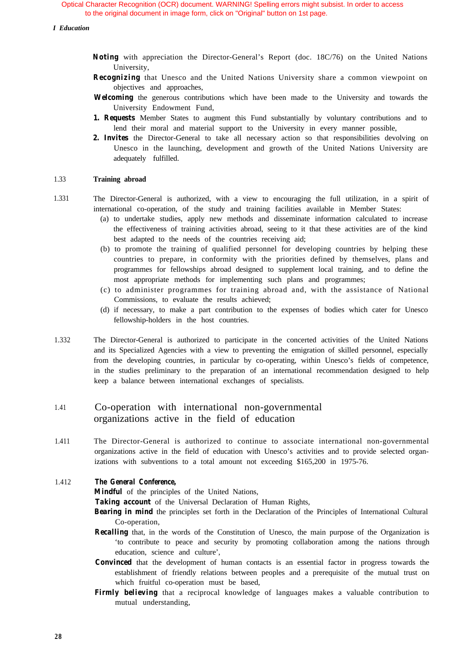#### <span id="page-24-0"></span>*I Education*

- *Noting* with appreciation the Director-General's Report (doc. 18C/76) on the United Nations University,
- **Recognizing** that Unesco and the United Nations University share a common viewpoint on objectives and approaches,
- *Welcoming* the generous contributions which have been made to the University and towards the University Endowment Fund,
- *1. Requests* Member States to augment this Fund substantially by voluntary contributions and to lend their moral and material support to the University in every manner possible,
- 2. **Invites** the Director-General to take all necessary action so that responsibilities devolving on Unesco in the launching, development and growth of the United Nations University are adequately fulfilled.

#### 1.33 **Training abroad**

- 1.331 The Director-General is authorized, with a view to encouraging the full utilization, in a spirit of international co-operation, of the study and training facilities available in Member States:
	- (a) to undertake studies, apply new methods and disseminate information calculated to increase the effectiveness of training activities abroad, seeing to it that these activities are of the kind best adapted to the needs of the countries receiving aid;
	- (b) to promote the training of qualified personnel for developing countries by helping these countries to prepare, in conformity with the priorities defined by themselves, plans and programmes for fellowships abroad designed to supplement local training, and to define the most appropriate methods for implementing such plans and programmes;
	- (c) to administer programmes for training abroad and, with the assistance of National Commissions, to evaluate the results achieved;
	- (d) if necessary, to make a part contribution to the expenses of bodies which cater for Unesco fellowship-holders in the host countries.
- 1.332 The Director-General is authorized to participate in the concerted activities of the United Nations and its Specialized Agencies with a view to preventing the emigration of skilled personnel, especially from the developing countries, in particular by co-operating, within Unesco's fields of competence, in the studies preliminary to the preparation of an international recommendation designed to help keep a balance between international exchanges of specialists.

### 1.41 Co-operation with international non-governmental organizations active in the field of education

1.411 The Director-General is authorized to continue to associate international non-governmental organizations active in the field of education with Unesco's activities and to provide selected organizations with subventions to a total amount not exceeding \$165,200 in 1975-76.

#### 1.412 *The General Conference,*

*Mindful* of the principles of the United Nations,

*Taking account* of the Universal Declaration of Human Rights,

- **Bearing in mind** the principles set forth in the Declaration of the Principles of International Cultural Co-operation,
- **Recalling** that, in the words of the Constitution of Unesco, the main purpose of the Organization is 'to contribute to peace and security by promoting collaboration among the nations through education, science and culture',
- **Convinced** that the development of human contacts is an essential factor in progress towards the establishment of friendly relations between peoples and a prerequisite of the mutual trust on which fruitful co-operation must be based,
- **Firmly believing** that a reciprocal knowledge of languages makes a valuable contribution to mutual understanding,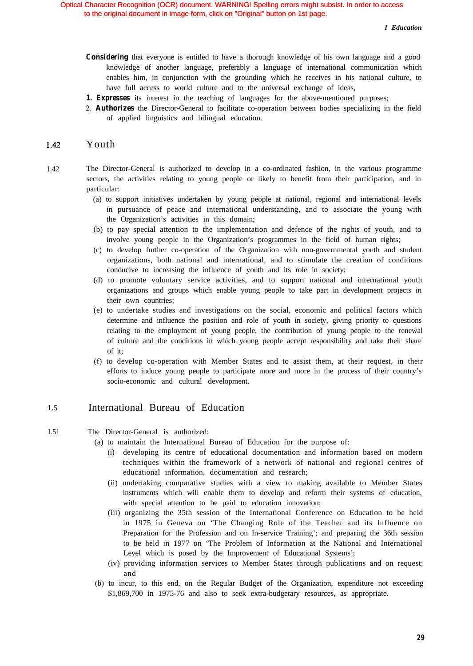<span id="page-25-0"></span>Optical Character Recognition (OCR) document. WARNING! Spelling errors might subsist. In order to access Optical Character Recognition (OCR) document. WARNING! Spelling errors might subsist. In order to access to the original document in image form, click on "Original" button on 1st page. to the original document in image form, click on "Original" button on 1st page.

- **Considering** that everyone is entitled to have a thorough knowledge of his own language and a good knowledge of another language, preferably a language of international communication which enables him, in conjunction with the grounding which he receives in his national culture, to have full access to world culture and to the universal exchange of ideas,
- *1. Expresses* its interest in the teaching of languages for the above-mentioned purposes;
- 2. *Authorizes* the Director-General to facilitate co-operation between bodies specializing in the field of applied linguistics and bilingual education.

#### Youth 1.42

- 1.42 The Director-General is authorized to develop in a co-ordinated fashion, in the various programme sectors, the activities relating to young people or likely to benefit from their participation, and in particular:
	- (a) to support initiatives undertaken by young people at national, regional and international levels in pursuance of peace and international understanding, and to associate the young with the Organization's activities in this domain;
	- (b) to pay special attention to the implementation and defence of the rights of youth, and to involve young people in the Organization's programmes in the field of human rights;
	- (c) to develop further co-operation of the Organization with non-governmental youth and student organizations, both national and international, and to stimulate the creation of conditions conducive to increasing the influence of youth and its role in society;
	- (d) to promote voluntary service activities, and to support national and international youth organizations and groups which enable young people to take part in development projects in their own countries;
	- (e) to undertake studies and investigations on the social, economic and political factors which determine and influence the position and role of youth in society, giving priority to questions relating to the employment of young people, the contribution of young people to the renewal of culture and the conditions in which young people accept responsibility and take their share of it;
	- (f) to develop co-operation with Member States and to assist them, at their request, in their efforts to induce young people to participate more and more in the process of their country's socio-economic and cultural development.

### 1.5 International Bureau of Education

#### 1.51 The Director-General is authorized:

- (a) to maintain the International Bureau of Education for the purpose of:
	- (i) developing its centre of educational documentation and information based on modern techniques within the framework of a network of national and regional centres of educational information, documentation and research;
	- (ii) undertaking comparative studies with a view to making available to Member States instruments which will enable them to develop and reform their systems of education, with special attention to be paid to education innovation;
	- (iii) organizing the 35th session of the International Conference on Education to be held in 1975 in Geneva on 'The Changing Role of the Teacher and its Influence on Preparation for the Profession and on In-service Training'; and preparing the 36th session to be held in 1977 on 'The Problem of Information at the National and International Level which is posed by the Improvement of Educational Systems';
	- (iv) providing information services to Member States through publications and on request; and
- (b) to incur, to this end, on the Regular Budget of the Organization, expenditure not exceeding \$1,869,700 in 1975-76 and also to seek extra-budgetary resources, as appropriate.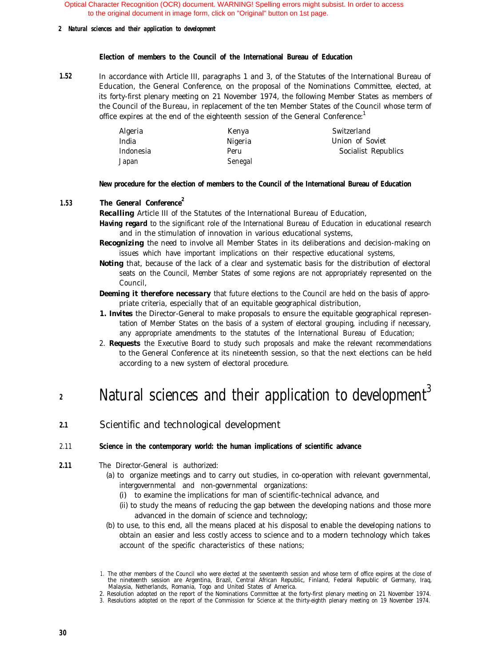#### <span id="page-26-0"></span>*2 Natural sciences and their application to development*

#### **Election of members to the Council of the International Bureau of Education**

1.52 In accordance with Article III, paragraphs 1 and 3, of the Statutes of the International Bureau of Education, the General Conference, on the proposal of the Nominations Committee, elected, at its forty-first plenary meeting on 21 November 1974, the following Member States as members of the Council of the Bureau, in replacement of the ten Member States of the Council whose term of office expires at the end of the eighteenth session of the General Conference:<sup>1</sup>

| Algeria   | Kenya   | Switzerland         |
|-----------|---------|---------------------|
| India     | Nigeria | Union of Soviet     |
| Indonesia | Peru    | Socialist Republics |
| Japan     | Senegal |                     |

#### **New procedure for the election of members to the Council of the International Bureau of Education**

*1.53* **The General Conference**<sup>2</sup>

*Recalling* Article III of the Statutes of the International Bureau of Education,

- *Having regard* to the significant role of the International Bureau of Education in educational research and in the stimulation of innovation in various educational systems,
- **Recognizing** the need to involve all Member States in its deliberations and decision-making on issues which have important implications on their respective educational systems,
- **Noting** that, because of the lack of a clear and systematic basis for the distribution of electoral seats on the Council, Member States of some regions are not appropriately represented on the Council,
- **Deeming it therefore necessary** that future elections to the Council are held on the basis of appropriate criteria, especially that of an equitable geographical distribution,
- 1. Invites the Director-General to make proposals to ensure the equitable geographical representation of Member States on the basis of a system of electoral grouping, including if necessary, any appropriate amendments to the statutes of the International Bureau of Education;
- 2. *Requests* the Executive Board to study such proposals and make the relevant recommendations to the General Conference at its nineteenth session, so that the next elections can be held according to a new system of electoral procedure.

# <sup>2</sup> Natural sciences and their application to development<sup>3</sup>

**2.1** Scientific and technological development

#### 2.11 **Science in the contemporary world: the human implications of scientific advance**

- *2.11* The Director-General is authorized:
	- (a) to organize meetings and to carry out studies, in co-operation with relevant governmental, intergovernmental and non-governmental organizations:
		- (i) to examine the implications for man of scientific-technical advance, and
		- (ii) to study the means of reducing the gap between the developing nations and those more advanced in the domain of science and technology;
	- (b) to use, to this end, all the means placed at his disposal to enable the developing nations to obtain an easier and less costly access to science and to a modern technology which takes account of the specific characteristics of these nations;
	- 1. The other members of the Council who were elected at the seventeenth session and whose term of office expires at the close of the nineteenth session are Argentina, Brazil, Central African Republic, Finland, Federal Republic of Germany, Iraq, Malaysia, Netherlands, Romania, Togo and United States of America.
	- 2. Resolution adopted on the report of the Nominations Committee at the forty-first plenary meeting on 21 November 1974.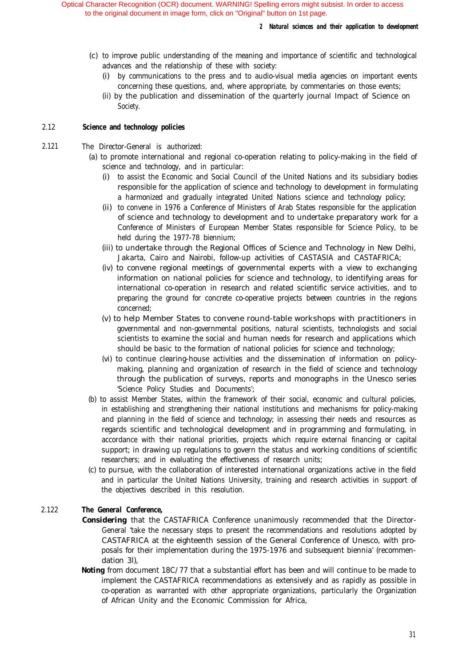#### *2 Natural sciences and their application to development*

- (c) to improve public understanding of the meaning and importance of scientific and technological advances and the relationship of these with society:
	- (i) by communications to the press and to audio-visual media agencies on important events concerning these questions, and, where appropriate, by commentaries on those events;
	- (ii) by the publication and dissemination of the quarterly journal Impact of Science on Society.

#### 2.12 **Science and technology policies**

2.121 The Director-General is authorized:

- (a) to promote international and regional co-operation relating to policy-making in the field of science and technology, and in particular:
	- (i) to assist the Economic and Social Council of the United Nations and its subsidiary bodies responsible for the application of science and technology to development in formulating a harmonized and gradually integrated United Nations science and technology policy;
	- (ii) to convene in 1976 a Conference of Ministers of Arab States responsible for the application of science and technology to development and to undertake preparatory work for a Conference of Ministers of European Member States responsible for Science Policy, to be held during the 1977-78 biennium;
	- (iii) to undertake through the Regional Offices of Science and Technology in New Delhi, Jakarta, Cairo and Nairobi, follow-up activities of CASTASIA and CASTAFRICA;
	- (iv) to convene regional meetings of governmental experts with a view to exchanging information on national policies for science and technology, to identifying areas for international co-operation in research and related scientific service activities, and to preparing the ground for concrete co-operative projects between countries in the regions concerned;
	- (v) to help Member States to convene round-table workshops with practitioners in governmental and non-governmental positions, natural scientists, technologists and social scientists to examine the social and human needs for research and applications which should be basic to the formation of national policies for science and technology;
	- (vi) to continue clearing-house activities and the dissemination of information on policymaking, planning and organization of research in the field of science and technology through the publication of surveys, reports and monographs in the Unesco series 'Science Policy Studies and Documents';
- (b) to assist Member States, within the framework of their social, economic and cultural policies, in establishing and strengthening their national institutions and mechanisms for policy-making and planning in the field of science and technology; in assessing their needs and resources as regards scientific and technological development and in programming and formulating, in accordance with their national priorities, projects which require external financing or capital support; in drawing up regulations to govern the status and working conditions of scientific researchers; and in evaluating the effectiveness of research units;
- (c) to pursue, with the collaboration of interested international organizations active in the field and in particular the United Nations University, training and research activities in support of the objectives described in this resolution.

#### 2.122 *The General Conference,*

- *Considering* that the CASTAFRICA Conference unanimously recommended that the Director-General 'take the necessary steps to present the recommendations and resolutions adopted by CASTAFRICA at the eighteenth session of the General Conference of Unesco, with proposals for their implementation during the 1975-1976 and subsequent biennia' (recommendation 3l),
- *Noting* from document 18C/77 that a substantial effort has been and will continue to be made to implement the CASTAFRICA recommendations as extensively and as rapidly as possible in co-operation as warranted with other appropriate organizations, particularly the Organization of African Unity and the Economic Commission for Africa,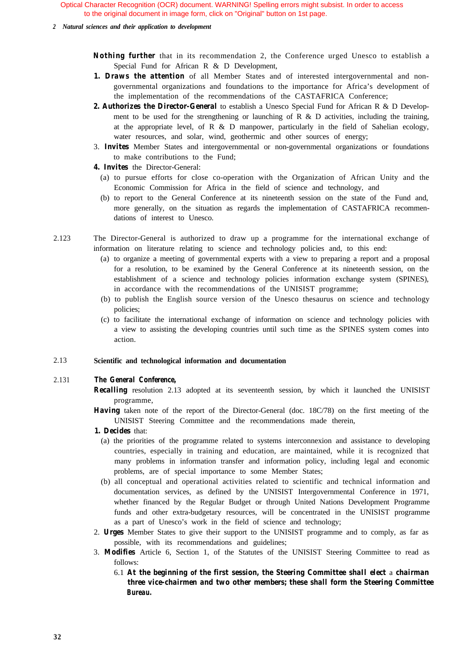*2 Natural sciences and their application to development*

- *Nothing further* that in its recommendation 2, the Conference urged Unesco to establish a Special Fund for African R & D Development,
- *1. Draws the attention* of all Member States and of interested intergovernmental and nongovernmental organizations and foundations to the importance for Africa's development of the implementation of the recommendations of the CASTAFRICA Conference;
- *2. Authorizes the Director-General* to establish a Unesco Special Fund for African R & D Development to be used for the strengthening or launching of R  $\&$  D activities, including the training, at the appropriate level, of R  $\&$  D manpower, particularly in the field of Sahelian ecology, water resources, and solar, wind, geothermic and other sources of energy;
- 3. *Invites* Member States and intergovernmental or non-governmental organizations or foundations to make contributions to the Fund;
- *4. Invites* the Director-General:
	- (a) to pursue efforts for close co-operation with the Organization of African Unity and the Economic Commission for Africa in the field of science and technology, and
	- (b) to report to the General Conference at its nineteenth session on the state of the Fund and, more generally, on the situation as regards the implementation of CASTAFRICA recommendations of interest to Unesco.
- 2.123 The Director-General is authorized to draw up a programme for the international exchange of information on literature relating to science and technology policies and, to this end:
	- (a) to organize a meeting of governmental experts with a view to preparing a report and a proposal for a resolution, to be examined by the General Conference at its nineteenth session, on the establishment of a science and technology policies information exchange system (SPINES), in accordance with the recommendations of the UNISIST programme;
	- (b) to publish the English source version of the Unesco thesaurus on science and technology policies;
	- (c) to facilitate the international exchange of information on science and technology policies with a view to assisting the developing countries until such time as the SPINES system comes into action.

#### 2.13 **Scientific and technological information and documentation**

#### 2.131 *The General Conference,*

- **Recalling** resolution 2.13 adopted at its seventeenth session, by which it launched the UNISIST programme,
- *Having* taken note of the report of the Director-General (doc. 18C/78) on the first meeting of the UNISIST Steering Committee and the recommendations made therein,

#### *1. Decides* that:

- (a) the priorities of the programme related to systems interconnexion and assistance to developing countries, especially in training and education, are maintained, while it is recognized that many problems in information transfer and information policy, including legal and economic problems, are of special importance to some Member States;
- (b) all conceptual and operational activities related to scientific and technical information and documentation services, as defined by the UNISIST Intergovernmental Conference in 1971, whether financed by the Regular Budget or through United Nations Development Programme funds and other extra-budgetary resources, will be concentrated in the UNISIST programme as a part of Unesco's work in the field of science and technology;
- 2. *Urges* Member States to give their support to the UNISIST programme and to comply, as far as possible, with its recommendations and guidelines;
- 3. *Modifies* Article 6, Section 1, of the Statutes of the UNISIST Steering Committee to read as follows:
	- 6.1 *At the beginning of the first session, the Steering Committee shaIl elect* a *chairman three vice-chairmen and two other members; these shall form the Steering Committee Bureau.*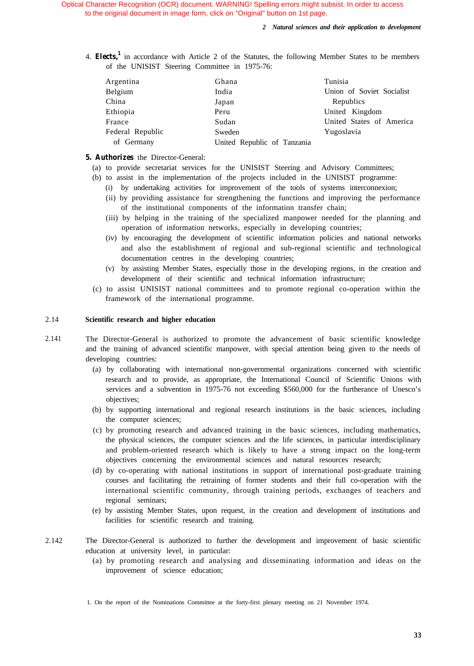4. **Elects,<sup>1</sup>** in accordance with Article 2 of the Statutes, the following Member States to be members of the UNISIST Steering Committee in 1975-76:

| Argentina        | Ghana                       | Tunisia                   |
|------------------|-----------------------------|---------------------------|
| Belgium          | India                       | Union of Soviet Socialist |
| China            | Japan                       | Republics                 |
| Ethiopia         | Peru                        | United Kingdom            |
| France           | Sudan                       | United States of America  |
| Federal Republic | Sweden                      | Yugoslavia                |
| of Germany       | United Republic of Tanzania |                           |

#### *5. Authorizes* the Director-General:

- (a) to provide secretariat services for the UNISIST Steering and Advisory Committees;
- (b) to assist in the implementation of the projects included in the UNISIST programme:
	- (i) by undertaking activities for improvement of the tools of systems interconnexion;
		- (ii) by providing assistance for strengthening the functions and improving the performance of the institutional components of the information transfer chain;
		- (iii) by helping in the training of the specialized manpower needed for the planning and operation of information networks, especially in developing countries;
		- (iv) by encouraging the development of scientific information policies and national networks and also the establishment of regional and sub-regional scientific and technological documentation centres in the developing countries;
		- (v) by assisting Member States, especially those in the developing regions, in the creation and development of their scientific and technical information infrastructure;
- (c) to assist UNISIST national committees and to promote regional co-operation within the framework of the international programme.

#### 2.14 **Scientific research and higher education**

- 2.141 The Director-General is authorized to promote the advancement of basic scientific knowledge and the training of advanced scientific manpower, with special attention being given to the needs of developing countries:
	- (a) by collaborating with international non-governmental organizations concerned with scientific research and to provide, as appropriate, the International Council of Scientific Unions with services and a subvention in 1975-76 not exceeding \$560,000 for the furtherance of Unesco's objectives;
	- (b) by supporting international and regional research institutions in the basic sciences, including the computer sciences;
	- (c) by promoting research and advanced training in the basic sciences, including mathematics, the physical sciences, the computer sciences and the life sciences, in particular interdisciplinary and problem-oriented research which is likely to have a strong impact on the long-term objectives concerning the environmental sciences and natural resources research;
	- (d) by co-operating with national institutions in support of international post-graduate training courses and facilitating the retraining of former students and their full co-operation with the international scientific community, through training periods, exchanges of teachers and regional seminars;
	- (e) by assisting Member States, upon request, in the creation and development of institutions and facilities for scientific research and training.
- 2.142 The Director-General is authorized to further the development and improvement of basic scientific education at university level, in particular:
	- (a) by promoting research and analysing and disseminating information and ideas on the improvement of science education;

<sup>1.</sup> On the report of the Nominations Committee at the forty-first plenary meeting on 21 November 1974.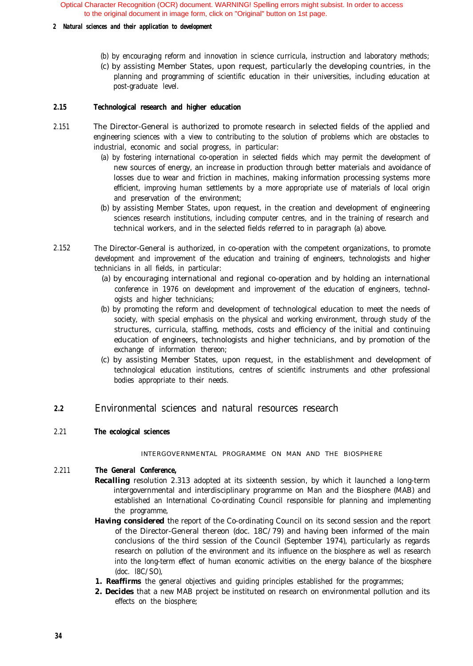#### <span id="page-30-0"></span>*2 Natural sciences and their application to development*

- (b) by encouraging reform and innovation in science curricula, instruction and laboratory methods;
- (c) by assisting Member States, upon request, particularly the developing countries, in the planning and programming of scientific education in their universities, including education at post-graduate level.

#### **2.15 Technological research and higher education**

- 2.151 The Director-General is authorized to promote research in selected fields of the applied and engineering sciences with a view to contributing to the solution of problems which are obstacles to industrial, economic and social progress, in particular:
	- (a) by fostering international co-operation in selected fields which may permit the development of new sources of energy, an increase in production through better materials and avoidance of losses due to wear and friction in machines, making information processing systems more efficient, improving human settlements by a more appropriate use of materials of local origin and preservation of the environment;
	- (b) by assisting Member States, upon request, in the creation and development of engineering sciences research institutions, including computer centres, and in the training of research and technical workers, and in the selected fields referred to in paragraph (a) above.
- 2.152 The Director-General is authorized, in co-operation with the competent organizations, to promote development and improvement of the education and training of engineers, technologists and higher technicians in all fields, in particular:
	- (a) by encouraging international and regional co-operation and by holding an international conference in 1976 on development and improvement of the education of engineers, technologists and higher technicians;
	- (b) by promoting the reform and development of technological education to meet the needs of society, with special emphasis on the physical and working environment, through study of the structures, curricula, staffing, methods, costs and efficiency of the initial and continuing education of engineers, technologists and higher technicians, and by promotion of the exchange of information thereon;
	- (c) by assisting Member States, upon request, in the establishment and development of technological education institutions, centres of scientific instruments and other professional bodies appropriate to their needs.

### **2.2** Environmental sciences and natural resources research

#### 2.21 **The ecological sciences**

INTERGOVERNMENTAL PROGRAMME ON MAN AND THE BIOSPHERE

#### 2.211 *The General Conference,*

- *Recalling* resolution 2.313 adopted at its sixteenth session, by which it launched a long-term intergovernmental and interdisciplinary programme on Man and the Biosphere (MAB) and established an International Co-ordinating Council responsible for planning and implementing the programme,
- *Having considered* the report of the Co-ordinating Council on its second session and the report of the Director-General thereon (doc. 18C/79) and having been informed of the main conclusions of the third session of the Council (September 1974), particularly as regards research on pollution of the environment and its influence on the biosphere as well as research into the long-term effect of human economic activities on the energy balance of the biosphere (doc. l8C/SO),
- *1. Reaffirms* the general objectives and guiding principles established for the programmes;
- *2. Decides* that a new MAB project be instituted on research on environmental pollution and its effects on the biosphere;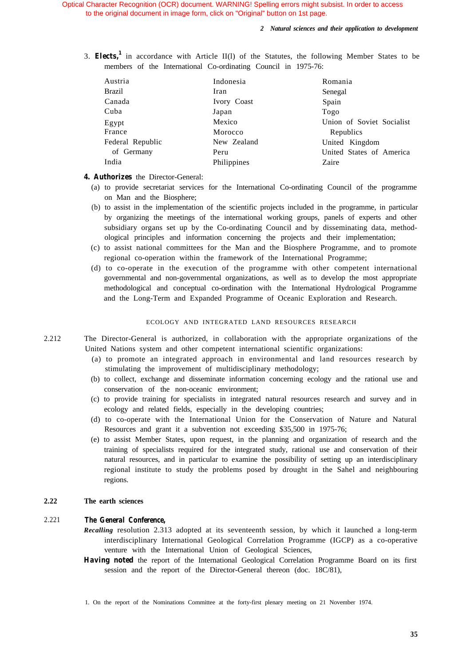#### *2 Natural sciences and their application to development*

3. *Elects,<sup>1</sup>* in accordance with Article II(l) of the Statutes, the following Member States to be members of the International Co-ordinating Council in 1975-76:

| Austria          | Indonesia   | Romania                   |
|------------------|-------------|---------------------------|
| <b>Brazil</b>    | Iran        | Senegal                   |
| Canada           | Ivory Coast | Spain                     |
| Cuba             | Japan       | Togo                      |
| Egypt            | Mexico      | Union of Soviet Socialist |
| France           | Morocco     | Republics                 |
| Federal Republic | New Zealand | United Kingdom            |
| of Germany       | Peru        | United States of America  |
| India            | Philippines | Zaire                     |

#### *4. Authorizes* the Director-General:

- (a) to provide secretariat services for the International Co-ordinating Council of the programme on Man and the Biosphere;
- (b) to assist in the implementation of the scientific projects included in the programme, in particular by organizing the meetings of the international working groups, panels of experts and other subsidiary organs set up by the Co-ordinating Council and by disseminating data, methodological principles and information concerning the projects and their implementation;
- (c) to assist national committees for the Man and the Biosphere Programme, and to promote regional co-operation within the framework of the International Programme;
- (d) to co-operate in the execution of the programme with other competent international governmental and non-governmental organizations, as well as to develop the most appropriate methodological and conceptual co-ordination with the International Hydrological Programme and the Long-Term and Expanded Programme of Oceanic Exploration and Research.

#### ECOLOGY AND INTEGRATED LAND RESOURCES RESEARCH

- 2.212 The Director-General is authorized, in collaboration with the appropriate organizations of the United Nations system and other competent international scientific organizations:
	- (a) to promote an integrated approach in environmental and land resources research by stimulating the improvement of multidisciplinary methodology;
	- (b) to collect, exchange and disseminate information concerning ecology and the rational use and conservation of the non-oceanic environment;
	- (c) to provide training for specialists in integrated natural resources research and survey and in ecology and related fields, especially in the developing countries;
	- (d) to co-operate with the International Union for the Conservation of Nature and Natural Resources and grant it a subvention not exceeding \$35,500 in 1975-76;
	- (e) to assist Member States, upon request, in the planning and organization of research and the training of specialists required for the integrated study, rational use and conservation of their natural resources, and in particular to examine the possibility of setting up an interdisciplinary regional institute to study the problems posed by drought in the Sahel and neighbouring regions.

#### **2.22 The earth sciences**

#### 2.221 *The General Conference,*

- *Recalling* resolution 2.313 adopted at its seventeenth session, by which it launched a long-term interdisciplinary International Geological Correlation Programme (IGCP) as a co-operative venture with the International Union of Geological Sciences,
- *Having noted* the report of the International Geological Correlation Programme Board on its first session and the report of the Director-General thereon (doc. 18C/81),

1. On the report of the Nominations Committee at the forty-first plenary meeting on 21 November 1974.

**35**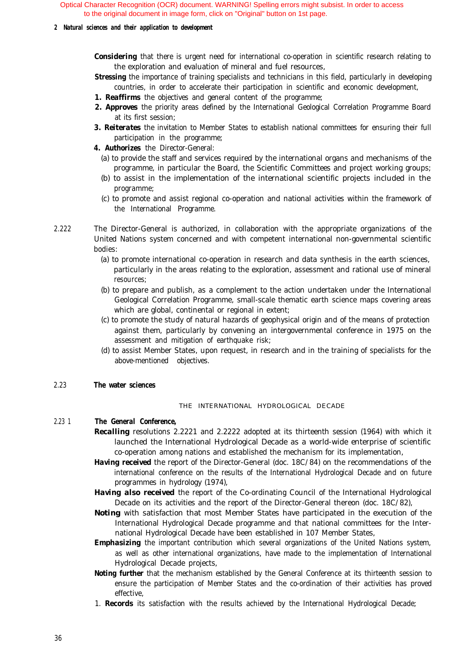#### *2 Natural sciences and their application to development*

**Considering** that there is urgent need for international co-operation in scientific research relating to the exploration and evaluation of mineral and fuel resources,

- **Stressing** the importance of training specialists and technicians in this field, particularly in developing countries, in order to accelerate their participation in scientific and economic development,
- *1. Reaffirms* the objectives and general content of the programme;
- 2. Approves the priority areas defined by the International Geological Correlation Programme Board at its first session;
- *3. Reiterates* the invitation to Member States to establish national committees for ensuring their full participation in the programme;
- *4. Authorizes* the Director-General:
	- (a) to provide the staff and services required by the international organs and mechanisms of the programme, in particular the Board, the Scientific Committees and project working groups;
	- (b) to assist in the implementation of the international scientific projects included in the programme;
	- (c) to promote and assist regional co-operation and national activities within the framework of the International Programme.
- 2.222 The Director-General is authorized, in collaboration with the appropriate organizations of the United Nations system concerned and with competent international non-governmental scientific bodies:
	- (a) to promote international co-operation in research and data synthesis in the earth sciences, particularly in the areas relating to the exploration, assessment and rational use of mineral resources;
	- (b) to prepare and publish, as a complement to the action undertaken under the International Geological Correlation Programme, small-scale thematic earth science maps covering areas which are global, continental or regional in extent;
	- (c) to promote the study of natural hazards of geophysical origin and of the means of protection against them, particularly by convening an intergovernmental conference in 1975 on the assessment and mitigation of earthquake risk;
	- (d) to assist Member States, upon request, in research and in the training of specialists for the above-mentioned objectives.

#### 2.23 **The water sciences**

#### THE INTERNATIONAL HYDROLOGICAL DECADE

#### 2.23 1 *The General Conference,*

- *Recalling* resolutions 2.2221 and 2.2222 adopted at its thirteenth session (1964) with which it launched the International Hydrological Decade as a world-wide enterprise of scientific co-operation among nations and established the mechanism for its implementation,
- *Having received* the report of the Director-General (doc. 18C/84) on the recommendations of the international conference on the results of the International Hydrological Decade and on future programmes in hydrology (1974),
- *Having also received* the report of the Co-ordinating Council of the International Hydrological Decade on its activities and the report of the Director-General thereon (doc. 18C/82),
- *Noting* with satisfaction that most Member States have participated in the execution of the International Hydrological Decade programme and that national committees for the International Hydrological Decade have been established in 107 Member States,
- *Emphasizing* the important contribution which several organizations of the United Nations system, as well as other international organizations, have made to the implementation of International Hydrological Decade projects,
- *Noting further* that the mechanism established by the General Conference at its thirteenth session to ensure the participation of Member States and the co-ordination of their activities has proved effective,
- 1. *Records* its satisfaction with the results achieved by the International Hydrological Decade;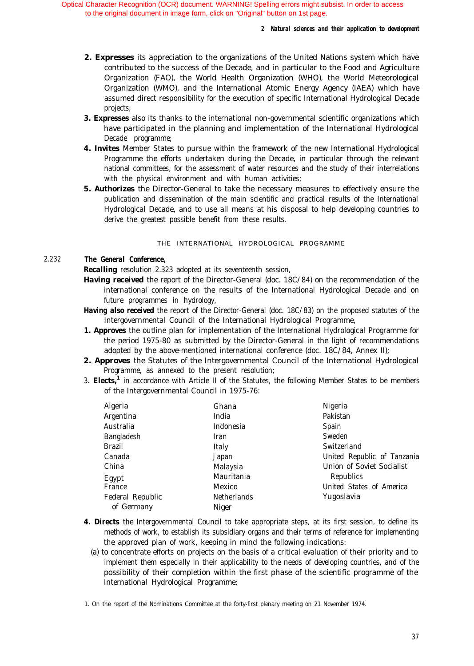#### *2 Natural sciences and their application to development*

- <span id="page-33-0"></span>2. **Expresses** its appreciation to the organizations of the United Nations system which have contributed to the success of the Decade, and in particular to the Food and Agriculture Organization (FAO), the World Health Organization (WHO), the World Meteorological Organization (WMO), and the International Atomic Energy Agency (IAEA) which have assumed direct responsibility for the execution of specific International Hydrological Decade projects;
- *3. Expresses* also its thanks to the international non-governmental scientific organizations which have participated in the planning and implementation of the International Hydrological Decade programme;
- *4. Invites* Member States to pursue within the framework of the new International Hydrological Programme the efforts undertaken during the Decade, in particular through the relevant national committees, for the assessment of water resources and the study of their interrelations with the physical environment and with human activities;
- *5. Authorizes* the Director-General to take the necessary measures to effectively ensure the publication and dissemination of the main scientific and practical results of the International Hydrological Decade, and to use all means at his disposal to help developing countries to derive the greatest possible benefit from these results.

#### THE INTERNATIONAL HYDROLOGICAL PROGRAMME

#### 2.232 *The General Conference,*

*Recalling* resolution 2.323 adopted at its seventeenth session,

- *Having received* the report of the Director-General (doc. 18C/84) on the recommendation of the international conference on the results of the International Hydrological Decade and on future programmes in hydrology,
- *Having also received* the report of the Director-General (doc. 18C/83) on the proposed statutes of the Intergovernmental Council of the International Hydrological Programme,
- *1. Approves* the outline plan for implementation of the International Hydrological Programme for the period 1975-80 as submitted by the Director-General in the light of recommendations adopted by the above-mentioned international conference (doc. 18C/84, Annex II);
- 2. Approves the Statutes of the Intergovernmental Council of the International Hydrological Programme, as annexed to the present resolution;
- 3. *Elects,1* in accordance with Article II of the Statutes, the following Member States to be members of the Intergovernmental Council in 1975-76:

| Algeria          | Ghana       | Nigeria                     |
|------------------|-------------|-----------------------------|
| Argentina        | India       | Pakistan                    |
| Australia        | Indonesia   | Spain                       |
| Bangladesh       | Iran        | Sweden                      |
| Brazil           | Italy       | Switzerland                 |
| Canada           | Japan       | United Republic of Tanzania |
| China            | Malaysia    | Union of Soviet Socialist   |
| Egypt            | Mauritania  | Republics                   |
| France           | Mexico      | United States of America    |
| Federal Republic | Netherlands | Yugoslavia                  |
| of Germany       | Niger       |                             |

- *4. Directs* the Intergovernmental Council to take appropriate steps, at its first session, to define its methods of work, to establish its subsidiary organs and their terms of reference for implementing the approved plan of work, keeping in mind the following indications:
	- (a) to concentrate efforts on projects on the basis of a critical evaluation of their priority and to implement them especially in their applicability to the needs of developing countries, and of the possibility of their completion within the first phase of the scientific programme of the International Hydrological Programme;
- 1. On the report of the Nominations Committee at the forty-first plenary meeting on 21 November 1974.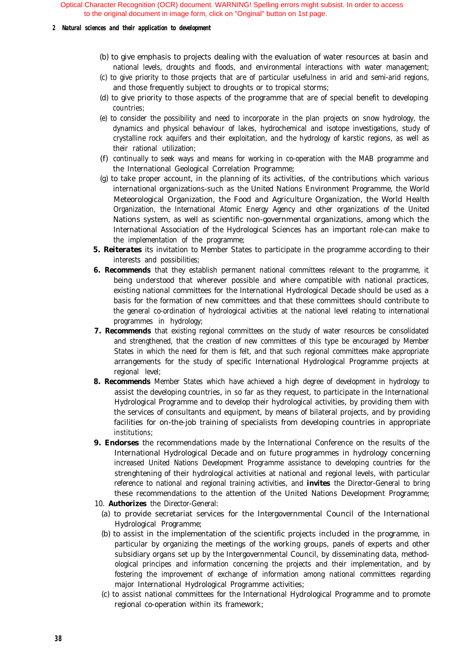#### *2 Natural sciences and their application to development*

- (b) to give emphasis to projects dealing with the evaluation of water resources at basin and national levels, droughts and floods, and environmental interactions with water management;
- (c) to give priority to those projects that are of particular usefulness in arid and semi-arid regions, and those frequently subject to droughts or to tropical storms;
- (d) to give priority to those aspects of the programme that are of special benefit to developing countries;
- (e) to consider the possibility and need to incorporate in the plan projects on snow hydrology, the dynamics and physical behaviour of lakes, hydrochemical and isotope investigations, study of crystalline rock aquifers and their exploitation, and the hydrology of karstic regions, as well as their rational utilization;
- (f) continually to seek ways and means for working in co-operation with the MAB programme and the International Geological Correlation Programme;
- (g) to take proper account, in the planning of its activities, of the contributions which various international organizations-such as the United Nations Environment Programme, the World Meteorological Organization, the Food and Agriculture Organization, the World Health Organization, the International Atomic Energy Agency and other organizations of the United Nations system, as well as scientific non-governmental organizations, among which the International Association of the Hydrological Sciences has an important role-can make to the implementation of the programme;
- *5. Reiterates* its invitation to Member States to participate in the programme according to their interests and possibilities;
- *6. Recommends* that they establish permanent national committees relevant to the programme, it being understood that wherever possible and where compatible with national practices, existing national committees for the International Hydrological Decade should be used as a basis for the formation of new committees and that these committees should contribute to the general co-ordination of hydrological activities at the national level relating to international programmes in hydrology;
- *7. Recommends* that existing regional committees on the study of water resources be consolidated and strengthened, that the creation of new committees of this type be encouraged by Member States in which the need for them is felt, and that such regional committees make appropriate arrangements for the study of specific International Hydrological Programme projects at regional level;
- 8. Recommends Member States which have achieved a high degree of development in hydrology to assist the developing countries, in so far as they request, to participate in the International Hydrological Programme and to develop their hydrological activities, by providing them with the services of consultants and equipment, by means of bilateral projects, and by providing facilities for on-the-job training of specialists from developing countries in appropriate institutions;
- *9. Endorses* the recommendations made by the International Conference on the results of the International Hydrological Decade and on future programmes in hydrology concerning increased United Nations Development Programme assistance to developing countries for the strenghtening of their hydrological activities at national and regional levels, with particular reference to national and regional training activities, and *invites* the Director-General to bring these recommendations to the attention of the United Nations Development Programme;
- 10. *Authorizes* the Director-General:
	- (a) to provide secretariat services for the Intergovernmental Council of the International Hydrological Programme;
	- (b) to assist in the implementation of the scientific projects included in the programme, in particular by organizing the meetings of the working groups, panels of experts and other subsidiary organs set up by the Intergovernmental Council, by disseminating data, methodological principes and information concerning the projects and their implementation, and by fostering the improvement of exchange of information among national committees regarding major International Hydrological Programme activities;
	- (c) to assist national committees for the International Hydrological Programme and to promote regional co-operation within its framework;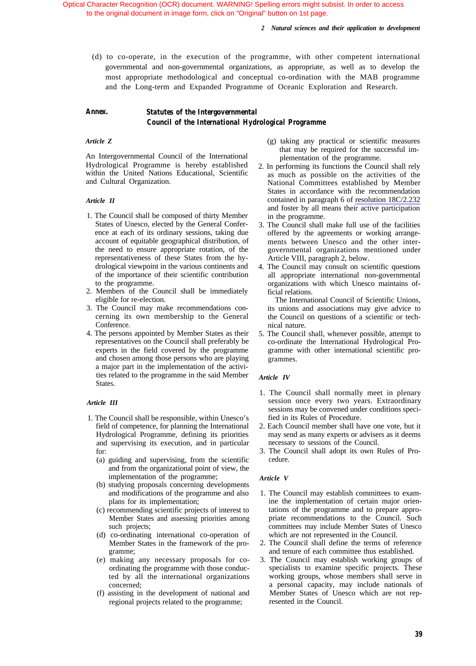- *2 Natural sciences and their application to development*
- (d) to co-operate, in the execution of the programme, with other competent international governmental and non-governmental organizations, as appropriate, as well as to develop the most appropriate methodological and conceptual co-ordination with the MAB programme and the Long-term and Expanded Programme of Oceanic Exploration and Research.

#### *Annex. Statutes of the Intergovernmental Council of the International Hydrological Programme*

An Intergovernmental Council of the International Hydrological Programme is hereby established within the United Nations Educational, Scientific and Cultural Organization.

#### *Article II*

- 1. The Council shall be composed of thirty Member States of Unesco, elected by the General Conference at each of its ordinary sessions, taking due account of equitable geographical distribution, of the need to ensure appropriate rotation, of the representativeness of these States from the hydrological viewpoint in the various continents and of the importance of their scientific contribution to the programme.
- 2. Members of the Council shall be immediately eligible for re-election.
- 3. The Council may make recommendations concerning its own membership to the General Conference.
- 4. The persons appointed by Member States as their representatives on the Council shall preferably be experts in the field covered by the programme and chosen among those persons who are playing a major part in the implementation of the activities related to the programme in the said Member States.

#### *Article III*

- 1. The Council shall be responsible, within Unesco's field of competence, for planning the International Hydrological Programme, defining its priorities and supervising its execution, and in particular for:
	- (a) guiding and supervising, from the scientific and from the organizational point of view, the implementation of the programme;
	- (b) studying proposals concerning developments and modifications of the programme and also plans for its implementation;
	- (c) recommending scientific projects of interest to Member States and assessing priorities among such projects;
	- (d) co-ordinating international co-operation of Member States in the framework of the programme;
	- (e) making any necessary proposals for coordinating the programme with those conducted by all the international organizations concerned;
	- (f) assisting in the development of national and regional projects related to the programme;
- *Article Z* (g) taking any practical or scientific measures that may be required for the successful implementation of the programme.
	- 2. In performing its functions the Council shall rely as much as possible on the activities of the National Committees established by Member States in accordance with the recommendation contained in paragraph 6 of [resolution 18C/2.232](#page-33-0) and foster by all means their active participation in the programme.
	- 3. The Council shall make full use of the facilities offered by the agreements or working arrangements between Unesco and the other intergovernmental organizations mentioned under Article VIII, paragraph 2, below.
	- 4. The Council may consult on scientific questions all appropriate international non-governmental organizations with which Unesco maintains official relations.

The International Council of Scientific Unions, its unions and associations may give advice to the Council on questions of a scientific or technical nature.

5. The Council shall, whenever possible, attempt to co-ordinate the International Hydrological Programme with other international scientific programmes.

#### *Article IV*

- 1. The Council shall normally meet in plenary session once every two years. Extraordinary sessions may be convened under conditions specified in its Rules of Procedure.
- 2. Each Council member shall have one vote, but it may send as many experts or advisers as it deems necessary to sessions of the Council.
- 3. The Council shall adopt its own Rules of Procedure.

#### *Article V*

- 1. The Council may establish committees to examine the implementation of certain major orientations of the programme and to prepare appropriate recommendations to the Council. Such committees may include Member States of Unesco which are not represented in the Council.
- 2. The Council shall define the terms of reference and tenure of each committee thus established.
- 3. The Council may establish working groups of specialists to examine specific projects. These working groups, whose members shall serve in a personal capacity, may include nationals of Member States of Unesco which are not represented in the Council.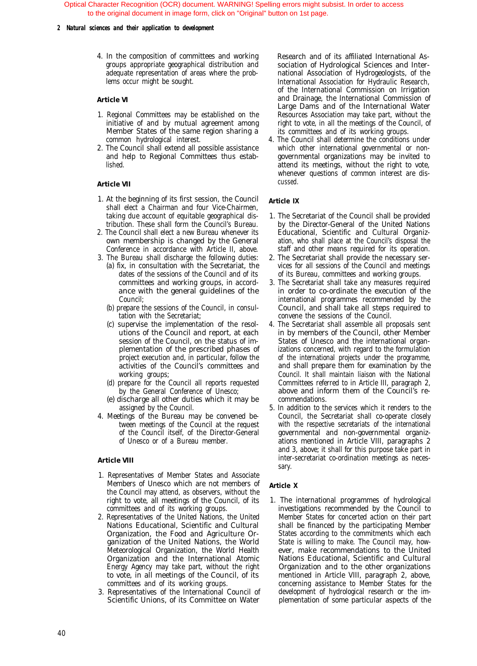### *2 Natural sciences and their application to development*

4. In the composition of committees and working groups appropriate geographical distribution and adequate representation of areas where the problems occur might be sought.

# *Article VI*

- 1. Regional Committees may be established on the initiative of and by mutual agreement among Member States of the same region sharing a common hydrological interest.
- 2. The Council shall extend all possible assistance and help to Regional Committees thus established.

### *Article VII*

- 1. At the beginning of its first session, the Council shall elect a Chairman and four Vice-Chairmen, taking due account of equitable geographical distribution. These shall form the Council's Bureau.
- 2. The Council shall elect a new Bureau whenever its own membership is changed by the General Conference in accordance with Article II, above.
- 3. The Bureau shall discharge the following duties:
	- (a) fix, in consultation with the Secretariat, the dates of the sessions of the Council and of its committees and working groups, in accordance with the general guidelines of the Council;
	- (b) prepare the sessions of the Council, in consultation with the Secretariat;
	- (c) supervise the implementation of the resolutions of the Council and report, at each session of the Council, on the status of implementation of the prescribed phases of project execution and, in particular, follow the activities of the Council's committees and working groups;
	- (d) prepare for the Council all reports requested by the General Conference of Unesco;
	- (e) discharge all other duties which it may be assigned by the Council.
- 4. Meetings of the Bureau may be convened between meetings of the Council at the request of the Council itself, of the Director-General of Unesco or of a Bureau member.

# *Article VIII*

- 1. Representatives of Member States and Associate Members of Unesco which are not members of the Council may attend, as observers, without the right to vote, all meetings of the Council, of its committees and of its working groups.
- 2. Representatives of the United Nations, the United Nations Educational, Scientific and Cultural Organization, the Food and Agriculture Organization of the United Nations, the World Meteorological Organization, the World Health Organization and the International Atomic Energy Agency may take part, without the right to vote, in all meetings of the Council, of its committees and of its working groups.
- 3. Representatives of the International Council of Scientific Unions, of its Committee on Water

Research and of its affiliated International Association of Hydrological Sciences and International Association of Hydrogeologists, of the International Association for Hydraulic Research, of the International Commission on Irrigation and Drainage, the International Commission of Large Dams and of the International Water Resources Association may take part, without the right to vote, in all the meetings of the Council, of its committees and of its working groups.

4. The Council shall determine the conditions under which other international governmental or nongovernmental organizations may be invited to attend its meetings, without the right to vote, whenever questions of common interest are discussed.

### *Article IX*

- 1. The Secretariat of the Council shall be provided by the Director-General of the United Nations Educational, Scientific and Cultural Organization, who shall place at the Council's disposal the staff and other means required for its operation.
- 2. The Secretariat shall provide the necessary services for all sessions of the Council and meetings of its Bureau, committees and working groups.
- 3. The Secretariat shall take any measures required in order to co-ordinate the execution of the international programmes recommended by the Council, and shall take all steps required to convene the sessions of the Council.
- 4. The Secretariat shall assemble all proposals sent in by members of the Council, other Member States of Unesco and the international organizations concerned, with regard to the formulation of the international projects under the programme, and shall prepare them for examination by the Council. It shall maintain liaison with the National Committees referred to in Article III, paragraph 2, above and inform them of the Council's recommendations.
- 5. In addition to the services which it renders to the Council, the Secretariat shall co-operate closely with the respective secretariats of the international governmental and non-governmental organizations mentioned in Article VIII, paragraphs 2 and 3, above; it shall for this purpose take part in inter-secretariat co-ordination meetings as necessary.

# *Article X*

1. The international programmes of hydrological investigations recommended by the Council to Member States for concerted action on their part shall be financed by the participating Member States according to the commitments which each State is willing to make. The Council may, however, make recommendations to the United Nations Educational, Scientific and Cultural Organization and to the other organizations mentioned in Article VIII, paragraph 2, above, concerning assistance to Member States for the development of hydrological research or the implementation of some particular aspects of the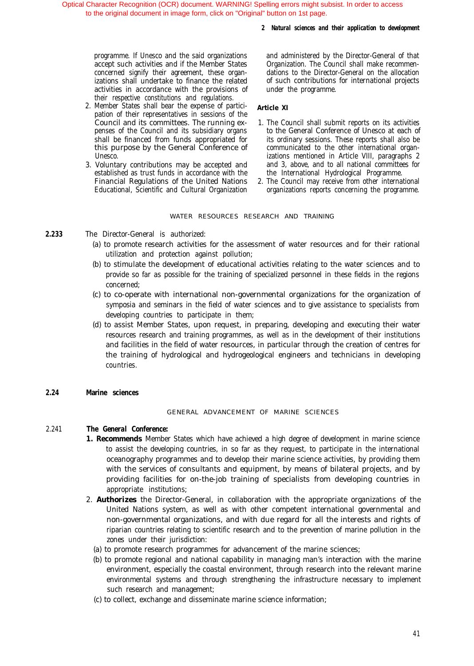### *2 Natural sciences and their application to development*

programme. If Unesco and the said organizations accept such activities and if the Member States concerned signify their agreement, these organizations shall undertake to finance the related activities in accordance with the provisions of their respective constitutions and regulations.

- 2. Member States shall bear the expense of participation of their representatives in sessions of the Council and its committees. The running expenses of the Council and its subsidiary organs shall be financed from funds appropriated for this purpose by the General Conference of Unesco.
- 3. Voluntary contributions may be accepted and established as trust funds in accordance with the Financial Regulations of the United Nations Educational, Scientific and Cultural Organization

and administered by the Director-General of that Organization. The Council shall make recommendations to the Director-General on the allocation of such contributions for international projects under the programme.

# *Article XI*

- 1. The Council shall submit reports on its activities to the General Conference of Unesco at each of its ordinary sessions. These reports shall also be communicated to the other international organizations mentioned in Article VIII, paragraphs 2 and 3, above, and to all national committees for the International Hydrological Programme.
- 2. The Council may receive from other international organizations reports concerning the programme.

# WATER RESOURCES RESEARCH AND TRAINING

- **2.233** The Director-General is authorized:
	- (a) to promote research activities for the assessment of water resources and for their rational utilization and protection against pollution;
	- (b) to stimulate the development of educational activities relating to the water sciences and to provide so far as possible for the training of specialized personnel in these fields in the regions concerned;
	- (c) to co-operate with international non-governmental organizations for the organization of symposia and seminars in the field of water sciences and to give assistance to specialists from developing countries to participate in them;
	- (d) to assist Member States, upon request, in preparing, developing and executing their water resources research and training programmes, as well as in the development of their institutions and facilities in the field of water resources, in particular through the creation of centres for the training of hydrological and hydrogeological engineers and technicians in developing countries.

# **2.24 Marine sciences**

# GENERAL ADVANCEMENT OF MARINE SCIENCES

### 2.241 *The General Conference:*

- *1. Recommends* Member States which have achieved a high degree of development in marine science to assist the developing countries, in so far as they request, to participate in the international oceanography programmes and to develop their marine science activities, by providing them with the services of consultants and equipment, by means of bilateral projects, and by providing facilities for on-the-job training of specialists from developing countries in appropriate institutions;
- 2. *Authorizes* the Director-General, in collaboration with the appropriate organizations of the United Nations system, as well as with other competent international governmental and non-governmental organizations, and with due regard for all the interests and rights of riparian countries relating to scientific research and to the prevention of marine pollution in the zones under their jurisdiction:
	- (a) to promote research programmes for advancement of the marine sciences;
	- (b) to promote regional and national capability in managing man's interaction with the marine environment, especially the coastal environment, through research into the relevant marine environmental systems and through strengthening the infrastructure necessary to implement such research and management;
	- (c) to collect, exchange and disseminate marine science information;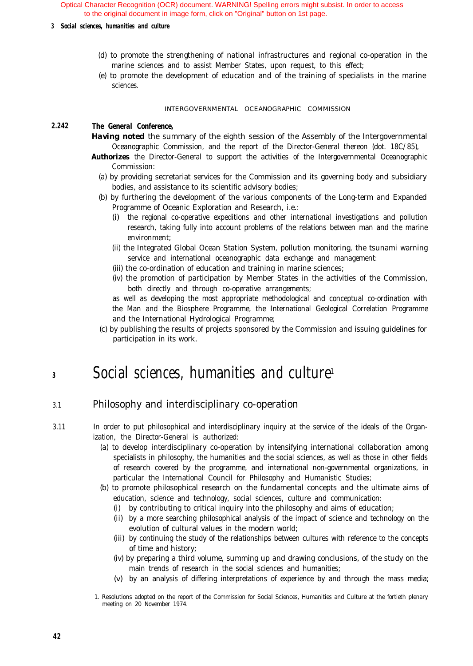### <span id="page-38-0"></span>*3 Social sciences, humanities and culture*

- (d) to promote the strengthening of national infrastructures and regional co-operation in the marine sciences and to assist Member States, upon request, to this effect;
- (e) to promote the development of education and of the training of specialists in the marine sciences.

INTERGOVERNMENTAL OCEANOGRAPHIC COMMISSION

# *2.242 The General Conference,*

- Having noted the summary of the eighth session of the Assembly of the Intergovernmental Oceanographic Commission, and the report of the Director-General thereon (dot. 18C/85),
- **Authorizes** the Director-General to support the activities of the Intergovernmental Oceanographic Commission:
	- (a) by providing secretariat services for the Commission and its governing body and subsidiary bodies, and assistance to its scientific advisory bodies;
	- (b) by furthering the development of the various components of the Long-term and Expanded Programme of Oceanic Exploration and Research, i.e.:
		- (i) the regional co-operative expeditions and other international investigations and pollution research, taking fully into account problems of the relations between man and the marine environment;
		- (ii) the Integrated Global Ocean Station System, pollution monitoring, the tsunami warning service and international oceanographic data exchange and management:
		- (iii) the co-ordination of education and training in marine sciences;
		- (iv) the promotion of participation by Member States in the activities of the Commission, both directly and through co-operative arrangements;

as well as developing the most appropriate methodological and conceptual co-ordination with the Man and the Biosphere Programme, the International Geological Correlation Programme and the International Hydrological Programme;

(c) by publishing the results of projects sponsored by the Commission and issuing guidelines for participation in its work.

# *<sup>3</sup>* Social sciences, humanities and culture1

# 3.1 Philosophy and interdisciplinary co-operation

- 3.11 In order to put philosophical and interdisciplinary inquiry at the service of the ideals of the Organization, the Director-General is authorized:
	- (a) to develop interdisciplinary co-operation by intensifying international collaboration among specialists in philosophy, the humanities and the social sciences, as well as those in other fields of research covered by the programme, and international non-governmental organizations, in particular the International Council for Philosophy and Humanistic Studies;
	- (b) to promote philosophical research on the fundamental concepts and the ultimate aims of education, science and technology, social sciences, culture and communication:
		- (i) by contributing to critical inquiry into the philosophy and aims of education;
		- (ii) by a more searching philosophical analysis of the impact of science and technology on the evolution of cultural values in the modern world;
		- (iii) by continuing the study of the relationships between cultures with reference to the concepts of time and history;
		- (iv) by preparing a third volume, summing up and drawing conclusions, of the study on the main trends of research in the social sciences and humanities;
		- (v) by an analysis of differing interpretations of experience by and through the mass media;
	- 1. Resolutions adopted on the report of the Commission for Social Sciences, Humanities and Culture at the fortieth plenary meeting on 20 November 1974.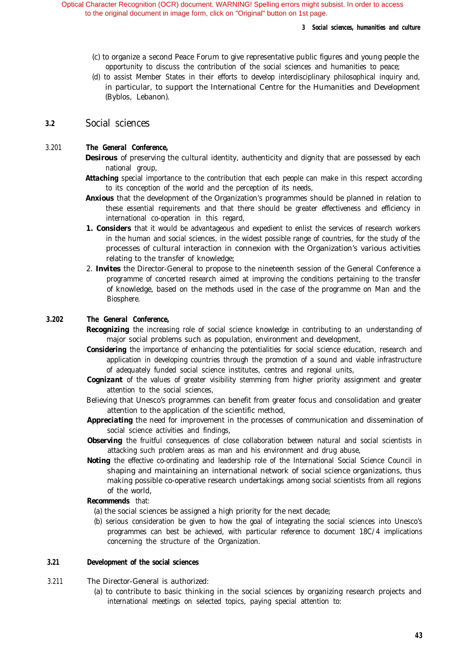- (c) to organize a second Peace Forum to give representative public figures and young people the opportunity to discuss the contribution of the social sciences and humanities to peace;
- (d) to assist Member States in their efforts to develop interdisciplinary philosophical inquiry and, in particular, to support the International Centre for the Humanities and Development (Byblos, Lebanon).
- **3.2** Social sciences

# 3.201 *The General Conference,*

- **Desirous** of preserving the cultural identity, authenticity and dignity that are possessed by each national group,
- Attaching special importance to the contribution that each people can make in this respect according to its conception of the world and the perception of its needs,
- *Anxious* that the development of the Organization's programmes should be planned in relation to these essential requirements and that there should be greater effectiveness and efficiency in international co-operation in this regard,
- *1. Considers* that it would be advantageous and expedient to enlist the services of research workers in the human and social sciences, in the widest possible range of countries, for the study of the processes of cultural interaction in connexion with the Organization's various activities relating to the transfer of knowledge;
- 2. *Invites* the Director-General to propose to the nineteenth session of the General Conference a programme of concerted research aimed at improving the conditions pertaining to the transfer of knowledge, based on the methods used in the case of the programme on Man and the Biosphere.

# **3.202** *The General Conference,*

- **Recognizing** the increasing role of social science knowledge in contributing to an understanding of major social problems such as population, environment and development,
- **Considering** the importance of enhancing the potentialities for social science education, research and application in developing countries through the promotion of a sound and viable infrastructure of adequately funded social science institutes, centres and regional units,
- **Cognizant** of the values of greater visibility stemming from higher priority assignment and greater attention to the social sciences,
- Believing that Unesco's programmes can benefit from greater focus and consolidation and greater attention to the application of the scientific method,
- Appreciating the need for improvement in the processes of communication and dissemination of social science activities and findings,
- **Observing** the fruitful consequences of close collaboration between natural and social scientists in attacking such problem areas as man and his environment and drug abuse,
- **Noting** the effective co-ordinating and leadership role of the International Social Science Council in shaping and maintaining an international network of social science organizations, thus making possible co-operative research undertakings among social scientists from all regions of the world,

# *Recommends* that:

- (a) the social sciences be assigned a high priority for the next decade;
- (b) serious consideration be given to how the goal of integrating the social sciences into Unesco's programmes can best be achieved, with particular reference to document 18C/4 implications concerning the structure of the Organization.

# **3.21 Development of the social sciences**

- 3.211 The Director-General is authorized:
	- (a) to contribute to basic thinking in the social sciences by organizing research projects and international meetings on selected topics, paying special attention to: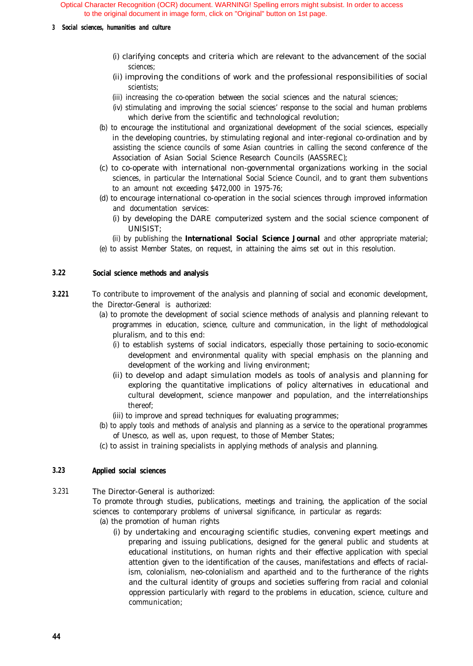### *3 Social sciences, humanities and culture*

- (i) clarifying concepts and criteria which are relevant to the advancement of the social sciences;
- (ii) improving the conditions of work and the professional responsibilities of social scientists;
- (iii) increasing the co-operation between the social sciences and the natural sciences;
- (iv) stimulating and improving the social sciences' response to the social and human problems which derive from the scientific and technological revolution;
- (b) to encourage the institutional and organizational development of the social sciences, especially in the developing countries, by stimulating regional and inter-regional co-ordination and by assisting the science councils of some Asian countries in calling the second conference of the Association of Asian Social Science Research Councils (AASSREC);
- (c) to co-operate with international non-governmental organizations working in the social sciences, in particular the International Social Science Council, and to grant them subventions to an amount not exceeding \$472,000 in 1975-76;
- (d) to encourage international co-operation in the social sciences through improved information and documentation services:
	- (i) by developing the DARE computerized system and the social science component of UNISIST;
	- (ii) by publishing the *International Social Science Journal* and other appropriate material;
- (e) to assist Member States, on request, in attaining the aims set out in this resolution.

# **3.22 Social science methods and analysis**

- **3.221** To contribute to improvement of the analysis and planning of social and economic development, the Director-General is authorized:
	- (a) to promote the development of social science methods of analysis and planning relevant to programmes in education, science, culture and communication, in the light of methodological pluralism, and to this end:
		- (i) to establish systems of social indicators, especially those pertaining to socio-economic development and environmental quality with special emphasis on the planning and development of the working and living environment;
		- (ii) to develop and adapt simulation models as tools of analysis and planning for exploring the quantitative implications of policy alternatives in educational and cultural development, science manpower and population, and the interrelationships thereof;
		- (iii) to improve and spread techniques for evaluating programmes;
	- (b) to apply tools and methods of analysis and planning as a service to the operational programmes of Unesco, as well as, upon request, to those of Member States;
	- (c) to assist in training specialists in applying methods of analysis and planning.

# **3.23 Applied social sciences**

3.231 The Director-General is authorized:

To promote through studies, publications, meetings and training, the application of the social sciences to contemporary problems of universal significance, in particular as regards:

- (a) the promotion of human rights
	- (i) by undertaking and encouraging scientific studies, convening expert meetings and preparing and issuing publications, designed for the general public and students at educational institutions, on human rights and their effective application with special attention given to the identification of the causes, manifestations and effects of racialism, colonialism, neo-colonialism and apartheid and to the furtherance of the rights and the cultural identity of groups and societies suffering from racial and colonial oppression particularly with regard to the problems in education, science, culture and communication;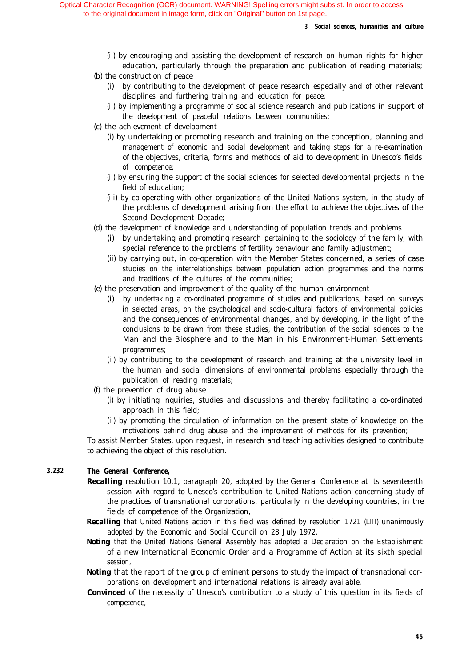- (ii) by encouraging and assisting the development of research on human rights for higher education, particularly through the preparation and publication of reading materials;
- (b) the construction of peace
	- (i) by contributing to the development of peace research especially and of other relevant disciplines and furthering training and education for peace;
	- (ii) by implementing a programme of social science research and publications in support of the development of peaceful relations between communities;
- (c) the achievement of development
	- (i) by undertaking or promoting research and training on the conception, planning and management of economic and social development and taking steps for a re-examination of the objectives, criteria, forms and methods of aid to development in Unesco's fields of competence;
	- (ii) by ensuring the support of the social sciences for selected developmental projects in the field of education;
	- (iii) by co-operating with other organizations of the United Nations system, in the study of the problems of development arising from the effort to achieve the objectives of the Second Development Decade;
- (d) the development of knowledge and understanding of population trends and problems
	- (i) by undertaking and promoting research pertaining to the sociology of the family, with special reference to the problems of fertility behaviour and family adjustment;
	- (ii) by carrying out, in co-operation with the Member States concerned, a series of case studies on the interrelationships between population action programmes and the norms and traditions of the cultures of the communities;
- (e) the preservation and improvement of the quality of the human environment
	- (i) by undertaking a co-ordinated programme of studies and publications, based on surveys in selected areas, on the psychological and socio-cultural factors of environmental policies and the consequences of environmental changes, and by developing, in the light of the conclusions to be drawn from these studies, the contribution of the social sciences to the Man and the Biosphere and to the Man in his Environment-Human Settlements programmes;
	- (ii) by contributing to the development of research and training at the university level in the human and social dimensions of environmental problems especially through the publication of reading materials;
- (f) the prevention of drug abuse
	- (i) by initiating inquiries, studies and discussions and thereby facilitating a co-ordinated approach in this field;
	- (ii) by promoting the circulation of information on the present state of knowledge on the motivations behind drug abuse and the improvement of methods for its prevention;

To assist Member States, upon request, in research and teaching activities designed to contribute to achieving the object of this resolution.

#### *3.232 The General Conference,*

- *Recalling* resolution 10.1, paragraph 20, adopted by the General Conference at its seventeenth session with regard to Unesco's contribution to United Nations action concerning study of the practices of transnational corporations, particularly in the developing countries, in the fields of competence of the Organization,
- **Recalling** that United Nations action in this field was defined by resolution 1721 (LIII) unanimously adopted by the Economic and Social Council on 28 July 1972,
- **Noting** that the United Nations General Assembly has adopted a Declaration on the Establishment of a new International Economic Order and a Programme of Action at its sixth special session,
- **Noting** that the report of the group of eminent persons to study the impact of transnational corporations on development and international relations is already available,
- **Convinced** of the necessity of Unesco's contribution to a study of this question in its fields of competence,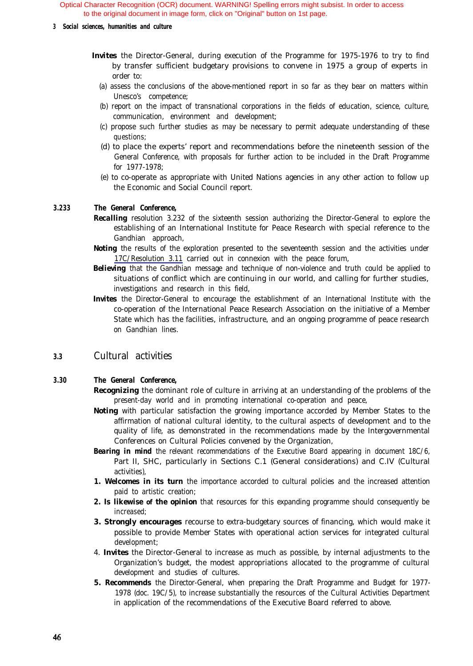### *3 Social sciences, humanities and culture*

- *Invites* the Director-General, during execution of the Programme for 1975-1976 to try to find by transfer sufficient budgetary provisions to convene in 1975 a group of experts in order to:
	- (a) assess the conclusions of the above-mentioned report in so far as they bear on matters within Unesco's competence;
	- (b) report on the impact of transnational corporations in the fields of education, science, culture, communication, environment and development;
	- (c) propose such further studies as may be necessary to permit adequate understanding of these questions;
	- (d) to place the experts' report and recommendations before the nineteenth session of the General Conference, with proposals for further action to be included in the Draft Programme for 1977-1978;
	- (e) to co-operate as appropriate with United Nations agencies in any other action to follow up the Economic and Social Council report.

# *3.233 The General Conference,*

- *Recalling* resolution 3.232 of the sixteenth session authorizing the Director-General to explore the establishing of an International Institute for Peace Research with special reference to the Gandhian approach,
- **Noting** the results of the exploration presented to the seventeenth session and the activities under [17C/Resolution 3.11](#page-38-0) carried out in connexion with the peace forum,
- **Believing** that the Gandhian message and technique of non-violence and truth could be applied to situations of conflict which are continuing in our world, and calling for further studies, investigations and research in this field,
- *Invites* the Director-General to encourage the establishment of an International Institute with the co-operation of the International Peace Research Association on the initiative of a Member State which has the facilities, infrastructure, and an ongoing programme of peace research on Gandhian lines.

# *3.3* Cultural activities

# *3.30 The General Conference,*

- *Recognizing* the dominant role of culture in arriving at an understanding of the problems of the present-day world and in promoting international co-operation and peace,
- **Noting** with particular satisfaction the growing importance accorded by Member States to the affirmation of national cultural identity, to the cultural aspects of development and to the quality of life, as demonstrated in the recommendations made by the Intergovernmental Conferences on Cultural Policies convened by the Organization,
- **Bearing in mind** the relevant recommendations of the Executive Board appearing in document 18C/6, Part II, SHC, particularly in Sections C.1 (General considerations) and C.IV (Cultural activities),
- 1. Welcomes in its turn the importance accorded to cultural policies and the increased attention paid to artistic creation;
- 2. Is likewise of the opinion that resources for this expanding programme should consequently be increased;
- *3. Strongly encourages* recourse to extra-budgetary sources of financing, which would make it possible to provide Member States with operational action services for integrated cultural development;
- 4. *Invites* the Director-General to increase as much as possible, by internal adjustments to the Organization's budget, the modest appropriations allocated to the programme of cultural development and studies of cultures.
- *5. Recommends* the Director-General, when preparing the Draft Programme and Budget for 1977- 1978 (doc. 19C/5), to increase substantially the resources of the Cultural Activities Department in application of the recommendations of the Executive Board referred to above.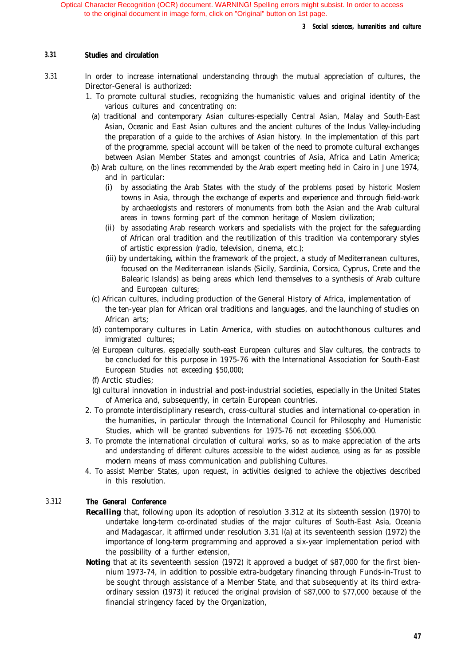### *3.31* **Studies and circulation**

- 3.31 In order to increase international understanding through the mutual appreciation of cultures, the Director-General is authorized:
	- 1. To promote cultural studies, recognizing the humanistic values and original identity of the various cultures and concentrating on:
		- (a) traditional and contemporary Asian cultures-especially Central Asian, Malay and South-East Asian, Oceanic and East Asian cultures and the ancient cultures of the Indus Valley-including the preparation of a guide to the archives of Asian history. In the implementation of this part of the programme, special account will be taken of the need to promote cultural exchanges between Asian Member States and amongst countries of Asia, Africa and Latin America;
		- (b) Arab culture, on the lines recommended by the Arab expert meeting held in Cairo in June 1974, and in particular:
			- (i) by associating the Arab States with the study of the problems posed by historic Moslem towns in Asia, through the exchange of experts and experience and through field-work by archaeologists and restorers of monuments from both the Asian and the Arab cultural areas in towns forming part of the common heritage of Moslem civilization;
			- (ii) by associating Arab research workers and specialists with the project for the safeguarding of African oral tradition and the reutilization of this tradition via contemporary styles of artistic expression (radio, television, cinema, etc.);
			- (iii) by undertaking, within the framework of the project, a study of Mediterranean cultures, focused on the Mediterranean islands (Sicily, Sardinia, Corsica, Cyprus, Crete and the Balearic Islands) as being areas which lend themselves to a synthesis of Arab culture and European cultures;
		- (c) African cultures, including production of the *General History of Africa,* implementation of the ten-year plan for African oral traditions and languages, and the launching of studies on African arts;
		- (d) contemporary cultures in Latin America, with studies on autochthonous cultures and immigrated cultures;
		- (e) European cultures, especially south-east European cultures and Slav cultures, the contracts to be concluded for this purpose in 1975-76 with the International Association for South-East European Studies not exceeding \$50,000;
		- (f) Arctic studies;
		- (g) cultural innovation in industrial and post-industrial societies, especially in the United States of America and, subsequently, in certain European countries.
	- 2. To promote interdisciplinary research, cross-cultural studies and international co-operation in the humanities, in particular through the International Council for Philosophy and Humanistic Studies, which will be granted subventions for 1975-76 not exceeding \$506,000.
	- 3. To promote the international circulation of cultural works, so as to make appreciation of the arts and understanding of different cultures accessible to the widest audience, using as far as possible modern means of mass communication and publishing *Cultures.*
	- 4. To assist Member States, upon request, in activities designed to achieve the objectives described in this resolution.

# 3.312 *The General Conference*

- **Recalling** that, following upon its adoption of resolution 3.312 at its sixteenth session (1970) to undertake long-term co-ordinated studies of the major cultures of South-East Asia, Oceania and Madagascar, it affirmed under resolution 3.31 l(a) at its seventeenth session (1972) the importance of long-term programming and approved a six-year implementation period with the possibility of a further extension,
- **Noting** that at its seventeenth session (1972) it approved a budget of \$87,000 for the first biennium 1973-74, in addition to possible extra-budgetary financing through Funds-in-Trust to be sought through assistance of a Member State, and that subsequently at its third extraordinary session (1973) it reduced the original provision of \$87,000 to \$77,000 because of the financial stringency faced by the Organization,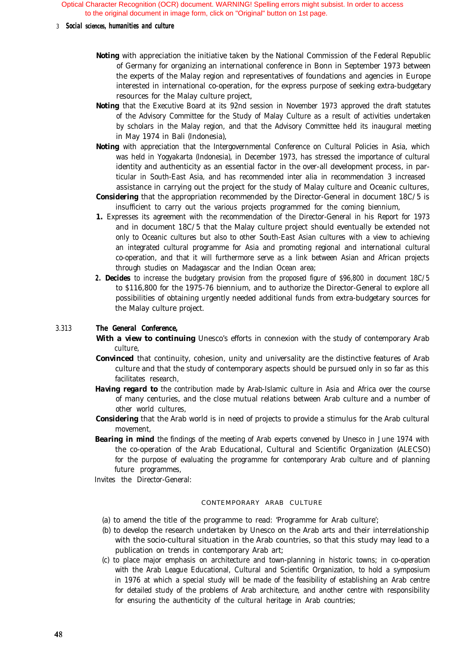### 3 *Social sciences, humanities and culture*

- *Noting* with appreciation the initiative taken by the National Commission of the Federal Republic of Germany for organizing an international conference in Bonn in September 1973 between the experts of the Malay region and representatives of foundations and agencies in Europe interested in international co-operation, for the express purpose of seeking extra-budgetary resources for the Malay culture project,
- *Noting* that the Executive Board at its 92nd session in November 1973 approved the draft statutes of the Advisory Committee for the Study of Malay Culture as a result of activities undertaken by scholars in the Malay region, and that the Advisory Committee held its inaugural meeting in May 1974 in Bali (Indonesia),
- **Noting** with appreciation that the Intergovernmental Conference on Cultural Policies in Asia, which was held in Yogyakarta (Indonesia), in December 1973, has stressed the importance of cultural identity and authenticity as an essential factor in the over-all development process, in particular in South-East Asia, and has recommended *inter alia* in recommendation 3 increased assistance in carrying out the project for the study of Malay culture and Oceanic cultures,
- **Considering** that the appropriation recommended by the Director-General in document 18C/5 is insufficient to carry out the various projects programmed for the coming biennium,
- *1.* Expresses its agreement with the recommendation of the Director-General in his Report for 1973 and in document 18C/5 that the Malay culture project should eventually be extended not only to Oceanic cultures but also to other South-East Asian cultures with a view to achieving an integrated cultural programme for Asia and promoting regional and international cultural co-operation, and that it will furthermore serve as a link between Asian and African projects through studies on Madagascar and the Indian Ocean area;
- *2. Decides* to increase the budgetary provision from the proposed figure of \$96,800 in document 18C/5 to \$116,800 for the 1975-76 biennium, and to authorize the Director-General to explore all possibilities of obtaining urgently needed additional funds from extra-budgetary sources for the Malay culture project.

#### 3.313 *The General Conference,*

- **With a view to continuing** Unesco's efforts in connexion with the study of contemporary Arab culture,
- **Convinced** that continuity, cohesion, unity and universality are the distinctive features of Arab culture and that the study of contemporary aspects should be pursued only in so far as this facilitates research,
- *Having regard to* the contribution made by Arab-Islamic culture in Asia and Africa over the course of many centuries, and the close mutual relations between Arab culture and a number of other world cultures,
- *Considering* that the Arab world is in need of projects to provide a stimulus for the Arab cultural movement,
- **Bearing in mind** the findings of the meeting of Arab experts convened by Unesco in June 1974 with the co-operation of the Arab Educational, Cultural and Scientific Organization (ALECSO) for the purpose of evaluating the programme for contemporary Arab culture and of planning future programmes,

Invites the Director-General:

# CONTEMPORARY ARAB CULTURE

- (a) to amend the title of the programme to read: 'Programme for Arab culture';
- (b) to develop the research undertaken by Unesco on the Arab arts and their interrelationship with the socio-cultural situation in the Arab countries, so that this study may lead to a publication on trends in contemporary Arab art;
- (c) to place major emphasis on architecture and town-planning in historic towns; in co-operation with the Arab League Educational, Cultural and Scientific Organization, to hold a symposium in 1976 at which a special study will be made of the feasibility of establishing an Arab centre for detailed study of the problems of Arab architecture, and another centre with responsibility for ensuring the authenticity of the cultural heritage in Arab countries;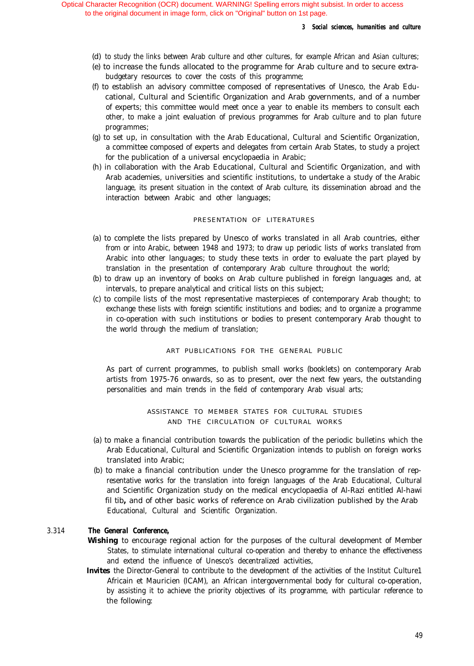- (d) to study the links between Arab culture and other cultures, for example African and Asian cultures;
- (e) to increase the funds allocated to the programme for Arab culture and to secure extrabudgetary resources to cover the costs of this programme;
- (f) to establish an advisory committee composed of representatives of Unesco, the Arab Educational, Cultural and Scientific Organization and Arab governments, and of a number of experts; this committee would meet once a year to enable its members to consult each other, to make a joint evaluation of previous programmes for Arab culture and to plan future programmes;
- (g) to set up, in consultation with the Arab Educational, Cultural and Scientific Organization, a committee composed of experts and delegates from certain Arab States, to study a project for the publication of a universal encyclopaedia in Arabic;
- (h) in collaboration with the Arab Educational, Cultural and Scientific Organization, and with Arab academies, universities and scientific institutions, to undertake a study of the Arabic language, its present situation in the context of Arab culture, its dissemination abroad and the interaction between Arabic and other languages;

### PRESENTATION OF LITERATURES

- (a) to complete the lists prepared by Unesco of works translated in all Arab countries, either from or into Arabic, between 1948 and 1973; to draw up periodic lists of works translated from Arabic into other languages; to study these texts in order to evaluate the part played by translation in the presentation of contemporary Arab culture throughout the world;
- (b) to draw up an inventory of books on Arab culture published in foreign languages and, at intervals, to prepare analytical and critical lists on this subject;
- (c) to compile lists of the most representative masterpieces of contemporary Arab thought; to exchange these lists with foreign scientific institutions and bodies; and to organize a programme in co-operation with such institutions or bodies to present contemporary Arab thought to the world through the medium of translation;

# ART PUBLICATIONS FOR THE GENERAL PUBLIC

As part of current programmes, to publish small works (booklets) on contemporary Arab artists from 1975-76 onwards, so as to present, over the next few years, the outstanding personalities and main trends in the field of contemporary Arab visual arts;

> ASSISTANCE TO MEMBER STATES FOR CULTURAL STUDIES AND THE CIRCULATION OF CULTURAL WORKS

- (a) to make a financial contribution towards the publication of the periodic bulletins which the Arab Educational, Cultural and Scientific Organization intends to publish on foreign works translated into Arabic;
- (b) to make a financial contribution under the Unesco programme for the translation of representative works for the translation into foreign languages of the Arab Educational, Cultural and Scientific Organization study on the medical encyclopaedia of Al-Razi entitled Al-hawi *fil tib,* and of other basic works of reference on Arab civilization published by the Arab Educational, Cultural and Scientific Organization.

#### 3.314 *The General Conference,*

- *Wishing* to encourage regional action for the purposes of the cultural development of Member States, to stimulate international cultural co-operation and thereby to enhance the effectiveness and extend the influence of Unesco's decentralized activities,
- *Invites* the Director-General to contribute to the development of the activities of the Institut Culture1 Africain et Mauricien (ICAM), an African intergovernmental body for cultural co-operation, by assisting it to achieve the priority objectives of its programme, with particular reference to the following: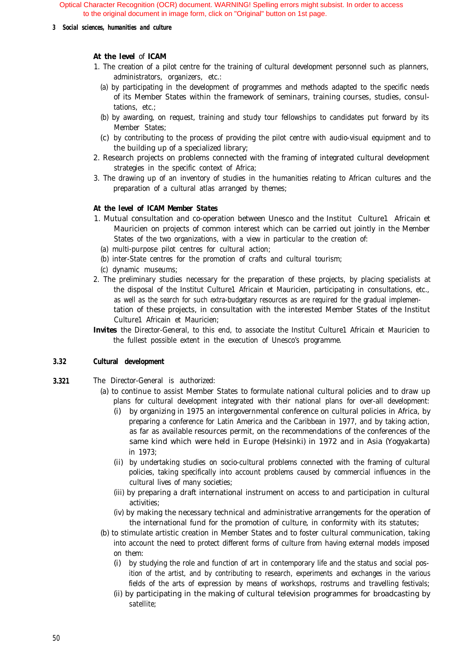### *3 Social sciences, humanities and culture*

# *At the level of ICAM*

- 1. The creation of a pilot centre for the training of cultural development personnel such as planners, administrators, organizers, etc.:
	- (a) by participating in the development of programmes and methods adapted to the specific needs of its Member States within the framework of seminars, training courses, studies, consultations, etc.;
	- (b) by awarding, on request, training and study tour fellowships to candidates put forward by its Member States;
	- (c) by contributing to the process of providing the pilot centre with audio-visual equipment and to the building up of a specialized library;
- 2. Research projects on problems connected with the framing of integrated cultural development strategies in the specific context of Africa;
- 3. The drawing up of an inventory of studies in the humanities relating to African cultures and the preparation of a cultural atlas arranged by themes;

# *At the level of ICAM Member States*

- 1. Mutual consultation and co-operation between Unesco and the Institut Culture1 Africain et Mauricien on projects of common interest which can be carried out jointly in the Member States of the two organizations, with a view in particular to the creation of:
	- (a) multi-purpose pilot centres for cultural action;
	- (b) inter-State centres for the promotion of crafts and cultural tourism;
	- (c) dynamic museums;
- 2. The preliminary studies necessary for the preparation of these projects, by placing specialists at the disposal of the Institut Culture1 Africain et Mauricien, participating in consultations, etc., as well as the search for such extra-budgetary resources as are required for the gradual implementation of these projects, in consultation with the interested Member States of the Institut Culture1 Africain et Mauricien;
- *Invites* the Director-General, to this end, to associate the Institut Culture1 Africain et Mauricien to the fullest possible extent in the execution of Unesco's programme.

### **3.32 Cultural development**

- **3.321** The Director-General is authorized:
	- (a) to continue to assist Member States to formulate national cultural policies and to draw up plans for cultural development integrated with their national plans for over-all development:
		- (i) by organizing in 1975 an intergovernmental conference on cultural policies in Africa, by preparing a conference for Latin America and the Caribbean in 1977, and by taking action, as far as available resources permit, on the recommendations of the conferences of the same kind which were held in Europe (Helsinki) in 1972 and in Asia (Yogyakarta) in 1973;
		- (ii) by undertaking studies on socio-cultural problems connected with the framing of cultural policies, taking specifically into account problems caused by commercial influences in the cultural lives of many societies;
		- (iii) by preparing a draft international instrument on access to and participation in cultural activities;
		- (iv) by making the necessary technical and administrative arrangements for the operation of the international fund for the promotion of culture, in conformity with its statutes;
	- (b) to stimulate artistic creation in Member States and to foster cultural communication, taking into account the need to protect different forms of culture from having external models imposed on them:
		- (i) by studying the role and function of art in contemporary life and the status and social position of the artist, and by contributing to research, experiments and exchanges in the various fields of the arts of expression by means of workshops, rostrums and travelling festivals;
		- (ii) by participating in the making of cultural television programmes for broadcasting by satellite;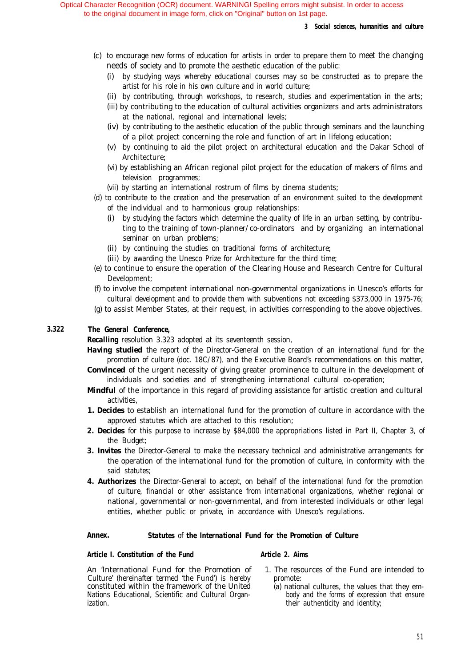- (c) to encourage new forms of education for artists in order to prepare them to meet the changing needs of society and to promote the aesthetic education of the public:
	- (i) by studying ways whereby educational courses may so be constructed as to prepare the artist for his role in his own culture and in world culture;
	- (ii) by contributing, through workshops, to research, studies and experimentation in the arts;
	- (iii) by contributing to the education of cultural activities organizers and arts administrators at the national, regional and international levels;
	- (iv) by contributing to the aesthetic education of the public through seminars and the launching of a pilot project concerning the role and function of art in lifelong education;
	- (v) by continuing to aid the pilot project on architectural education and the Dakar School of Architecture;
	- (vi) by establishing an African regional pilot project for the education of makers of films and television programmes;
	- (vii) by starting an international rostrum of films by cinema students;
- (d) to contribute to the creation and the preservation of an environment suited to the development of the individual and to harmonious group relationships:
	- (i) by studying the factors which determine the quality of life in an urban setting, by contributing to the training of town-planner/co-ordinators and by organizing an international seminar on urban problems;
	- (ii) by continuing the studies on traditional forms of architecture;
	- (iii) by awarding the Unesco Prize for Architecture for the third time;
- (e) to continue to ensure the operation of the Clearing House and Research Centre for Cultural Development;
- (f) to involve the competent international non-governmental organizations in Unesco's efforts for cultural development and to provide them with subventions not exceeding \$373,000 in 1975-76;
- (g) to assist Member States, at their request, in activities corresponding to the above objectives.

# *3.322 The General Conference,*

*Recalling* resolution 3.323 adopted at its seventeenth session,

- *Having studied* the report of the Director-General on the creation of an international fund for the promotion of culture (doc. 18C/87), and the Executive Board's recommendations on this matter,
- **Convinced** of the urgent necessity of giving greater prominence to culture in the development of individuals and societies and of strengthening international cultural co-operation;
- *Mindful* of the importance in this regard of providing assistance for artistic creation and cultural activities,
- *1. Decides* to establish an international fund for the promotion of culture in accordance with the approved statutes which are attached to this resolution;
- 2. **Decides** for this purpose to increase by \$84,000 the appropriations listed in Part II, Chapter 3, of the Budget;
- *3. Invites* the Director-General to make the necessary technical and administrative arrangements for the operation of the international fund for the promotion of culture, in conformity with the said statutes;
- *4. Authorizes* the Director-General to accept, on behalf of the international fund for the promotion of culture, financial or other assistance from international organizations, whether regional or national, governmental or non-governmental, and from interested individuals or other legal entities, whether public or private, in accordance with Unesco's regulations.

# *Annex. Statutes of the International Fund for the Promotion of Culture*

# *Article I. Constitution of the Fund Article 2. Aims*

An 'International Fund for the Promotion of 1. The resources of the Fund are intended to Culture' (hereinafter termed 'the Fund') is hereby promote:<br>
constituted within the framework of the United (a) nation Nations Educational, Scientific and Cultural Organ- body and the forms of expression that ensure ization. their authenticity and identity;

- - (a) national cultures, the values that they em-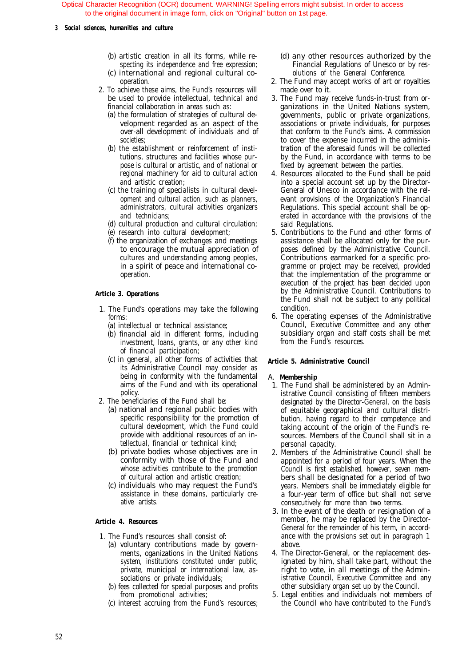### *3 Social sciences, humanities and culture*

- (b) artistic creation in all its forms, while respecting its independence and free expression;
- (c) international and regional cultural cooperation.
- 2. To achieve these aims, the Fund's resources will be used to provide intellectual, technical and financial collaboration in areas such as:
	- (a) the formulation of strategies of cultural development regarded as an aspect of the over-all development of individuals and of societies;
	- (b) the establishment or reinforcement of institutions, structures and facilities whose purpose is cultural or artistic, and of national or regional machinery for aid to cultural action and artistic creation;
	- (c) the training of specialists in cultural development and cultural action, such as planners, administrators, cultural activities organizers and technicians;
	- (d) cultural production and cultural circulation;
	- (e) research into cultural development;
	- (f) the organization of exchanges and meetings to encourage the mutual appreciation of cultures and understanding among peoples, in a spirit of peace and international cooperation.

### *Article 3. Operations*

- 1. The Fund's operations may take the following forms:
	- (a) intellectual or technical assistance;
	- (b) financial aid in different forms, including investment, loans, grants, or any other kind of financial participation;
	- (c) in general, all other forms of activities that its Administrative Council may consider as being in conformity with the fundamental aims of the Fund and with its operational policy.
- 2. The beneficiaries of the Fund shall be:
	- (a) national and regional public bodies with specific responsibility for the promotion of cultural development, which the Fund could provide with additional resources of an intellectual, financial or technical kind;
	- (b) private bodies whose objectives are in conformity with those of the Fund and whose activities contribute to the promotion of cultural action and artistic creation;
	- (c) individuals who may request the Fund's assistance in these domains, particularly creative artists.

### *Article 4. Resources*

- 1. The Fund's resources shall consist of:
	- (a) voluntary contributions made by governments, oganizations in the United Nations system, institutions constituted under public, private, municipal or international law, associations or private individuals;
	- (b) fees collected for special purposes and profits from promotional activities;
	- (c) interest accruing from the Fund's resources;
- (d) any other resources authorized by the Financial Regulations of Unesco or by resolutions of the General Conference.
- 2. The Fund may accept works of art or royalties made over to it.
- 3. The Fund may receive funds-in-trust from organizations in the United Nations system, governments, public or private organizations, associations or private individuals, for purposes that conform to the Fund's aims. A commission to cover the expense incurred in the administration of the aforesaid funds will be collected by the Fund, in accordance with terms to be fixed by agreement between the parties.
- 4. Resources allocated to the Fund shall be paid into a special account set up by the Director-General of Unesco in accordance with the relevant provisions of the Organization's Financial Regulations. This special account shall be operated in accordance with the provisions of the said Regulations.
- 5. Contributions to the Fund and other forms of assistance shall be allocated only for the purposes defined by the Administrative Council. Contributions earmarked for a specific programme or project may be received, provided that the implementation of the programme or execution of the project has been decided upon by the Administrative Council. Contributions to the Fund shall not be subject to any political condition.
- 6. The operating expenses of the Administrative Council, Executive Committee and any other subsidiary organ and staff costs shall be met from the Fund's resources.

### *Article 5. Administrative Council*

# A. *Membership*

- 1. The Fund shall be administered by an Administrative Council consisting of fifteen members designated by the Director-General, on the basis of equitable geographical and cultural distribution, having regard to their competence and taking account of the origin of the Fund's resources. Members of the Council shall sit in a personal capacity.
- 2. Members of the Administrative Council shall be appointed for a period of four years. When the Council is first established, however, seven members shall be designated for a period of two years. Members shall be immediately eligible for a four-year term of office but shall not serve consecutively for more than two terms.
- 3. In the event of the death or resignation of a member, he may be replaced by the Director-General for the remainder of his term, in accordance with the provisions set out in paragraph 1 above.
- 4. The Director-General, or the replacement designated by him, shall take part, without the right to vote, in all meetings of the Administrative Council, Executive Committee and any other subsidiary organ set up by the Council.
- 5. Legal entities and individuals not members of the Council who have contributed to the Fund's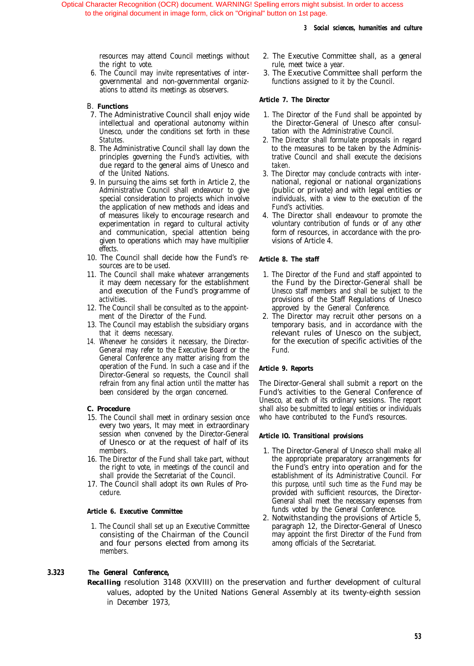### *3 Social sciences, humanities and culture*

resources may attend Council meetings without 2. The Executive Committee shall, as a general the right to vote. The right to vote.

6. The Council may invite representatives of intergovernmental and non-governmental organizations to attend its meetings as observers.

### B. *Functions*

- 7. The Administrative Council shall enjoy wide intellectual and operational autonomy within Unesco, under the conditions set forth in these Statutes.
- 8. The Administrative Council shall lay down the principles governing the Fund's activities, with due regard to the general aims of Unesco and of the United Nations.
- 9. In pursuing the aims set forth in Article 2, the Administrative Council shall endeavour to give special consideration to projects which involve the application of new methods and ideas and of measures likely to encourage research and experimentation in regard to cultural activity and communication, special attention being given to operations which may have multiplier effects.
- 10. The Council shall decide how the Fund's resources are to be used.
- 11. The Council shall make whatever arrangements it may deem necessary for the establishment and execution of the Fund's programme of activities.
- 12. The Council shall be consulted as to the appointment of the Director of the Fund.
- 13. The Council may establish the subsidiary organs that it deems necessary.
- 14. Whenever he considers it necessary, the Director-General may refer to the Executive Board or the General Conference any matter arising from the operation of the Fund. In such a case and if the Director-General so requests, the Council shall refrain from any final action until the matter has been considered by the organ concerned.

### *C. Procedure*

- 15. The Council shall meet in ordinary session once every two years, It may meet in extraordinary session when convened by the Director-General of Unesco or at the request of half of its members.
- 16. The Director of the Fund shall take part, without the right to vote, in meetings of the council and shall provide the Secretariat of the Council.
- 17. The Council shall adopt its own Rules of Procedure.

### *Article 6. Executive Committee*

1. The Council shall set up an Executive Committee consisting of the Chairman of the Council and four persons elected from among its members.

# *3.323 The General Conference,*

- 
- 3. The Executive Committee shall perform the functions assigned to it by the Council.

### *Article 7. The Director*

- 1. The Director of the Fund shall be appointed by the Director-General of Unesco after consultation with the Administrative Council.
- 2. The Director shall formulate proposals in regard to the measures to be taken by the Administrative Council and shall execute the decisions taken.
- 3. The Director may conclude contracts with international, regional or national organizations (public or private) and with legal entities or individuals, with a view to the execution of the Fund's activities.
- 4. The Director shall endeavour to promote the voluntary contribution of funds or of any other form of resources, in accordance with the provisions of Article 4.

### *Article 8. The staff*

- 1. The Director of the Fund and staff appointed to the Fund by the Director-General shall be Unesco staff members and shall be subject to the provisions of the Staff Regulations of Unesco approved by the General Conference.
- 2. The Director may recruit other persons on a temporary basis, and in accordance with the relevant rules of Unesco on the subject, for the execution of specific activities of the Fund.

## *Article 9. Reports*

The Director-General shall submit a report on the Fund's activities to the General Conference of Unesco, at each of its ordinary sessions. The report shall also be submitted to legal entities or individuals who have contributed to the Fund's resources.

### *Article IO. Transitional provisions*

- 1. The Director-General of Unesco shall make all the appropriate preparatory arrangements for the Fund's entry into operation and for the establishment of its Administrative Council. For this purpose, until such time as the Fund may be provided with sufficient resources, the Director-General shall meet the necessary expenses from funds voted by the General Conference.
- 2. Notwithstanding the provisions of Article 5, paragraph 12, the Director-General of Unesco may appoint the first Director of the Fund from among officials of the Secretariat.
- *Recalling* resolution 3148 (XXVIII) on the preservation and further development of cultural values, adopted by the United Nations General Assembly at its twenty-eighth session in December 1973,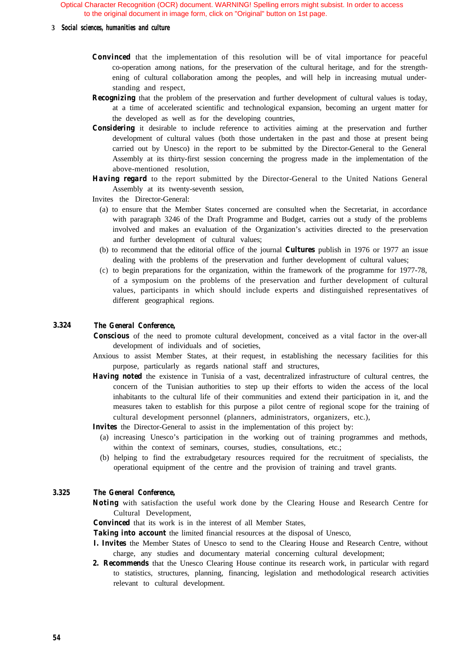### **3** *Social sciences, humanities and culture*

- **Convinced** that the implementation of this resolution will be of vital importance for peaceful co-operation among nations, for the preservation of the cultural heritage, and for the strengthening of cultural collaboration among the peoples, and will help in increasing mutual understanding and respect,
- *Recognizing* that the problem of the preservation and further development of cultural values is today, at a time of accelerated scientific and technological expansion, becoming an urgent matter for the developed as well as for the developing countries,
- **Considering** it desirable to include reference to activities aiming at the preservation and further development of cultural values (both those undertaken in the past and those at present being carried out by Unesco) in the report to be submitted by the Director-General to the General Assembly at its thirty-first session concerning the progress made in the implementation of the above-mentioned resolution,
- *Having regard* to the report submitted by the Director-General to the United Nations General Assembly at its twenty-seventh session,

Invites the Director-General:

- (a) to ensure that the Member States concerned are consulted when the Secretariat, in accordance with paragraph 3246 of the Draft Programme and Budget, carries out a study of the problems involved and makes an evaluation of the Organization's activities directed to the preservation and further development of cultural values;
- (b) to recommend that the editorial office of the journal *Cultures* publish in 1976 or 1977 an issue dealing with the problems of the preservation and further development of cultural values;
- (c) to begin preparations for the organization, within the framework of the programme for 1977-78, of a symposium on the problems of the preservation and further development of cultural values, participants in which should include experts and distinguished representatives of different geographical regions.

# *3.324 The General Conference,*

- *Conscious* of the need to promote cultural development, conceived as a vital factor in the over-all development of individuals and of societies,
- Anxious to assist Member States, at their request, in establishing the necessary facilities for this purpose, particularly as regards national staff and structures,
- *Having noted* the existence in Tunisia of a vast, decentralized infrastructure of cultural centres, the concern of the Tunisian authorities to step up their efforts to widen the access of the local inhabitants to the cultural life of their communities and extend their participation in it, and the measures taken to establish for this purpose a pilot centre of regional scope for the training of cultural development personnel (planners, administrators, organizers, etc.),

**Invites** the Director-General to assist in the implementation of this project by:

- (a) increasing Unesco's participation in the working out of training programmes and methods, within the context of seminars, courses, studies, consultations, etc.;
- (b) helping to find the extrabudgetary resources required for the recruitment of specialists, the operational equipment of the centre and the provision of training and travel grants.

### *3.325 The General Conference,*

- **Noting** with satisfaction the useful work done by the Clearing House and Research Centre for Cultural Development,
- *Convinced* that its work is in the interest of all Member States,

**Taking into account** the limited financial resources at the disposal of Unesco,

- *I. Invites* the Member States of Unesco to send to the Clearing House and Research Centre, without charge, any studies and documentary material concerning cultural development;
- *2. Recommends* that the Unesco Clearing House continue its research work, in particular with regard to statistics, structures, planning, financing, legislation and methodological research activities relevant to cultural development.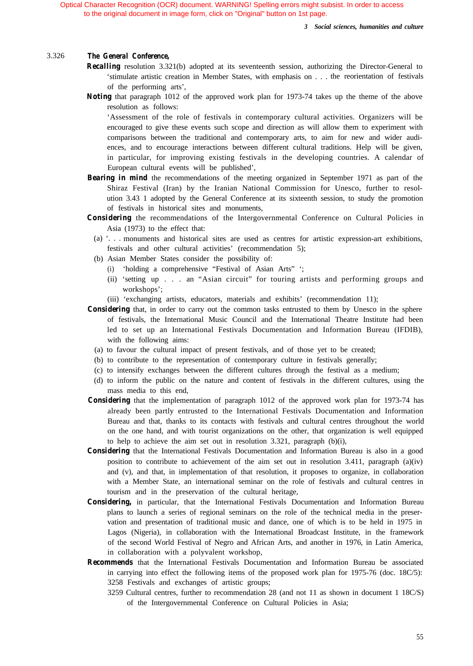*3 Social sciences, humanities and culture*

# 3.326 *The General Conference,*

- *Recalling* resolution 3.321(b) adopted at its seventeenth session, authorizing the Director-General to 'stimulate artistic creation in Member States, with emphasis on . . . the reorientation of festivals of the performing arts',
- **Noting** that paragraph 1012 of the approved work plan for 1973-74 takes up the theme of the above resolution as follows:

'Assessment of the role of festivals in contemporary cultural activities. Organizers will be encouraged to give these events such scope and direction as will allow them to experiment with comparisons between the traditional and contemporary arts, to aim for new and wider audiences, and to encourage interactions between different cultural traditions. Help will be given, in particular, for improving existing festivals in the developing countries. A calendar of European cultural events will be published',

- **Bearing in mind** the recommendations of the meeting organized in September 1971 as part of the Shiraz Festival (Iran) by the Iranian National Commission for Unesco, further to resolution 3.43 1 adopted by the General Conference at its sixteenth session, to study the promotion of festivals in historical sites and monuments,
- **Considering** the recommendations of the Intergovernmental Conference on Cultural Policies in Asia (1973) to the effect that:
	- (a) '. . . monuments and historical sites are used as centres for artistic expression-art exhibitions, festivals and other cultural activities' (recommendation 5);
	- (b) Asian Member States consider the possibility of:
		- (i) 'holding a comprehensive "Festival of Asian Arts" ';
		- (ii) 'setting up . . . an "Asian circuit" for touring artists and performing groups and workshops';
		- (iii) 'exchanging artists, educators, materials and exhibits' (recommendation 11);
- **Considering** that, in order to carry out the common tasks entrusted to them by Unesco in the sphere of festivals, the International Music Council and the International Theatre Institute had been led to set up an International Festivals Documentation and Information Bureau (IFDIB), with the following aims:
	- (a) to favour the cultural impact of present festivals, and of those yet to be created;
	- (b) to contribute to the representation of contemporary culture in festivals generally;
	- (c) to intensify exchanges between the different cultures through the festival as a medium;
	- (d) to inform the public on the nature and content of festivals in the different cultures, using the mass media to this end,
- **Considering** that the implementation of paragraph 1012 of the approved work plan for 1973-74 has already been partly entrusted to the International Festivals Documentation and Information Bureau and that, thanks to its contacts with festivals and cultural centres throughout the world on the one hand, and with tourist organizations on the other, that organization is well equipped to help to achieve the aim set out in resolution 3.321, paragraph (b)(i),
- **Considering** that the International Festivals Documentation and Information Bureau is also in a good position to contribute to achievement of the aim set out in resolution  $3.411$ , paragraph (a)(iv) and (v), and that, in implementation of that resolution, it proposes to organize, in collaboration with a Member State, an international seminar on the role of festivals and cultural centres in tourism and in the preservation of the cultural heritage,
- **Considering**, in particular, that the International Festivals Documentation and Information Bureau plans to launch a series of regional seminars on the role of the technical media in the preservation and presentation of traditional music and dance, one of which is to be held in 1975 in Lagos (Nigeria), in collaboration with the International Broadcast Institute, in the framework of the second World Festival of Negro and African Arts, and another in 1976, in Latin America, in collaboration with a polyvalent workshop,
- *Recommends* that the International Festivals Documentation and Information Bureau be associated in carrying into effect the following items of the proposed work plan for 1975-76 (doc. 18C/5): 3258 Festivals and exchanges of artistic groups;
	- 3259 Cultural centres, further to recommendation 28 (and not 11 as shown in document 1 18C/S) of the Intergovernmental Conference on Cultural Policies in Asia;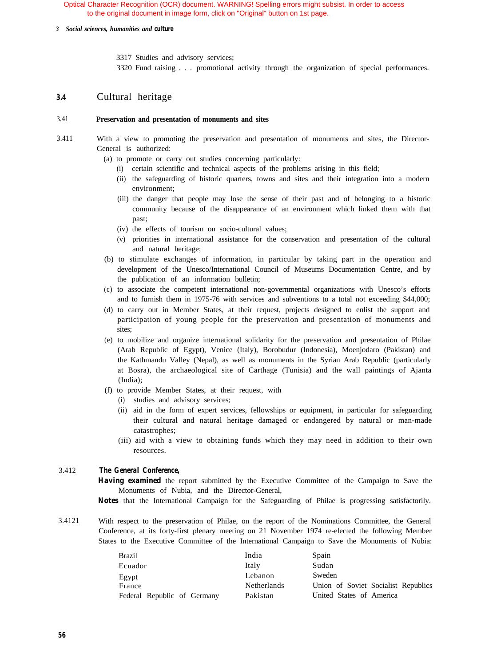### *3 Social sciences, humanities and culture*

3317 Studies and advisory services;

3320 Fund raising . . . promotional activity through the organization of special performances.

# *3.4* Cultural heritage

### 3.41 **Preservation and presentation of monuments and sites**

- 3.411 With a view to promoting the preservation and presentation of monuments and sites, the Director-General is authorized:
	- (a) to promote or carry out studies concerning particularly:
		- (i) certain scientific and technical aspects of the problems arising in this field;
		- (ii) the safeguarding of historic quarters, towns and sites and their integration into a modern environment;
		- (iii) the danger that people may lose the sense of their past and of belonging to a historic community because of the disappearance of an environment which linked them with that past;
		- (iv) the effects of tourism on socio-cultural values;
		- (v) priorities in international assistance for the conservation and presentation of the cultural and natural heritage;
	- (b) to stimulate exchanges of information, in particular by taking part in the operation and development of the Unesco/International Council of Museums Documentation Centre, and by the publication of an information bulletin;
	- (c) to associate the competent international non-governmental organizations with Unesco's efforts and to furnish them in 1975-76 with services and subventions to a total not exceeding \$44,000;
	- (d) to carry out in Member States, at their request, projects designed to enlist the support and participation of young people for the preservation and presentation of monuments and sites;
	- (e) to mobilize and organize international solidarity for the preservation and presentation of Philae (Arab Republic of Egypt), Venice (Italy), Borobudur (Indonesia), Moenjodaro (Pakistan) and the Kathmandu Valley (Nepal), as well as monuments in the Syrian Arab Republic (particularly at Bosra), the archaeological site of Carthage (Tunisia) and the wall paintings of Ajanta (India);
	- (f) to provide Member States, at their request, with
		- (i) studies and advisory services;
		- (ii) aid in the form of expert services, fellowships or equipment, in particular for safeguarding their cultural and natural heritage damaged or endangered by natural or man-made catastrophes;
		- (iii) aid with a view to obtaining funds which they may need in addition to their own resources.

# 3.412 *The General Conference,*

Having examined the report submitted by the Executive Committee of the Campaign to Save the Monuments of Nubia, and the Director-General,

*Notes* that the International Campaign for the Safeguarding of Philae is progressing satisfactorily.

3.4121 With respect to the preservation of Philae, on the report of the Nominations Committee, the General Conference, at its forty-first plenary meeting on 21 November 1974 re-elected the following Member States to the Executive Committee of the International Campaign to Save the Monuments of Nubia:

| Brazil                      | India       | Spain                               |
|-----------------------------|-------------|-------------------------------------|
| Ecuador                     | Italy       | Sudan                               |
| Egypt                       | Lebanon     | Sweden                              |
| France                      | Netherlands | Union of Soviet Socialist Republics |
| Federal Republic of Germany | Pakistan    | United States of America            |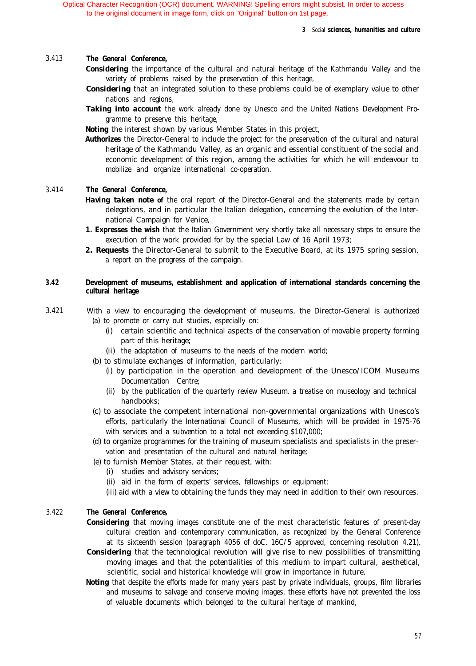# <span id="page-53-0"></span>3.413 *The General Conference,*

- *Considering* the importance of the cultural and natural heritage of the Kathmandu Valley and the variety of problems raised by the preservation of this heritage,
- **Considering** that an integrated solution to these problems could be of exemplary value to other nations and regions,
- Taking into account the work already done by Unesco and the United Nations Development Programme to preserve this heritage,

*Noting* the interest shown by various Member States in this project,

*Authorizes* the Director-General to include the project for the preservation of the cultural and natural heritage of the Kathmandu Valley, as an organic and essential constituent of the social and economic development of this region, among the activities for which he will endeavour to mobilize and organize international co-operation.

# 3.414 *The General Conference,*

- *Having taken note of* the oral report of the Director-General and the statements made by certain delegations, and in particular the Italian delegation, concerning the evolution of the International Campaign for Venice,
- *1. Expresses the wish* that the Italian Government very shortly take all necessary steps to ensure the execution of the work provided for by the special Law of 16 April 1973;
- *2. Requests* the Director-General to submit to the Executive Board, at its 1975 spring session, a report on the progress of the campaign.

# **3.42 Development of museums, establishment and application of international standards concerning the cultural heritage**

- 3.421 With a view to encouraging the development of museums, the Director-General is authorized (a) to promote or carry out studies, especially on:
	- (i) certain scientific and technical aspects of the conservation of movable property forming part of this heritage;
	- (ii) the adaptation of museums to the needs of the modern world;
	- (b) to stimulate exchanges of information, particularly:
		- (i) by participation in the operation and development of the Unesco/ICOM Museums Documentation Centre;
		- (ii) by the publication of the quarterly review *Museum,* a treatise on museology and technical handbooks;
	- (c) to associate the competent international non-governmental organizations with Unesco's efforts, particularly the International Council of Museums, which will be provided in 1975-76 with services and a subvention to a total not exceeding \$107,000;
	- (d) to organize programmes for the training of museum specialists and specialists in the preservation and presentation of the cultural and natural heritage;
	- (e) to furnish Member States, at their request, with:
		- (i) studies and advisory services;
		- (ii) aid in the form of experts' services, fellowships or equipment;
		- (iii) aid with a view to obtaining the funds they may need in addition to their own resources.

# 3.422 *The General Conference,*

- **Considering** that moving images constitute one of the most characteristic features of present-day cultural creation and contemporary communication, as recognized by the General Conference at its sixteenth session (paragraph 4056 of doC. 16C/5 approved, concerning resolution 4.21),
- **Considering** that the technological revolution will give rise to new possibilities of transmitting moving images and that the potentialities of this medium to impart cultural, aesthetical, scientific, social and historical knowledge will grow in importance in future,
- **Noting** that despite the efforts made for many years past by private individuals, groups, film libraries and museums to salvage and conserve moving images, these efforts have not prevented the loss of valuable documents which belonged to the cultural heritage of mankind,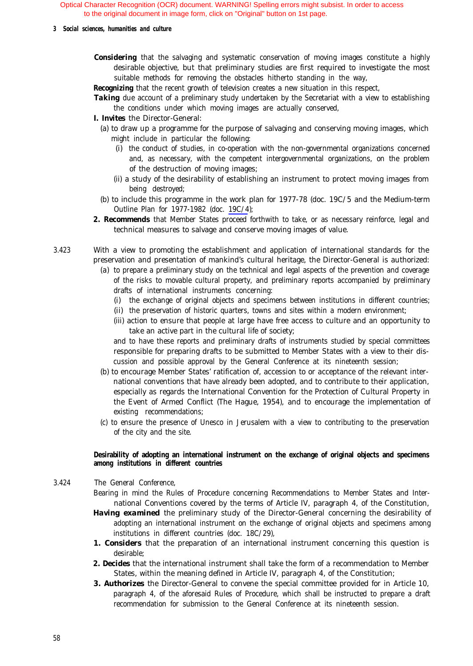### *3 Social sciences, humanities and culture*

**Considering** that the salvaging and systematic conservation of moving images constitute a highly desirable objective, but that preliminary studies are first required to investigate the most suitable methods for removing the obstacles hitherto standing in the way,

*Recognizing* that the recent growth of television creates a new situation in this respect,

- **Taking** due account of a preliminary study undertaken by the Secretariat with a view to establishing the conditions under which moving images are actually conserved,
- *I. Invites* the Director-General:
	- (a) to draw up a programme for the purpose of salvaging and conserving moving images, which might include in particular the following:
		- (i) the conduct of studies, in co-operation with the non-governmental organizations concerned and, as necessary, with the competent intergovernmental organizations, on the problem of the destruction of moving images;
		- (ii) a study of the desirability of establishing an instrument to protect moving images from being destroyed;
	- (b) to include this programme in the work plan for 1977-78 (doc. 19C/5 and the Medium-term Outline Plan for 1977-1982 (doc. 19C/4);
- 2. Recommends that Member States proceed forthwith to take, or as necessary reinforce, legal and technical measures to salvage and conserve moving images of value.
- 3.423 With a view to promoting the establishment and application of international standards for the preservation and presentation of mankind's cultural heritage, the Director-General is authorized:
	- (a) to prepare a preliminary study on the technical and legal aspects of the prevention and coverage of the risks to movable cultural property, and preliminary reports accompanied by preliminary drafts of international instruments concerning:
		- (i) the exchange of original objects and specimens between institutions in different countries;
		- (ii) the preservation of historic quarters, towns and sites within a modern environment;
		- (iii) action to ensure that people at large have free access to culture and an opportunity to take an active part in the cultural life of society;

and to have these reports and preliminary drafts of instruments studied by special committees responsible for preparing drafts to be submitted to Member States with a view to their discussion and possible approval by the General Conference at its nineteenth session;

- (b) to encourage Member States' ratification of, accession to or acceptance of the relevant international conventions that have already been adopted, and to contribute to their application, especially as regards the International Convention for the Protection of Cultural Property in the Event of Armed Conflict (The Hague, 1954), and to encourage the implementation of existing recommendations;
- (c) to ensure the presence of Unesco in Jerusalem with a view to contributing to the preservation of the city and the site.

# **Desirability of adopting an international instrument on the exchange of original objects and specimens among institutions in different countries**

- 3.424 The General Conference,
	- Bearing in mind the Rules of Procedure concerning Recommendations to Member States and International Conventions covered by the terms of Article IV, paragraph 4, of the Constitution,
	- *Having examined* the preliminary study of the Director-General concerning the desirability of adopting an international instrument on the exchange of original objects and specimens among institutions in different countries (doc. 18C/29),
	- 1. **Considers** that the preparation of an international instrument concerning this question is desirable;
	- *2. Decides* that the international instrument shall take the form of a recommendation to Member States, within the meaning defined in Article IV, paragraph 4, of the Constitution;
	- *3. Authorizes* the Director-General to convene the special committee provided for in Article 10, paragraph 4, of the aforesaid Rules of Procedure, which shall be instructed to prepare a draft recommendation for submission to the General Conference at its nineteenth session.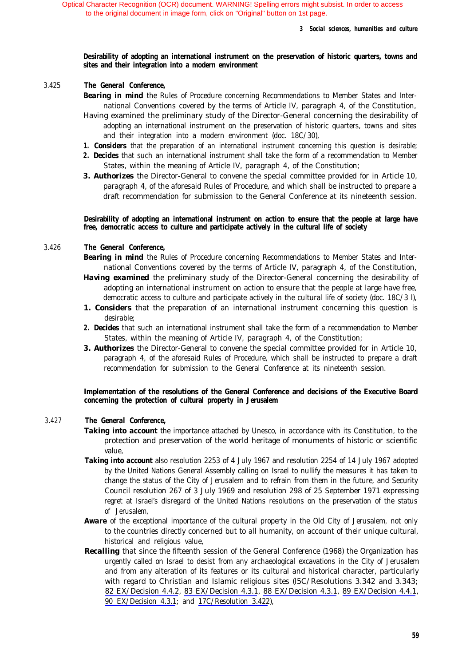*3 Social sciences, humanities and culture*

# **Desirability of adopting an international instrument on the preservation of historic quarters, towns and sites and their integration into a modern environment**

#### 3.425 *The General Conference,*

*Bearing in mind* the Rules of Procedure concerning Recommendations to Member States and International Conventions covered by the terms of Article IV, paragraph 4, of the Constitution,

- Having examined the preliminary study of the Director-General concerning the desirability of adopting an international instrument on the preservation of historic quarters, towns and sites and their integration into a modern environment (doc. 18C/30),
- *1. Considers* that the preparation of an international instrument concerning this question is desirable;
- *2. Decides* that such an international instrument shall take the form of a recommendation to Member States, within the meaning of Article IV, paragraph 4, of the Constitution;
- *3. Authorizes* the Director-General to convene the special committee provided for in Article 10, paragraph 4, of the aforesaid Rules of Procedure, and which shall be instructed to prepare a draft recommendation for submission to the General Conference at its nineteenth session.

# **Desirability of adopting an international instrument on action to ensure that the people at large have free, democratic access to culture and participate actively in the cultural life of society**

#### 3.426 *The General Conference,*

- *Bearing in mind* the Rules of Procedure concerning Recommendations to Member States and International Conventions covered by the terms of Article IV, paragraph 4, of the Constitution,
- *Having examined* the preliminary study of the Director-General concerning the desirability of adopting an international instrument on action to ensure that the people at large have free, democratic access to culture and participate actively in the cultural life of society (doc. 18C/3 l),
- 1. **Considers** that the preparation of an international instrument concerning this question is desirable;
- *2. Decides* that such an international instrument shall take the form of a recommendation to Member States, within the meaning of Article IV, paragraph 4, of the Constitution;
- *3. Authorizes* the Director-General to convene the special committee provided for in Article 10, paragraph 4, of the aforesaid Rules of Procedure, which shall be instructed to prepare a draft recommendation for submission to the General Conference at its nineteenth session.

# **Implementation of the resolutions of the General Conference and decisions of the Executive Board concerning the protection of cultural property in Jerusalem**

#### 3.427 *The General Conference,*

- Taking into account the importance attached by Unesco, in accordance with its Constitution, to the protection and preservation of the world heritage of monuments of historic or scientific value,
- *Taking into account* also resolution 2253 of 4 July 1967 and resolution 2254 of 14 July 1967 adopted by the United Nations General Assembly calling on Israel to nullify the measures it has taken to change the status of the City of Jerusalem and to refrain from them in the future, and Security Council resolution 267 of 3 July 1969 and resolution 298 of 25 September 1971 expressing regret at Israel's disregard of the United Nations resolutions on the preservation of the status of Jerusalem,
- *Aware* of the exceptional importance of the cultural property in the Old City of Jerusalem, not only to the countries directly concerned but to all humanity, on account of their unique cultural, historical and religious value,
- **Recalling** that since the fifteenth session of the General Conference (1968) the Organization has urgently called on Israel to desist from any archaeological excavations in the City of Jerusalem and from any alteration of its features or its cultural and historical character, particularly with regard to Christian and Islamic religious sites (l5C/Resolutions 3.342 and 3.343; 82 EX/Decision 4.4.2, 83 EX/Decision 4.3.1, 88 EX/Decision 4.3.1, 89 EX/Decision 4.4.1, 90 EX/Decision 4.3.1; and [17C/Resolution 3.422](#page-53-0)),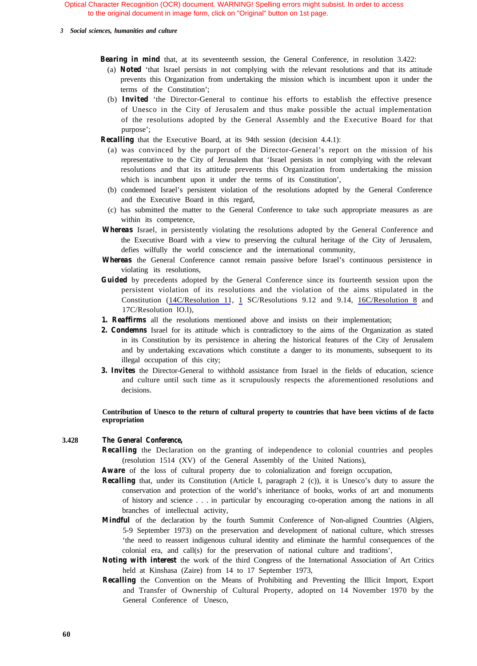### *3 Social sciences, humanities and culture*

- **Bearing in mind** that, at its seventeenth session, the General Conference, in resolution 3.422:
	- (a) *Noted* 'that Israel persists in not complying with the relevant resolutions and that its attitude prevents this Organization from undertaking the mission which is incumbent upon it under the terms of the Constitution';
	- (b) *Invited* 'the Director-General to continue his efforts to establish the effective presence of Unesco in the City of Jerusalem and thus make possible the actual implementation of the resolutions adopted by the General Assembly and the Executive Board for that purpose';

**Recalling** that the Executive Board, at its 94th session (decision 4.4.1):

- (a) was convinced by the purport of the Director-General's report on the mission of his representative to the City of Jerusalem that 'Israel persists in not complying with the relevant resolutions and that its attitude prevents this Organization from undertaking the mission which is incumbent upon it under the terms of its Constitution',
- (b) condemned Israel's persistent violation of the resolutions adopted by the General Conference and the Executive Board in this regard,
- (c) has submitted the matter to the General Conference to take such appropriate measures as are within its competence,
- *Whereas* Israel, in persistently violating the resolutions adopted by the General Conference and the Executive Board with a view to preserving the cultural heritage of the City of Jerusalem, defies wilfully the world conscience and the international community,
- *Whereas* the General Conference cannot remain passive before Israel's continuous persistence in violating its resolutions,
- **Guided** by precedents adopted by the General Conference since its fourteenth session upon the persistent violation of its resolutions and the violation of the aims stipulated in the Constitution (14C/Resolution 11, 1 SC/Resolutions 9.12 and 9.14, [16C/Resolution 8](#page-84-0) and 17C/Resolution lO.l),
- **1. Reaffirms** all the resolutions mentioned above and insists on their implementation;
- *2. Condemns* Israel for its attitude which is contradictory to the aims of the Organization as stated in its Constitution by its persistence in altering the historical features of the City of Jerusalem and by undertaking excavations which constitute a danger to its monuments, subsequent to its illegal occupation of this city;
- *3. Invites* the Director-General to withhold assistance from Israel in the fields of education, science and culture until such time as it scrupulously respects the aforementioned resolutions and decisions.

# **Contribution of Unesco to the return of cultural property to countries that have been victims of de facto expropriation**

#### **3.428** *The General Conference,*

- **Recalling** the Declaration on the granting of independence to colonial countries and peoples (resolution 1514 (XV) of the General Assembly of the United Nations),
- *Aware* of the loss of cultural property due to colonialization and foreign occupation,
- **Recalling** that, under its Constitution (Article I, paragraph 2 (c)), it is Unesco's duty to assure the conservation and protection of the world's inheritance of books, works of art and monuments of history and science . . . in particular by encouraging co-operation among the nations in all branches of intellectual activity,
- *Mindful* of the declaration by the fourth Summit Conference of Non-aligned Countries (Algiers, 5-9 September 1973) on the preservation and development of national culture, which stresses 'the need to reassert indigenous cultural identity and eliminate the harmful consequences of the colonial era, and call(s) for the preservation of national culture and traditions',
- *Noting with interest* the work of the third Congress of the International Association of Art Critics held at Kinshasa (Zaire) from 14 to 17 September 1973,
- *Recalling* the Convention on the Means of Prohibiting and Preventing the Illicit Import, Export and Transfer of Ownership of Cultural Property, adopted on 14 November 1970 by the General Conference of Unesco,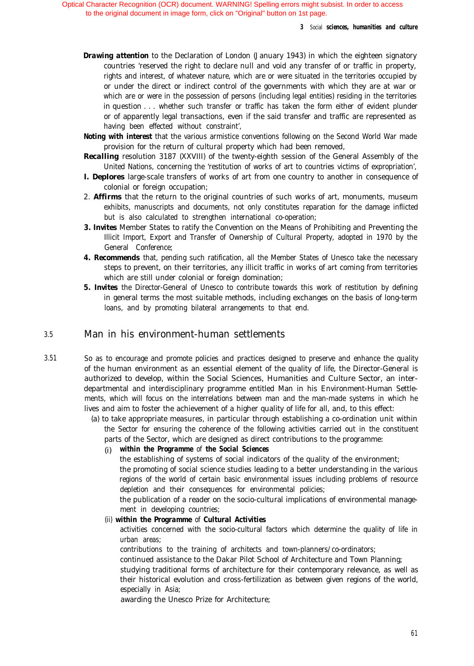- *Drawing attention* to the Declaration of London (January 1943) in which the eighteen signatory countries 'reserved the right to declare null and void any transfer of or traffic in property, rights and interest, of whatever nature, which are or were situated in the territories occupied by or under the direct or indirect control of the governments with which they are at war or which are or were in the possession of persons (including legal entities) residing in the territories in question . . . whether such transfer or traffic has taken the form either of evident plunder or of apparently legal transactions, even if the said transfer and traffic are represented as having been effected without constraint',
- *Noting with interest* that the various armistice conventions following on the Second World War made provision for the return of cultural property which had been removed,
- *Recalling* resolution 3187 (XXVIII) of the twenty-eighth session of the General Assembly of the United Nations, concerning the 'restitution of works of art to countries victims of expropriation',
- *I. DepIores* large-scale transfers of works of art from one country to another in consequence of colonial or foreign occupation;
- 2. *Affirms* that the return to the original countries of such works of art, monuments, museum exhibits, manuscripts and documents, not only constitutes reparation for the damage inflicted but is also calculated to strengthen international co-operation;
- *3. Invites* Member States to ratify the Convention on the Means of Prohibiting and Preventing the Illicit Import, Export and Transfer of Ownership of Cultural Property, adopted in 1970 by the General Conference;
- *4. Recommends* that, pending such ratification, all the Member States of Unesco take the necessary steps to prevent, on their territories, any illicit traffic in works of art coming from territories which are still under colonial or foreign domination;
- *5. Invites* the Director-General of Unesco to contribute towards this work of restitution by defining in general terms the most suitable methods, including exchanges on the basis of long-term loans, and by promoting bilateral arrangements to that end.

# 3.5 Man in his environment-human settlements

- 3.51 So as to encourage and promote policies and practices designed to preserve and enhance the quality of the human environment as an essential element of the quality of life, the Director-General is authorized to develop, within the Social Sciences, Humanities and Culture Sector, an interdepartmental and interdisciplinary programme entitled Man in his Environment-Human Settlements, which will focus on the interrelations between man and the man-made systems in which he lives and aim to foster the achievement of a higher quality of life for all, and, to this effect:
	- (a) to take appropriate measures, in particular through establishing a co-ordination unit within the Sector for ensuring the coherence of the following activities carried out in the constituent parts of the Sector, which are designed as direct contributions to the programme:

# (i) *within the Programme of the Social Sciences*

the establishing of systems of social indicators of the quality of the environment;

the promoting of social science studies leading to a better understanding in the various regions of the world of certain basic environmental issues including problems of resource depletion and their consequences for environmental policies;

the publication of a reader on the socio-cultural implications of environmental management in developing countries;

# (ii) *within the Programme of Cultural Activities*

activities concerned with the socio-cultural factors which determine the quality of life in urban areas;

contributions to the training of architects and town-planners/co-ordinators;

continued assistance to the Dakar Pilot School of Architecture and Town Planning;

studying traditional forms of architecture for their contemporary relevance, as well as their historical evolution and cross-fertilization as between given regions of the world, especially in Asia;

awarding the Unesco Prize for Architecture;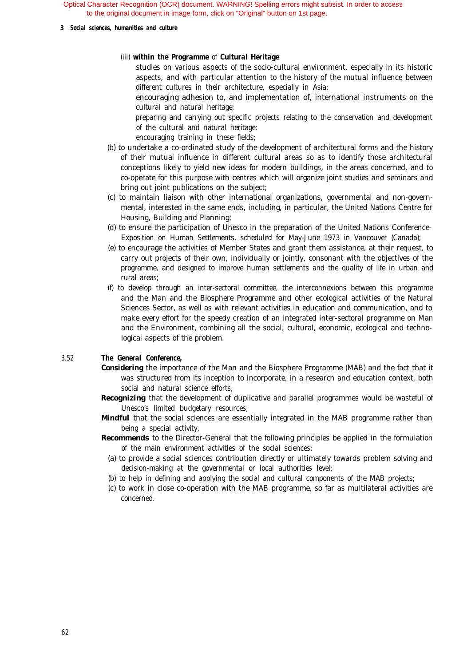### *3 Social sciences, humanities and culture*

# (iii) *within the Programme of Cultural Heritage*

studies on various aspects of the socio-cultural environment, especially in its historic aspects, and with particular attention to the history of the mutual influence between different cultures in their architecture, especially in Asia;

encouraging adhesion to, and implementation of, international instruments on the cultural and natural heritage;

preparing and carrying out specific projects relating to the conservation and development of the cultural and natural heritage;

encouraging training in these fields;

- (b) to undertake a co-ordinated study of the development of architectural forms and the history of their mutual influence in different cultural areas so as to identify those architectural conceptions likely to yield new ideas for modern buildings, in the areas concerned, and to co-operate for this purpose with centres which will organize joint studies and seminars and bring out joint publications on the subject;
- (c) to maintain liaison with other international organizations, governmental and non-governmental, interested in the same ends, including, in particular, the United Nations Centre for Housing, Building and Planning;
- (d) to ensure the participation of Unesco in the preparation of the United Nations Conference-Exposition on Human Settlements, scheduled for May-June 1973 in Vancouver (Canada);
- (e) to encourage the activities of Member States and grant them assistance, at their request, to carry out projects of their own, individually or jointly, consonant with the objectives of the programme, and designed to improve human settlements and the quality of life in urban and rural areas;
- (f) to develop through an inter-sectoral committee, the interconnexions between this programme and the Man and the Biosphere Programme and other ecological activities of the Natural Sciences Sector, as well as with relevant activities in education and communication, and to make every effort for the speedy creation of an integrated inter-sectoral programme on Man and the Environment, combining all the social, cultural, economic, ecological and technological aspects of the problem.

# 3.52 *The General Conference,*

- *Considering* the importance of the Man and the Biosphere Programme (MAB) and the fact that it was structured from its inception to incorporate, in a research and education context, both social and natural science efforts,
- **Recognizing** that the development of duplicative and parallel programmes would be wasteful of Unesco's limited budgetary resources,
- **Mindful** that the social sciences are essentially integrated in the MAB programme rather than being a special activity,
- *Recommends* to the Director-General that the following principles be applied in the formulation of the main environment activities of the social sciences:
	- (a) to provide a social sciences contribution directly or ultimately towards problem solving and decision-making at the governmental or local authorities level;
	- (b) to help in defining and applying the social and cultural components of the MAB projects;
	- (c) to work in close co-operation with the MAB programme, so far as multilateral activities are concerned.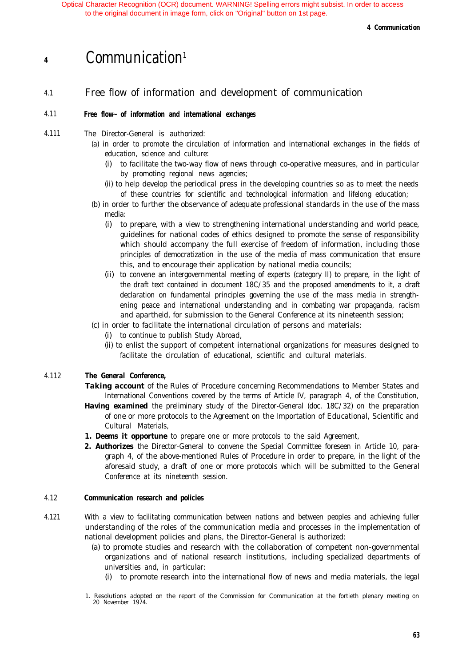### *4 Communication*

# *<sup>4</sup>* Communication1

# 4.1 Free flow of information and development of communication

# 4.11 **Free flow~ of information and international exchanges**

- 4.111 The Director-General is authorized:
	- (a) in order to promote the circulation of information and international exchanges in the fields of education, science and culture:
		- (i) to facilitate the two-way flow of news through co-operative measures, and in particular by promoting regional news agencies;
		- (ii) to help develop the periodical press in the developing countries so as to meet the needs of these countries for scientific and technological information and lifelong education;
	- (b) in order to further the observance of adequate professional standards in the use of the mass media:
		- (i) to prepare, with a view to strengthening international understanding and world peace, guidelines for national codes of ethics designed to promote the sense of responsibility which should accompany the full exercise of freedom of information, including those principles of democratization in the use of the media of mass communication that ensure this, and to encourage their application by national media councils;
		- (ii) to convene an intergovernmental meeting of experts (category II) to prepare, in the light of the draft text contained in document 18C/35 and the proposed amendments to it, a draft declaration on fundamental principles governing the use of the mass media in strengthening peace and international understanding and in combating war propaganda, racism and apartheid, for submission to the General Conference at its nineteenth session;
	- (c) in order to facilitate the international circulation of persons and materials:
		- (i) to continue to publish *Study Abroad,*
		- (ii) to enlist the support of competent international organizations for measures designed to facilitate the circulation of educational, scientific and cultural materials.

# 4.112 *The General Conference,*

- **Taking account** of the Rules of Procedure concerning Recommendations to Member States and International Conventions covered by the terms of Article IV, paragraph 4, of the Constitution,
- *Having examined* the preliminary study of the Director-General (doc. 18C/32) on the preparation of one or more protocols to the Agreement on the Importation of Educational, Scientific and Cultural Materials,
- *1. Deems it opportune* to prepare one or more protocols to the said Agreement,
- 2. **Authorizes** the Director-General to convene the Special Committee foreseen in Article 10, paragraph 4, of the above-mentioned Rules of Procedure in order to prepare, in the light of the aforesaid study, a draft of one or more protocols which will be submitted to the General Conference at its nineteenth session.

# 4.12 **Communication research and policies**

- 4.121 With a view to facilitating communication between nations and between peoples and achieving fuller understanding of the roles of the communication media and processes in the implementation of national development policies and plans, the Director-General is authorized:
	- (a) to promote studies and research with the collaboration of competent non-governmental organizations and of national research institutions, including specialized departments of universities and, in particular:
		- (i) to promote research into the international flow of news and media materials, the legal
	- 1. Resolutions adopted on the report of the Commission for Communication at the fortieth plenary meeting on 20 November 1974.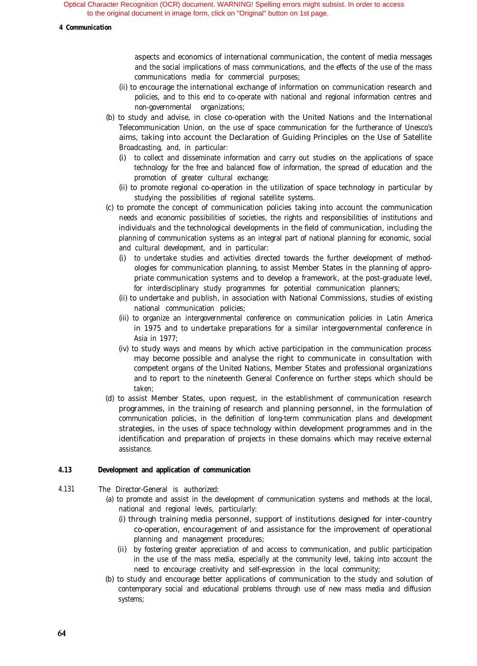### *4 Communication*

aspects and economics of international communication, the content of media messages and the social implications of mass communications, and the effects of the use of the mass communications media for commercial purposes;

- (ii) to encourage the international exchange of information on communication research and policies, and to this end to co-operate with national and regional information centres and non-governmental organizations;
- (b) to study and advise, in close co-operation with the United Nations and the International Telecommunication Union, on the use of space communication for the furtherance of Unesco's aims, taking into account the Declaration of Guiding Principles on the Use of Satellite Broadcasting, and, in particular:
	- (i) to collect and disseminate information and carry out studies on the applications of space technology for the free and balanced flow of information, the spread of education and the promotion of greater cultural exchange;
	- (ii) to promote regional co-operation in the utilization of space technology in particular by studying the possibilities of regional satellite systems.
- (c) to promote the concept of communication policies taking into account the communication needs and economic possibilities of societies, the rights and responsibilities of institutions and individuals and the technological developments in the field of communication, including the planning of communication systems as an integral part of national planning for economic, social and cultural development, and in particular:
	- (i) to undertake studies and activities directed towards the further development of methodologies for communication planning, to assist Member States in the planning of appropriate communication systems and to develop a framework, at the post-graduate level, for interdisciplinary study programmes for potential communication planners;
	- (ii) to undertake and publish, in association with National Commissions, studies of existing national communication policies;
	- (iii) to organize an intergovernmental conference on communication policies in Latin America in 1975 and to undertake preparations for a similar intergovernmental conference in Asia in 1977;
	- (iv) to study ways and means by which active participation in the communication process may become possible and analyse the right to communicate in consultation with competent organs of the United Nations, Member States and professional organizations and to report to the nineteenth General Conference on further steps which should be taken;
- (d) to assist Member States, upon request, in the establishment of communication research programmes, in the training of research and planning personnel, in the formulation of communication policies, in the definition of long-term communication plans and development strategies, in the uses of space technology within development programmes and in the identification and preparation of projects in these domains which may receive external assistance.

# **4.13 Development and application of communication**

- 4.131 The Director-General is authorized:
	- (a) to promote and assist in the development of communication systems and methods at the local, national and regional levels, particularly:
		- (i) through training media personnel, support of institutions designed for inter-country co-operation, encouragement of and assistance for the improvement of operational planning and management procedures;
		- (ii) by fostering greater appreciation of and access to communication, and public participation in the use of the mass media, especially at the community level, taking into account the need to encourage creativity and self-expression in the local community;
	- (b) to study and encourage better applications of communication to the study and solution of contemporary social and educational problems through use of new mass media and diffusion systems;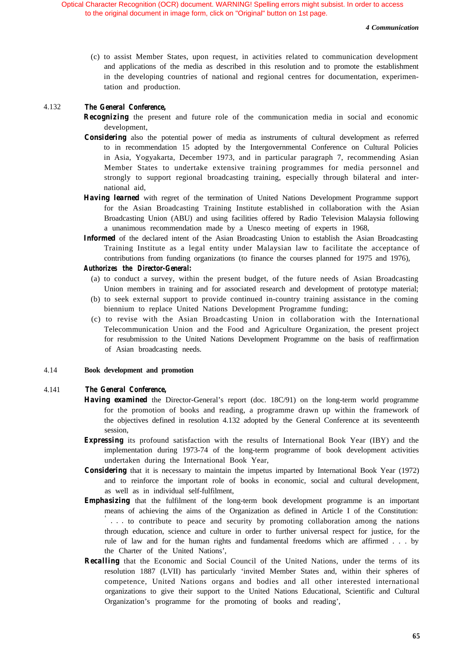(c) to assist Member States, upon request, in activities related to communication development and applications of the media as described in this resolution and to promote the establishment in the developing countries of national and regional centres for documentation, experimentation and production.

# 4.132 *The General Conference,*

- **Recognizing** the present and future role of the communication media in social and economic development,
- **Considering** also the potential power of media as instruments of cultural development as referred to in recommendation 15 adopted by the Intergovernmental Conference on Cultural Policies in Asia, Yogyakarta, December 1973, and in particular paragraph 7, recommending Asian Member States to undertake extensive training programmes for media personnel and strongly to support regional broadcasting training, especially through bilateral and international aid,
- *Having learned* with regret of the termination of United Nations Development Programme support for the Asian Broadcasting Training Institute established in collaboration with the Asian Broadcasting Union (ABU) and using facilities offered by Radio Television Malaysia following a unanimous recommendation made by a Unesco meeting of experts in 1968,
- *Informed* of the declared intent of the Asian Broadcasting Union to establish the Asian Broadcasting Training Institute as a legal entity under Malaysian law to facilitate the acceptance of contributions from funding organizations (to finance the courses planned for 1975 and 1976),

# *Authorizes the Director-General:*

- (a) to conduct a survey, within the present budget, of the future needs of Asian Broadcasting Union members in training and for associated research and development of prototype material;
- (b) to seek external support to provide continued in-country training assistance in the coming biennium to replace United Nations Development Programme funding;
- (c) to revise with the Asian Broadcasting Union in collaboration with the International Telecommunication Union and the Food and Agriculture Organization, the present project for resubmission to the United Nations Development Programme on the basis of reaffirmation of Asian broadcasting needs.

# 4.14 **Book development and promotion**

# 4.141 *The General Conference,*

- *Having examined* the Director-General's report (doc. 18C/91) on the long-term world programme for the promotion of books and reading, a programme drawn up within the framework of the objectives defined in resolution 4.132 adopted by the General Conference at its seventeenth session,
- *Expressing* its profound satisfaction with the results of International Book Year (IBY) and the implementation during 1973-74 of the long-term programme of book development activities undertaken during the International Book Year,
- **Considering** that it is necessary to maintain the impetus imparted by International Book Year (1972) and to reinforce the important role of books in economic, social and cultural development, as well as in individual self-fulfilment,
- **Emphasizing** that the fulfilment of the long-term book development programme is an important means of achieving the aims of the Organization as defined in Article I of the Constitution: ' . . . to contribute to peace and security by promoting collaboration among the nations through education, science and culture in order to further universal respect for justice, for the rule of law and for the human rights and fundamental freedoms which are affirmed . . . by the Charter of the United Nations',
- *Recalling* that the Economic and Social Council of the United Nations, under the terms of its resolution 1887 (LVII) has particularly 'invited Member States and, within their spheres of competence, United Nations organs and bodies and all other interested international organizations to give their support to the United Nations Educational, Scientific and Cultural Organization's programme for the promoting of books and reading',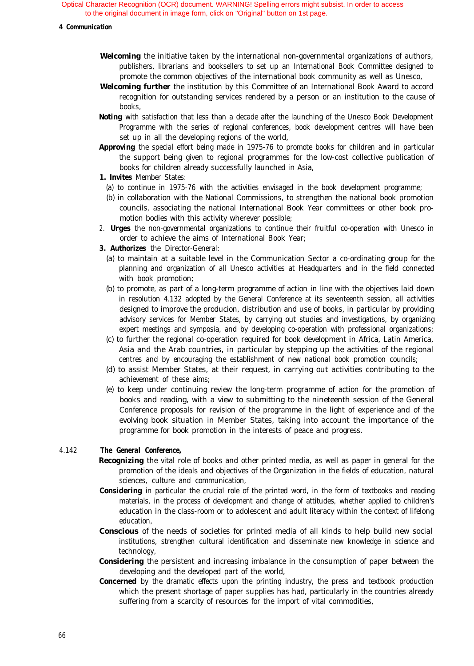### *4 Communication*

- **Welcoming** the initiative taken by the international non-governmental organizations of authors, publishers, librarians and booksellers to set up an International Book Committee designed to promote the common objectives of the international book community as well as Unesco,
- *Welcoming further* the institution by this Committee of an International Book Award to accord recognition for outstanding services rendered by a person or an institution to the cause of books,
- **Noting** with satisfaction that less than a decade after the launching of the Unesco Book Development Programme with the series of regional conferences, book development centres will have been set up in all the developing regions of the world,
- *Approving* the special effort being made in 1975-76 to promote books for children and in particular the support being given to regional programmes for the low-cost collective publication of books for children already successfully launched in Asia,
- *1. Invites* Member States:
	- (a) to continue in 1975-76 with the activities envisaged in the book development programme;
	- (b) in collaboration with the National Commissions, to strengthen the national book promotion councils, associating the national International Book Year committees or other book promotion bodies with this activity wherever possible;
- 2. *Urges* the non-governmental organizations to continue their fruitful co-operation with Unesco in order to achieve the aims of International Book Year;
- *3. Authorizes* the Director-General:
	- (a) to maintain at a suitable level in the Communication Sector a co-ordinating group for the planning and organization of all Unesco activities at Headquarters and in the field connected with book promotion;
	- (b) to promote, as part of a long-term programme of action in line with the objectives laid down in resolution 4.132 adopted by the General Conference at its seventeenth session, all activities designed to improve the producion, distribution and use of books, in particular by providing advisory services for Member States, by carrying out studies and investigations, by organizing expert meetings and symposia, and by developing co-operation with professional organizations;
	- (c) to further the regional co-operation required for book development in Africa, Latin America, Asia and the Arab countries, in particular by stepping up the activities of the regional centres and by encouraging the establishment of new national book promotion councils;
	- (d) to assist Member States, at their request, in carrying out activities contributing to the achievement of these aims;
	- (e) to keep under continuing review the long-term programme of action for the promotion of books and reading, with a view to submitting to the nineteenth session of the General Conference proposals for revision of the programme in the light of experience and of the evolving book situation in Member States, taking into account the importance of the programme for book promotion in the interests of peace and progress.

# 4.142 *The GeneraI Conference,*

- *Recognizing* the vital role of books and other printed media, as well as paper in general for the promotion of the ideals and objectives of the Organization in the fields of education, natural sciences, culture and communication,
- **Considering** in particular the crucial role of the printed word, in the form of textbooks and reading materials, in the process of development and change of attitudes, whether applied to children's education in the class-room or to adolescent and adult literacy within the context of lifelong education,
- *Conscious* of the needs of societies for printed media of all kinds to help build new social institutions, strengthen cultural identification and disseminate new knowledge in science and technology,
- **Considering** the persistent and increasing imbalance in the consumption of paper between the developing and the developed part of the world,
- **Concerned** by the dramatic effects upon the printing industry, the press and textbook production which the present shortage of paper supplies has had, particularly in the countries already suffering from a scarcity of resources for the import of vital commodities,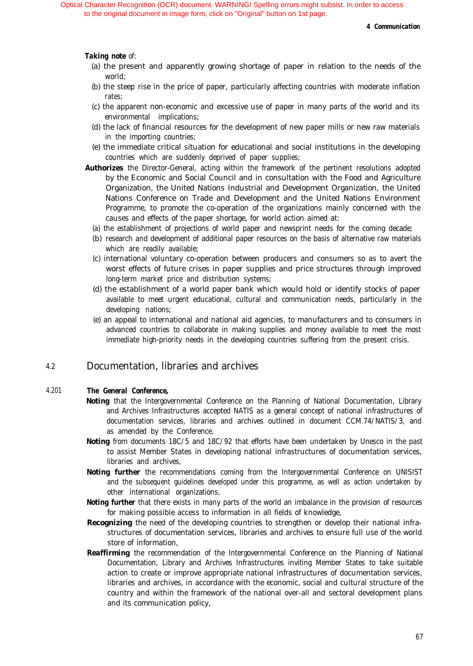### *4 Communication*

### *Taking note of:*

- (a) the present and apparently growing shortage of paper in relation to the needs of the world;
- (b) the steep rise in the price of paper, particularly affecting countries with moderate inflation rates;
- (c) the apparent non-economic and excessive use of paper in many parts of the world and its environmental implications;
- (d) the lack of financial resources for the development of new paper mills or new raw materials in the importing countries;
- (e) the immediate critical situation for educational and social institutions in the developing countries which are suddenly deprived of paper supplies;
- Authorizes the Director-General, acting within the framework of the pertinent resolutions adopted by the Economic and Social Council and in consultation with the Food and Agriculture Organization, the United Nations Industrial and Development Organization, the United Nations Conference on Trade and Development and the United Nations Environment Programme, to promote the co-operation of the organizations mainly concerned with the causes and effects of the paper shortage, for world action aimed at:
	- (a) the establishment of projections of world paper and newsprint needs for the coming decade;
	- (b) research and development of additional paper resources on the basis of alternative raw materials which are readily available;
	- (c) international voluntary co-operation between producers and consumers so as to avert the worst effects of future crises in paper supplies and price structures through improved long-term market price and distribution systems;
	- (d) the establishment of a world paper bank which would hold or identify stocks of paper available to meet urgent educational, cultural and communication needs, particularly in the developing nations;
	- (e) an appeal to international and national aid agencies, to manufacturers and to consumers in advanced countries to collaborate in making supplies and money available to meet the most immediate high-priority needs in the developing countries suffering from the present crisis.

# 4.2 Documentation, libraries and archives

### 4.201 *The General Conference,*

- *Noting* that the Intergovernmental Conference on the Planning of National Documentation, Library and Archives Infrastructures accepted NATIS as a general concept of national infrastructures of documentation services, libraries and archives outlined in document CCM.74/NATIS/3, and as amended by the Conference,
- **Noting** from documents 18C/5 and 18C/92 that efforts have been undertaken by Unesco in the past to assist Member States in developing national infrastructures of documentation services, libraries and archives,
- **Noting further** the recommendations coming from the Intergovernmental Conference on UNISIST and the subsequent guidelines developed under this programme, as well as action undertaken by other international organizations,
- **Noting further** that there exists in many parts of the world an imbalance in the provision of resources for making possible access to information in all fields of knowledge,
- **Recognizing** the need of the developing countries to strengthen or develop their national infrastructures of documentation services, libraries and archives to ensure full use of the world store of information,
- **Reaffirming** the recommendation of the Intergovernmental Conference on the Planning of National Documentation, Library and Archives Infrastructures inviting Member States to take suitable action to create or improve appropriate national infrastructures of documentation services, libraries and archives, in accordance with the economic, social and cultural structure of the country and within the framework of the national over-all and sectoral development plans and its communication policy,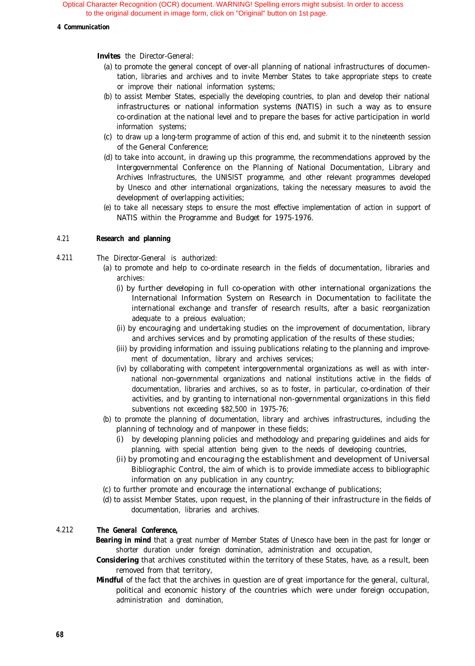### *4 Communication*

*Invites* the Director-General:

- (a) to promote the general concept of over-all planning of national infrastructures of documentation, libraries and archives and to invite Member States to take appropriate steps to create or improve their national information systems;
- (b) to assist Member States, especially the developing countries, to plan and develop their national infrastructures or national information systems (NATIS) in such a way as to ensure co-ordination at the national level and to prepare the bases for active participation in world information systems;
- (c) to draw up a long-term programme of action of this end, and submit it to the nineteenth session of the General Conference;
- (d) to take into account, in drawing up this programme, the recommendations approved by the Intergovernmental Conference on the Planning of National Documentation, Library and Archives Infrastructures, the UNISIST programme, and other relevant programmes developed by Unesco and other international organizations, taking the necessary measures to avoid the development of overlapping activities;
- (e) to take all necessary steps to ensure the most effective implementation of action in support of NATIS within the Programme and Budget for 1975-1976.

# 4.21 **Research and planning**

- 4.211 The Director-General is authorized:
	- (a) to promote and help to co-ordinate research in the fields of documentation, libraries and archives:
		- (i) by further developing in full co-operation with other international organizations the International Information System on Research in Documentation to facilitate the international exchange and transfer of research results, after a basic reorganization adequate to a preious evaluation;
		- (ii) by encouraging and undertaking studies on the improvement of documentation, library and archives services and by promoting application of the results of these studies;
		- (iii) by providing information and issuing publications relating to the planning and improvement of documentation, library and archives services;
		- (iv) by collaborating with competent intergovernmental organizations as well as with international non-governmental organizations and national institutions active in the fields of documentation, libraries and archives, so as to foster, in particular, co-ordination of their activities, and by granting to international non-governmental organizations in this field subventions not exceeding \$82,500 in 1975-76;
	- (b) to promote the planning of documentation, library and archives infrastructures, including the planning of technology and of manpower in these fields;
		- (i) by developing planning policies and methodology and preparing guidelines and aids for planning, with special attention being given to the needs of developing countries,
		- (ii) by promoting and encouraging the establishment and development of Universal Bibliographic Control, the aim of which is to provide immediate access to bibliographic information on any publication in any country;
	- (c) to further promote and encourage the international exchange of publications;
	- (d) to assist Member States, upon request, in the planning of their infrastructure in the fields of documentation, libraries and archives.

# 4.212 *The General Conference,*

- *Bearing in mind* that a great number of Member States of Unesco have been in the past for longer or shorter duration under foreign domination, administration and occupation,
- **Considering** that archives constituted within the territory of these States, have, as a result, been removed from that territory,
- *Mindful* of the fact that the archives in question are of great importance for the general, cultural, political and economic history of the countries which were under foreign occupation, administration and domination,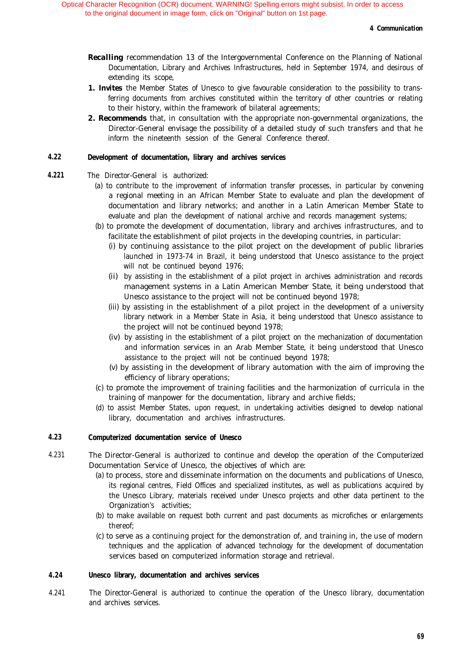- **Recalling** recommendation 13 of the Intergovernmental Conference on the Planning of National Documentation, Library and Archives Infrastructures, held in September 1974, and desirous of extending its scope,
- *1. Invites* the Member States of Unesco to give favourable consideration to the possibility to transferring documents from archives constituted within the territory of other countries or relating to their history, within the framework of bilateral agreements;
- *2. Recommends* that, in consultation with the appropriate non-governmental organizations, the Director-General envisage the possibility of a detailed study of such transfers and that he inform the nineteenth session of the General Conference thereof.

# **4.22 Development of documentation, library and archives services**

# **4.221** The Director-General is authorized:

- (a) to contribute to the improvement of information transfer processes, in particular by convening a regional meeting in an African Member State to evaluate and plan the development of documentation and library networks; and another in a Latin American Member State to evaluate and plan the development of national archive and records management systems;
- (b) to promote the development of documentation, library and archives infrastructures, and to facilitate the establishment of pilot projects in the developing countries, in particular:
	- (i) by continuing assistance to the pilot project on the development of public libraries launched in 1973-74 in Brazil, it being understood that Unesco assistance to the project will not be continued beyond 1976;
	- (ii) by assisting in the establishment of a pilot project in archives administration and records management systems in a Latin American Member State, it being understood that Unesco assistance to the project will not be continued beyond 1978;
	- (iii) by assisting in the establishment of a pilot project in the development of a university library network in a Member State in Asia, it being understood that Unesco assistance to the project will not be continued beyond 1978;
	- (iv) by assisting in the establishment of a pilot project on the mechanization of documentation and information services in an Arab Member State, it being understood that Unesco assistance to the project will not be continued beyond 1978;
	- (v) by assisting in the development of library automation with the aim of improving the efficiency of library operations;
- (c) to promote the improvement of training facilities and the harmonization of curricula in the training of manpower for the documentation, library and archive fields;
- (d) to assist Member States, upon request, in undertaking activities designed to develop national library, documentation and archives infrastructures.

# **4.23 Computerized documentation service of Unesco**

- 4.231 The Director-General is authorized to continue and develop the operation of the Computerized Documentation Service of Unesco, the objectives of which are:
	- (a) to process, store and disseminate information on the documents and publications of Unesco, its regional centres, Field Offices and specialized institutes, as well as publications acquired by the Unesco Library, materials received under Unesco projects and other data pertinent to the Organization's activities;
	- (b) to make available on request both current and past documents as microfiches or enlargements thereof;
	- (c) to serve as a continuing project for the demonstration of, and training in, the use of modern techniques and the application of advanced technology for the development of documentation services based on computerized information storage and retrieval.

#### **4.24 Unesco library, documentation and archives services**

4.241 The Director-General is authorized to continue the operation of the Unesco library, documentation and archives services.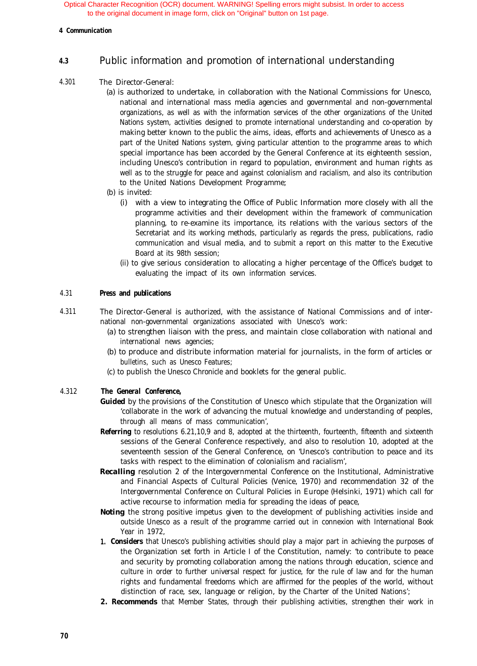### *4 Communication*

# *4.3* Public information and promotion of international understanding

- 4.301 The Director-General:
	- (a) is authorized to undertake, in collaboration with the National Commissions for Unesco, national and international mass media agencies and governmental and non-governmental organizations, as well as with the information services of the other organizations of the United Nations system, activities designed to promote international understanding and co-operation by making better known to the public the aims, ideas, efforts and achievements of Unesco as a part of the United Nations system, giving particular attention to the programme areas to which special importance has been accorded by the General Conference at its eighteenth session, including Unesco's contribution in regard to population, environment and human rights as well as to the struggle for peace and against colonialism and racialism, and also its contribution to the United Nations Development Programme;
	- (b) is invited:
		- (i) with a view to integrating the Office of Public Information more closely with all the programme activities and their development within the framework of communication planning, to re-examine its importance, its relations with the various sectors of the Secretariat and its working methods, particularly as regards the press, publications, radio communication and visual media, and to submit a report on this matter to the Executive Board at its 98th session;
		- (ii) to give serious consideration to allocating a higher percentage of the Office's budget to evaluating the impact of its own information services.

# 4.31 **Press and publications**

- 4.311 The Director-General is authorized, with the assistance of National Commissions and of international non-governmental organizations associated with Unesco's work:
	- (a) to strengthen liaison with the press, and maintain close collaboration with national and international news agencies;
	- (b) to produce and distribute information material for journalists, in the form of articles or bulletins, such as *Unesco Features;*
	- (c) to publish the *Unesco Chronicle* and booklets for the general public.

# 4.312 *The General Conference,*

- *Guided* by the provisions of the Constitution of Unesco which stipulate that the Organization will 'collaborate in the work of advancing the mutual knowledge and understanding of peoples, through all means of mass communication',
- *Referring* to resolutions 6.21,10,9 and 8, adopted at the thirteenth, fourteenth, fifteenth and sixteenth sessions of the General Conference respectively, and also to resolution 10, adopted at the seventeenth session of the General Conference, on 'Unesco's contribution to peace and its tasks with respect to the elimination of colonialism and racialism',
- **RecaIling** resolution 2 of the Intergovernmental Conference on the Institutional, Administrative and Financial Aspects of Cultural Policies (Venice, 1970) and recommendation 32 of the Intergovernmental Conference on Cultural Policies in Europe (Helsinki, 1971) which call for active recourse to information media for spreading the ideas of peace,
- **Noting** the strong positive impetus given to the development of publishing activities inside and outside Unesco as a result of the programme carried out in connexion with International Book Year in 1972,
- *1. Considers* that Unesco's publishing activities should play a major part in achieving the purposes of the Organization set forth in Article I of the Constitution, namely: 'to contribute to peace and security by promoting collaboration among the nations through education, science and culture in order to further universal respect for justice, for the rule of law and for the human rights and fundamental freedoms which are affirmed for the peoples of the world, without distinction of race, sex, language or religion, by the Charter of the United Nations';
- 2. Recommends that Member States, through their publishing activities, strengthen their work in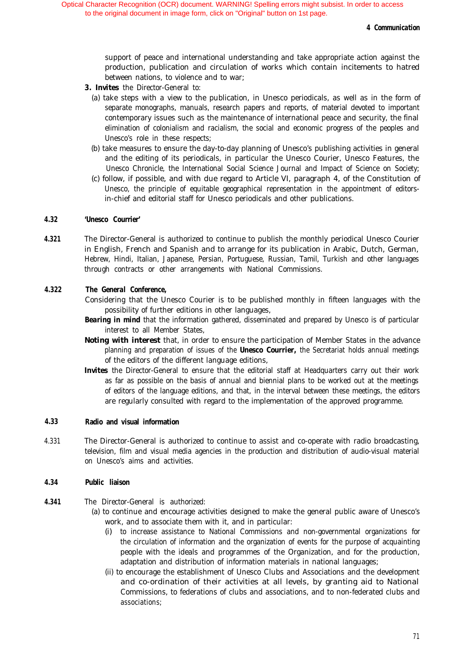support of peace and international understanding and take appropriate action against the production, publication and circulation of works which contain incitements to hatred between nations, to violence and to war;

- *3. Invites* the Director-General to:
	- (a) take steps with a view to the publication, in Unesco periodicals, as well as in the form of separate monographs, manuals, research papers and reports, of material devoted to important contemporary issues such as the maintenance of international peace and security, the final elimination of colonialism and racialism, the social and economic progress of the peoples and Unesco's role in these respects;
	- (b) take measures to ensure the day-to-day planning of Unesco's publishing activities in general and the editing of its periodicals, in particular the Unesco Courier, Unesco Features, the Unesco Chronicle, the International Social Science Journal and Impact of Science on Society;
	- (c) follow, if possible, and with due regard to Article VI, paragraph 4, of the Constitution of Unesco, the principle of equitable geographical representation in the appointment of editorsin-chief and editorial staff for Unesco periodicals and other publications.

# **4.32 'Unesco Courrier'**

**4.321** The Director-General is authorized to continue to publish the monthly periodical Unesco Courier in English, French and Spanish and to arrange for its publication in Arabic, Dutch, German, Hebrew, Hindi, Italian, Japanese, Persian, Portuguese, Russian, Tamil, Turkish and other languages through contracts or other arrangements with National Commissions.

# **4.322** *The General Conference,*

- Considering that the Unesco Courier is to be published monthly in fifteen languages with the possibility of further editions in other languages,
- **Bearing in mind** that the information gathered, disseminated and prepared by Unesco is of particular interest to all Member States,
- *Noting with interest* that, in order to ensure the participation of Member States in the advance planning and preparation of issues of the *Unesco Courrier,* the Secretariat holds annual meetings of the editors of the different language editions,
- *Invites* the Director-General to ensure that the editorial staff at Headquarters carry out their work as far as possible on the basis of annual and biennial plans to be worked out at the meetings of editors of the language editions, and that, in the interval between these meetings, the editors are regularly consulted with regard to the implementation of the approved programme.

# **4.33 Radio and visual information**

4.331 The Director-General is authorized to continue to assist and co-operate with radio broadcasting, television, film and visual media agencies in the production and distribution of audio-visual material on Unesco's aims and activities.

# **4.34 Public liaison**

- **4.341** The Director-General is authorized:
	- (a) to continue and encourage activities designed to make the general public aware of Unesco's work, and to associate them with it, and in particular:
		- (i) to increase assistance to National Commissions and non-governmental organizations for the circulation of information and the organization of events for the purpose of acquainting people with the ideals and programmes of the Organization, and for the production, adaptation and distribution of information materials in national languages;
		- (ii) to encourage the establishment of Unesco Clubs and Associations and the development and co-ordination of their activities at all levels, by granting aid to National Commissions, to federations of clubs and associations, and to non-federated clubs and associations;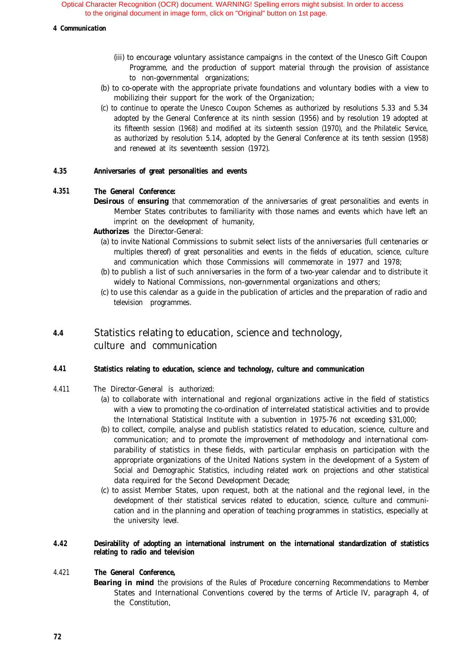### *4 Communication*

- (iii) to encourage voluntary assistance campaigns in the context of the Unesco Gift Coupon Programme, and the production of support material through the provision of assistance to non-governmental organizations;
- (b) to co-operate with the appropriate private foundations and voluntary bodies with a view to mobilizing their support for the work of the Organization;
- (c) to continue to operate the Unesco Coupon Schemes as authorized by resolutions 5.33 and 5.34 adopted by the General Conference at its ninth session (1956) and by resolution 19 adopted at its fifteenth session (1968) and modified at its sixteenth session (1970), and the Philatelic Service, as authorized by resolution 5.14, adopted by the General Conference at its tenth session (1958) and renewed at its seventeenth session (1972).

# **4.35 Anniversaries of great personalities and events**

# **4.351** *The General Conference:*

**Desirous** of **ensuring** that commemoration of the anniversaries of great personalities and events in Member States contributes to familiarity with those names and events which have left an imprint on the development of humanity,

# *Authorizes* the Director-General:

- (a) to invite National Commissions to submit select lists of the anniversaries (full centenaries or multiples thereof) of great personalities and events in the fields of education, science, culture and communication which those Commissions will commemorate in 1977 and 1978;
- (b) to publish a list of such anniversaries in the form of a two-year calendar and to distribute it widely to National Commissions, non-governmental organizations and others;
- (c) to use this calendar as a guide in the publication of articles and the preparation of radio and television programmes.

# **4.4** Statistics relating to education, science and technology, culture and communication

# **4.41 Statistics relating to education, science and technology, culture and communication**

- 4.411 The Director-General is authorized:
	- (a) to collaborate with international and regional organizations active in the field of statistics with a view to promoting the co-ordination of interrelated statistical activities and to provide the International Statistical Institute with a subvention in 1975-76 not exceeding \$31,000;
	- (b) to collect, compile, analyse and publish statistics related to education, science, culture and communication; and to promote the improvement of methodology and international comparability of statistics in these fields, with particular emphasis on participation with the appropriate organizations of the United Nations system in the development of a System of Social and Demographic Statistics, including related work on projections and other statistical data required for the Second Development Decade;
	- (c) to assist Member States, upon request, both at the national and the regional level, in the development of their statistical services related to education, science, culture and communication and in the planning and operation of teaching programmes in statistics, especially at the university level.

# **4.42 Desirability of adopting an international instrument on the international standardization of statistics relating to radio and television**

# 4.421 *The General Conference,*

**Bearing in mind** the provisions of the Rules of Procedure concerning Recommendations to Member States and International Conventions covered by the terms of Article IV, paragraph 4, of the Constitution,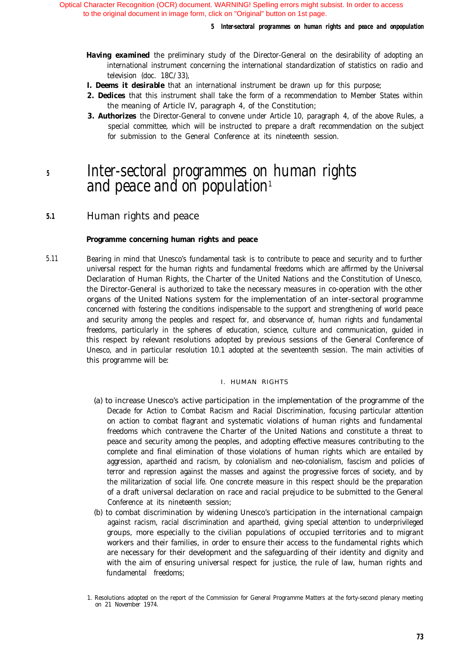- *Having examined* the preliminary study of the Director-General on the desirability of adopting an international instrument concerning the international standardization of statistics on radio and television (doc. 18C/33),
- *I. Deems it desirable* that an international instrument be drawn up for this purpose;
- *2. Dedices* that this instrument shall take the form of a recommendation to Member States within the meaning of Article IV, paragraph 4, of the Constitution;
- **3. Authorizes** the Director-General to convene under Article 10, paragraph 4, of the above Rules, a special committee, which will be instructed to prepare a draft recommendation on the subject for submission to the General Conference at its nineteenth session.

# *<sup>5</sup>* Inter-sectoral programmes on human rights and peace and on population $1$

**5.1** Human rights and peace

# **Programme concerning human rights and peace**

5.11 Bearing in mind that Unesco's fundamental task is to contribute to peace and security and to further universal respect for the human rights and fundamental freedoms which are affirmed by the Universal Declaration of Human Rights, the Charter of the United Nations and the Constitution of Unesco, the Director-General is authorized to take the necessary measures in co-operation with the other organs of the United Nations system for the implementation of an inter-sectoral programme concerned with fostering the conditions indispensable to the support and strengthening of world peace and security among the peoples and respect for, and observance of, human rights and fundamental freedoms, particularly in the spheres of education, science, culture and communication, guided in this respect by relevant resolutions adopted by previous sessions of the General Conference of Unesco, and in particular resolution 10.1 adopted at the seventeenth session. The main activities of this programme will be:

# I. HUMAN RIGHTS

- (a) to increase Unesco's active participation in the implementation of the programme of the Decade for Action to Combat Racism and Racial Discrimination, focusing particular attention on action to combat flagrant and systematic violations of human rights and fundamental freedoms which contravene the Charter of the United Nations and constitute a threat to peace and security among the peoples, and adopting effective measures contributing to the complete and final elimination of those violations of human rights which are entailed by aggression, apartheid and racism, by colonialism and neo-colonialism, fascism and policies of terror and repression against the masses and against the progressive forces of society, and by the militarization of social life. One concrete measure in this respect should be the preparation of a draft universal declaration on race and racial prejudice to be submitted to the General Conference at its nineteenth session;
- (b) to combat discrimination by widening Unesco's participation in the international campaign against racism, racial discrimination and apartheid, giving special attention to underprivileged groups, more especially to the civilian populations of occupied territories and to migrant workers and their families, in order to ensure their access to the fundamental rights which are necessary for their development and the safeguarding of their identity and dignity and with the aim of ensuring universal respect for justice, the rule of law, human rights and fundamental freedoms;

<sup>1.</sup> Resolutions adopted on the report of the Commission for General Programme Matters at the forty-second plenary meeting on 21 November 1974.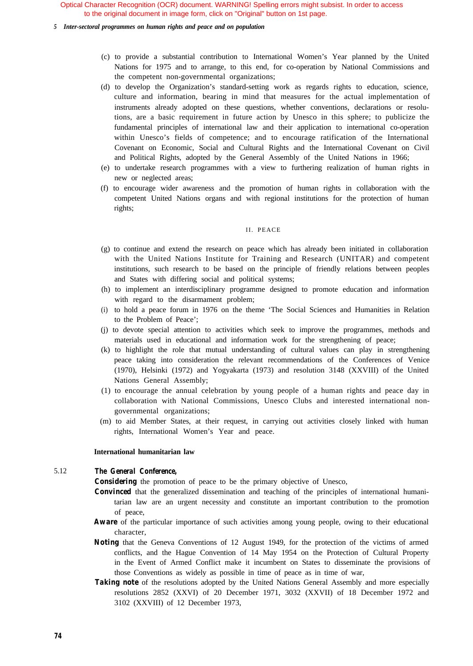### *5 Inter-sectoral programmes on human rights and peace and on population*

- (c) to provide a substantial contribution to International Women's Year planned by the United Nations for 1975 and to arrange, to this end, for co-operation by National Commissions and the competent non-governmental organizations;
- (d) to develop the Organization's standard-setting work as regards rights to education, science, culture and information, bearing in mind that measures for the actual implementation of instruments already adopted on these questions, whether conventions, declarations or resolutions, are a basic requirement in future action by Unesco in this sphere; to publicize the fundamental principles of international law and their application to international co-operation within Unesco's fields of competence; and to encourage ratification of the International Covenant on Economic, Social and Cultural Rights and the International Covenant on Civil and Political Rights, adopted by the General Assembly of the United Nations in 1966;
- (e) to undertake research programmes with a view to furthering realization of human rights in new or neglected areas;
- (f) to encourage wider awareness and the promotion of human rights in collaboration with the competent United Nations organs and with regional institutions for the protection of human rights;

# II. PEACE

- (g) to continue and extend the research on peace which has already been initiated in collaboration with the United Nations Institute for Training and Research (UNITAR) and competent institutions, such research to be based on the principle of friendly relations between peoples and States with differing social and political systems;
- (h) to implement an interdisciplinary programme designed to promote education and information with regard to the disarmament problem;
- (i) to hold a peace forum in 1976 on the theme 'The Social Sciences and Humanities in Relation to the Problem of Peace';
- (j) to devote special attention to activities which seek to improve the programmes, methods and materials used in educational and information work for the strengthening of peace;
- (k) to highlight the role that mutual understanding of cultural values can play in strengthening peace taking into consideration the relevant recommendations of the Conferences of Venice (1970), Helsinki (1972) and Yogyakarta (1973) and resolution 3148 (XXVIII) of the United Nations General Assembly;
- (1) to encourage the annual celebration by young people of a human rights and peace day in collaboration with National Commissions, Unesco Clubs and interested international nongovernmental organizations;
- (m) to aid Member States, at their request, in carrying out activities closely linked with human rights, International Women's Year and peace.

# **International humanitarian law**

#### 5.12 *The General Conference,*

*Considering* the promotion of peace to be the primary objective of Unesco,

- **Convinced** that the generalized dissemination and teaching of the principles of international humanitarian law are an urgent necessity and constitute an important contribution to the promotion of peace,
- **Aware** of the particular importance of such activities among young people, owing to their educational character,
- **Noting** that the Geneva Conventions of 12 August 1949, for the protection of the victims of armed conflicts, and the Hague Convention of 14 May 1954 on the Protection of Cultural Property in the Event of Armed Conflict make it incumbent on States to disseminate the provisions of those Conventions as widely as possible in time of peace as in time of war,
- Taking note of the resolutions adopted by the United Nations General Assembly and more especially resolutions 2852 (XXVI) of 20 December 1971, 3032 (XXVII) of 18 December 1972 and 3102 (XXVIII) of 12 December 1973,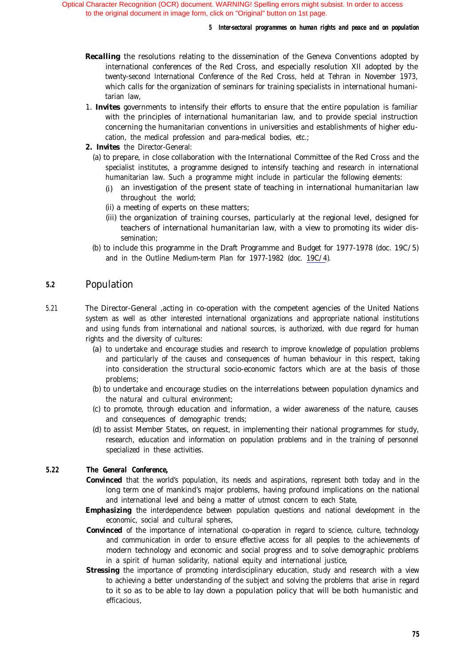# *5 Inter-sectoral programmes on human rights and peace and on population*

- **Recalling** the resolutions relating to the dissemination of the Geneva Conventions adopted by international conferences of the Red Cross, and especially resolution XII adopted by the twenty-second International Conference of the Red Cross, held at Tehran in November 1973, which calls for the organization of seminars for training specialists in international humanitarian law,
- 1. *Invites* governments to intensify their efforts to ensure that the entire population is familiar with the principles of international humanitarian law, and to provide special instruction concerning the humanitarian conventions in universities and establishments of higher education, the medical profession and para-medical bodies, etc.;
- *2. Invites* the Director-General:
	- (a) to prepare, in close collaboration with the International Committee of the Red Cross and the specialist institutes, a programme designed to intensify teaching and research in international humanitarian law. Such a programme might include in particular the following elements:
		- (i) an investigation of the present state of teaching in international humanitarian law throughout the world;
		- (ii) a meeting of experts on these matters;
		- (iii) the organization of training courses, particularly at the regional level, designed for teachers of international humanitarian law, with a view to promoting its wider dissemination;
	- (b) to include this programme in the Draft Programme and Budget for 1977-1978 (doc. 19C/5) and in the Outline Medium-term Plan for 1977-1982 (doc. 19C/4).

#### *5.2* Population

- 5.21 The Director-General ,acting in co-operation with the competent agencies of the United Nations system as well as other interested international organizations and appropriate national institutions and using funds from international and national sources, is authorized, with due regard for human rights and the diversity of cultures:
	- (a) to undertake and encourage studies and research to improve knowledge of population problems and particularly of the causes and consequences of human behaviour in this respect, taking into consideration the structural socio-economic factors which are at the basis of those problems;
	- (b) to undertake and encourage studies on the interrelations between population dynamics and the natural and cultural environment;
	- (c) to promote, through education and information, a wider awareness of the nature, causes and consequences of demographic trends;
	- (d) to assist Member States, on request, in implementing their national programmes for study, research, education and information on population problems and in the training of personnel specialized in these activities.

# *5.22 The General Conference,*

- *Convinced* that the world's population, its needs and aspirations, represent both today and in the long term one of mankind's major problems, having profound implications on the national and international level and being a matter of utmost concern to each State,
- **Emphasizing** the interdependence between population questions and national development in the economic, social and cultural spheres,
- **Convinced** of the importance of international co-operation in regard to science, culture, technology and communication in order to ensure effective access for all peoples to the achievements of modern technology and economic and social progress and to solve demographic problems in a spirit of human solidarity, national equity and international justice,
- **Stressing** the importance of promoting interdisciplinary education, study and research with a view to achieving a better understanding of the subject and solving the problems that arise in regard to it so as to be able to lay down a population policy that will be both humanistic and efficacious,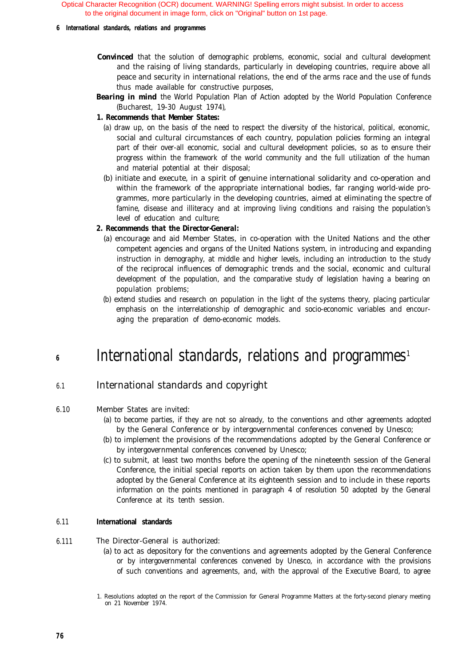## *6 International standards, relations and programmes*

- **Convinced** that the solution of demographic problems, economic, social and cultural development and the raising of living standards, particularly in developing countries, require above all peace and security in international relations, the end of the arms race and the use of funds thus made available for constructive purposes,
- **Bearing in mind** the World Population Plan of Action adopted by the World Population Conference (Bucharest, 19-30 August 1974),

# *1. Recommends that Member States:*

- (a) draw up, on the basis of the need to respect the diversity of the historical, political, economic, social and cultural circumstances of each country, population policies forming an integral part of their over-all economic, social and cultural development policies, so as to ensure their progress within the framework of the world community and the full utilization of the human and material potential at their disposal;
- (b) initiate and execute, in a spirit of genuine international solidarity and co-operation and within the framework of the appropriate international bodies, far ranging world-wide programmes, more particularly in the developing countries, aimed at eliminating the spectre of famine, disease and illiteracy and at improving living conditions and raising the population's level of education and culture;

# *2. Recommends that the Director-General:*

- (a) encourage and aid Member States, in co-operation with the United Nations and the other competent agencies and organs of the United Nations system, in introducing and expanding instruction in demography, at middle and higher levels, including an introduction to the study of the reciprocal influences of demographic trends and the social, economic and cultural development of the population, and the comparative study of legislation having a bearing on population problems;
- (b) extend studies and research on population in the light of the systems theory, placing particular emphasis on the interrelationship of demographic and socio-economic variables and encouraging the preparation of demo-economic models.

## **6** International standards, relations and programmes<sup>1</sup>

# 6.1 International standards and copyright

# 6.10 Member States are invited:

- (a) to become parties, if they are not so already, to the conventions and other agreements adopted by the General Conference or by intergovernmental conferences convened by Unesco;
- (b) to implement the provisions of the recommendations adopted by the General Conference or by intergovernmental conferences convened by Unesco;
- (c) to submit, at least two months before the opening of the nineteenth session of the General Conference, the initial special reports on action taken by them upon the recommendations adopted by the General Conference at its eighteenth session and to include in these reports information on the points mentioned in paragraph 4 of resolution 50 adopted by the General Conference at its tenth session.

## 6.11 **International standards**

- 6.111 The Director-General is authorized:
	- (a) to act as depository for the conventions and agreements adopted by the General Conference or by intergovernmental conferences convened by Unesco, in accordance with the provisions of such conventions and agreements, and, with the approval of the Executive Board, to agree

<sup>1.</sup> Resolutions adopted on the report of the Commission for General Programme Matters at the forty-second plenary meeting on 21 November 1974.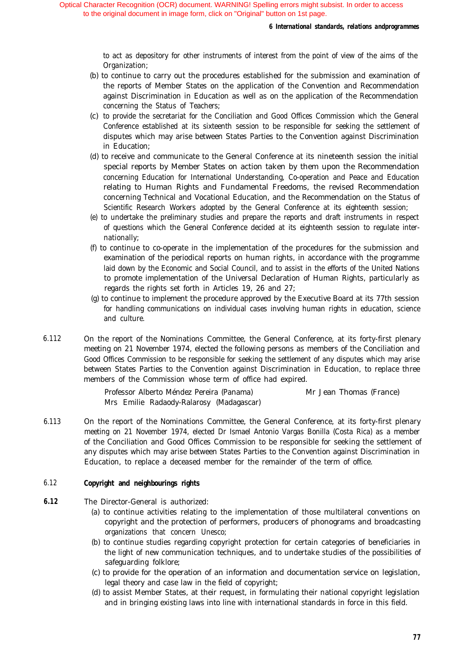to act as depository for other instruments of interest from the point of view of the aims of the Organization;

- (b) to continue to carry out the procedures established for the submission and examination of the reports of Member States on the application of the Convention and Recommendation against Discrimination in Education as well as on the application of the Recommendation concerning the Status of Teachers;
- (c) to provide the secretariat for the Conciliation and Good Offices Commission which the General Conference established at its sixteenth session to be responsible for seeking the settlement of disputes which may arise between States Parties to the Convention against Discrimination in Education;
- (d) to receive and communicate to the General Conference at its nineteenth session the initial special reports by Member States on action taken by them upon the Recommendation concerning Education for International Understanding, Co-operation and Peace and Education relating to Human Rights and Fundamental Freedoms, the revised Recommendation concerning Technical and Vocational Education, and the Recommendation on the Status of Scientific Research Workers adopted by the General Conference at its eighteenth session;
- (e) to undertake the preliminary studies and prepare the reports and draft instruments in respect of questions which the General Conference decided at its eighteenth session to regulate internationally;
- (f) to continue to co-operate in the implementation of the procedures for the submission and examination of the periodical reports on human rights, in accordance with the programme laid down by the Economic and Social Council, and to assist in the efforts of the United Nations to promote implementation of the Universal Declaration of Human Rights, particularly as regards the rights set forth in Articles 19, 26 and 27;
- (g) to continue to implement the procedure approved by the Executive Board at its 77th session for handling communications on individual cases involving human rights in education, science and culture.
- 6.112 On the report of the Nominations Committee, the General Conference, at its forty-first plenary meeting on 21 November 1974, elected the following persons as members of the Conciliation and Good Offices Commission to be responsible for seeking the settlement of any disputes which may arise between States Parties to the Convention against Discrimination in Education, to replace three members of the Commission whose term of office had expired.

Professor Alberto Méndez Pereira (Panama) Mr Jean Thomas (France) Mrs Emilie Radaody-Ralarosy (Madagascar)

6.113 On the report of the Nominations Committee, the General Conference, at its forty-first plenary meeting on 21 November 1974, elected Dr Ismael Antonio Vargas Bonilla (Costa Rica) as a member of the Conciliation and Good Offices Commission to be responsible for seeking the settlement of any disputes which may arise between States Parties to the Convention against Discrimination in Education, to replace a deceased member for the remainder of the term of office.

# 6.12 **Copyright and neighbourings rights**

- **6.12** The Director-General is authorized:
	- (a) to continue activities relating to the implementation of those multilateral conventions on copyright and the protection of performers, producers of phonograms and broadcasting organizations that concern Unesco;
	- (b) to continue studies regarding copyright protection for certain categories of beneficiaries in the light of new communication techniques, and to undertake studies of the possibilities of safeguarding folklore;
	- (c) to provide for the operation of an information and documentation service on legislation, legal theory and case law in the field of copyright;
	- (d) to assist Member States, at their request, in formulating their national copyright legislation and in bringing existing laws into line with international standards in force in this field.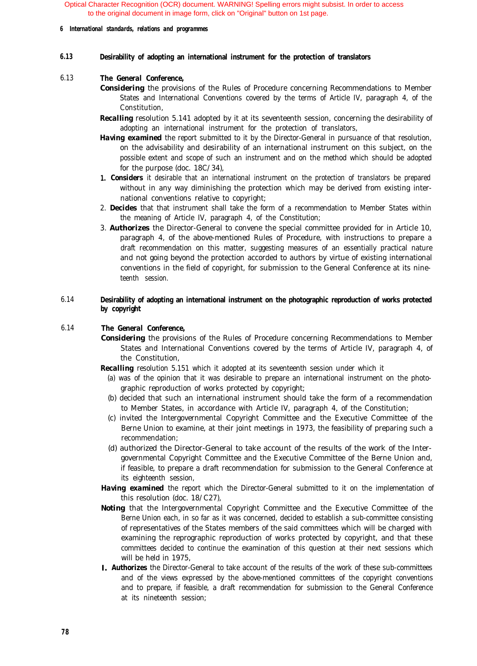## *6 International standards, relations and programmes*

# **6.13 Desirability of adopting an international instrument for the protection of translators**

# 6.13 *The General Conference,*

- *Considering* the provisions of the Rules of Procedure concerning Recommendations to Member States and International Conventions covered by the terms of Article IV, paragraph 4, of the Constitution,
	- *RecalIing* resolution 5.141 adopted by it at its seventeenth session, concerning the desirability of adopting an international instrument for the protection of translators,
	- *Having examined* the report submitted to it by the Director-General in pursuance of that resolution, on the advisability and desirability of an international instrument on this subject, on the possible extent and scope of such an instrument and on the method which should be adopted for the purpose (doc. 18C/34),
	- *1. Considers* it desirable that an international instrument on the protection of translators be prepared without in any way diminishing the protection which may be derived from existing international conventions relative to copyright;
	- 2. *Decides* that that instrument shall take the form of a recommendation to Member States within the meaning of Article IV, paragraph 4, of the Constitution;
	- 3. *Authorizes* the Director-General to convene the special committee provided for in Article 10, paragraph 4, of the above-mentioned Rules of Procedure, with instructions to prepare a draft recommendation on this matter, suggesting measures of an essentially practical nature and not going beyond the protection accorded to authors by virtue of existing international conventions in the field of copyright, for submission to the General Conference at its nineteenth session.

# 6.14 **Desirability of adopting an international instrument on the photographic reproduction of works protected by copyright**

# 6.14 *The General Conference,*

*Considering* the provisions of the Rules of Procedure concerning Recommendations to Member States and International Conventions covered by the terms of Article IV, paragraph 4, of the Constitution,

*Recalling* resolution 5.151 which it adopted at its seventeenth session under which it

- (a) was of the opinion that it was desirable to prepare an international instrument on the photographic reproduction of works protected by copyright;
- (b) decided that such an international instrument should take the form of a recommendation to Member States, in accordance with Article IV, paragraph 4, of the Constitution;
- (c) invited the Intergovernmental Copyright Committee and the Executive Committee of the Berne Union to examine, at their joint meetings in 1973, the feasibility of preparing such a recommendation;
- (d) authorized the Director-General to take account of the results of the work of the Intergovernmental Copyright Committee and the Executive Committee of the Berne Union and, if feasible, to prepare a draft recommendation for submission to the General Conference at its eighteenth session,
- **Having examined** the report which the Director-General submitted to it on the implementation of this resolution (doc. 18/C27),
- **Noting** that the Intergovernmental Copyright Committee and the Executive Committee of the Berne Union each, in so far as it was concerned, decided to establish a sub-committee consisting of representatives of the States members of the said committees which will be charged with examining the reprographic reproduction of works protected by copyright, and that these committees decided to continue the examination of this question at their next sessions which will be held in 1975,
- *I. Authorizes* the Director-General to take account of the results of the work of these sub-committees and of the views expressed by the above-mentioned committees of the copyright conventions and to prepare, if feasible, a draft recommendation for submission to the General Conference at its nineteenth session;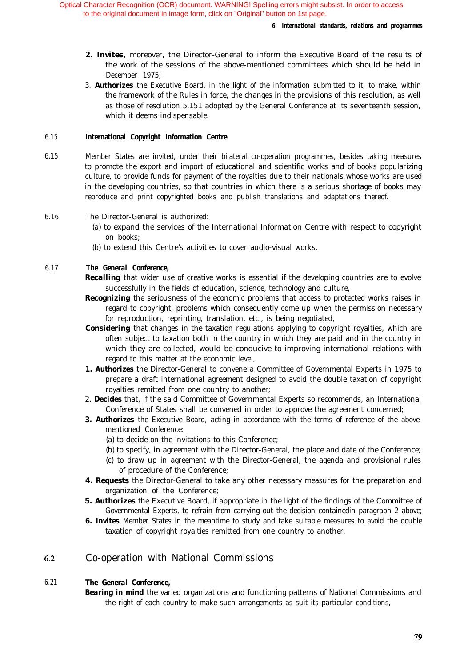- 2. **Invites**, moreover, the Director-General to inform the Executive Board of the results of the work of the sessions of the above-mentioned committees which should be held in December 1975;
- 3. *Authorizes* the Executive Board, in the light of the information submitted to it, to make, within the framework of the Rules in force, the changes in the provisions of this resolution, as well as those of resolution 5.151 adopted by the General Conference at its seventeenth session, which it deems indispensable.

# 6.15 **International Copyright Information Centre**

- 6.15 Member States are invited, under their bilateral co-operation programmes, besides taking measures to promote the export and import of educational and scientific works and of books popularizing culture, to provide funds for payment of the royalties due to their nationals whose works are used in the developing countries, so that countries in which there is a serious shortage of books may reproduce and print copyrighted books and publish translations and adaptations thereof.
- 6.16 The Director-General is authorized:
	- (a) to expand the services of the International Information Centre with respect to copyright on books;
	- (b) to extend this Centre's activities to cover audio-visual works.
- 6.17 *The General Conference,*
	- **Recalling** that wider use of creative works is essential if the developing countries are to evolve successfully in the fields of education, science, technology and culture,
	- *Recognizing* the seriousness of the economic problems that access to protected works raises in regard to copyright, problems which consequently come up when the permission necessary for reproduction, reprinting, translation, etc., is being negotiated,
	- **Considering** that changes in the taxation regulations applying to copyright royalties, which are often subject to taxation both in the country in which they are paid and in the country in which they are collected, would be conducive to improving international relations with regard to this matter at the economic level,
	- *1. Authorizes* the Director-General to convene a Committee of Governmental Experts in 1975 to prepare a draft international agreement designed to avoid the double taxation of copyright royalties remitted from one country to another;
	- 2. *Decides* that, if the said Committee of Governmental Experts so recommends, an International Conference of States shall be convened in order to approve the agreement concerned;
	- **3. Authorizes** the Executive Board, acting in accordance with the terms of reference of the abovementioned Conference:
		- (a) to decide on the invitations to this Conference;
		- (b) to specify, in agreement with the Director-General, the place and date of the Conference;
		- (c) to draw up in agreement with the Director-General, the agenda and provisional rules of procedure of the Conference;
	- *4. Requests* the Director-General to take any other necessary measures for the preparation and organization of the Conference;
	- *5. Authorizes* the Executive Board, if appropriate in the light of the findings of the Committee of Governmental Experts, to refrain from carrying out the decision containedin paragraph 2 above;
	- *6. Invites* Member States in the meantime to study and take suitable measures to avoid the double taxation of copyright royalties remitted from one country to another.

#### Co-operation with National Commissions  $6.2$

# 6.21 *The GeneraI Conference,*

*Bearing in mind* the varied organizations and functioning patterns of National Commissions and the right of each country to make such arrangements as suit its particular conditions,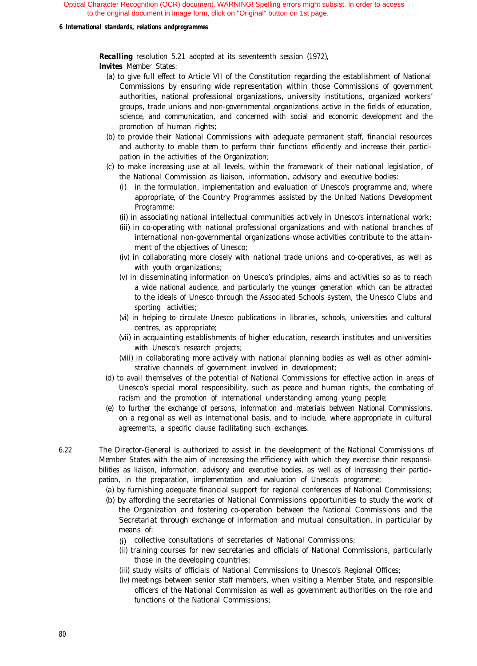## *6 International standards, relations andprogrammes*

*Recalling* resolution 5.21 adopted at its seventeenth session (1972),

- *Invites* Member States:
	- (a) to give full effect to Article VII of the Constitution regarding the establishment of National Commissions by ensuring wide representation within those Commissions of government authorities, national professional organizations, university institutions, organized workers' groups, trade unions and non-governmental organizations active in the fields of education, science, and communication, and concerned with social and economic development and the promotion of human rights;
	- (b) to provide their National Commissions with adequate permanent staff, financial resources and authority to enable them to perform their functions efficiently and increase their participation in the activities of the Organization;
	- (c) to make increasing use at all levels, within the framework of their national legislation, of the National Commission as liaison, information, advisory and executive bodies:
		- (i) in the formulation, implementation and evaluation of Unesco's programme and, where appropriate, of the Country Programmes assisted by the United Nations Development Programme;
		- (ii) in associating national intellectual communities actively in Unesco's international work;
		- (iii) in co-operating with national professional organizations and with national branches of international non-governmental organizations whose activities contribute to the attainment of the objectives of Unesco;
		- (iv) in collaborating more closely with national trade unions and co-operatives, as well as with youth organizations;
		- (v) in disseminating information on Unesco's principles, aims and activities so as to reach a wide national audience, and particularly the younger generation which can be attracted to the ideals of Unesco through the Associated Schools system, the Unesco Clubs and sporting activities;
		- (vi) in helping to circulate Unesco publications in libraries, schools, universities and cultural centres, as appropriate;
		- (vii) in acquainting establishments of higher education, research institutes and universities with Unesco's research projects;
		- (viii) in collaborating more actively with national planning bodies as well as other administrative channels of government involved in development;
	- (d) to avail themselves of the potential of National Commissions for effective action in areas of Unesco's special moral responsibility, such as peace and human rights, the combating of racism and the promotion of international understanding among young people;
	- (e) to further the exchange of persons, information and materials between National Commissions, on a regional as well as international basis, and to include, where appropriate in cultural agreements, a specific clause facilitating such exchanges.
- 6.22 The Director-General is authorized to assist in the development of the National Commissions of Member States with the aim of increasing the efficiency with which they exercise their responsibilities as liaison, information, advisory and executive bodies, as well as of increasing their participation, in the preparation, implementation and evaluation of Unesco's programme;
	- (a) by furnishing adequate financial support for regional conferences of National Commissions;
	- (b) by affording the secretaries of National Commissions opportunities to study the work of the Organization and fostering co-operation between the National Commissions and the Secretariat through exchange of information and mutual consultation, in particular by means of:
		- (i) collective consultations of secretaries of National Commissions;
		- (ii) training courses for new secretaries and officials of National Commissions, particularly those in the developing countries;
		- (iii) study visits of officials of National Commissions to Unesco's Regional Offices;
		- (iv) meetings between senior staff members, when visiting a Member State, and responsible officers of the National Commission as well as government authorities on the role and functions of the National Commissions;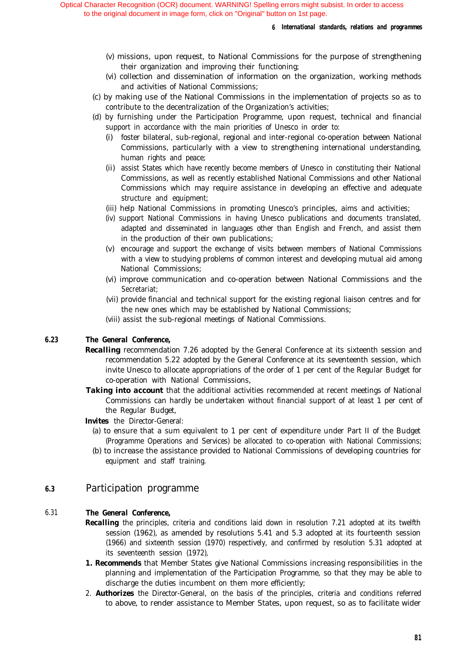# *6 International standards, relations and programmes*

- (v) missions, upon request, to National Commissions for the purpose of strengthening their organization and improving their functioning;
- (vi) collection and dissemination of information on the organization, working methods and activities of National Commissions;
- (c) by making use of the National Commissions in the implementation of projects so as to contribute to the decentralization of the Organization's activities;
- (d) by furnishing under the Participation Programme, upon request, technical and financial support in accordance with the main priorities of Unesco in order to:
	- (i) foster bilateral, sub-regional, regional and inter-regional co-operation between National Commissions, particularly with a view to strengthening international understanding, human rights and peace;
	- (ii) assist States which have recently become members of Unesco in constituting their National Commissions, as well as recently established National Commissions and other National Commissions which may require assistance in developing an effective and adequate structure and equipment;
	- (iii) help National Commissions in promoting Unesco's principles, aims and activities;
	- (iv) support National Commissions in having Unesco publications and documents translated, adapted and disseminated in languages other than English and French, and assist them in the production of their own publications;
	- (v) encourage and support the exchange of visits between members of National Commissions with a view to studying problems of common interest and developing mutual aid among National Commissions;
	- (vi) improve communication and co-operation between National Commissions and the Secretariat;
	- (vii) provide financial and technical support for the existing regional liaison centres and for the new ones which may be established by National Commissions;

(viii) assist the sub-regional meetings of National Commissions.

# **6.23** *The General Conference,*

- *Recalling* recommendation 7.26 adopted by the General Conference at its sixteenth session and recommendation 5.22 adopted by the General Conference at its seventeenth session, which invite Unesco to allocate appropriations of the order of 1 per cent of the Regular Budget for co-operation with National Commissions,
- **Taking into account** that the additional activities recommended at recent meetings of National Commissions can hardly be undertaken without financial support of at least 1 per cent of the Regular Budget,
- **Invites** the Director-General:
	- (a) to ensure that a sum equivalent to 1 per cent of expenditure under Part II of the Budget (Programme Operations and Services) be allocated to co-operation with National Commissions;
	- (b) to increase the assistance provided to National Commissions of developing countries for equipment and staff training.

# **6.3** Participation programme

# 6.31 *The General Conference,*

- *Recalling* the principles, criteria and conditions laid down in resolution 7.21 adopted at its twelfth session (1962), as amended by resolutions 5.41 and 5.3 adopted at its fourteenth session (1966) and sixteenth session (1970) respectively, and confirmed by resolution 5.31 adopted at its seventeenth session (1972),
- *1. Recommends* that Member States give National Commissions increasing responsibilities in the planning and implementation of the Participation Programme, so that they may be able to discharge the duties incumbent on them more efficiently;
- 2. *Authorizes* the Director-General, on the basis of the principles, criteria and conditions referred to above, to render assistance to Member States, upon request, so as to facilitate wider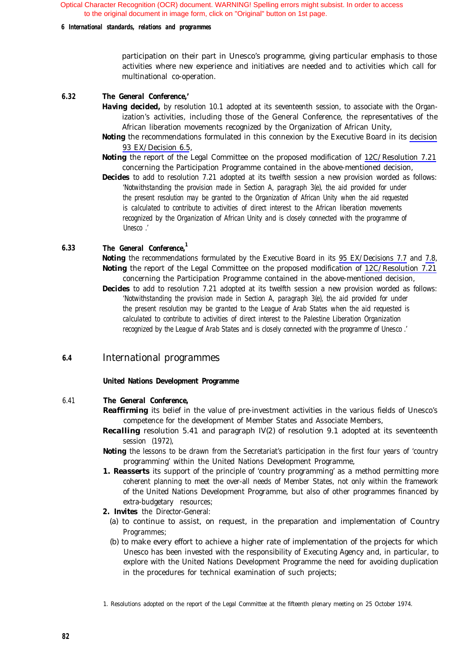## *6 International standards, relations and programmes*

participation on their part in Unesco's programme, giving particular emphasis to those activities where new experience and initiatives are needed and to activities which call for multinational co-operation.

# **6.32** *The General Conference,'*

- *Having decided,* by resolution 10.1 adopted at its seventeenth session, to associate with the Organization's activities, including those of the General Conference, the representatives of the African liberation movements recognized by the Organization of African Unity,
- **Noting** the recommendations formulated in this connexion by the Executive Board in its [decision](#page-80-0) [93 EX/Decision 6.5](#page-80-0),
- **Noting** the report of the Legal Committee on the proposed modification of [12C/Resolution 7.21](#page-83-0) concerning the Participation Programme contained in the above-mentioned decision,
- **Decides** to add to resolution 7.21 adopted at its twelfth session a new provision worded as follows: *'Notwithstanding the provision made in Section A, paragraph 3(e), the aid provided for under the present resolution may be granted to the Organization of African Unity when the aid requested is calculated to contribute to activities of direct interest to the African liberation movements recognized by the Organization of African Unity and is closely connected with the programme of Unesco .'*

# **6.33** *The General Conference,1*

*Noting* the recommendations formulated by the Executive Board in its 95 EX/Decisions 7.7 and 7.8, **Noting** the report of the Legal Committee on the proposed modification of [12C/Resolution 7.21](#page-83-0) concerning the Participation Programme contained in the above-mentioned decision,

**Decides** to add to resolution 7.21 adopted at its twelfth session a new provision worded as follows: *'Notwithstanding the provision made in Section A, paragraph 3(e), the aid provided for under the present resolution may be granted to the League of Arab States when the aid requested is calculated to contribute to activities of direct interest to the Palestine Liberation Organization recognized by the League of Arab States and is closely connected with the programme of Unesco .'*

# **6.4** International programmes

# **United Nations Development Programme**

# 6.41 *The General Conference,*

- *Reaffirming* its belief in the value of pre-investment activities in the various fields of Unesco's competence for the development of Member States and Associate Members,
- **Recalling** resolution 5.41 and paragraph IV(2) of resolution 9.1 adopted at its seventeenth session (1972),
- *Noting* the lessons to be drawn from the Secretariat's participation in the first four years of 'country programming' within the United Nations Development Programme,
- 1. **Reasserts** its support of the principle of 'country programming' as a method permitting more coherent planning to meet the over-all needs of Member States, not only within the framework of the United Nations Development Programme, but also of other programmes financed by extra-budgetary resources;
- *2. Invites* the Director-General:
	- (a) to continue to assist, on request, in the preparation and implementation of Country Programmes;
	- (b) to make every effort to achieve a higher rate of implementation of the projects for which Unesco has been invested with the responsibility of Executing Agency and, in particular, to explore with the United Nations Development Programme the need for avoiding duplication in the procedures for technical examination of such projects;

1. Resolutions adopted on the report of the Legal Committee at the fifteenth plenary meeting on 25 October 1974.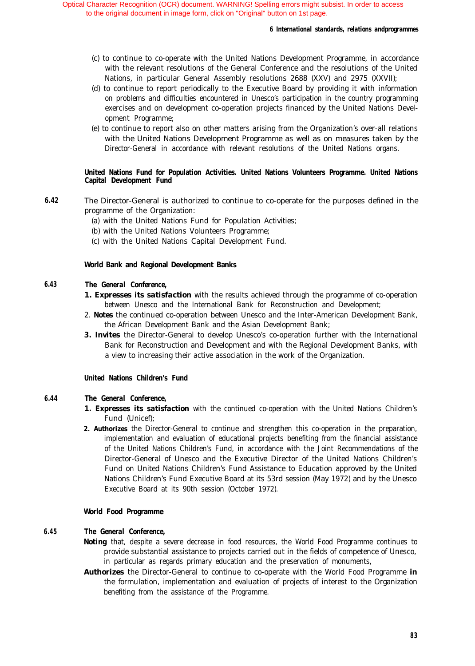## *6 International standards, relations andprogrammes*

- (c) to continue to co-operate with the United Nations Development Programme, in accordance with the relevant resolutions of the General Conference and the resolutions of the United Nations, in particular General Assembly resolutions 2688 (XXV) and 2975 (XXVII);
- (d) to continue to report periodically to the Executive Board by providing it with information on problems and difficulties encountered in Unesco's participation in the country programming exercises and on development co-operation projects financed by the United Nations Development Programme;
- (e) to continue to report also on other matters arising from the Organization's over-all relations with the United Nations Development Programme as well as on measures taken by the Director-General in accordance with relevant resolutions of the United Nations organs.

# **United Nations Fund for Population Activities. United Nations Volunteers Programme. United Nations Capital Development Fund**

- *6.42* The Director-General is authorized to continue to co-operate for the purposes defined in the programme of the Organization:
	- (a) with the United Nations Fund for Population Activities;
	- (b) with the United Nations Volunteers Programme;
	- (c) with the United Nations Capital Development Fund.

# **World Bank and Regional Development Banks**

# *6.43 The General Conference,*

- *1. Expresses its satisfaction* with the results achieved through the programme of co-operation between Unesco and the International Bank for Reconstruction and Development;
- 2. *Notes* the continued co-operation between Unesco and the Inter-American Development Bank, the African Development Bank and the Asian Development Bank;
- *3. Invites* the Director-General to develop Unesco's co-operation further with the International Bank for Reconstruction and Development and with the Regional Development Banks, with a view to increasing their active association in the work of the Organization.

# **United Nations Children's Fund**

# *6.44 The General Conference,*

- 1. **Expresses its satisfaction** with the continued co-operation with the United Nations Children's Fund (Unicef);
- 2. Authorizes the Director-General to continue and strengthen this co-operation in the preparation, implementation and evaluation of educational projects benefiting from the financial assistance of the United Nations Children's Fund, in accordance with the Joint Recommendations of the Director-General of Unesco and the Executive Director of the United Nations Children's Fund on United Nations Children's Fund Assistance to Education approved by the United Nations Children's Fund Executive Board at its 53rd session (May 1972) and by the Unesco Executive Board at its 90th session (October 1972).

# **World Food Programme**

# *6.45 The General Conference,*

- **Noting** that, despite a severe decrease in food resources, the World Food Programme continues to provide substantial assistance to projects carried out in the fields of competence of Unesco, in particular as regards primary education and the preservation of monuments,
- *Authorizes* the Director-General to continue to co-operate with the World Food Programme **in** the formulation, implementation and evaluation of projects of interest to the Organization benefiting from the assistance of the Programme.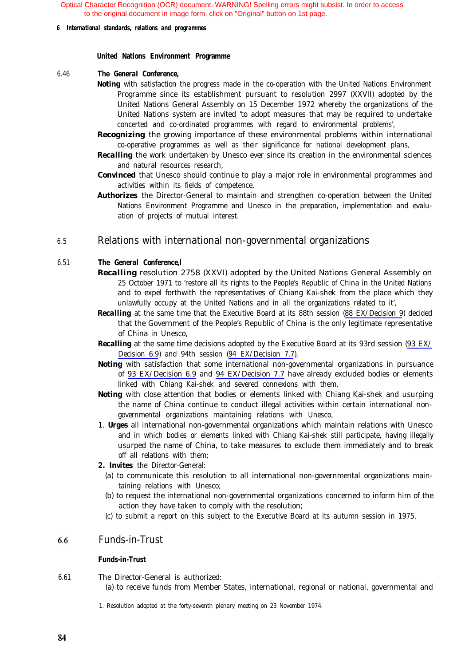## <span id="page-80-0"></span>*6 International standards, relations and programmes*

# **United Nations Environment Programme**

# 6.46 *The GeneraI Conference,*

- *Noting* with satisfaction the progress made in the co-operation with the United Nations Environment Programme since its establishment pursuant to resolution 2997 (XXVII) adopted by the United Nations General Assembly on 15 December 1972 whereby the organizations of the United Nations system are invited 'to adopt measures that may be required to undertake concerted and co-ordinated programmes with regard to environmental problems',
	- **Recognizing** the growing importance of these environmental problems within international co-operative programmes as well as their significance for national development plans,
	- **Recalling** the work undertaken by Unesco ever since its creation in the environmental sciences and natural resources research,
	- **Convinced** that Unesco should continue to play a major role in environmental programmes and activities within its fields of competence,
	- *Authorizes* the Director-General to maintain and strengthen co-operation between the United Nations Environment Programme and Unesco in the preparation, implementation and evaluation of projects of mutual interest.

# 6.5 Relations with international non-governmental organizations

# 6.51 *The General Conference,l*

- *Recalling* resolution 2758 (XXVI) adopted by the United Nations General Assembly on 25 October 1971 to 'restore all its rights to the People's Republic of China in the United Nations and to expel forthwith the representatives of Chiang Kai-shek from the place which they unlawfully occupy at the United Nations and in all the organizations related to it',
- **Recalling** at the same time that the Executive Board at its 88th session [\(88 EX/Decision 9](#page-88-0)) decided that the Government of the People's Republic of China is the only legitimate representative of China in Unesco,
- **Recalling** at the same time decisions adopted by the Executive Board at its 93rd session (93 EX/ Decision 6.9) and 94th session (94 EX/Decision 7.7),
- **Noting** with satisfaction that some international non-governmental organizations in pursuance of 93 EX/Decision 6.9 and 94 EX/Decision 7.7 have already excluded bodies or elements linked with Chiang Kai-shek and severed connexions with them,
- *Noting* with close attention that bodies or elements linked with Chiang Kai-shek and usurping the name of China continue to conduct illegal activities within certain international nongovernmental organizations maintaining relations with Unesco,
- 1. *Urges* all international non-governmental organizations which maintain relations with Unesco and in which bodies or elements linked with Chiang Kai-shek still participate, having illegally usurped the name of China, to take measures to exclude them immediately and to break off all relations with them;
- *2. Invites* the Director-General:
	- (a) to communicate this resolution to all international non-governmental organizations maintaining relations with Unesco;
	- (b) to request the international non-governmental organizations concerned to inform him of the action they have taken to comply with the resolution;
	- (c) to submit a report on this subject to the Executive Board at its autumn session in 1975.

#### Funds-in-Trust 6.6

# **Funds-in-Trust**

- 6.61 The Director-General is authorized: (a) to receive funds from Member States, international, regional or national, governmental and
	- 1. Resolution adopted at the forty-seventh plenary meeting on 23 November 1974.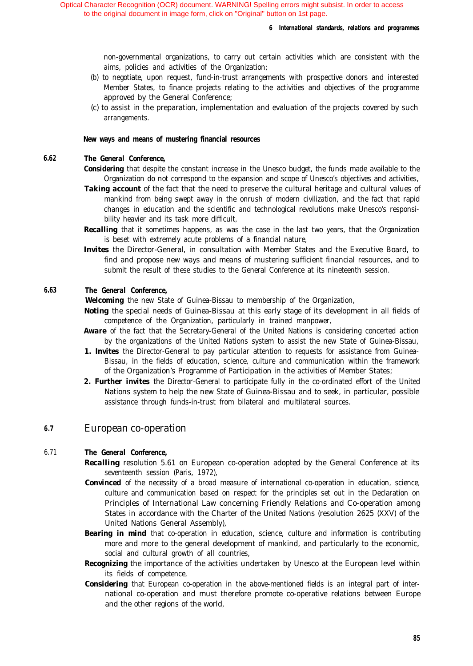## *6 International standards, relations and programmes*

non-governmental organizations, to carry out certain activities which are consistent with the aims, policies and activities of the Organization;

- (b) to negotiate, upon request, fund-in-trust arrangements with prospective donors and interested Member States, to finance projects relating to the activities and objectives of the programme approved by the General Conference;
- (c) to assist in the preparation, implementation and evaluation of the projects covered by such arrangements.

## **New ways and means of mustering financial resources**

## *6.62 The General Conference,*

- **Considering** that despite the constant increase in the Unesco budget, the funds made available to the Organization do not correspond to the expansion and scope of Unesco's objectives and activities,
- *Taking account* of the fact that the need to preserve the cultural heritage and cultural values of mankind from being swept away in the onrush of modern civilization, and the fact that rapid changes in education and the scientific and technological revolutions make Unesco's responsibility heavier and its task more difficult,
- **Recalling** that it sometimes happens, as was the case in the last two years, that the Organization is beset with extremely acute problems of a financial nature,
- **Invites** the Director-General, in consultation with Member States and the Executive Board, to find and propose new ways and means of mustering sufficient financial resources, and to submit the result of these studies to the General Conference at its nineteenth session.

#### *6.63 The General Conference,*

*Welcoming* the new State of Guinea-Bissau to membership of the Organization,

- **Noting** the special needs of Guinea-Bissau at this early stage of its development in all fields of competence of the Organization, particularly in trained manpower,
- *Aware* of the fact that the Secretary-General of the United Nations is considering concerted action by the organizations of the United Nations system to assist the new State of Guinea-Bissau,
- 1. Invites the Director-General to pay particular attention to requests for assistance from Guinea-Bissau, in the fields of education, science, culture and communication within the framework of the Organization's Programme of Participation in the activities of Member States;
- 2. Further invites the Director-General to participate fully in the co-ordinated effort of the United Nations system to help the new State of Guinea-Bissau and to seek, in particular, possible assistance through funds-in-trust from bilateral and multilateral sources.

# *6.7* European co-operation

# 6.71 *The General Conference,*

- **Recalling** resolution 5.61 on European co-operation adopted by the General Conference at its seventeenth session (Paris, 1972),
- **Convinced** of the necessity of a broad measure of international co-operation in education, science, culture and communication based on respect for the principles set out in the Declaration on Principles of International Law concerning Friendly Relations and Co-operation among States in accordance with the Charter of the United Nations (resolution 2625 (XXV) of the United Nations General Assembly),
- **Bearing in mind** that co-operation in education, science, culture and information is contributing more and more to the general development of mankind, and particularly to the economic, social and cultural growth of all countries,
- *Recognizing* the importance of the activities undertaken by Unesco at the European level within its fields of competence,
- *Considering* that European co-operation in the above-mentioned fields is an integral part of international co-operation and must therefore promote co-operative relations between Europe and the other regions of the world,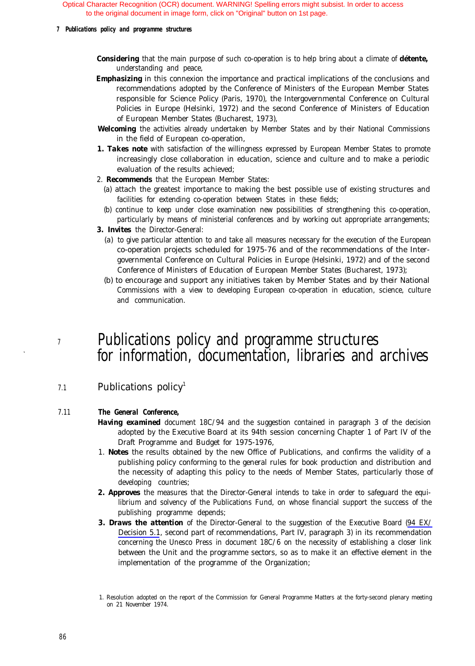## *7 Publications policy and programme structures*

*Considering* that the main purpose of such co-operation is to help bring about a climate of *détente,* understanding and peace,

- *Emphasizing* in this connexion the importance and practical implications of the conclusions and recommendations adopted by the Conference of Ministers of the European Member States responsible for Science Policy (Paris, 1970), the Intergovernmental Conference on Cultural Policies in Europe (Helsinki, 1972) and the second Conference of Ministers of Education of European Member States (Bucharest, 1973),
- *Welcoming* the activities already undertaken by Member States and by their National Commissions in the field of European co-operation,
- 1. Takes note with satisfaction of the willingness expressed by European Member States to promote increasingly close collaboration in education, science and culture and to make a periodic evaluation of the results achieved;
- 2. *Recommends* that the European Member States:
	- (a) attach the greatest importance to making the best possible use of existing structures and facilities for extending co-operation between States in these fields;
	- (b) continue to keep under close examination new possibilities of strengthening this co-operation, particularly by means of ministerial conferences and by working out appropriate arrangements;
- *3. Invites* the Director-General:
	- (a) to give particular attention to and take all measures necessary for the execution of the European co-operation projects scheduled for 1975-76 and of the recommendations of the Intergovernmental Conference on Cultural Policies in Europe (Helsinki, 1972) and of the second Conference of Ministers of Education of European Member States (Bucharest, 1973);
	- (b) to encourage and support any initiatives taken by Member States and by their National Commissions with a view to developing European co-operation in education, science, culture and communication.

# 7 Publications policy and programme structures for information, documentation, libraries and archives

7.1 Publications policy<sup>1</sup>

#### 7.11 *The General Conference,*

- Having examined document 18C/94 and the suggestion contained in paragraph 3 of the decision adopted by the Executive Board at its 94th session concerning Chapter 1 of Part IV of the Draft Programme and Budget for 1975-1976,
- 1. *Notes* the results obtained by the new Office of Publications, and confirms the validity of a publishing policy conforming to the general rules for book production and distribution and the necessity of adapting this policy to the needs of Member States, particularly those of developing countries;
- 2. **Approves** the measures that the Director-General intends to take in order to safeguard the equilibrium and solvency of the Publications Fund, on whose financial support the success of the publishing programme depends;
- **3. Draws the attention** of the Director-General to the suggestion of the Executive Board [\(94 EX/](#page-69-0) [Decision 5.1](#page-69-0), second part of recommendations, Part IV, paragraph 3) in its recommendation concerning the Unesco Press in document 18C/6 on the necessity of establishing a closer link between the Unit and the programme sectors, so as to make it an effective element in the implementation of the programme of the Organization;

<sup>1.</sup> Resolution adopted on the report of the Commission for General Programme Matters at the forty-second plenary meeting on 21 November 1974.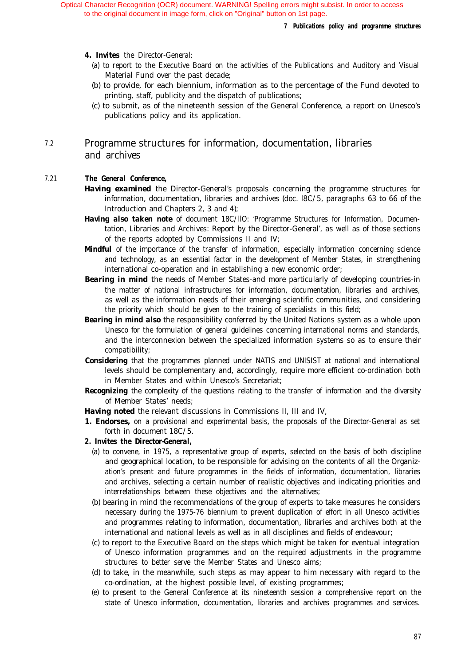# *7 Publications policy and programme structures*

- <span id="page-83-0"></span>*4. Invites* the Director-General:
	- (a) to report to the Executive Board on the activities of the Publications and Auditory and Visual Material Fund over the past decade;
	- (b) to provide, for each biennium, information as to the percentage of the Fund devoted to printing, staff, publicity and the dispatch of publications;
	- (c) to submit, as of the nineteenth session of the General Conference, a report on Unesco's publications policy and its application.

# 7.2 Programme structures for information, documentation, libraries and archives

# 7.21 *The General Conference,*

- *Having examined* the Director-General's proposals concerning the programme structures for information, documentation, libraries and archives (doc. l8C/5, paragraphs 63 to 66 of the Introduction and Chapters 2, 3 and 4);
- *Having also taken note* of document 18C/llO: 'Programme Structures for Information, Documentation, Libraries and Archives: Report by the Director-General', as well as of those sections of the reports adopted by Commissions II and IV;
- **Mindful** of the importance of the transfer of information, especially information concerning science and technology, as an essential factor in the development of Member States, in strengthening international co-operation and in establishing a new economic order;
- **Bearing in mind** the needs of Member States-and more particularly of developing countries-in the matter of national infrastructures for information, documentation, libraries and archives, as well as the information needs of their emerging scientific communities, and considering the priority which should be given to the training of specialists in this field;
- **Bearing in mind also** the responsibility conferred by the United Nations system as a whole upon Unesco for the formulation of general guidelines concerning international norms and standards, and the interconnexion between the specialized information systems so as to ensure their compatibility;
- *Considering* that the programmes planned under NATIS and UNISIST at national and international levels should be complementary and, accordingly, require more efficient co-ordination both in Member States and within Unesco's Secretariat;
- *Recognizing* the complexity of the questions relating to the transfer of information and the diversity of Member States' needs;
- *Having noted* the relevant discussions in Commissions II, III and IV,
- 1. **Endorses**, on a provisional and experimental basis, the proposals of the Director-General as set forth in document 18C/5.
- *2. Invites the Director-General,*
	- (a) to convene, in 1975, a representative group of experts, selected on the basis of both discipline and geographical location, to be responsible for advising on the contents of all the Organization's present and future programmes in the fields of information, documentation, libraries and archives, selecting a certain number of realistic objectives and indicating priorities and interrelationships between these objectives and the alternatives;
	- (b) bearing in mind the recommendations of the group of experts to take measures he considers necessary during the 1975-76 biennium to prevent duplication of effort in all Unesco activities and programmes relating to information, documentation, libraries and archives both at the international and national levels as well as in all disciplines and fields of endeavour;
	- (c) to report to the Executive Board on the steps which might be taken for eventual integration of Unesco information programmes and on the required adjustments in the programme structures to better serve the Member States and Unesco aims;
	- (d) to take, in the meanwhile, such steps as may appear to him necessary with regard to the co-ordination, at the highest possible level, of existing programmes;
	- (e) to present to the General Conference at its nineteenth session a comprehensive report on the state of Unesco information, documentation, libraries and archives programmes and services.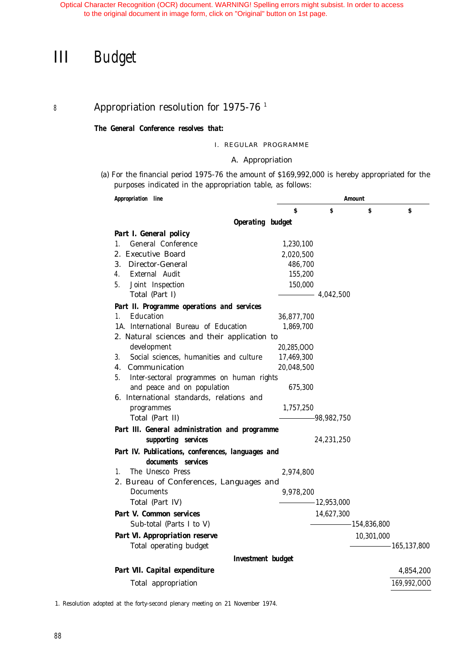# III Budget

# <sup>8</sup> Appropriation resolution for 1975-76 1

# *The General Conference resolves that:*

# I. REGULAR PROGRAMME

# A. Appropriation

(a) For the financial period 1975-76 the amount of \$169,992,000 is hereby appropriated for the purposes indicated in the appropriation table, as follows:

| Appropriation line                                |            |               | Amount         |                  |
|---------------------------------------------------|------------|---------------|----------------|------------------|
|                                                   | S          | S             | Ŝ              | Ŝ                |
| Operating budget                                  |            |               |                |                  |
| Part I. General policy                            |            |               |                |                  |
| General Conference<br>1.                          | 1,230,100  |               |                |                  |
| 2. Executive Board                                | 2,020,500  |               |                |                  |
| 3. Director-General                               | 486,700    |               |                |                  |
| External Audit<br>4.                              | 155,200    |               |                |                  |
| Joint Inspection<br>5.                            | 150,000    |               |                |                  |
| Total (Part I)                                    |            | $-4,042,500$  |                |                  |
| Part II. Programme operations and services        |            |               |                |                  |
| Education<br>1.                                   | 36,877,700 |               |                |                  |
| 1A. International Bureau of Education             | 1,869,700  |               |                |                  |
| 2. Natural sciences and their application to      |            |               |                |                  |
| development                                       | 20,285,000 |               |                |                  |
| Social sciences, humanities and culture<br>3.     | 17,469,300 |               |                |                  |
| Communication<br>4.                               | 20,048,500 |               |                |                  |
| Inter-sectoral programmes on human rights<br>5.   |            |               |                |                  |
| and peace and on population                       | 675,300    |               |                |                  |
| 6. International standards, relations and         |            |               |                |                  |
| programmes                                        | 1,757,250  |               |                |                  |
| Total (Part II)                                   |            | -98,982,750   |                |                  |
| Part III. General administration and programme    |            |               |                |                  |
| supporting services                               |            | 24,231,250    |                |                  |
| Part IV. Publications, conferences, languages and |            |               |                |                  |
| documents services                                |            |               |                |                  |
| The Unesco Press<br>1.                            | 2,974,800  |               |                |                  |
| 2. Bureau of Conferences, Languages and           |            |               |                |                  |
| Documents                                         | 9,978,200  |               |                |                  |
| Total (Part IV)                                   |            | $-12,953,000$ |                |                  |
| Part V. Common services                           |            | 14,627,300    |                |                  |
| Sub-total (Parts I to V)                          |            |               | $-154,836,800$ |                  |
| Part VI. Appropriation reserve                    |            |               | 10,301,000     |                  |
| Total operating budget                            |            |               |                | $-165, 137, 800$ |
| <b>Investment</b> budget                          |            |               |                |                  |
| Part VII. Capital expenditure                     |            |               |                | 4,854,200        |
| Total appropriation                               |            |               |                | 169,992,000      |

1. Resolution adopted at the forty-second plenary meeting on 21 November 1974.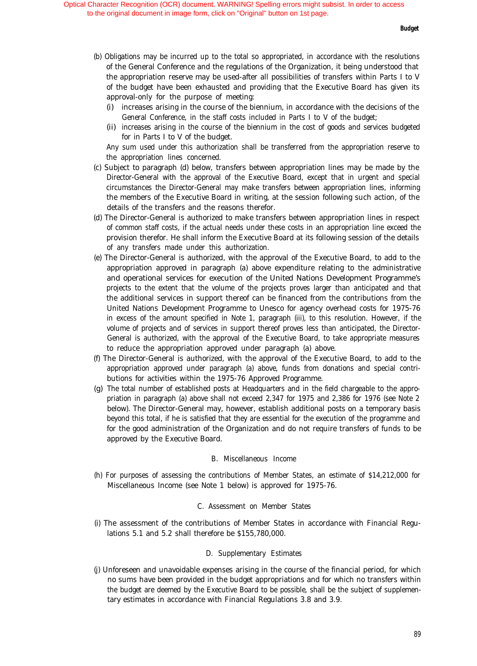- (b) Obligations may be incurred up to the total so appropriated, in accordance with the resolutions of the General Conference and the regulations of the Organization, it being understood that the appropriation reserve may be used-after all possibilities of transfers within Parts I to V of the budget have been exhausted and providing that the Executive Board has given its approval-only for the purpose of meeting:
	- (i) increases arising in the course of the biennium, in accordance with the decisions of the General Conference, in the staff costs included in Parts I to V of the budget;
	- (ii) increases arising in the course of the biennium in the cost of goods and services budgeted for in Parts I to V of the budget.

Any sum used under this authorization shall be transferred from the appropriation reserve to the appropriation lines concerned.

- (c) Subject to paragraph (d) below, transfers between appropriation lines may be made by the Director-General with the approval of the Executive Board, except that in urgent and special circumstances the Director-General may make transfers between appropriation lines, informing the members of the Executive Board in writing, at the session following such action, of the details of the transfers and the reasons therefor.
- (d) The Director-General is authorized to make transfers between appropriation lines in respect of common staff costs, if the actual needs under these costs in an appropriation line exceed the provision therefor. He shall inform the Executive Board at its following session of the details of any transfers made under this authorization.
- (e) The Director-General is authorized, with the approval of the Executive Board, to add to the appropriation approved in paragraph (a) above expenditure relating to the administrative and operational services for execution of the United Nations Development Programme's projects to the extent that the volume of the projects proves larger than anticipated and that the additional services in support thereof can be financed from the contributions from the United Nations Development Programme to Unesco for agency overhead costs for 1975-76 in excess of the amount specified in Note 1, paragraph (iii), to this resolution. However, if the volume of projects and of services in support thereof proves less than anticipated, the Director-General is authorized, with the approval of the Executive Board, to take appropriate measures to reduce the appropriation approved under paragraph (a) above.
- (f) The Director-General is authorized, with the approval of the Executive Board, to add to the appropriation approved under paragraph (a) above, funds from donations and special contributions for activities within the 1975-76 Approved Programme.
- (g) The total number of established posts at Headquarters and in the field chargeable to the appropriation in paragraph (a) above shall not exceed 2,347 for 1975 and 2,386 for 1976 (see Note 2 below). The Director-General may, however, establish additional posts on a temporary basis beyond this total, if he is satisfied that they are essential for the execution of the programme and for the good administration of the Organization and do not require transfers of funds to be approved by the Executive Board.

## B. Miscellaneous Income

(h) For purposes of assessing the contributions of Member States, an estimate of \$14,212,000 for Miscellaneous Income (see Note 1 below) is approved for 1975-76.

# C. Assessment on Member States

(i) The assessment of the contributions of Member States in accordance with Financial Regulations 5.1 and 5.2 shall therefore be \$155,780,000.

## D. Supplementary Estimates

(j) Unforeseen and unavoidable expenses arising in the course of the financial period, for which no sums have been provided in the budget appropriations and for which no transfers within the budget are deemed by the Executive Board to be possible, shall be the subject of supplementary estimates in accordance with Financial Regulations 3.8 and 3.9.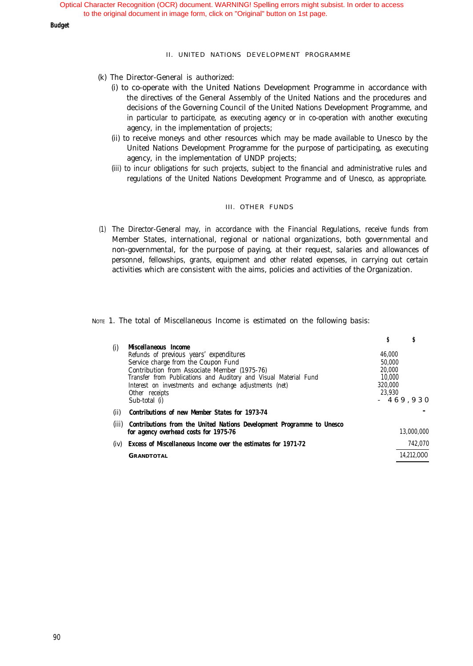## *Budget*

## II. UNITED NATIONS DEVELOPMENT PROGRAMME

- (k) The Director-General is authorized:
	- (i) to co-operate with the United Nations Development Programme in accordance with the directives of the General Assembly of the United Nations and the procedures and decisions of the Governing Council of the United Nations Development Programme, and in particular to participate, as executing agency or in co-operation with another executing agency, in the implementation of projects;
	- (ii) to receive moneys and other resources which may be made available to Unesco by the United Nations Development Programme for the purpose of participating, as executing agency, in the implementation of UNDP projects;
	- (iii) to incur obligations for such projects, subject to the financial and administrative rules and regulations of the United Nations Development Programme and of Unesco, as appropriate.

## III. OTHER FUNDS

(1) The Director-General may, in accordance with the Financial Regulations, receive funds from Member States, international, regional or national organizations, both governmental and non-governmental, for the purpose of paying, at their request, salaries and allowances of personnel, fellowships, grants, equipment and other related expenses, in carrying out certain activities which are consistent with the aims, policies and activities of the Organization.

NOTE 1. The total of Miscellaneous Income is estimated on the following basis:

|                                                                                                                                                                                                                            | S                                                      |            |
|----------------------------------------------------------------------------------------------------------------------------------------------------------------------------------------------------------------------------|--------------------------------------------------------|------------|
| Miscellaneous Income<br>Refunds of previous years' expenditures<br>Service charge from the Coupon Fund<br>Contribution from Associate Member (1975-76)<br>Transfer from Publications and Auditory and Visual Material Fund | 46.000<br>50.000<br>20.000<br>10.000                   |            |
| Other receipts<br>Sub-total (i)                                                                                                                                                                                            | 23.930<br>$-469.930$                                   |            |
| Contributions of new Member States for 1973-74                                                                                                                                                                             |                                                        |            |
| Contributions from the United Nations Development Programme to Unesco<br>for agency overhead costs for 1975-76                                                                                                             |                                                        | 13.000.000 |
| Excess of Miscellaneous Income over the estimates for 1971-72                                                                                                                                                              |                                                        | 742,070    |
| <b>GRANDTOTAL</b>                                                                                                                                                                                                          |                                                        | 14,212,000 |
|                                                                                                                                                                                                                            | Interest on investments and exchange adjustments (net) | 320.000    |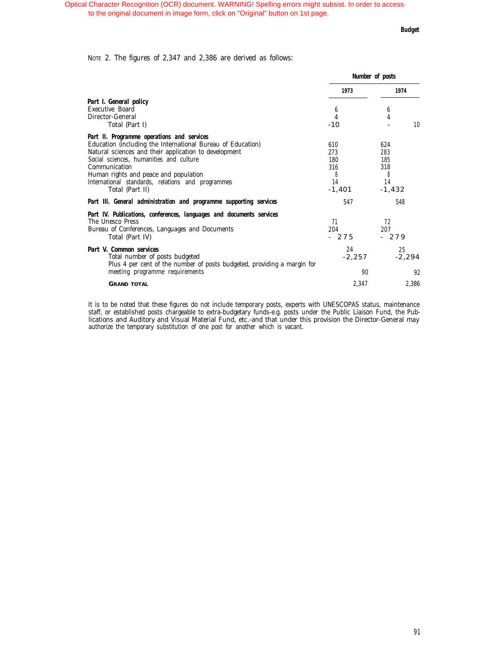*Budget*

NOTE 2. The figures of 2,347 and 2,386 are derived as follows:

|                                                                                                                                                                                                                                                                                                                                                 | Number of posts                                 |                                                 |  |
|-------------------------------------------------------------------------------------------------------------------------------------------------------------------------------------------------------------------------------------------------------------------------------------------------------------------------------------------------|-------------------------------------------------|-------------------------------------------------|--|
|                                                                                                                                                                                                                                                                                                                                                 | 1973                                            | 1974                                            |  |
| Part I. General policy<br>Executive Board<br>Director-General<br>Total (Part I)                                                                                                                                                                                                                                                                 | 6<br>4<br>$-10$                                 | 6<br>4<br>10                                    |  |
| Part II. Programme operations and services<br>Education (including the International Bureau of Education)<br>Natural sciences and their application to development<br>Social sciences, humanities and culture<br>Communication<br>Human rights and peace and population<br>International standards, relations and programmes<br>Total (Part II) | 610<br>273<br>180<br>316<br>8<br>14<br>$-1,401$ | 624<br>283<br>185<br>318<br>8<br>14<br>$-1,432$ |  |
| Part III. General administration and programme supporting services                                                                                                                                                                                                                                                                              | 547                                             | 548                                             |  |
| Part IV. Publications, conferences, languages and documents services<br>The Unesco Press<br>Bureau of Conferences, Languages and Documents<br>Total (Part IV)                                                                                                                                                                                   | 71<br>204<br>$-275$                             | 72<br>207<br>$-279$                             |  |
| Part V. Common services<br>Total number of posts budgeted<br>Plus 4 per cent of the number of posts budgeted, providing a margin for<br>meeting programme requirements                                                                                                                                                                          | 2.4<br>$-2,257$<br>90                           | 25<br>$-2,294$<br>92                            |  |
| <b>GRAND TOTAL</b>                                                                                                                                                                                                                                                                                                                              | 2,347                                           | 2,386                                           |  |

It is to be noted that these figures do not include temporary posts, experts with UNESCOPAS status, maintenance staff, or established posts chargeable to extra-budgetary funds-e.g. posts under the Public Liaison Fund, the Publications and Auditory and Visual Material Fund, etc.-and that under this provision the Director-General may authorize the temporary substitution of one post for another which is vacant.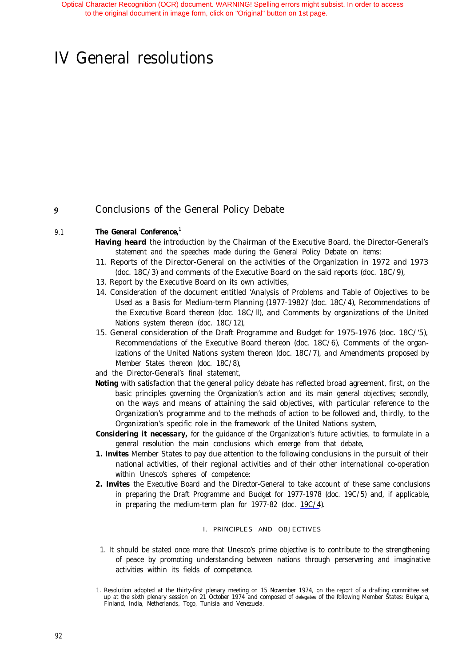# <span id="page-88-0"></span>IV General resolutions

#### 9 Conclusions of the General Policy Debate

# 9.1 *The General Conference,*<sup>1</sup>

- *Having heard* the introduction by the Chairman of the Executive Board, the Director-General's statement and the speeches made during the General Policy Debate on items:
- 11. Reports of the Director-General on the activities of the Organization in 1972 and 1973 (doc. 18C/3) and comments of the Executive Board on the said reports (doc. 18C/9),
- 13. Report by the Executive Board on its own activities,
- 14. Consideration of the document entitled 'Analysis of Problems and Table of Objectives to be Used as a Basis for Medium-term Planning (1977-1982)' (doc. 18C/4), Recommendations of the Executive Board thereon (doc. 18C/ll), and Comments by organizations of the United Nations system thereon (doc. 18C/12),
- 15. General consideration of the Draft Programme and Budget for 1975-1976 (doc. 18C/'5), Recommendations of the Executive Board thereon (doc. 18C/6), Comments of the organizations of the United Nations system thereon (doc. 18C/7), and Amendments proposed by Member States thereon (doc. 18C/8),
- and the Director-General's final statement,
- *Noting with satisfaction* that the general policy debate has reflected broad agreement, first, on the basic principles governing the Organization's action and its main general objectives; secondly, on the ways and means of attaining the said objectives, with particular reference to the Organization's programme and to the methods of action to be followed and, thirdly, to the Organization's specific role in the framework of the United Nations system,
- **Considering it necessary,** for the guidance of the Organization's future activities, to formulate in a general resolution the main conclusions which emerge from that debate,
- 1. Invites Member States to pay due attention to the following conclusions in the pursuit of their national activities, of their regional activities and of their other international co-operation within Unesco's spheres of competence;
- 2. Invites the Executive Board and the Director-General to take account of these same conclusions in preparing the Draft Programme and Budget for 1977-1978 (doc. 19C/5) and, if applicable, in preparing the medium-term plan for 1977-82 (doc. 19C/4).

# I. PRINCIPLES AND OBJECTIVES

1. It should be stated once more that Unesco's prime objective is to contribute to the strengthening of peace by promoting understanding between nations through perservering and imaginative activities within its fields of competence.

<sup>1.</sup> Resolution adopted at the thirty-first plenary meeting on 15 November 1974, on the report of a drafting committee set up at the sixth plenary session on 21 October 1974 and composed of delegates of the following Member States: Bulgaria, Finland, India, Netherlands, Togo, Tunisia and Venezuela.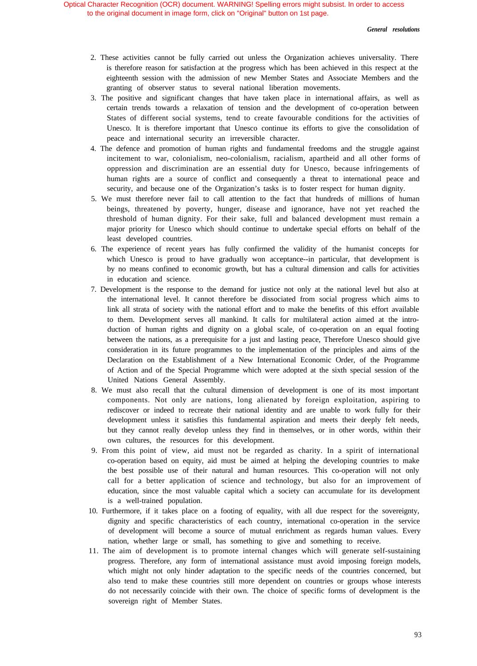*General resolutions*

- 2. These activities cannot be fully carried out unless the Organization achieves universality. There is therefore reason for satisfaction at the progress which has been achieved in this respect at the eighteenth session with the admission of new Member States and Associate Members and the granting of observer status to several national liberation movements.
- 3. The positive and significant changes that have taken place in international affairs, as well as certain trends towards a relaxation of tension and the development of co-operation between States of different social systems, tend to create favourable conditions for the activities of Unesco. It is therefore important that Unesco continue its efforts to give the consolidation of peace and international security an irreversible character.
- 4. The defence and promotion of human rights and fundamental freedoms and the struggle against incitement to war, colonialism, neo-colonialism, racialism, apartheid and all other forms of oppression and discrimination are an essential duty for Unesco, because infringements of human rights are a source of conflict and consequently a threat to international peace and security, and because one of the Organization's tasks is to foster respect for human dignity.
- 5. We must therefore never fail to call attention to the fact that hundreds of millions of human beings, threatened by poverty, hunger, disease and ignorance, have not yet reached the threshold of human dignity. For their sake, full and balanced development must remain a major priority for Unesco which should continue to undertake special efforts on behalf of the least developed countries.
- 6. The experience of recent years has fully confirmed the validity of the humanist concepts for which Unesco is proud to have gradually won acceptance--in particular, that development is by no means confined to economic growth, but has a cultural dimension and calls for activities in education and science.
- 7. Development is the response to the demand for justice not only at the national level but also at the international level. It cannot therefore be dissociated from social progress which aims to link all strata of society with the national effort and to make the benefits of this effort available to them. Development serves all mankind. It calls for multilateral action aimed at the introduction of human rights and dignity on a global scale, of co-operation on an equal footing between the nations, as a prerequisite for a just and lasting peace, Therefore Unesco should give consideration in its future programmes to the implementation of the principles and aims of the Declaration on the Establishment of a New International Economic Order, of the Programme of Action and of the Special Programme which were adopted at the sixth special session of the United Nations General Assembly.
- 8. We must also recall that the cultural dimension of development is one of its most important components. Not only are nations, long alienated by foreign exploitation, aspiring to rediscover or indeed to recreate their national identity and are unable to work fully for their development unless it satisfies this fundamental aspiration and meets their deeply felt needs, but they cannot really develop unless they find in themselves, or in other words, within their own cultures, the resources for this development.
- 9. From this point of view, aid must not be regarded as charity. In a spirit of international co-operation based on equity, aid must be aimed at helping the developing countries to make the best possible use of their natural and human resources. This co-operation will not only call for a better application of science and technology, but also for an improvement of education, since the most valuable capital which a society can accumulate for its development is a well-trained population.
- 10. Furthermore, if it takes place on a footing of equality, with all due respect for the sovereignty, dignity and specific characteristics of each country, international co-operation in the service of development will become a source of mutual enrichment as regards human values. Every nation, whether large or small, has something to give and something to receive.
- 11. The aim of development is to promote internal changes which will generate self-sustaining progress. Therefore, any form of international assistance must avoid imposing foreign models, which might not only hinder adaptation to the specific needs of the countries concerned, but also tend to make these countries still more dependent on countries or groups whose interests do not necessarily coincide with their own. The choice of specific forms of development is the sovereign right of Member States.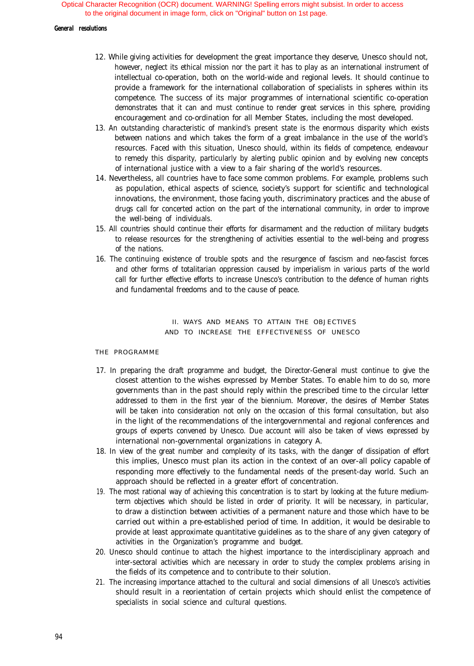## *General resolutions*

- 12. While giving activities for development the great importance they deserve, Unesco should not, however, neglect its ethical mission nor the part it has to play as an international instrument of intellectual co-operation, both on the world-wide and regional levels. It should continue to provide a framework for the international collaboration of specialists in spheres within its competence. The success of its major programmes of international scientific co-operation demonstrates that it can and must continue to render great services in this sphere, providing encouragement and co-ordination for all Member States, including the most developed.
- 13. An outstanding characteristic of mankind's present state is the enormous disparity which exists between nations and which takes the form of a great imbalance in the use of the world's resources. Faced with this situation, Unesco should, within its fields of competence, endeavour to remedy this disparity, particularly by alerting public opinion and by evolving new concepts of international justice with a view to a fair sharing of the world's resources.
- 14. Nevertheless, all countries have to face some common problems. For example, problems such as population, ethical aspects of science, society's support for scientific and technological innovations, the environment, those facing youth, discriminatory practices and the abuse of drugs call for concerted action on the part of the international community, in order to improve the well-being of individuals.
- 15. All countries should continue their efforts for disarmament and the reduction of military budgets to release resources for the strengthening of activities essential to the well-being and progress of the nations.
- 16. The continuing existence of trouble spots and the resurgence of fascism and neo-fascist forces and other forms of totalitarian oppression caused by imperialism in various parts of the world call for further effective efforts to increase Unesco's contribution to the defence of human rights and fundamental freedoms and to the cause of peace.

# II. WAYS AND MEANS TO ATTAIN THE OBJECTIVES AND TO INCREASE THE EFFECTIVENESS OF UNESCO

# THE PROGRAMME

- 17. In preparing the draft programme and budget, the Director-General must continue to give the closest attention to the wishes expressed by Member States. To enable him to do so, more governments than in the past should reply within the prescribed time to the circular letter addressed to them in the first year of the biennium. Moreover, the desires of Member States will be taken into consideration not only on the occasion of this formal consultation, but also in the light of the recommendations of the intergovernmental and regional conferences and groups of experts convened by Unesco. Due account will also be taken of views expressed by international non-governmental organizations in category A.
- 18. In view of the great number and complexity of its tasks, with the danger of dissipation of effort this implies, Unesco must plan its action in the context of an over-all policy capable of responding more effectively to the fundamental needs of the present-day world. Such an approach should be reflected in a greater effort of concentration.
- 19. The most rational way of achieving this concentration is to start by looking at the future mediumterm objectives which should be listed in order of priority. It will be necessary, in particular, to draw a distinction between activities of a permanent nature and those which have to be carried out within a pre-established period of time. In addition, it would be desirable to provide at least approximate quantitative guidelines as to the share of any given category of activities in the Organization's programme and budget.
- 20. Unesco should continue to attach the highest importance to the interdisciplinary approach and inter-sectoral activities which are necessary in order to study the complex problems arising in the fields of its competence and to contribute to their solution.
- 21. The increasing importance attached to the cultural and social dimensions of all Unesco's activities should result in a reorientation of certain projects which should enlist the competence of specialists in social science and cultural questions.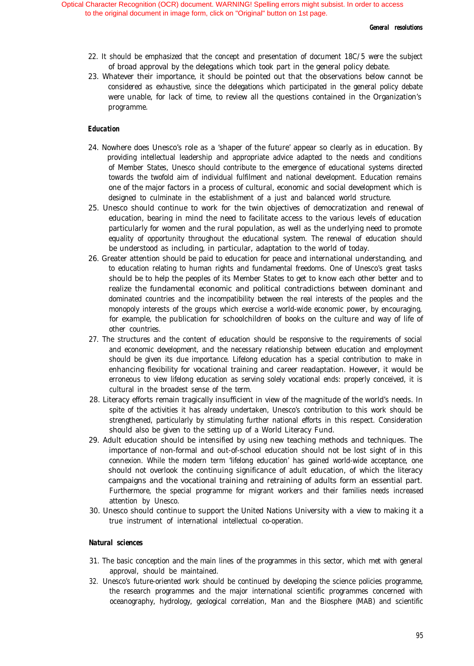- 22. It should be emphasized that the concept and presentation of document 18C/5 were the subject of broad approval by the delegations which took part in the general policy debate.
- 23. Whatever their importance, it should be pointed out that the observations below cannot be considered as exhaustive, since the delegations which participated in the general policy debate were unable, for lack of time, to review all the questions contained in the Organization's programme.

## *Education*

- 24. Nowhere does Unesco's role as a 'shaper of the future' appear so clearly as in education. By providing intellectual leadership and appropriate advice adapted to the needs and conditions of Member States, Unesco should contribute to the emergence of educational systems directed towards the twofold aim of individual fulfilment and national development. Education remains one of the major factors in a process of cultural, economic and social development which is designed to culminate in the establishment of a just and balanced world structure.
- 25. Unesco should continue to work for the twin objectives of democratization and renewal of education, bearing in mind the need to facilitate access to the various levels of education particularly for women and the rural population, as well as the underlying need to promote equality of opportunity throughout the educational system. The renewal of education should be understood as including, in particular, adaptation to the world of today.
- 26. Greater attention should be paid to education for peace and international understanding, and to education relating to human rights and fundamental freedoms. One of Unesco's great tasks should be to help the peoples of its Member States to get to know each other better and to realize the fundamental economic and political contradictions between dominant and dominated countries and the incompatibility between the real interests of the peoples and the monopoly interests of the groups which exercise a world-wide economic power, by encouraging, for example, the publication for schoolchildren of books on the culture and way of life of other countries.
- 27. The structures and the content of education should be responsive to the requirements of social and economic development, and the necessary relationship between education and employment should be given its due importance. Lifelong education has a special contribution to make in enhancing flexibility for vocational training and career readaptation. However, it would be erroneous to view lifelong education as serving solely vocational ends: properly conceived, it is cultural in the broadest sense of the term.
- 28. Literacy efforts remain tragically insufficient in view of the magnitude of the world's needs. In spite of the activities it has already undertaken, Unesco's contribution to this work should be strengthened, particularly by stimulating further national efforts in this respect. Consideration should also be given to the setting up of a World Literacy Fund.
- 29. Adult education should be intensified by using new teaching methods and techniques. The importance of non-formal and out-of-school education should not be lost sight of in this connexion. While the modern term 'lifelong education' has gained world-wide acceptance, one should not overlook the continuing significance of adult education, of which the literacy campaigns and the vocational training and retraining of adults form an essential part. Furthermore, the special programme for migrant workers and their families needs increased attention by Unesco.
- 30. Unesco should continue to support the United Nations University with a view to making it a true instrument of international intellectual co-operation.

# *Natural sciences*

- 31. The basic conception and the main lines of the programmes in this sector, which met with general approval, should be maintained.
- 32. Unesco's future-oriented work should be continued by developing the science policies programme, the research programmes and the major international scientific programmes concerned with oceanography, hydrology, geological correlation, Man and the Biosphere (MAB) and scientific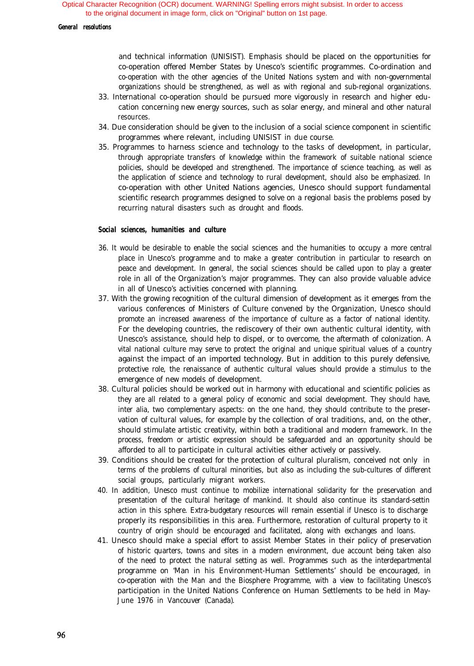## *General resolutions*

and technical information (UNISIST). Emphasis should be placed on the opportunities for co-operation offered Member States by Unesco's scientific programmes. Co-ordination and co-operation with the other agencies of the United Nations system and with non-governmental organizations should be strengthened, as well as with regional and sub-regional organizations.

- 33. International co-operation should be pursued more vigorously in research and higher education concerning new energy sources, such as solar energy, and mineral and other natural resources.
- 34. Due consideration should be given to the inclusion of a social science component in scientific programmes where relevant, including UNISIST in due course.
- 35. Programmes to harness science and technology to the tasks of development, in particular, through appropriate transfers of knowledge within the framework of suitable national science policies, should be developed and strengthened. The importance of science teaching, as well as the application of science and technology to rural development, should also be emphasized. In co-operation with other United Nations agencies, Unesco should support fundamental scientific research programmes designed to solve on a regional basis the problems posed by recurring natural disasters such as drought and floods.

# *Social sciences, humanities and culture*

- 36. It would be desirable to enable the social sciences and the humanities to occupy a more central place in Unesco's programme and to make a greater contribution in particular to research on peace and development. In general, the social sciences should be called upon to play a greater role in all of the Organization's major programmes. They can also provide valuable advice in all of Unesco's activities concerned with planning.
- 37. With the growing recognition of the cultural dimension of development as it emerges from the various conferences of Ministers of Culture convened by the Organization, Unesco should promote an increased awareness of the importance of culture as a factor of national identity. For the developing countries, the rediscovery of their own authentic cultural identity, with Unesco's assistance, should help to dispel, or to overcome, the aftermath of colonization. A vital national culture may serve to protect the original and unique spiritual values of a country against the impact of an imported technology. But in addition to this purely defensive, protective role, the renaissance of authentic cultural values should provide a stimulus to the emergence of new models of development.
- 38. Cultural policies should be worked out in harmony with educational and scientific policies as they are all related to a general policy of economic and social development. They should have, inter alia, two complementary aspects: on the one hand, they should contribute to the preservation of cultural values, for example by the collection of oral traditions, and, on the other, should stimulate artistic creativity, within both a traditional and modern framework. In the process, freedom or artistic expression should be safeguarded and an opportunity should be afforded to all to participate in cultural activities either actively or passively.
- 39. Conditions should be created for the protection of cultural pluralism, conceived not only in terms of the problems of cultural minorities, but also as including the sub-cultures of different social groups, particularly migrant workers.
- 40. In addition, Unesco must continue to mobilize international solidarity for the preservation and presentation of the cultural heritage of mankind. It should also continue its standard-settin action in this sphere. Extra-budgetary resources will remain essential if Unesco is to discharge properly its responsibilities in this area. Furthermore, restoration of cultural property to it country of origin should be encouraged and facilitated, along with exchanges and loans.
- 41. Unesco should make a special effort to assist Member States in their policy of preservation of historic quarters, towns and sites in a modern environment, due account being taken also of the need to protect the natural setting as well. Programmes such as the interdepartmental programme on 'Man in his Environment-Human Settlements' should be encouraged, in co-operation with the Man and the Biosphere Programme, with a view to facilitating Unesco's participation in the United Nations Conference on Human Settlements to be held in May-June 1976 in Vancouver (Canada).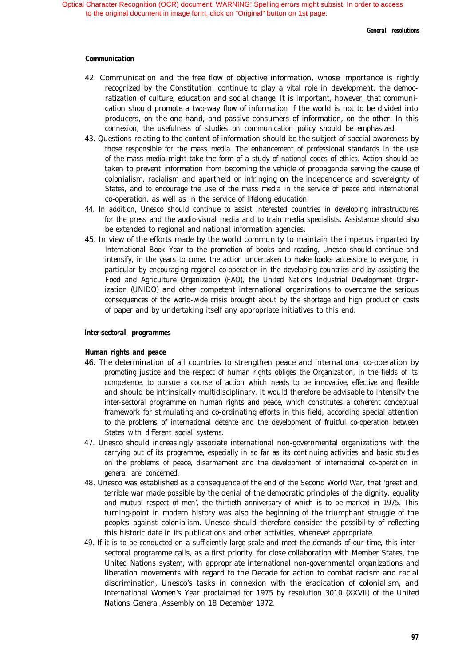# *Communication*

- 42. Communication and the free flow of objective information, whose importance is rightly recognized by the Constitution, continue to play a vital role in development, the democratization of culture, education and social change. It is important, however, that communication should promote a two-way flow of information if the world is not to be divided into producers, on the one hand, and passive consumers of information, on the other. In this connexion, the usefulness of studies on communication policy should be emphasized.
- 43. Questions relating to the content of information should be the subject of special awareness by those responsible for the mass media. The enhancement of professional standards in the use of the mass media might take the form of a study of national codes of ethics. Action should be taken to prevent information from becoming the vehicle of propaganda serving the cause of colonialism, racialism and apartheid or infringing on the independence and sovereignty of States, and to encourage the use of the mass media in the service of peace and international co-operation, as well as in the service of lifelong education.
- 44. In addition, Unesco should continue to assist interested countries in developing infrastructures for the press and the audio-visual media and to train media specialists. Assistance should also be extended to regional and national information agencies.
- 45. In view of the efforts made by the world community to maintain the impetus imparted by International Book Year to the promotion of books and reading, Unesco should continue and intensify, in the years to come, the action undertaken to make books accessible to everyone, in particular by encouraging regional co-operation in the developing countries and by assisting the Food and Agriculture Organization (FAO), the United Nations Industrial Development Organization (UNIDO) and other competent international organizations to overcome the serious consequences of the world-wide crisis brought about by the shortage and high production costs of paper and by undertaking itself any appropriate initiatives to this end.

## *Inter-sectoral programmes*

## *Human rights and peace*

- 46. The determination of all countries to strengthen peace and international co-operation by promoting justice and the respect of human rights obliges the Organization, in the fields of its competence, to pursue a course of action which needs to be innovative, effective and flexible and should be intrinsically multidisciplinary. It would therefore be advisable to intensify the inter-sectoral programme on human rights and peace, which constitutes a coherent conceptual framework for stimulating and co-ordinating efforts in this field, according special attention to the problems of international détente and the development of fruitful co-operation between States with different social systems.
- 47. Unesco should increasingly associate international non-governmental organizations with the carrying out of its programme, especially in so far as its continuing activities and basic studies on the problems of peace, disarmament and the development of international co-operation in general are concerned.
- 48. Unesco was established as a consequence of the end of the Second World War, that 'great and terrible war made possible by the denial of the democratic principles of the dignity, equality and mutual respect of men', the thirtieth anniversary of which is to be marked in 1975. This turning-point in modern history was also the beginning of the triumphant struggle of the peoples against colonialism. Unesco should therefore consider the possibility of reflecting this historic date in its publications and other activities, whenever appropriate.
- 49. If it is to be conducted on a sufficiently large scale and meet the demands of our time, this intersectoral programme calls, as a first priority, for close collaboration with Member States, the United Nations system, with appropriate international non-governmental organizations and liberation movements with regard to the Decade for action to combat racism and racial discrimination, Unesco's tasks in connexion with the eradication of colonialism, and International Women's Year proclaimed for 1975 by resolution 3010 (XXVII) of the United Nations General Assembly on 18 December 1972.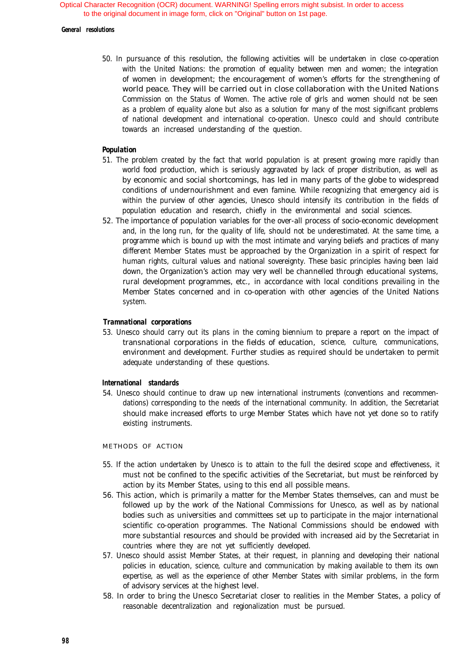## *General resolutions*

50. In pursuance of this resolution, the following activities will be undertaken in close co-operation with the United Nations: the promotion of equality between men and women; the integration of women in development; the encouragement of women's efforts for the strengthening of world peace. They will be carried out in close collaboration with the United Nations Commission on the Status of Women. The active role of girls and women should not be seen as a problem of equality alone but also as a solution for many of the most significant problems of national development and international co-operation. Unesco could and should contribute towards an increased understanding of the question.

# *Population*

- 51. The problem created by the fact that world population is at present growing more rapidly than world food production, which is seriously aggravated by lack of proper distribution, as well as by economic and social shortcomings, has led in many parts of the globe to widespread conditions of undernourishment and even famine. While recognizing that emergency aid is within the purview of other agencies, Unesco should intensify its contribution in the fields of population education and research, chiefly in the environmental and social sciences.
- 52. The importance of population variables for the over-all process of socio-economic development and, in the long run, for the quality of life, should not be underestimated. At the same time, a programme which is bound up with the most intimate and varying beliefs and practices of many different Member States must be approached by the Organization in a spirit of respect for human rights, cultural values and national sovereignty. These basic principles having been laid down, the Organization's action may very well be channelled through educational systems, rural development programmes, etc., in accordance with local conditions prevailing in the Member States concerned and in co-operation with other agencies of the United Nations system.

## *Tramnational corporations*

53. Unesco should carry out its plans in the coming biennium to prepare a report on the impact of transnational corporations in the fields of education, science, culture, communications, environment and development. Further studies as required should be undertaken to permit adequate understanding of these questions.

# *International standards*

54. Unesco should continue to draw up new international instruments (conventions and recommendations) corresponding to the needs of the international community. In addition, the Secretariat should make increased efforts to urge Member States which have not yet done so to ratify existing instruments.

# METHODS OF ACTION

- 55. If the action undertaken by Unesco is to attain to the full the desired scope and effectiveness, it must not be confined to the specific activities of the Secretariat, but must be reinforced by action by its Member States, using to this end all possible means.
- 56. This action, which is primarily a matter for the Member States themselves, can and must be followed up by the work of the National Commissions for Unesco, as well as by national bodies such as universities and committees set up to participate in the major international scientific co-operation programmes. The National Commissions should be endowed with more substantial resources and should be provided with increased aid by the Secretariat in countries where they are not yet sufficiently developed.
- 57. Unesco should assist Member States, at their request, in planning and developing their national policies in education, science, culture and communication by making available to them its own expertise, as well as the experience of other Member States with similar problems, in the form of advisory services at the highest level.
- 58. In order to bring the Unesco Secretariat closer to realities in the Member States, a policy of reasonable decentralization and regionalization must be pursued.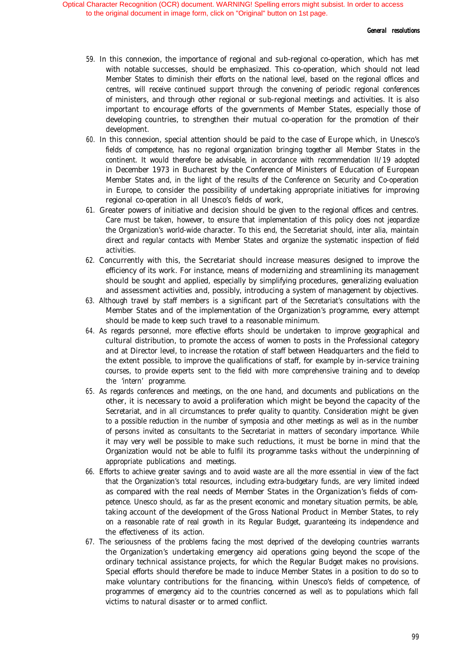- 59. In this connexion, the importance of regional and sub-regional co-operation, which has met with notable successes, should be emphasized. This co-operation, which should not lead Member States to diminish their efforts on the national level, based on the regional offices and centres, will receive continued support through the convening of periodic regional conferences of ministers, and through other regional or sub-regional meetings and activities. It is also important to encourage efforts of the governments of Member States, especially those of developing countries, to strengthen their mutual co-operation for the promotion of their development.
- 60. In this connexion, special attention should be paid to the case of Europe which, in Unesco's fields of competence, has no regional organization bringing together all Member States in the continent. It would therefore be advisable, in accordance with recommendation II/19 adopted in December 1973 in Bucharest by the Conference of Ministers of Education of European Member States and, in the light of the results of the Conference on Security and Co-operation in Europe, to consider the possibility of undertaking appropriate initiatives for improving regional co-operation in all Unesco's fields of work,
- 61. Greater powers of initiative and decision should be given to the regional offices and centres. Care must be taken, however, to ensure that implementation of this policy does not jeopardize the Organization's world-wide character. To this end, the Secretariat should, inter alia, maintain direct and regular contacts with Member States and organize the systematic inspection of field activities.
- 62. Concurrently with this, the Secretariat should increase measures designed to improve the efficiency of its work. For instance, means of modernizing and streamlining its management should be sought and applied, especially by simplifying procedures, generalizing evaluation and assessment activities and, possibly, introducing a system of management by objectives.
- 63. Although travel by staff members is a significant part of the Secretariat's consultations with the Member States and of the implementation of the Organization's programme, every attempt should be made to keep such travel to a reasonable minimum.
- 64. As regards personnel, more effective efforts should be undertaken to improve geographical and cultural distribution, to promote the access of women to posts in the Professional category and at Director level, to increase the rotation of staff between Headquarters and the field to the extent possible, to improve the qualifications of staff, for example by in-service training courses, to provide experts sent to the field with more comprehensive training and to develop the 'intern' programme.
- 65. As regards conferences and meetings, on the one hand, and documents and publications on the other, it is necessary to avoid a proliferation which might be beyond the capacity of the Secretariat, and in all circumstances to prefer quality to quantity. Consideration might be given to a possible reduction in the number of symposia and other meetings as well as in the number of persons invited as consultants to the Secretariat in matters of secondary importance. While it may very well be possible to make such reductions, it must be borne in mind that the Organization would not be able to fulfil its programme tasks without the underpinning of appropriate publications and meetings.
- 66. Efforts to achieve greater savings and to avoid waste are all the more essential in view of the fact that the Organization's total resources, including extra-budgetary funds, are very limited indeed as compared with the real needs of Member States in the Organization's fields of competence. Unesco should, as far as the present economic and monetary situation permits, be able, taking account of the development of the Gross National Product in Member States, to rely on a reasonable rate of real growth in its Regular Budget, guaranteeing its independence and the effectiveness of its action.
- 67. The seriousness of the problems facing the most deprived of the developing countries warrants the Organization's undertaking emergency aid operations going beyond the scope of the ordinary technical assistance projects, for which the Regular Budget makes no provisions. Special efforts should therefore be made to induce Member States in a position to do so to make voluntary contributions for the financing, within Unesco's fields of competence, of programmes of emergency aid to the countries concerned as well as to populations which fall victims to natural disaster or to armed conflict.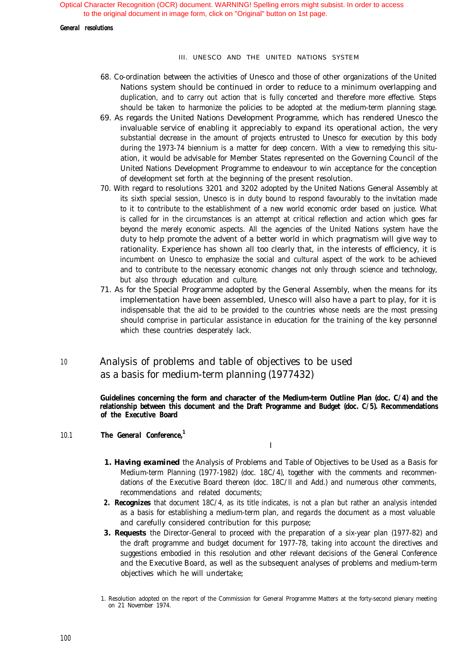### *General resolutions*

# III. UNESCO AND THE UNITED NATIONS SYSTEM

- 68. Co-ordination between the activities of Unesco and those of other organizations of the United Nations system should be continued in order to reduce to a minimum overlapping and duplication, and to carry out action that is fully concerted and therefore more effective. Steps should be taken to harmonize the policies to be adopted at the medium-term planning stage.
- 69. As regards the United Nations Development Programme, which has rendered Unesco the invaluable service of enabling it appreciably to expand its operational action, the very substantial decrease in the amount of projects entrusted to Unesco for execution by this body during the 1973-74 biennium is a matter for deep concern. With a view to remedying this situation, it would be advisable for Member States represented on the Governing Council of the United Nations Development Programme to endeavour to win acceptance for the conception of development set forth at the beginning of the present resolution.
- 70. With regard to resolutions 3201 and 3202 adopted by the United Nations General Assembly at its sixth special session, Unesco is in duty bound to respond favourably to the invitation made to it to contribute to the establishment of a new world economic order based on justice. What is called for in the circumstances is an attempt at critical reflection and action which goes far beyond the merely economic aspects. All the agencies of the United Nations system have the duty to help promote the advent of a better world in which pragmatism will give way to rationality. Experience has shown all too clearly that, in the interests of efficiency, it is incumbent on Unesco to emphasize the social and cultural aspect of the work to be achieved and to contribute to the necessary economic changes not only through science and technology, but also through education and culture.
- 71. As for the Special Programme adopted by the General Assembly, when the means for its implementation have been assembled, Unesco will also have a part to play, for it is indispensable that the aid to be provided to the countries whose needs are the most pressing should comprise in particular assistance in education for the training of the key personnel which these countries desperately lack.
- 10 Analysis of problems and table of objectives to be used as a basis for medium-term planning (1977432)

**Guidelines concerning the form and character of the Medium-term Outline Plan (doc. C/4) and the relationship between this document and the Draft Programme and Budget (doc. C/5). Recommendations of the Executive Board**

10.1 *The General Conference,1*

I

- *1. Having examined* the Analysis of Problems and Table of Objectives to be Used as a Basis for Medium-term Planning (1977-1982) (doc. 18C/4), together with the comments and recommendations of the Executive Board thereon (doc. 18C/ll and Add.) and numerous other comments, recommendations and related documents;
- *2. Recognizes* that document 18C/4, as its title indicates, is not a plan but rather an analysis intended as a basis for establishing a medium-term plan, and *regards* the document as a most valuable and carefully considered contribution for this purpose;
- *3. Requests* the Director-General to proceed with the preparation of a six-year plan (1977-82) and the draft programme and budget document for 1977-78, taking into account the directives and suggestions embodied in this resolution and other relevant decisions of the General Conference and the Executive Board, as well as the subsequent analyses of problems and medium-term objectives which he will undertake;
- 1. Resolution adopted on the report of the Commission for General Programme Matters at the forty-second plenary meeting on 21 November 1974.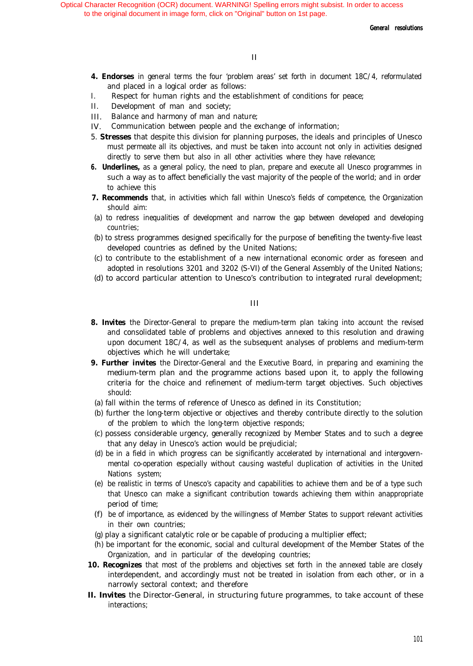*General resolutions*

- *4. Endorses* in general terms the four 'problem areas' set forth in document 18C/4, reformulated and placed in a logical order as follows:
- I. Respect for human rights and the establishment of conditions for peace;
- II. Development of man and society;
- III. Balance and harmony of man and nature;
- IV. Communication between people and the exchange of information;
- 5. *Stresses* that despite this division for planning purposes, the ideals and principles of Unesco must permeate all its objectives, and must be taken into account not only in activities designed directly to serve them but also in all other activities where they have relevance;
- *6. Underlines,* as a general policy, the need to plan, prepare and execute all Unesco programmes in such a way as to affect beneficially the vast majority of the people of the world; and in order to achieve this
- *7. Recommends* that, in activities which fall within Unesco's fields of competence, the Organization should aim:
- (a) to redress inequalities of development and narrow the gap between developed and developing countries;
- (b) to stress programmes designed specifically for the purpose of benefiting the twenty-five least developed countries as defined by the United Nations;
- (c) to contribute to the establishment of a new international economic order as foreseen and adopted in resolutions 3201 and 3202 (S-VI) of the General Assembly of the United Nations;
- (d) to accord particular attention to Unesco's contribution to integrated rural development;

# III

- 8. **Invites** the Director-General to prepare the medium-term plan taking into account the revised and consolidated table of problems and objectives annexed to this resolution and drawing upon document 18C/4, as well as the subsequent analyses of problems and medium-term objectives which he will undertake;
- *9. Further invites* the Director-General and the Executive Board, in preparing and examining the medium-term plan and the programme actions based upon it, to apply the following criteria for the choice and refinement of medium-term target objectives. Such objectives should:
- (a) fall within the terms of reference of Unesco as defined in its Constitution;
- (b) further the long-term objective or objectives and thereby contribute directly to the solution of the problem to which the long-term objective responds;
- (c) possess considerable urgency, generally recognized by Member States and to such a degree that any delay in Unesco's action would be prejudicial;
- (d) be in a field in which progress can be significantly accelerated by international and intergovernmental co-operation especially without causing wasteful duplication of activities in the United Nations system;
- (e) be realistic in terms of Unesco's capacity and capabilities to achieve them and be of a type such that Unesco can make a significant contribution towards achieving them within anappropriate period of time;
- (f) be of importance, as evidenced by the willingness of Member States to support relevant activities in their own countries;
- (g) play a significant catalytic role or be capable of producing a multiplier effect;
- (h) be important for the economic, social and cultural development of the Member States of the Organization, and in particular of the developing countries;
- 10. Recognizes that most of the problems and objectives set forth in the annexed table are closely interdependent, and accordingly must not be treated in isolation from each other, or in a narrowly sectoral context; and therefore
- *II. Invites* the Director-General, in structuring future programmes, to take account of these interactions;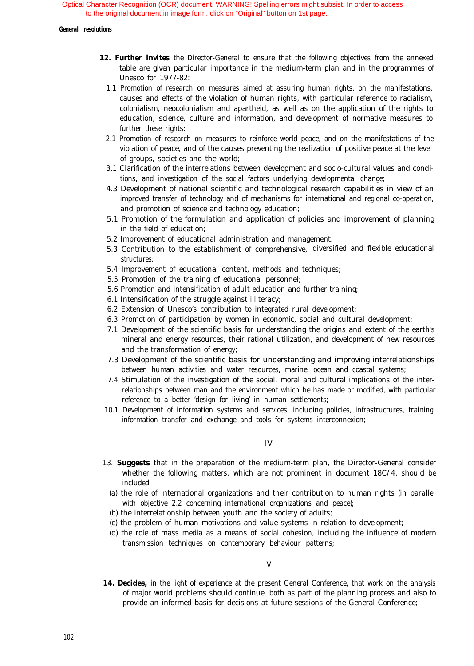## *General resolutions*

- 12. Further invites the Director-General to ensure that the following objectives from the annexed table are given particular importance in the medium-term plan and in the programmes of Unesco for 1977-82:
	- 1.1 Promotion of research on measures aimed at assuring human rights, on the manifestations, causes and effects of the violation of human rights, with particular reference to racialism, colonialism, neocolonialism and apartheid, as well as on the application of the rights to education, science, culture and information, and development of normative measures to further these rights;
	- 2.1 Promotion of research on measures to reinforce world peace, and on the manifestations of the violation of peace, and of the causes preventing the realization of positive peace at the level of groups, societies and the world;
	- 3.1 Clarification of the interrelations between development and socio-cultural values and conditions, and investigation of the social factors underlying developmental change;
	- 4.3 Development of national scientific and technological research capabilities in view of an improved transfer of technology and of mechanisms for international and regional co-operation, and promotion of science and technology education;
	- 5.1 Promotion of the formulation and application of policies and improvement of planning in the field of education;
	- 5.2 Improvement of educational administration and management;
	- 5.3 Contribution to the establishment of comprehensive, diversified and flexible educational structures;
	- 5.4 Improvement of educational content, methods and techniques;
	- 5.5 Promotion of the training of educational personnel;
	- 5.6 Promotion and intensification of adult education and further training;
	- 6.1 Intensification of the struggle against illiteracy;
	- 6.2 Extension of Unesco's contribution to integrated rural development;
	- 6.3 Promotion of participation by women in economic, social and cultural development;
	- 7.1 Development of the scientific basis for understanding the origins and extent of the earth's mineral and energy resources, their rational utilization, and development of new resources and the transformation of energy;
	- 7.3 Development of the scientific basis for understanding and improving interrelationships between human activities and water resources, marine, ocean and coastal systems;
	- 7.4 Stimulation of the investigation of the social, moral and cultural implications of the interrelationships between man and the environment which he has made or modified, with particular reference to a better 'design for living' in human settlements;
- 10.1 Development of information systems and services, including policies, infrastructures, training, information transfer and exchange and tools for systems interconnexion;

# IV

- 13. *Suggests* that in the preparation of the medium-term plan, the Director-General consider whether the following matters, which are not prominent in document 18C/4, should be included:
	- (a) the role of international organizations and their contribution to human rights (in parallel with objective 2.2 concerning international organizations and peace);
	- (b) the interrelationship between youth and the society of adults;
	- (c) the problem of human motivations and value systems in relation to development;
	- (d) the role of mass media as a means of social cohesion, including the influence of modern transmission techniques on contemporary behaviour patterns;

# V

14. Decides, in the light of experience at the present General Conference, that work on the analysis of major world problems should continue, both as part of the planning process and also to provide an informed basis for decisions at future sessions of the General Conference;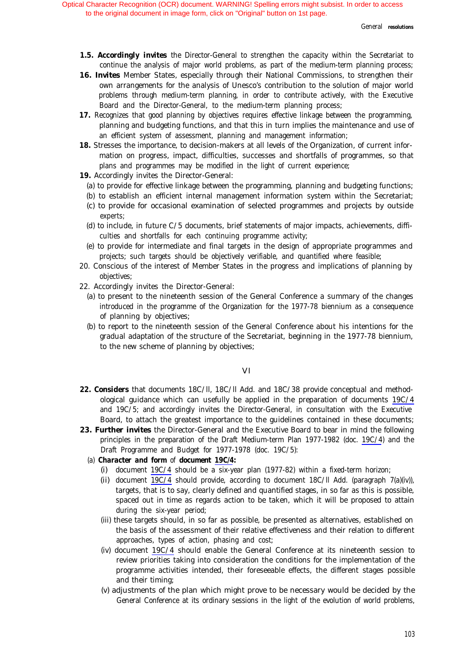- *1.5. Accordingly invites* the Director-General to strengthen the capacity within the Secretariat to continue the analysis of major world problems, as part of the medium-term planning process;
- 16. Invites Member States, especially through their National Commissions, to strengthen their own arrangements for the analysis of Unesco's contribution to the solution of major world problems through medium-term planning, in order to contribute actively, with the Executive Board and the Director-General, to the medium-term planning process;
- 17. Recognizes that good planning by objectives requires effective linkage between the programming, planning and budgeting functions, and that this in turn implies the maintenance and use of an efficient system of assessment, planning and management information;
- 18. Stresses the importance, to decision-makers at all levels of the Organization, of current information on progress, impact, difficulties, successes and shortfalls of programmes, so that plans and programmes may be modified in the light of current experience;
- 19. Accordingly invites the Director-General:
- (a) to provide for effective linkage between the programming, planning and budgeting functions;
- (b) to establish an efficient internal management information system within the Secretariat;
- (c) to provide for occasional examination of selected programmes and projects by outside experts;
- (d) to include, in future C/5 documents, brief statements of major impacts, achievements, difficulties and shortfalls for each continuing programme activity;
- (e) to provide for intermediate and final targets in the design of appropriate programmes and projects; such targets should be objectively verifiable, and quantified where feasible;
- 20. Conscious of the interest of Member States in the progress and implications of planning by objectives;
- 22. Accordingly invites the Director-General:
	- (a) to present to the nineteenth session of the General Conference a summary of the changes introduced in the programme of the Organization for the 1977-78 biennium as a consequence of planning by objectives;
	- (b) to report to the nineteenth session of the General Conference about his intentions for the gradual adaptation of the structure of the Secretariat, beginning in the 1977-78 biennium, to the new scheme of planning by objectives;

# VI

- 22. Considers that documents 18C/ll, 18C/ll Add. and 18C/38 provide conceptual and methodological guidance which can usefully be applied in the preparation of documents 19C/4 and 19C/5; and accordingly invites the Director-General, in consultation with the Executive Board, to attach the greatest importance to the guidelines contained in these documents;
- 23. Further invites the Director-General and the Executive Board to bear in mind the following principles in the preparation of the Draft Medium-term Plan 1977-1982 (doc. 19C/4) and the Draft Programme and Budget for 1977-1978 (doc. 19C/5):
	- (a) *Character and form of document 19C/4:*
		- (i) document 19C/4 should be a six-year plan (1977-82) within a fixed-term horizon;
		- (ii) document 19C/4 should provide, according to document 18C/ll Add. (paragraph 7(a)(iv)), targets, that is to say, clearly defined and quantified stages, in so far as this is possible, spaced out in time as regards action to be taken, which it will be proposed to attain during the six-year period;
		- (iii) these targets should, in so far as possible, be presented as alternatives, established on the basis of the assessment of their relative effectiveness and their relation to different approaches, types of action, phasing and cost;
		- (iv) document 19C/4 should enable the General Conference at its nineteenth session to review priorities taking into consideration the conditions for the implementation of the programme activities intended, their foreseeable effects, the different stages possible and their timing;
		- (v) adjustments of the plan which might prove to be necessary would be decided by the General Conference at its ordinary sessions in the light of the evolution of world problems,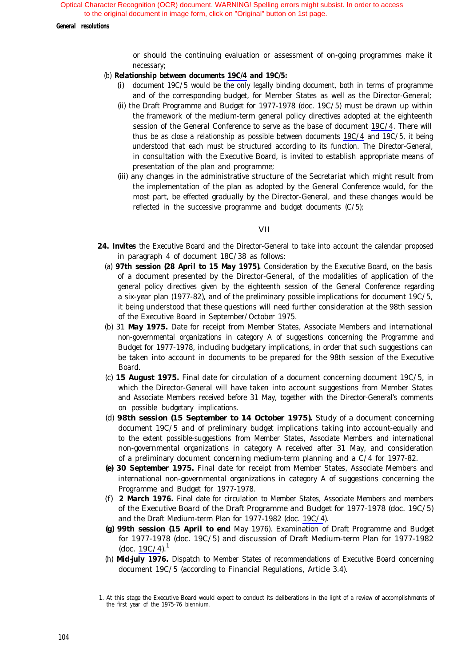*General resolutions*

or should the continuing evaluation or assessment of on-going programmes make it necessary;

# (b) *Relationship between documents 19C/4 and 19C/5:*

- (i) document 19C/5 would be the only legally binding document, both in terms of programme and of the corresponding budget, for Member States as well as the Director-General;
- (ii) the Draft Programme and Budget for 1977-1978 (doc. 19C/5) must be drawn up within the framework of the medium-term general policy directives adopted at the eighteenth session of the General Conference to serve as the base of document 19C/4. There will thus be as close a relationship as possible between documents 19C/4 and 19C/5, it being understood that each must be structured according to its function. The Director-General, in consultation with the Executive Board, is invited to establish appropriate means of presentation of the plan and programme;
- (iii) any changes in the administrative structure of the Secretariat which might result from the implementation of the plan as adopted by the General Conference would, for the most part, be effected gradually by the Director-General, and these changes would be reflected in the successive programme and budget documents (C/5);

## VII

- 24. Invites the Executive Board and the Director-General to take into account the calendar proposed in paragraph 4 of document 18C/38 as follows:
	- (a) *97th session (28 April to 15 May 1975).* Consideration by the Executive Board, on the basis of a document presented by the Director-General, of the modalities of application of the general policy directives given by the eighteenth session of the General Conference regarding a six-year plan (1977-82), and of the preliminary possible implications for document 19C/5, it being understood that these questions will need further consideration at the 98th session of the Executive Board in September/October 1975.
	- (b) 31 *May 1975.* Date for receipt from Member States, Associate Members and international non-governmental organizations in category A of suggestions concerning the Programme and Budget for 1977-1978, including budgetary implications, in order that such suggestions can be taken into account in documents to be prepared for the 98th session of the Executive Board.
	- (c) *15 August 1975.* Final date for circulation of a document concerning document 19C/5, in which the Director-General will have taken into account suggestions from Member States and Associate Members received before 31 May, together with the Director-General's comments on possible budgetary implications.
	- (d) *98th session (15 September to 14 October 1975).* Study of a document concerning document 19C/5 and of preliminary budget implications taking into account-equally and to the extent possible-suggestions from Member States, Associate Members and international non-governmental organizations in category A received after 31 May, and consideration of a preliminary document concerning medium-term planning and a C/4 for 1977-82.
	- *(e) 30 September 1975.* Final date for receipt from Member States, Associate Members and international non-governmental organizations in category A of suggestions concerning the Programme and Budget for 1977-1978.
	- (f) *2 March 1976.* Final date for circulation to Member States, Associate Members and members of the Executive Board of the Draft Programme and Budget for 1977-1978 (doc. 19C/5) and the Draft Medium-term Plan for 1977-1982 (doc. 19C/4).
	- *(g) 99th session (15 April to end* May 1976). Examination of Draft Programme and Budget for 1977-1978 (doc. 19C/5) and discussion of Draft Medium-term Plan for 1977-1982  $(doc. 19C/4).$ <sup>1</sup>
	- (h) *Mid-july 1976.* Dispatch to Member States of recommendations of Executive Board concerning document 19C/5 (according to Financial Regulations, Article 3.4).

<sup>1.</sup> At this stage the Executive Board would expect to conduct its deliberations in the light of a review of accomplishments of the first year of the 1975-76 biennium.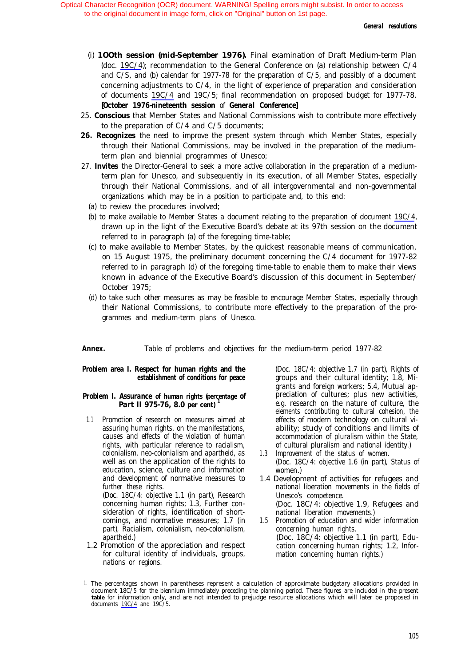- (i) *1OOth session (mid-September 1976).* Final examination of Draft Medium-term Plan (doc. 19C/4); recommendation to the General Conference on (a) relationship between C/4 and  $C/S$ , and (b) calendar for 1977-78 for the preparation of  $C/5$ , and possibly of a document concerning adjustments to C/4, in the light of experience of preparation and consideration of documents 19C/4 and 19C/5; final recommendation on proposed budget for 1977-78. *[October 1976-nineteenth session of General Conference]*
- 25. *Conscious* that Member States and National Commissions wish to contribute more effectively to the preparation of C/4 and C/5 documents;
- 26. Recognizes the need to improve the present system through which Member States, especially through their National Commissions, may be involved in the preparation of the mediumterm plan and biennial programmes of Unesco;
- 27. *Invites* the Director-General to seek a more active collaboration in the preparation of a mediumterm plan for Unesco, and subsequently in its execution, of all Member States, especially through their National Commissions, and of all intergovernmental and non-governmental organizations which may be in a position to participate and, to this end:
	- (a) to review the procedures involved;
	- (b) to make available to Member States a document relating to the preparation of document 19C/4, drawn up in the light of the Executive Board's debate at its 97th session on the document referred to in paragraph (a) of the foregoing time-table;
	- (c) to make available to Member States, by the quickest reasonable means of communication, on 15 August 1975, the preliminary document concerning the C/4 document for 1977-82 referred to in paragraph (d) of the foregoing time-table to enable them to make their views known in advance of the Executive Board's discussion of this document in September/ October 1975;
	- (d) to take such other measures as may be feasible to encourage Member States, especially through their National Commissions, to contribute more effectively to the preparation of the programmes and medium-term plans of Unesco.
- *Annex.* Table of problems and objectives for the medium-term period 1977-82

# **Problem area I. Respect for human rights and the establishment of conditions for peace**

## *Problem I. Assurance of human rights (percentage of Part* **II 975-76, 8.0** *per cent) <sup>1</sup>*

1.1 Promotion of research on measures aimed at assuring human rights, on the manifestations, causes and effects of the violation of human rights, with particular reference to racialism, colonialism, neo-colonialism and apartheid, as well as on the application of the rights to education, science, culture and information and development of normative measures to further these rights. (Doc. 18C/4: objective 1.1 (in part), Research concerning human rights; 1.3, Further consideration of rights, identification of short-

comings, and normative measures; 1.7 (in part), Racialism, colonialism, neo-colonialism, apartheid.)

1.2 Promotion of the appreciation and respect for cultural identity of individuals, groups, nations or regions.

(Doc. 18C/4: objective 1.7 (in part), Rights of groups and their cultural identity; 1.8, Migrants and foreign workers; 5.4, Mutual appreciation of cultures; plus new activities, e.g. research on the nature of culture, the elements contributing to cultural cohesion, the effects of modern technology on cultural viability; study of conditions and limits of accommodation of pluralism within the State, of cultural pluralism and national identity.)

- 1.3 Improvement of the status of women. (Doc. 18C/4: objective 1.6 (in part), Status of women.)
- 1.4 Development of activities for refugees and national liberation movements in the fields of Unesco's competence. (Doc. 18C/4: objective 1.9, Refugees and
- national liberation movements.) 1.5 Promotion of education and wider information concerning human rights. (Doc. 18C/4: objective 1.1 (in part), Education concerning human rights; 1.2, Information concerning human rights.)

<sup>1.</sup> The percentages shown in parentheses represent a calculation of approximate budgetary allocations provided in document 18C/5 for the biennium immediately preceding the planning period. These figures are included in the present **table** for information only, and are not intended to prejudge resource allocations which will later be proposed in documents  $19C/4$  and  $19C/5$ .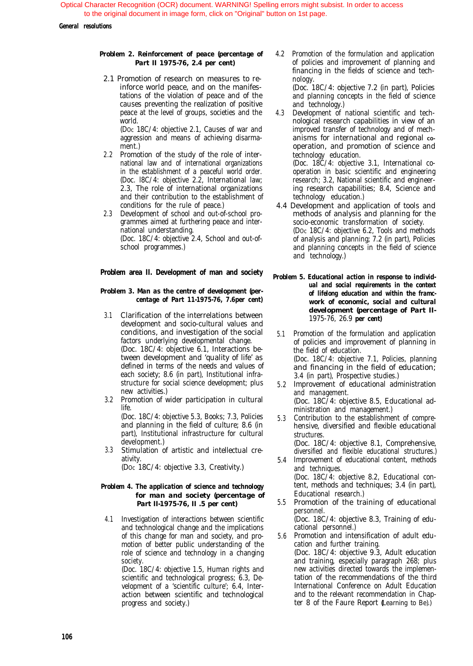*General resolutions*

# *Problem 2. Reinforcement of peace (percentage of Part II 1975-76, 2.4 per cent)*

2.1 Promotion of research on measures to reinforce world peace, and on the manifestations of the violation of peace and of the causes preventing the realization of positive peace at the level of groups, societies and the world.

> (DOc 18C/4: objective 2.1, Causes of war and aggression and means of achieving disarmament.)

- 2.2 Promotion of the study of the role of international law and of international organizations in the establishment of a peaceful world order. (Doc. l8C/4: objective 2.2, International law; 2.3, The role of international organizations and their contribution to the establishment of conditions for the rule of peace.)
- 2.3 Development of school and out-of-school programmes aimed at furthering peace and international understanding. (Doc. 18C/4: objective 2.4, School and out-ofschool programmes.)

## **Problem area II. Development of man and society**

# *Problem 3. Man as the centre of development (percentage of Part 11-1975-76, 7.6per cent)*

- 3.1 Clarification of the interrelations between development and socio-cultural values and conditions, and investigation of the social factors underlying developmental change. (Doc. 18C/4: objective 6.1, Interactions between development and 'quality of life' as defined in terms of the needs and values of each society; 8.6 (in part), Institutional infrastructure for social science development; plus new activities.)
- 3.2 Promotion of wider participation in cultural life.

(Doc. 18C/4: objective 5.3, Books; 7.3, Policies and planning in the field of culture; 8.6 (in part), Institutional infrastructure for cultural development.)

3.3 Stimulation of artistic and intellectual creativity.

(DOc 18C/4: objective 3.3, Creativity.)

## *Problem 4. The application of science and technology for man and society (percentage of Part II-1975-76, II .5 per cent)*

4.1 Investigation of interactions between scientific and technological change and the implications of this change for man and society, and promotion of better public understanding of the role of science and technology in a changing society.

(Doc. 18C/4: objective 1.5, Human rights and scientific and technological progress; 6.3, Development of a 'scientific culture'; 6.4, Interaction between scientific and technological progress and society.) ter 8 of the Faure Report *(Learning to Be).*)

4.2 Promotion of the formulation and application of policies and improvement of planning and financing in the fields of science and technology.

(Doc. 18C/4: objective 7.2 (in part), Policies and planning concepts in the field of science and technology.)

4.3 Development of national scientific and technological research capabilities in view of an improved transfer of technology and of mechanisms for international and regional cooperation, and promotion of science and technology education.

> (Doc. 18C/4: objective 3.1, International cooperation in basic scientific and engineering research; 3.2, National scientific and engineering research capabilities; 8.4, Science and technology education.)

- 4.4 Development and application of tools and methods of analysis and planning for the socio-economic transformation of society. (DOc 18C/4: objective 6.2, Tools and methods of analysis and planning; 7.2 (in part), Policies and planning concepts in the field of science and technology.)
- *Problem 5. Educational action in response to individual and social requirements in the context of lifelong education and within the framcwork of economic, social and cultural development (percentage of Part II-*1975-76, 26.9 *per cent)*
	- 5.1 Promotion of the formulation and application of policies and improvement of planning in the field of education. (Doc. 18C/4: objective 7.1, Policies, planning and financing in the field of education;
- 5.2 3.4 (in part), Prospective studies.) Improvement of educational administration and management. (Doc. 18C/4: objective 8.5, Educational administration and management.)
- 5.3 Contribution to the establishment of comprehensive, diversified and flexible educational structures.

(Doc. 18C/4: objective 8.1, Comprehensive, diversified and flexible educational structures.)

5.4 Improvement of educational content, methods and techniques. (Doc. 18C/4: objective 8.2, Educational con-

tent, methods and techniques; 3.4 (in part), Educational research.)

- 5.5 Promotion of the training of educational personnel. (Doc. 18C/4: objective 8.3, Training of edu
	- cational personnel.) Promotion and intensification of adult edu-
- 5.6 cation and further training. (Doc. 18C/4: objective 9.3, Adult education and training, especially paragraph 268; plus new activities directed towards the implementation of the recommendations of the third International Conference on Adult Education

and to the relevant recommendation in Chap-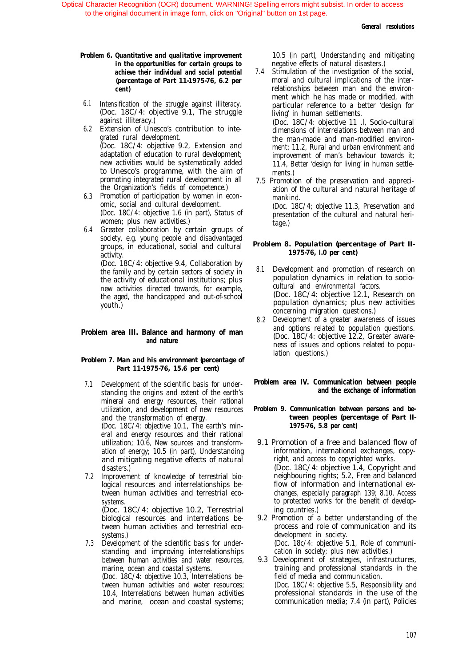## *Problem 6. Quantitative and qualitative improvement in the opportunities for certain groups to achieve their individual and social potential (percentage of Part 11-1975-76, 6.2 per cent)*

- 6.1 Intensification of the struggle against illiteracy. (Doc. 18C/4: objective 9.1, The struggle against illiteracy.)
- 6.2 Extension of Unesco's contribution to integrated rural development. (Doc. 18C/4: objective 9.2, Extension and adaptation of education to rural development; new activities would be systematically added to Unesco's programme, with the aim of promoting integrated rural development in all the Organization's fields of competence.)
- 6.3 Promotion of participation by women in economic, social and cultural development. (Doc. 18C/4: objective 1.6 (in part), Status of women; plus new activities.)
- 6.4 Greater collaboration by certain groups of society, e.g. young people and disadvantaged groups, in educational, social and cultural activity.

(Doc. 18C/4: objective 9.4, Collaboration by the family and by certain sectors of society in the activity of educational institutions; plus new activities directed towards, for example, the aged, the handicapped and out-of-school youth.)

## **Problem area III. Balance and harmony of man and nature**

# *Problem 7. Man and his environment (percentage of Part 11-1975-76, 15.6 per cent)*

7.1 Development of the scientific basis for understanding the origins and extent of the earth's mineral and energy resources, their rational utilization, and development of new resources and the transformation of energy.

(Doc. 18C/4: objective 10.1, The earth's mineral and energy resources and their rational utilization; 10.6, New sources and transformation of energy; 10.5 (in part), Understanding and mitigating negative effects of natural disasters.)

7.2 Improvement of knowledge of terrestrial biological resources and interrelationships between human activities and terrestrial ecosystems.

(Doc. 18C/4: objective 10.2, Terrestrial biological resources and interrelations between human activities and terrestrial ecosystems.)

7.3 Development of the scientific basis for understanding and improving interrelationships between human activities and water resources, marine, ocean and coastal systems. (Doc. 18C/4: objective 10.3, Interrelations between human activities and water resources; 10.4, Interrelations between human activities and marine, ocean and coastal systems; 10.5 (in part), Understanding and mitigating negative effects of natural disasters.)

7.4 Stimulation of the investigation of the social, moral and cultural implications of the interrelationships between man and the environment which he has made or modified, with particular reference to a better 'design for living' in human settlements.

(Doc. 18C/4: objective 11 .l, Socio-cultural dimensions of interrelations between man and the man-made and man-modified environment; 11.2, Rural and urban environment and improvement of man's behaviour towards it; 11.4, Better 'design for living' in human settlements.)

7.5 Promotion of the preservation and appreciation of the cultural and natural heritage of mankind. (Doc. 18C/4; objective 11.3, Preservation and presentation of the cultural and natural heritage.)

## *Problem 8. Population (percentage of Part II-1975-76, I.0 per cent)*

- 8.1 Development and promotion of research on population dynamics in relation to sociocultural and environmental factors. (Doc. 18C/4: objective 12.1, Research on population dynamics; plus new activities concerning migration questions.)
- 8.2 Development of a greater awareness of issues and options related to population questions. (Doc. 18C/4: objective 12.2, Greater awareness of issues and options related to population questions.)

## **Problem area IV. Communication between people and the exchange of information**

## *Problem 9. Communication between persons and between peoples (percentage of Part II-1975-76, 5.8 per cent)*

- 9.1 Promotion of a free and balanced flow of information, international exchanges, copyright, and access to copyrighted works. (Doc. 18C/4: objective 1.4, Copyright and neighbouring rights; 5.2, Free and balanced flow of information and international exchanges, especially paragraph 139; 8.10, Access to protected works for the benefit of developing countries.)
- 9.2 Promotion of a better understanding of the process and role of communication and its development in society. (Doc. 18c/4: objective 5.1, Role of communication in society; plus new activities.)
- 9.3 Development of strategies, infrastructures, training and professional standards in the field of media and communication. (Doc. 18C/4: objective 5.5, Responsibility and professional standards in the use of the communication media; 7.4 (in part), Policies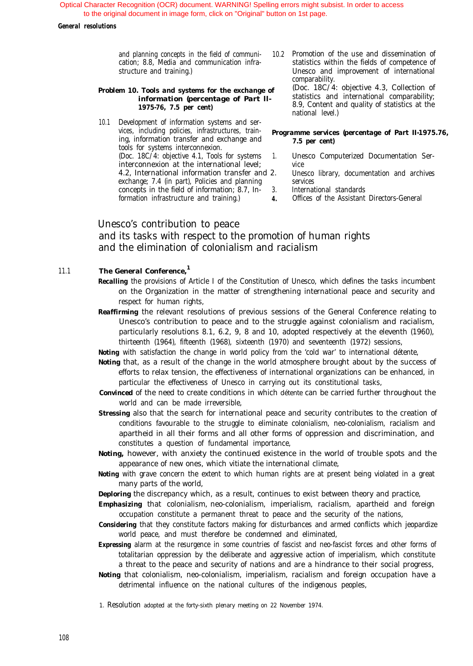### *General resolutions*

and planning concepts in the field of communication; 8.8, Media and communication infrastructure and training.)

## *Problem 10. Tools and systems for the exchange of information (percentage of Part ll-1975-76, 7.5 per cent)*

- 10.1 Development of information systems and services, including policies, infrastructures, traintools for systems interconnexion. (Doc. 18C/4: objective 4.1, Tools for systems 1. Unesco Computerized Documentation Serinterconnexion at the international level; vice exchange; 7.4 (in part), Policies and planning services concepts in the field of information; 8.7, In- 3. International standards formation infrastructure and training.) *4.* Offices of the Assistant Directors-General
- 10.2 Promotion of the use and dissemination of statistics within the fields of competence of Unesco and improvement of international comparability. (Doc. 18C/4: objective 4.3, Collection of statistics and international comparability;

8.9, Content and quality of statistics at the national level.)

## vices, including policies, infrastructures, train-**Programme services (percentage of Part II-1975.76,** ing, information transfer and exchange and **7.5 per cent**) *7.5 per cent)*

- 
- 4.2, International information transfer and 2. Unesco library, documentation and archives
	-
	-

# Unesco's contribution to peace and its tasks with respect to the promotion of human rights and the elimination of colonialism and racialism

#### 11.1 *The General Conference,<sup>1</sup>*

- *Recalling* the provisions of Article I of the Constitution of Unesco, which defines the tasks incumbent on the Organization in the matter of strengthening international peace and security and respect for human rights,
- **Reaffirming** the relevant resolutions of previous sessions of the General Conference relating to Unesco's contribution to peace and to the struggle against colonialism and racialism, particularly resolutions 8.1, 6.2, 9, 8 and 10, adopted respectively at the eleventh (1960), thirteenth (1964), fifteenth (1968), sixteenth (1970) and seventeenth (1972) sessions,

*Noting* with satisfaction the change in world policy from the 'cold war' to international détente,

- *Noting* that, as a result of the change in the world atmosphere brought about by the success of efforts to relax tension, the effectiveness of international organizations can be enhanced, in particular the effectiveness of Unesco in carrying out its constitutional tasks,
- *Convinced* of the need to create conditions in which *détente* can be carried further throughout the world and can be made irreversible,
- **Stressing** also that the search for international peace and security contributes to the creation of conditions favourable to the struggle to eliminate colonialism, neo-colonialism, racialism and apartheid in all their forms and all other forms of oppression and discrimination, and constitutes a question of fundamental importance,
- *Noting,* however, with anxiety the continued existence in the world of trouble spots and the appearance of new ones, which vitiate the international climate,
- *Noting* with grave concern the extent to which human rights are at present being violated in a great many parts of the world,
- **Deploring** the discrepancy which, as a result, continues to exist between theory and practice,
- *Emphasizing* that colonialism, neo-colonialism, imperialism, racialism, apartheid and foreign occupation constitute a permanent threat to peace and the security of the nations,
- **Considering** that they constitute factors making for disturbances and armed conflicts which jeopardize world peace, and must therefore be condemned and eliminated,
- **Expressing** alarm at the resurgence in some countries of fascist and neo-fascist forces and other forms of totalitarian oppression by the deliberate and aggressive action of imperialism, which constitute a threat to the peace and security of nations and are a hindrance to their social progress,
- *Noting* that colonialism, neo-colonialism, imperialism, racialism and foreign occupation have a detrimental influence on the national cultures of the indigenous peoples,

1. Resolution adopted at the forty-sixth plenary meeting on 22 November 1974.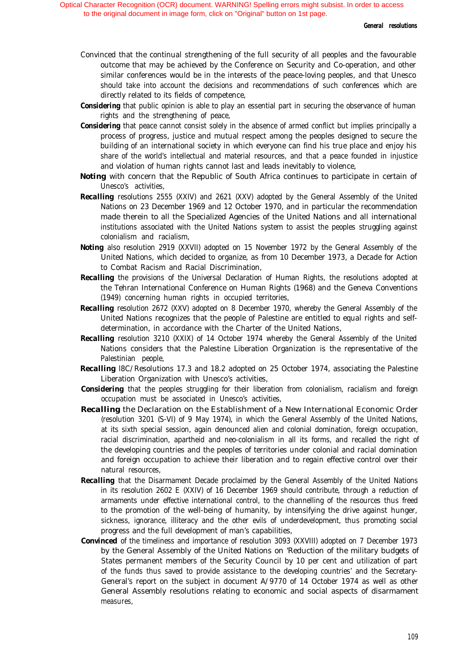- Convinced that the continual strengthening of the full security of all peoples and the favourable outcome that may be achieved by the Conference on Security and Co-operation, and other similar conferences would be in the interests of the peace-loving peoples, and that Unesco should take into account the decisions and recommendations of such conferences which are directly related to its fields of competence,
- **Considering** that public opinion is able to play an essential part in securing the observance of human rights and the strengthening of peace,
- **Considering** that peace cannot consist solely in the absence of armed conflict but implies principally a process of progress, justice and mutual respect among the peoples designed to secure the building of an international society in which everyone can find his true place and enjoy his share of the world's intellectual and material resources, and that a peace founded in injustice and violation of human rights cannot last and leads inevitably to violence,
- **Noting** with concern that the Republic of South Africa continues to participate in certain of Unesco's activities,
- *Recalling* resolutions 2555 (XXIV) and 2621 (XXV) adopted by the General Assembly of the United Nations on 23 December 1969 and 12 October 1970, and in particular the recommendation made therein to all the Specialized Agencies of the United Nations and all international institutions associated with the United Nations system to assist the peoples struggling against colonialism and racialism,
- *Noting* also resolution 2919 (XXVII) adopted on 15 November 1972 by the General Assembly of the United Nations, which decided to organize, as from 10 December 1973, a Decade for Action to Combat Racism and Racial Discrimination,
- *Recalling* the provisions of the Universal Declaration of Human Rights, the resolutions adopted at the Tehran International Conference on Human Rights (1968) and the Geneva Conventions (1949) concerning human rights in occupied territories,
- *Recalling* resolution 2672 (XXV) adopted on 8 December 1970, whereby the General Assembly of the United Nations recognizes that the people of Palestine are entitled to equal rights and selfdetermination, in accordance with the Charter of the United Nations,
- *Recalling* resolution 3210 (XXIX) of 14 October 1974 whereby the General Assembly of the United Nations considers that the Palestine Liberation Organization is the representative of the Palestinian people,
- *Recalling* l8C/Resolutions 17.3 and 18.2 adopted on 25 October 1974, associating the Palestine Liberation Organization with Unesco's activities,
- *Considering* that the peoples struggling for their liberation from colonialism, racialism and foreign occupation must be associated in Unesco's activities,
- *Recalling* the Declaration on the Establishment of a New International Economic Order (resolution 3201 (S-VI) of 9 May 1974), in which the General Assembly of the United Nations, at its sixth special session, again denounced alien and colonial domination, foreign occupation, racial discrimination, apartheid and neo-colonialism in all its forms, and recalled the right of the developing countries and the peoples of territories under colonial and racial domination and foreign occupation to achieve their liberation and to regain effective control over their natural resources,
- **Recalling** that the Disarmament Decade proclaimed by the General Assembly of the United Nations in its resolution 2602 E (XXIV) of 16 December 1969 should contribute, through a reduction of armaments under effective international control, to the channelling of the resources thus freed to the promotion of the well-being of humanity, by intensifying the drive against hunger, sickness, ignorance, illiteracy and the other evils of underdevelopment, thus promoting social progress and the full development of man's capabilities,
- *Convinced* of the timeliness and importance of resolution 3093 (XXVIII) adopted on 7 December 1973 by the General Assembly of the United Nations on 'Reduction of the military budgets of States permanent members of the Security Council by 10 per cent and utilization of part of the funds thus saved to provide assistance to the developing countries' and the Secretary-General's report on the subject in document A/9770 of 14 October 1974 as well as other General Assembly resolutions relating to economic and social aspects of disarmament measures,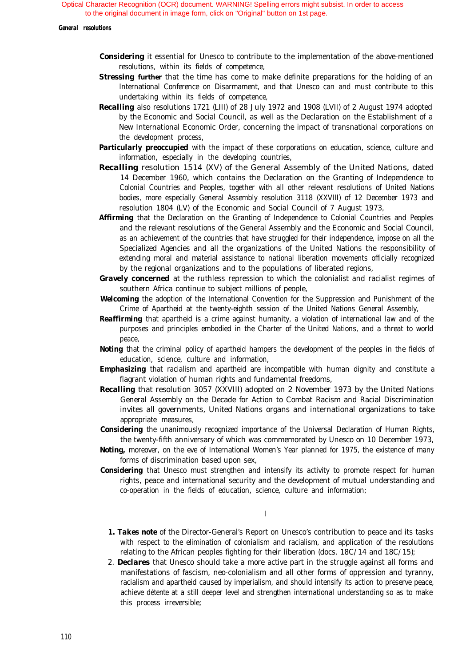*General resolutions*

- **Considering** it essential for Unesco to contribute to the implementation of the above-mentioned resolutions, within its fields of competence,
- **Stressing further** that the time has come to make definite preparations for the holding of an International Conference on Disarmament, and that Unesco can and must contribute to this undertaking within its fields of competence,
- *Recalling* also resolutions 1721 (LIII) of 28 July 1972 and 1908 (LVII) of 2 August 1974 adopted by the Economic and Social Council, as well as the Declaration on the Establishment of a New International Economic Order, concerning the impact of transnational corporations on the development process,
- **Particularly preoccupied** with the impact of these corporations on education, science, culture and information, especially in the developing countries,
- *Recalling* resolution 1514 (XV) of the General Assembly of the United Nations, dated 14 December 1960, which contains the Declaration on the Granting of Independence to Colonial Countries and Peoples, together with all other relevant resolutions of United Nations bodies, more especially General Assembly resolution 3118 (XXVIII) of 12 December 1973 and resolution 1804 (LV) of the Economic and Social Council of 7 August 1973,
- Affirming that the Declaration on the Granting of Independence to Colonial Countries and Peoples and the relevant resolutions of the General Assembly and the Economic and Social Council, as an achievement of the countries that have struggled for their independence, impose on all the Specialized Agencies and all the organizations of the United Nations the responsibility of extending moral and material assistance to national liberation movements officially recognized by the regional organizations and to the populations of liberated regions,
- **Gravely concerned** at the ruthless repression to which the colonialist and racialist regimes of southern Africa continue to subject millions of people,
- *Welcoming* the adoption of the International Convention for the Suppression and Punishment of the Crime of Apartheid at the twenty-eighth session of the United Nations General Assembly,
- **Reaffirming** that apartheid is a crime against humanity, a violation of international law and of the purposes and principles embodied in the Charter of the United Nations, and a threat to world peace,
- **Noting** that the criminal policy of apartheid hampers the development of the peoples in the fields of education, science, culture and information,
- **Emphasizing** that racialism and apartheid are incompatible with human dignity and constitute a flagrant violation of human rights and fundamental freedoms,
- *Recalling* that resolution 3057 (XXVIII) adopted on 2 November 1973 by the United Nations General Assembly on the Decade for Action to Combat Racism and Racial Discrimination invites all governments, United Nations organs and international organizations to take appropriate measures,
- *Considering* the unanimously recognized importance of the Universal Declaration of Human Rights, the twenty-fifth anniversary of which was commemorated by Unesco on 10 December 1973,
- **Noting,** moreover, on the eve of International Women's Year planned for 1975, the existence of many forms of discrimination based upon sex,
- **Considering** that Unesco must strengthen and intensify its activity to promote respect for human rights, peace and international security and the development of mutual understanding and co-operation in the fields of education, science, culture and information;

I

- *1. Takes note* of the Director-General's Report on Unesco's contribution to peace and its tasks with respect to the elimination of colonialism and racialism, and application of the resolutions relating to the African peoples fighting for their liberation (docs. 18C/14 and 18C/15);
- 2. *Declares* that Unesco should take a more active part in the struggle against all forms and manifestations of fascism, neo-colonialism and all other forms of oppression and tyranny, racialism and apartheid caused by imperialism, and should intensify its action to preserve peace, achieve *détente* at a still deeper level and strengthen international understanding so as to make this process irreversible;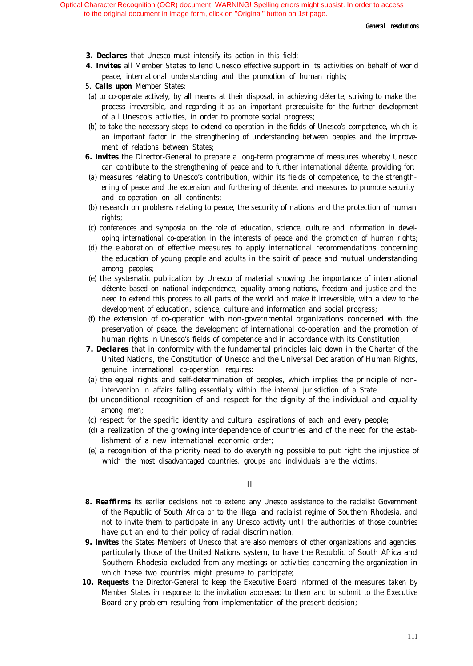*General resolutions*

- *3. Declares* that Unesco must intensify its action in this field;
- *4. Invites* all Member States to lend Unesco effective support in its activities on behalf of world peace, international understanding and the promotion of human rights;
- 5. *Calls upon* Member States:
- (a) to co-operate actively, by all means at their disposal, in achieving *détente,* striving to make the process irreversible, and regarding it as an important prerequisite for the further development of all Unesco's activities, in order to promote social progress;
- (b) to take the necessary steps to extend co-operation in the fields of Unesco's competence, which is an important factor in the strengthening of understanding between peoples and the improvement of relations between States;
- *6. Invites* the Director-General to prepare a long-term programme of measures whereby Unesco can contribute to the strengthening of peace and to further international *détente,* providing for:
- (a) measures relating to Unesco's contribution, within its fields of competence, to the strengthening of peace and the extension and furthering of *détente,* and measures to promote security and co-operation on all continents;
- (b) research on problems relating to peace, the security of nations and the protection of human rights;
- (c) conferences and symposia on the role of education, science, culture and information in developing international co-operation in the interests of peace and the promotion of human rights;
- (d) the elaboration of effective measures to apply international recommendations concerning the education of young people and adults in the spirit of peace and mutual understanding among peoples;
- (e) the systematic publication by Unesco of material showing the importance of international *détente* based on national independence, equality among nations, freedom and justice and the need to extend this process to all parts of the world and make it irreversible, with a view to the development of education, science, culture and information and social progress;
- (f) the extension of co-operation with non-governmental organizations concerned with the preservation of peace, the development of international co-operation and the promotion of human rights in Unesco's fields of competence and in accordance with its Constitution;
- *7. Declares* that in conformity with the fundamental principles laid down in the Charter of the United Nations, the Constitution of Unesco and the Universal Declaration of Human Rights, genuine international co-operation requires:
- (a) the equal rights and self-determination of peoples, which implies the principle of nonintervention in affairs falling essentially within the internal jurisdiction of a State;
- (b) unconditional recognition of and respect for the dignity of the individual and equality among men;
- (c) respect for the specific identity and cultural aspirations of each and every people;
- (d) a realization of the growing interdependence of countries and of the need for the establishment of a new international economic order;
- (e) a recognition of the priority need to do everything possible to put right the injustice of which the most disadvantaged countries, groups and individuals are the victims;

II

- 8. Reaffirms its earlier decisions not to extend any Unesco assistance to the racialist Government of the Republic of South Africa or to the illegal and racialist regime of Southern Rhodesia, and not to invite them to participate in any Unesco activity until the authorities of those countries have put an end to their policy of racial discrimination;
- **9. Invites** the States Members of Unesco that are also members of other organizations and agencies, particularly those of the United Nations system, to have the Republic of South Africa and Southern Rhodesia excluded from any meetings or activities concerning the organization in which these two countries might presume to participate;
- 10. Requests the Director-General to keep the Executive Board informed of the measures taken by Member States in response to the invitation addressed to them and to submit to the Executive Board any problem resulting from implementation of the present decision;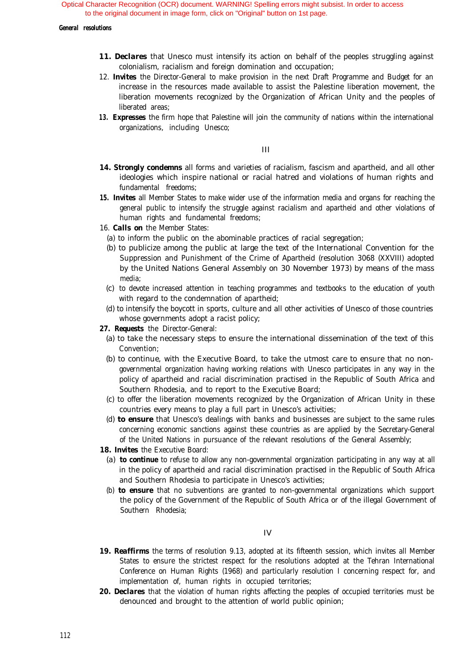#### *General resolutions*

- 11. **Declares** that Unesco must intensify its action on behalf of the peoples struggling against colonialism, racialism and foreign domination and occupation;
- 12. *Invites* the Director-General to make provision in the next Draft Programme and Budget for an increase in the resources made available to assist the Palestine liberation movement, the liberation movements recognized by the Organization of African Unity and the peoples of liberated areas;
- 13. **Expresses** the firm hope that Palestine will join the community of nations within the international organizations, including Unesco;

III

- 14. Strongly condemns all forms and varieties of racialism, fascism and apartheid, and all other ideologies which inspire national or racial hatred and violations of human rights and fundamental freedoms;
- *15. Invites* all Member States to make wider use of the information media and organs for reaching the general public to intensify the struggle against racialism and apartheid and other violations of human rights and fundamental freedoms;
- 16. *Calls on* the Member States:
	- (a) to inform the public on the abominable practices of racial segregation;
	- (b) to publicize among the public at large the text of the International Convention for the Suppression and Punishment of the Crime of Apartheid (resolution 3068 (XXVIII) adopted by the United Nations General Assembly on 30 November 1973) by means of the mass media;
	- (c) to devote increased attention in teaching programmes and textbooks to the education of youth with regard to the condemnation of apartheid;
	- (d) to intensify the boycott in sports, culture and all other activities of Unesco of those countries whose governments adopt a racist policy;

#### *27. Requests* the Director-General:

- (a) to take the necessary steps to ensure the international dissemination of the text of this Convention;
- (b) to continue, with the Executive Board, to take the utmost care to ensure that no nongovernmental organization having working relations with Unesco participates in any way in the policy of apartheid and racial discrimination practised in the Republic of South Africa and Southern Rhodesia, and to report to the Executive Board;
- (c) to offer the liberation movements recognized by the Organization of African Unity in these countries every means to play a full part in Unesco's activities;
- (d) *to ensure* that Unesco's dealings with banks and businesses are subject to the same rules concerning economic sanctions against these countries as are applied by the Secretary-General of the United Nations in pursuance of the relevant resolutions of the General Assembly;
- 18. Invites the Executive Board:
	- (a) *to continue* to refuse to allow any non-governmental organization participating in any way at all in the policy of apartheid and racial discrimination practised in the Republic of South Africa and Southern Rhodesia to participate in Unesco's activities;
	- (b) *to ensure* that no subventions are granted to non-governmental organizations which support the policy of the Government of the Republic of South Africa or of the illegal Government of Southern Rhodesia;

IV

- 19. Reaffirms the terms of resolution 9.13, adopted at its fifteenth session, which invites all Member States to ensure the strictest respect for the resolutions adopted at the Tehran International Conference on Human Rights (1968) and particularly resolution I concerning respect for, and implementation of, human rights in occupied territories;
- 20. Declares that the violation of human rights affecting the peoples of occupied territories must be denounced and brought to the attention of world public opinion;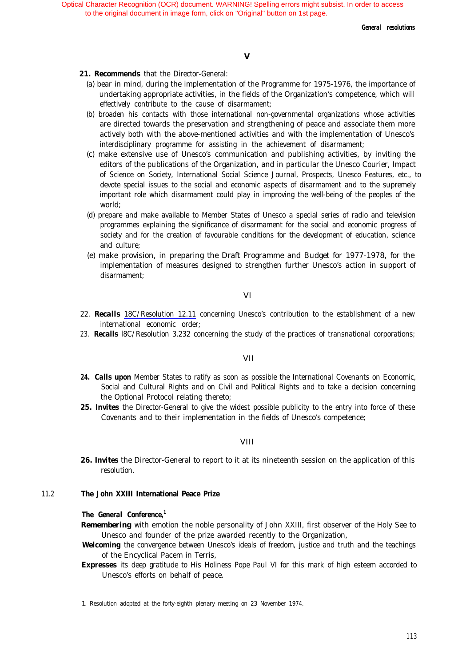*General resolutions*

#### **V**

#### *21. Recommends* that the Director-General:

- (a) bear in mind, during the implementation of the Programme for 1975-1976, the importance of undertaking appropriate activities, in the fields of the Organization's competence, which will effectively contribute to the cause of disarmament;
- (b) broaden his contacts with those international non-governmental organizations whose activities are directed towards the preservation and strengthening of peace and associate them more actively both with the above-mentioned activities and with the implementation of Unesco's interdisciplinary programme for assisting in the achievement of disarmament;
- (c) make extensive use of Unesco's communication and publishing activities, by inviting the editors of the publications of the Organization, and in particular the Unesco Courier, Impact *of* Science on Society, International Social Science Journal, Prospects, Unesco Features, etc., to devote special issues to the social and economic aspects of disarmament and to the supremely important role which disarmament could play in improving the well-being of the peoples of the world;
- (d) prepare and make available to Member States of Unesco a special series of radio and television programmes explaining the significance of disarmament for the social and economic progress of society and for the creation of favourable conditions for the development of education, science and culture;
- (e) make provision, in preparing the Draft Programme and Budget for 1977-1978, for the implementation of measures designed to strengthen further Unesco's action in support of disarmament;

#### VI

- 22. *Recalls* [18C/Resolution 12.11](#page-110-0) concerning Unesco's contribution to the establishment of a new international economic order;
- 23. *Recalls* l8C/Resolution 3.232 concerning the study of the practices of transnational corporations;

#### VII

- *24. Calls upon* Member States to ratify as soon as possible the International Covenants on Economic, Social and Cultural Rights and on Civil and Political Rights and to take a decision concerning the Optional Protocol relating thereto;
- 25. Invites the Director-General to give the widest possible publicity to the entry into force of these Covenants and to their implementation in the fields of Unesco's competence;

#### VIII

26. Invites the Director-General to report to it at its nineteenth session on the application of this resolution.

### 11.2 **The John XXIII International Peace Prize**

### *The General Conference,1*

- *Remembering* with emotion the noble personality of John XXIII, first observer of the Holy See to Unesco and founder of the prize awarded recently to the Organization,
- Welcoming the convergence between Unesco's ideals of freedom, justice and truth and the teachings of the Encyclical Pacem in Terris,
- **Expresses** its deep gratitude to His Holiness Pope Paul VI for this mark of high esteem accorded to Unesco's efforts on behalf of peace.

1. Resolution adopted at the forty-eighth plenary meeting on 23 November 1974.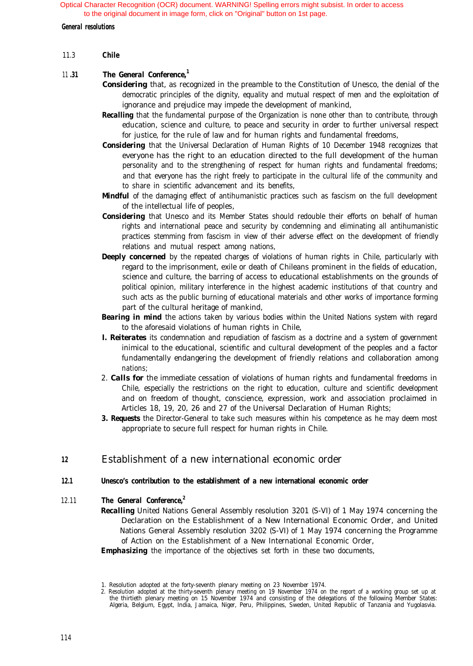<span id="page-110-0"></span>*General resolutions*

11.3 **Chile**

#### <sup>11</sup> **.31** *The General Conference,1*

- *Considering* that, as recognized in the preamble to the Constitution of Unesco, the denial of the democratic principles of the dignity, equality and mutual respect of men and the exploitation of ignorance and prejudice may impede the development of mankind,
- **Recalling** that the fundamental purpose of the Organization is none other than to contribute, through education, science and culture, to peace and security in order to further universal respect for justice, for the rule of law and for human rights and fundamental freedoms,
- **Considering** that the Universal Declaration of Human Rights of 10 December 1948 recognizes that everyone has the right to an education directed to the full development of the human personality and to the strengthening of respect for human rights and fundamental freedoms; and that everyone has the right freely to participate in the cultural life of the community and to share in scientific advancement and its benefits,
- Mindful of the damaging effect of antihumanistic practices such as fascism on the full development of the intellectual life of peoples,
- **Considering** that Unesco and its Member States should redouble their efforts on behalf of human rights and international peace and security by condemning and eliminating all antihumanistic practices stemming from fascism in view of their adverse effect on the development of friendly relations and mutual respect among nations,
- **Deeply concerned** by the repeated charges of violations of human rights in Chile, particularly with regard to the imprisonment, exile or death of Chileans prominent in the fields of education, science and culture, the barring of access to educational establishments on the grounds of political opinion, military interference in the highest academic institutions of that country and such acts as the public burning of educational materials and other works of importance forming part of the cultural heritage of mankind,
- **Bearing in mind** the actions taken by various bodies within the United Nations system with regard to the aforesaid violations of human rights in Chile,
- *I. Reiterates* its condemnation and repudiation of fascism as a doctrine and a system of government inimical to the educational, scientific and cultural development of the peoples and a factor fundamentally endangering the development of friendly relations and collaboration among nations;
- 2. *Calls for* the immediate cessation of violations of human rights and fundamental freedoms in Chile, especially the restrictions on the right to education, culture and scientific development and on freedom of thought, conscience, expression, work and association proclaimed in Articles 18, 19, 20, 26 and 27 of the Universal Declaration of Human Rights;
- *3. Requests* the Director-General to take such measures within his competence as he may deem most appropriate to secure full respect for human rights in Chile.

### **<sup>12</sup>** Establishment of a new international economic order

### **12.1 Unesco's contribution to the establishment of a new international economic order**

### 12.11 *The General Conference,2*

**Recalling** United Nations General Assembly resolution 3201 (S-VI) of 1 May 1974 concerning the Declaration on the Establishment of a New International Economic Order, and United Nations General Assembly resolution 3202 (S-VI) of 1 May 1974 concerning the Programme of Action on the Establishment of a New International Economic Order,

**Emphasizing** the importance of the objectives set forth in these two documents,

<sup>1.</sup> Resolution adopted at the forty-seventh plenary meeting on 23 November 1974.

<sup>2.</sup> Resolution adopted at the thirty-seventh plenary meeting on 19 November 1974 on the report of a working group set up at the thirtieth plenary meeting on 15 November 1974 and consisting of the delegations of the following Member States: Algeria, Belgium, Egypt, India, Jamaica, Niger, Peru, Philippines, Sweden, United Republic of Tanzania and Yugolasvia.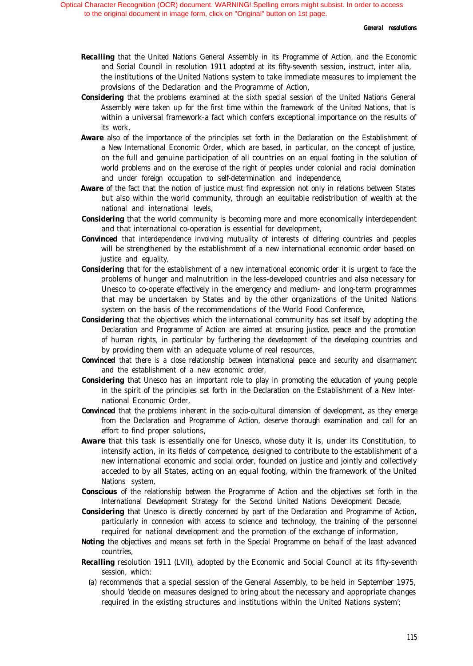- **Recalling** that the United Nations General Assembly in its Programme of Action, and the Economic and Social Council in resolution 1911 adopted at its fifty-seventh session, instruct, inter alia, the institutions of the United Nations system to take immediate measures to implement the provisions of the Declaration and the Programme of Action,
- **Considering** that the problems examined at the sixth special session of the United Nations General Assembly were taken up for the first time within the framework of the United Nations, that is within a universal framework-a fact which confers exceptional importance on the results of its work,
- *Aware* also of the importance of the principles set forth in the Declaration on the Establishment of a New International Economic Order, which are based, in particular, on the concept of justice, on the full and genuine participation of all countries on an equal footing in the solution of world problems and on the exercise of the right of peoples under colonial and racial domination and under foreign occupation to self-determination and independence,
- Aware of the fact that the notion of justice must find expression not only in relations between States but also within the world community, through an equitable redistribution of wealth at the national and international levels,
- **Considering** that the world community is becoming more and more economically interdependent and that international co-operation is essential for development,
- **Convinced** that interdependence involving mutuality of interests of differing countries and peoples will be strengthened by the establishment of a new international economic order based on justice and equality,
- **Considering** that for the establishment of a new international economic order it is urgent to face the problems of hunger and malnutrition in the less-developed countries and also necessary for Unesco to co-operate effectively in the emergency and medium- and long-term programmes that may be undertaken by States and by the other organizations of the United Nations system on the basis of the recommendations of the World Food Conference,
- **Considering** that the objectives which the international community has set itself by adopting the Declaration and Programme of Action are aimed at ensuring justice, peace and the promotion of human rights, in particular by furthering the development of the developing countries and by providing them with an adequate volume of real resources,
- **Convinced** that there is a close relationship between international peace and security and disarmament and the establishment of a new economic order,
- **Considering** that Unesco has an important role to play in promoting the education of young people in the spirit of the principles set forth in the Declaration on the Establishment of a New International Economic Order,
- **Convinced** that the problems inherent in the socio-cultural dimension of development, as they emerge from the Declaration and Programme of Action, deserve thorough examination and call for an effort to find proper solutions,
- Aware that this task is essentially one for Unesco, whose duty it is, under its Constitution, to intensify action, in its fields of competence, designed to contribute to the establishment of a new international economic and social order, founded on justice and jointly and collectively acceded to by all States, acting on an equal footing, within the framework of the United Nations system,
- *Conscious* of the relationship between the Programme of Action and the objectives set forth in the International Development Strategy for the Second United Nations Development Decade,
- **Considering** that Unesco is directly concerned by part of the Declaration and Programme of Action, particularly in connexion with access to science and technology, the training of the personnel required for national development and the promotion of the exchange of information,
- **Noting** the objectives and means set forth in the Special Programme on behalf of the least advanced countries,
- *Recalling* resolution 1911 (LVII), adopted by the Economic and Social Council at its fifty-seventh session, which:
	- (a) recommends that a special session of the General Assembly, to be held in September 1975, should 'decide on measures designed to bring about the necessary and appropriate changes required in the existing structures and institutions within the United Nations system';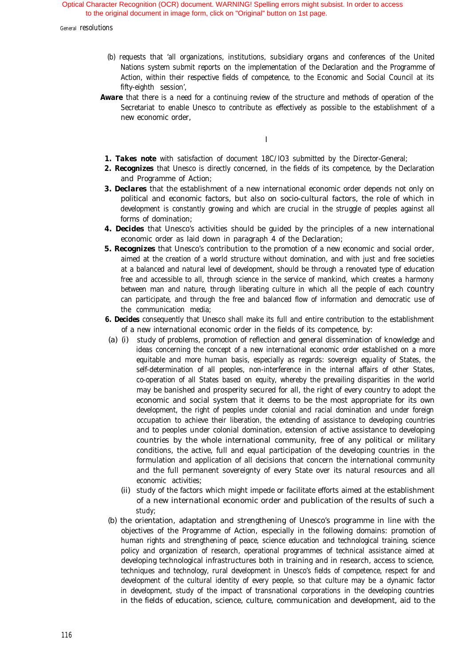General resolutions

- (b) requests that 'all organizations, institutions, subsidiary organs and conferences of the United Nations system submit reports on the implementation of the Declaration and the Programme of Action, within their respective fields of competence, to the Economic and Social Council at its fifty-eighth session',
- **Aware** that there is a need for a continuing review of the structure and methods of operation of the Secretariat to enable Unesco to contribute as effectively as possible to the establishment of a new economic order,

I

- *1. Takes note* with satisfaction of document 18C/lO3 submitted by the Director-General;
- 2. **Recognizes** that Unesco is directly concerned, in the fields of its competence, by the Declaration and Programme of Action;
- **3. Declares** that the establishment of a new international economic order depends not only on political and economic factors, but also on socio-cultural factors, the role of which in development is constantly growing and which are crucial in the struggle of peoples against all forms of domination;
- *4. Decides* that Unesco's activities should be guided by the principles of a new international economic order as laid down in paragraph 4 of the Declaration;
- *5. Recognizes* that Unesco's contribution to the promotion of a new economic and social order, aimed at the creation of a world structure without domination, and with just and free societies at a balanced and natural level of development, should be through a renovated type of education free and accessible to all, through science in the service of mankind, which creates a harmony between man and nature, through liberating culture in which all the people of each country can participate, and through the free and balanced flow of information and democratic use of the communication media;
- *6. Decides* consequently that Unesco shall make its full and entire contribution to the establishment of a new international economic order in the fields of its competence, by:
- (a) (i) study of problems, promotion of reflection and general dissemination of knowledge and ideas concerning the concept of a new international economic order established on a more equitable and more human basis, especially as regards: sovereign equality of States, the self-determination of all peoples, non-interference in the internal affairs of other States, co-operation of all States based on equity, whereby the prevailing disparities in the world may be banished and prosperity secured for all, the right of every country to adopt the economic and social system that it deems to be the most appropriate for its own development, the right of peoples under colonial and racial domination and under foreign occupation to achieve their liberation, the extending of assistance to developing countries and to peoples under colonial domination, extension of active assistance to developing countries by the whole international community, free of any political or military conditions, the active, full and equal participation of the developing countries in the formulation and application of all decisions that concern the international community and the full permanent sovereignty of every State over its natural resources and all economic activities;
	- (ii) study of the factors which might impede or facilitate efforts aimed at the establishment of a new international economic order and publication of the results of such a study;
- (b) the orientation, adaptation and strengthening of Unesco's programme in line with the objectives of the Programme of Action, especially in the following domains: promotion of human rights and strengthening of peace, science education and technological training, science policy and organization of research, operational programmes of technical assistance aimed at developing technological infrastructures both in training and in research, access to science, techniques and technology, rural development in Unesco's fields of competence, respect for and development of the cultural identity of every people, so that culture may be a dynamic factor in development, study of the impact of transnational corporations in the developing countries in the fields of education, science, culture, communication and development, aid to the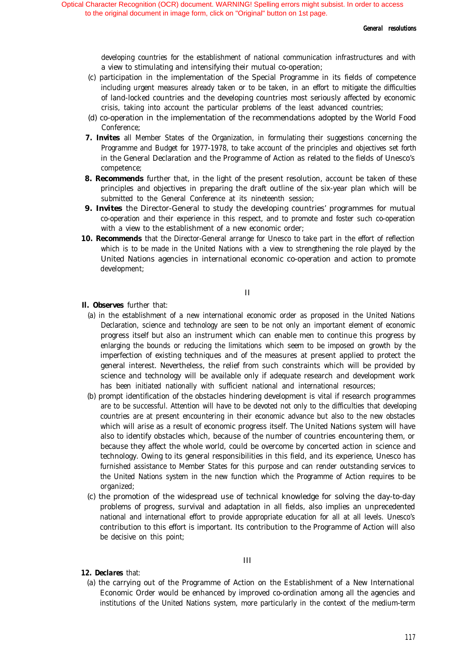developing countries for the establishment of national communication infrastructures and with a view to stimulating and intensifying their mutual co-operation;

- (c) participation in the implementation of the Special Programme in its fields of competence including urgent measures already taken or to be taken, in an effort to mitigate the difficulties of land-locked countries and the developing countries most seriously affected by economic crisis, taking into account the particular problems of the least advanced countries;
- (d) co-operation in the implementation of the recommendations adopted by the World Food Conference;
- *7. Invites* all Member States of the Organization, in formulating their suggestions concerning the Programme and Budget for 1977-1978, to take account of the principles and objectives set forth in the General Declaration and the Programme of Action as related to the fields of Unesco's competence;
- 8. Recommends further that, in the light of the present resolution, account be taken of these principles and objectives in preparing the draft outline of the six-year plan which will be submitted to the General Conference at its nineteenth session;
- **9. Invites** the Director-General to study the developing countries' programmes for mutual co-operation and their experience in this respect, and to promote and foster such co-operation with a view to the establishment of a new economic order;
- 10. Recommends that the Director-General arrange for Unesco to take part in the effort of reflection which is to be made in the United Nations with a view to strengthening the role played by the United Nations agencies in international economic co-operation and action to promote development;

II

### *Il. Observes* further that:

- (a) in the establishment of a new international economic order as proposed in the United Nations Declaration, science and technology are seen to be not only an important element of economic progress itself but also an instrument which can enable men to continue this progress by enlarging the bounds or reducing the limitations which seem to be imposed on growth by the imperfection of existing techniques and of the measures at present applied to protect the general interest. Nevertheless, the relief from such constraints which will be provided by science and technology will be available only if adequate research and development work has been initiated nationally with sufficient national and international resources;
- (b) prompt identification of the obstacles hindering development is vital if research programmes are to be successful. Attention will have to be devoted not only to the difficulties that developing countries are at present encountering in their economic advance but also to the new obstacles which will arise as a result of economic progress itself. The United Nations system will have also to identify obstacles which, because of the number of countries encountering them, or because they affect the whole world, could be overcome by concerted action in science and technology. Owing to its general responsibilities in this field, and its experience, Unesco has furnished assistance to Member States for this purpose and can render outstanding services to the United Nations system in the new function which the Programme of Action requires to be organized;
- (c) the promotion of the widespread use of technical knowledge for solving the day-to-day problems of progress, survival and adaptation in all fields, also implies an unprecedented national and international effort to provide appropriate education for all at all levels. Unesco's contribution to this effort is important. Its contribution to the Programme of Action will also be decisive on this point;

### III

#### *12. Declares* that:

(a) the carrying out of the Programme of Action on the Establishment of a New International Economic Order would be enhanced by improved co-ordination among all the agencies and institutions of the United Nations system, more particularly in the context of the medium-term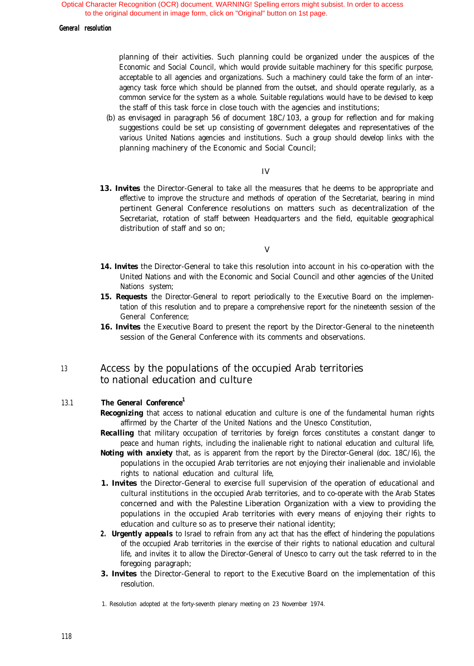#### *General resolution*

planning of their activities. Such planning could be organized under the auspices of the Economic and Social Council, which would provide suitable machinery for this specific purpose, acceptable to all agencies and organizations. Such a machinery could take the form of an interagency task force which should be planned from the outset, and should operate regularly, as a common service for the system as a whole. Suitable regulations would have to be devised to keep the staff of this task force in close touch with the agencies and institutions;

(b) as envisaged in paragraph 56 of document 18C/103, a group for reflection and for making suggestions could be set up consisting of government delegates and representatives of the various United Nations agencies and institutions. Such a group should develop links with the planning machinery of the Economic and Social Council;

#### IV

13. Invites the Director-General to take all the measures that he deems to be appropriate and effective to improve the structure and methods of operation of the Secretariat, bearing in mind pertinent General Conference resolutions on matters such as decentralization of the Secretariat, rotation of staff between Headquarters and the field, equitable geographical distribution of staff and so on;

V

- 14. Invites the Director-General to take this resolution into account in his co-operation with the United Nations and with the Economic and Social Council and other agencies of the United Nations system;
- 15. Requests the Director-General to report periodically to the Executive Board on the implementation of this resolution and to prepare a comprehensive report for the nineteenth session of the General Conference;
- 16. Invites the Executive Board to present the report by the Director-General to the nineteenth session of the General Conference with its comments and observations.

#### 13 Access by the populations of the occupied Arab territories to national education and culture

#### 13.1 *The General Conference1*

- *Recognizing* that access to national education and culture is one of the fundamental human rights affirmed by the Charter of the United Nations and the Unesco Constitution,
- **Recalling** that military occupation of territories by foreign forces constitutes a constant danger to peace and human rights, including the inalienable right to national education and cultural life,
- **Noting with anxiety** that, as is apparent from the report by the Director-General (doc. 18C/l6), the populations in the occupied Arab territories are not enjoying their inalienable and inviolable rights to national education and cultural life,
- *1. Invites* the Director-General to exercise full supervision of the operation of educational and cultural institutions in the occupied Arab territories, and to co-operate with the Arab States concerned and with the Palestine Liberation Organization with a view to providing the populations in the occupied Arab territories with every means of enjoying their rights to education and culture so as to preserve their national identity;
- *2. Urgently appeals* to Israel to refrain from any act that has the effect of hindering the populations of the occupied Arab territories in the exercise of their rights to national education and cultural life, and invites it to allow the Director-General of Unesco to carry out the task referred to in the foregoing paragraph;
- **3. Invites** the Director-General to report to the Executive Board on the implementation of this resolution.

<sup>1.</sup> Resolution adopted at the forty-seventh plenary meeting on 23 November 1974.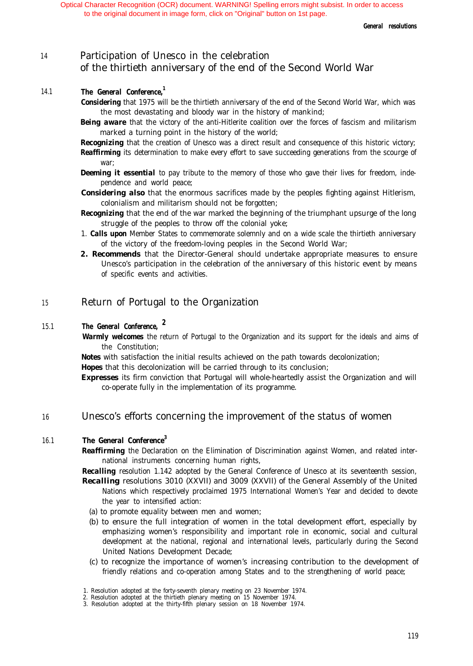### <sup>14</sup> Participation of Unesco in the celebration of the thirtieth anniversary of the end of the Second World War

### 14.1 *The General Conference,1*

*Considering* that 1975 will be the thirtieth anniversary of the end of the Second World War, which was the most devastating and bloody war in the history of mankind;

**Being aware** that the victory of the anti-Hitlerite coalition over the forces of fascism and militarism marked a turning point in the history of the world;

**Recognizing** that the creation of Unesco was a direct result and consequence of this historic victory; **Reaffirming** its determination to make every effort to save succeeding generations from the scourge of

war;

- **Deeming it essential** to pay tribute to the memory of those who gave their lives for freedom, independence and world peace;
- **Considering also** that the enormous sacrifices made by the peoples fighting against Hitlerism, colonialism and militarism should not be forgotten;
- *Recognizing* that the end of the war marked the beginning of the triumphant upsurge of the long struggle of the peoples to throw off the colonial yoke;
- 1. *Calls upon* Member States to commemorate solemnly and on a wide scale the thirtieth anniversary of the victory of the freedom-loving peoples in the Second World War;
- 2. Recommends that the Director-General should undertake appropriate measures to ensure Unesco's participation in the celebration of the anniversary of this historic event by means of specific events and activities.

## <sup>15</sup> Return of Portugal to the Organization

### 15.1 *The General Conference, <sup>2</sup>*

*Warmly welcomes* the return of Portugal to the Organization and its support for the ideals and aims of the Constitution;

**Notes** with satisfaction the initial results achieved on the path towards decolonization; *Hopes* that this decolonization will be carried through to its conclusion;

*Expresses* its firm conviction that Portugal will whole-heartedly assist the Organization and will co-operate fully in the implementation of its programme.

### <sup>16</sup> Unesco's efforts concerning the improvement of the status of women

### 16.1 *The General Conference3*

*Reaffirming* the Declaration on the Elimination of Discrimination against Women, and related international instruments concerning human rights,

**Recalling** resolution 1.142 adopted by the General Conference of Unesco at its seventeenth session, *Recalling* resolutions 3010 (XXVII) and 3009 (XXVII) of the General Assembly of the United

- Nations which respectively proclaimed 1975 International Women's Year and decided to devote the year to intensified action:
- (a) to promote equality between men and women;
- (b) to ensure the full integration of women in the total development effort, especially by emphasizing women's responsibility and important role in economic, social and cultural development at the national, regional and international levels, particularly during the Second United Nations Development Decade;
- (c) to recognize the importance of women's increasing contribution to the development of friendly relations and co-operation among States and to the strengthening of world peace;

<sup>1.</sup> Resolution adopted at the forty-seventh plenary meeting on 23 November 1974.

<sup>2.</sup> Resolution adopted at the thirtieth plenary meeting on 15 November 1974.

<sup>3.</sup> Resolution adopted at the thirty-fifth plenary session on 18 November 1974.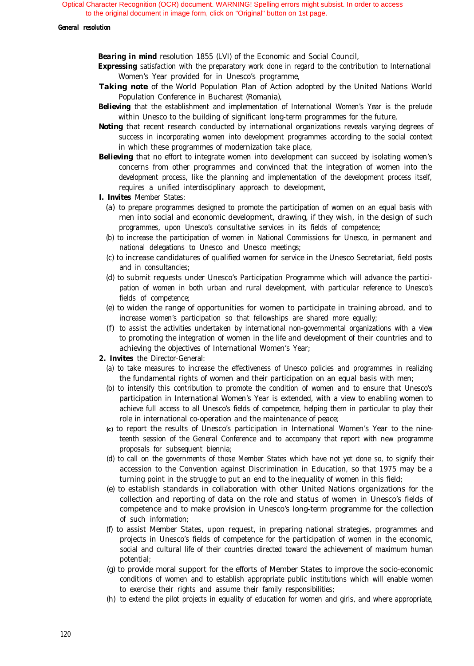*General resolution*

*Bearing in mind* resolution 1855 (LVI) of the Economic and Social Council,

- **Expressing** satisfaction with the preparatory work done in regard to the contribution to International Women's Year provided for in Unesco's programme,
- *Taking note* of the World Population Plan of Action adopted by the United Nations World Population Conference in Bucharest (Romania),
- **Believing** that the establishment and implementation of International Women's Year is the prelude within Unesco to the building of significant long-term programmes for the future,
- **Noting** that recent research conducted by international organizations reveals varying degrees of success in incorporating women into development programmes according to the social context in which these programmes of modernization take place,
- **Believing** that no effort to integrate women into development can succeed by isolating women's concerns from other programmes and convinced that the integration of women into the development process, like the planning and implementation of the development process itself, requires a unified interdisciplinary approach to development,
- *I. Invites* Member States:
	- (a) to prepare programmes designed to promote the participation of women on an equal basis with men into social and economic development, drawing, if they wish, in the design of such programmes, upon Unesco's consultative services in its fields of competence;
	- (b) to increase the participation of women in National Commissions for Unesco, in permanent and national delegations to Unesco and Unesco meetings;
	- (c) to increase candidatures of qualified women for service in the Unesco Secretariat, field posts and in consultancies;
	- (d) to submit requests under Unesco's Participation Programme which will advance the participation of women in both urban and rural development, with particular reference to Unesco's fields of competence;
	- (e) to widen the range of opportunities for women to participate in training abroad, and to increase women's participation so that fellowships are shared more equally;
	- (f) to assist the activities undertaken by international non-governmental organizations with a view to promoting the integration of women in the life and development of their countries and to achieving the objectives of International Women's Year;
- *2. Invites* the Director-General:
	- (a) to take measures to increase the effectiveness of Unesco policies and programmes in realizing the fundamental rights of women and their participation on an equal basis with men;
	- (b) to intensify this contribution to promote the condition of women and to ensure that Unesco's participation in International Women's Year is extended, with a view to enabling women to achieve full access to all Unesco's fields of competence, helping them in particular to play their role in international co-operation and the maintenance of peace;
	- **(c)** to report the results of Unesco's participation in International Women's Year to the nineteenth session of the General Conference and to accompany that report with new programme proposals for subsequent biennia;
	- (d) to call on the governments of those Member States which have not yet done so, to signify their accession to the Convention against Discrimination in Education, so that 1975 may be a turning point in the struggle to put an end to the inequality of women in this field;
	- (e) to establish standards in collaboration with other United Nations organizations for the collection and reporting of data on the role and status of women in Unesco's fields of competence and to make provision in Unesco's long-term programme for the collection of such information;
	- (f) to assist Member States, upon request, in preparing national strategies, programmes and projects in Unesco's fields of competence for the participation of women in the economic, social and cultural life of their countries directed toward the achievement of maximum human potential;
	- (g) to provide moral support for the efforts of Member States to improve the socio-economic conditions of women and to establish appropriate public institutions which will enable women to exercise their rights and assume their family responsibilities;
	- (h) to extend the pilot projects in equality of education for women and girls, and where appropriate,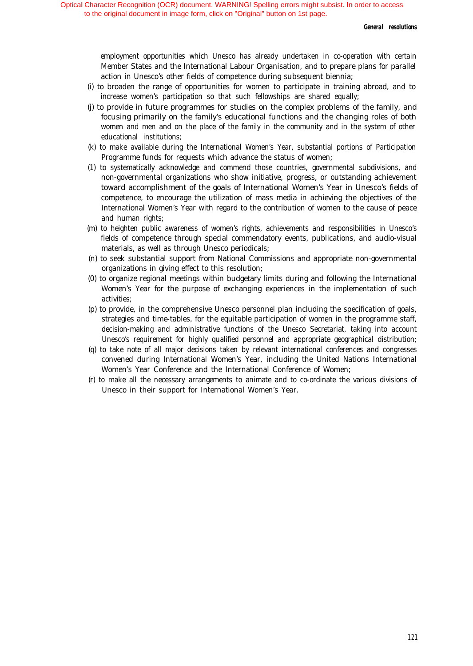employment opportunities which Unesco has already undertaken in co-operation with certain Member States and the International Labour Organisation, and to prepare plans for parallel action in Unesco's other fields of competence during subsequent biennia;

- (i) to broaden the range of opportunities for women to participate in training abroad, and to increase women's participation so that such fellowships are shared equally;
- (j) to provide in future programmes for studies on the complex problems of the family, and focusing primarily on the family's educational functions and the changing roles of both women and men and on the place of the family in the community and in the system of other educational institutions;
- (k) to make available during the International Women's Year, substantial portions of Participation Programme funds for requests which advance the status of women;
- (1) to systematically acknowledge and commend those countries, governmental subdivisions, and non-governmental organizations who show initiative, progress, or outstanding achievement toward accomplishment of the goals of International Women's Year in Unesco's fields of competence, to encourage the utilization of mass media in achieving the objectives of the International Women's Year with regard to the contribution of women to the cause of peace and human rights;
- (m) to heighten public awareness of women's rights, achievements and responsibilities in Unesco's fields of competence through special commendatory events, publications, and audio-visual materials, as well as through Unesco periodicals;
- (n) to seek substantial support from National Commissions and appropriate non-governmental organizations in giving effect to this resolution;
- (0) to organize regional meetings within budgetary limits during and following the International Women's Year for the purpose of exchanging experiences in the implementation of such activities;
- (p) to provide, in the comprehensive Unesco personnel plan including the specification of goals, strategies and time-tables, for the equitable participation of women in the programme staff, decision-making and administrative functions of the Unesco Secretariat, taking into account Unesco's requirement for highly qualified personnel and appropriate geographical distribution;
- (q) to take note of all major decisions taken by relevant international conferences and congresses convened during International Women's Year, including the United Nations International Women's Year Conference and the International Conference of Women;
- (r) to make all the necessary arrangements to animate and to co-ordinate the various divisions of Unesco in their support for International Women's Year.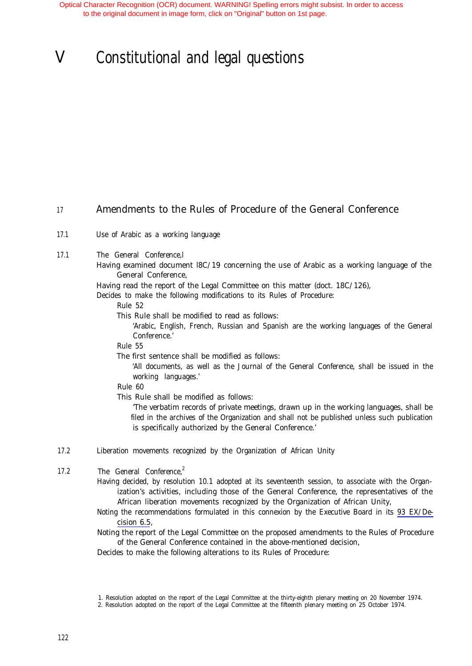# V Constitutional and legal questions

### <sup>17</sup> Amendments to the Rules of Procedure of the General Conference

- 17.1 Use of Arabic as a working language
- 17.1 The General Conference,l
	- Having examined document l8C/19 concerning the use of Arabic as a working language of the General Conference,

Having read the report of the Legal Committee on this matter (doct. 18C/126),

Decides to make the following modifications to its Rules of Procedure:

Rule 52

This Rule shall be modified to read as follows:

- 'Arabic, English, French, Russian and Spanish are the working languages of the General Conference.'
- Rule 55

The first sentence shall be modified as follows:

'All documents, as well as the Journal of the General Conference, shall be issued in the working languages.'

- Rule 60
- This Rule shall be modified as follows:

'The verbatim records of private meetings, drawn up in the working languages, shall be filed in the archives of the Organization and shall not be published unless such publication is specifically authorized by the General Conference.'

- 17.2 Liberation movements recognized by the Organization of African Unity
- 17.2 The General Conference,<sup>2</sup>
	- Having decided, by resolution 10.1 adopted at its seventeenth session, to associate with the Organization's activities, including those of the General Conference, the representatives of the African liberation movements recognized by the Organization of African Unity,
		- Noting the recommendations formulated in this connexion by the Executive Board in its [93 EX/De](#page-80-0)[cision 6.5](#page-80-0),
		- Noting the report of the Legal Committee on the proposed amendments to the Rules of Procedure of the General Conference contained in the above-mentioned decision,

Decides to make the following alterations to its Rules of Procedure:

<sup>1.</sup> Resolution adopted on the report of the Legal Committee at the thirty-eighth plenary meeting on 20 November 1974.

<sup>2.</sup> Resolution adopted on the report of the Legal Committee at the fifteenth plenary meeting on 25 October 1974.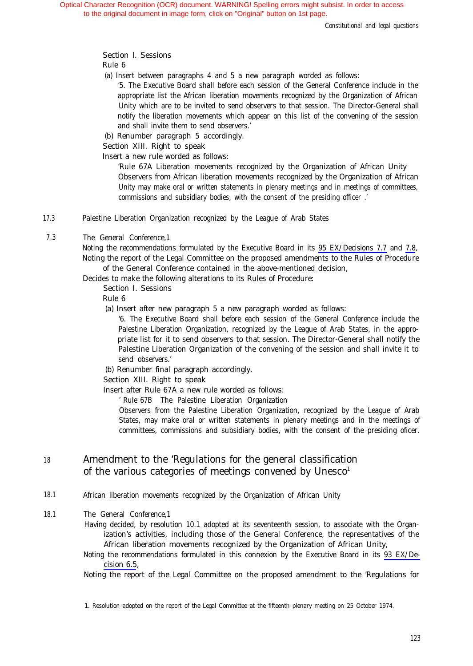Constitutional and legal questions

#### Section I. Sessions

Rule 6

(a) Insert between paragraphs 4 and 5 a new paragraph worded as follows:

'5. The Executive Board shall before each session of the General Conference include in the appropriate list the African liberation movements recognized by the Organization of African Unity which are to be invited to send observers to that session. The Director-General shall notify the liberation movements which appear on this list of the convening of the session and shall invite them to send observers.'

(b) Renumber paragraph 5 accordingly.

Section XIII. Right to speak

Insert a new rule worded as follows:

'Rule 67A Liberation movements recognized by the Organization of African Unity Observers from African liberation movements recognized by the Organization of African Unity may make oral or written statements in plenary meetings and in meetings of committees, commissions and subsidiary bodies, with the consent of the presiding officer .'

- 17.3 Palestine Liberation Organization recognized by the League of Arab States
- 7.3 The General Conference,1

Noting the recommendations formulated by the Executive Board in its 95 EX/Decisions 7.7 and 7.8, Noting the report of the Legal Committee on the proposed amendments to the Rules of Procedure of the General Conference contained in the above-mentioned decision,

Decides to make the following alterations to its Rules of Procedure:

Section I. Sessions

Rule 6

(a) Insert after new paragraph 5 a new paragraph worded as follows:

'6. The Executive Board shall before each session of the General Conference include the Palestine Liberation Organization, recognized by the League of Arab States, in the appropriate list for it to send observers to that session. The Director-General shall notify the Palestine Liberation Organization of the convening of the session and shall invite it to send observers.'

(b) Renumber final paragraph accordingly.

Section XIII. Right to speak

Insert after Rule 67A a new rule worded as follows:

' RuIe 67B The Palestine Liberation Organization

Observers from the Palestine Liberation Organization, recognized by the League of Arab States, may make oral or written statements in plenary meetings and in the meetings of committees, commissions and subsidiary bodies, with the consent of the presiding oficer.

## <sup>18</sup> Amendment to the 'Regulations for the general classification of the various categories of meetings convened by Unesco<sup>1</sup>

- 18.1 African liberation movements recognized by the Organization of African Unity
- 18.1 The General Conference,1
	- Having decided, by resolution 10.1 adopted at its seventeenth session, to associate with the Organization's activities, including those of the General Conference, the representatives of the African liberation movements recognized by the Organization of African Unity,
	- Noting the recommendations formulated in this connexion by the Executive Board in its [93 EX/De](#page-80-0)[cision 6.5](#page-80-0),

Noting the report of the Legal Committee on the proposed amendment to the 'Regulations for

1. Resolution adopted on the report of the Legal Committee at the fifteenth plenary meeting on 25 October 1974.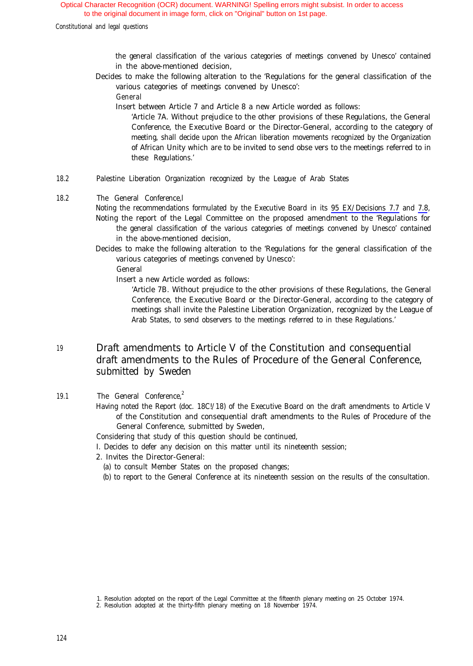the general classification of the various categories of meetings convened by Unesco' contained in the above-mentioned decision,

Decides to make the following alteration to the 'Regulations for the general classification of the various categories of meetings convened by Unesco':

General

Insert between Article 7 and Article 8 a new Article worded as follows:

'Article 7A. Without prejudice to the other provisions of these Regulations, the General Conference, the Executive Board or the Director-General, according to the category of meeting, shall decide upon the African liberation movements recognized by the Organization of African Unity which are to be invited to send obse vers to the meetings referred to in these Regulations.'

18.2 Palestine Liberation Organization recognized by the League of Arab States

#### 18.2 The General Conference,l

Noting the recommendations formulated by the Executive Board in its 95 EX/Decisions 7.7 and 7.8, Noting the report of the Legal Committee on the proposed amendment to the 'Regulations for

the general classification of the various categories of meetings convened by Unesco' contained in the above-mentioned decision,

Decides to make the following alteration to the 'Regulations for the general classification of the various categories of meetings convened by Unesco':

General

Insert a new Article worded as follows:

'Article 7B. Without prejudice to the other provisions of these Regulations, the General Conference, the Executive Board or the Director-General, according to the category of meetings shall invite the Palestine Liberation Organization, recognized by the League of Arab States, to send observers to the meetings referred to in these Regulations.'

## <sup>19</sup> Draft amendments to Article V of the Constitution and consequential draft amendments to the Rules of Procedure of the General Conference, submitted by Sweden

- 19.1 The General Conference.<sup>2</sup>
	- Having noted the Report (doc. 18C!/18) of the Executive Board on the draft amendments to Article V of the Constitution and consequential draft amendments to the Rules of Procedure of the General Conference, submitted by Sweden,

Considering that study of this question should be continued,

- I. Decides to defer any decision on this matter until its nineteenth session;
- 2. Invites the Director-General:

(a) to consult Member States on the proposed changes;

(b) to report to the General Conference at its nineteenth session on the results of the consultation.

<sup>1.</sup> Resolution adopted on the report of the Legal Committee at the fifteenth plenary meeting on 25 October 1974.

<sup>2.</sup> Resolution adopted at the thirty-fifth plenary meeting on 18 November 1974.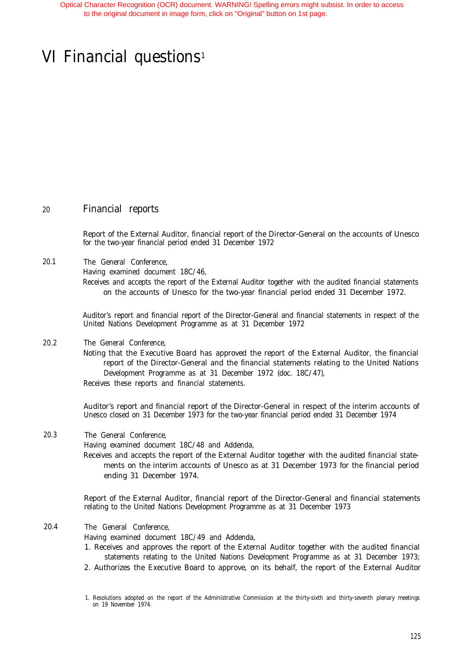# VI Financial questions<sup>1</sup>

### 20 Financial reports

Report of the External Auditor, financial report of the Director-General on the accounts of Unesco for the two-year financial period ended 31 December 1972

20.1 The General Conference,

Having examined document 18C/46,

Receives and accepts the report of the External Auditor together with the audited financial statements on the accounts of Unesco for the two-year financial period ended 31 December 1972.

Auditor's report and financial report of the Director-General and financial statements in respect of the United Nations Development Programme as at 31 December 1972

#### 20.2 The General Conference,

Noting that the Executive Board has approved the report of the External Auditor, the financial report of the Director-General and the financial statements relating to the United Nations Development Programme as at 31 December 1972 (doc. 18C/47),

Receives these reports and financial statements.

Auditor's report and financial report of the Director-General in respect of the interim accounts of Unesco closed on 31 December 1973 for the two-year financiaI period ended 31 December 1974

20.3 The General Conference,

Having examined document 18C/48 and Addenda,

Receives and accepts the report of the External Auditor together with the audited financial statements on the interim accounts of Unesco as at 31 December 1973 for the financial period ending 31 December 1974.

Report of the External Auditor, financial report of the Director-General and financial statements relating to the United Nations Development Programme as at 31 December 1973

### 20.4 The General Conference,

Having examined document 18C/49 and Addenda,

- 1. Receives and approves the report of the External Auditor together with the audited financial statements relating to the United Nations Development Programme as at 31 December 1973;
- 2. Authorizes the Executive Board to approve, on its behalf, the report of the External Auditor

<sup>1.</sup> Resolutions adopted on the report of the Administrative Commission at the thirty-sixth and thirty-seventh plenary meetings on 19 November 1974.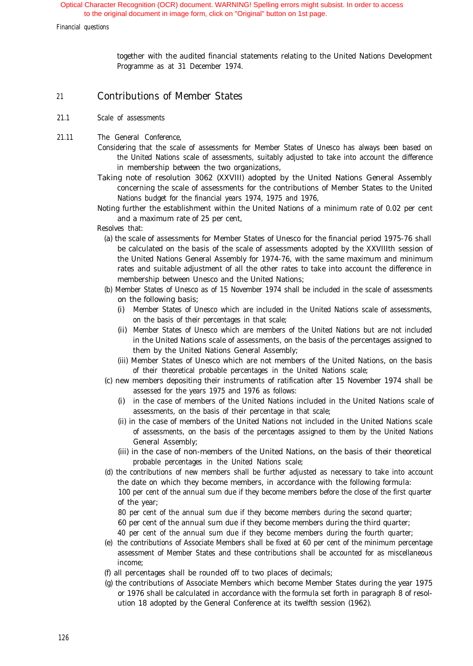<span id="page-122-0"></span>Financial questions

together with the audited financial statements relating to the United Nations Development Programme as at 31 December 1974.

### <sup>21</sup> Contributions of Member States

- 21.1 Scale of assessments
- 21.11 The GeneraI Conference,
	- Considering that the scale of assessments for Member States of Unesco has always been based on the United Nations scale of assessments, suitably adjusted to take into account the difference in membership between the two organizations,
	- Taking note of resolution 3062 (XXVIII) adopted by the United Nations General Assembly concerning the scale of assessments for the contributions of Member States to the United Nations budget for the financial years 1974, 1975 and 1976,
	- Noting further the establishment within the United Nations of a minimum rate of 0.02 per cent and a maximum rate of 25 per cent,
	- Resolves that:
		- (a) the scale of assessments for Member States of Unesco for the financial period 1975-76 shall be calculated on the basis of the scale of assessments adopted by the XXVIIIth session of the United Nations General Assembly for 1974-76, with the same maximum and minimum rates and suitable adjustment of all the other rates to take into account the difference in membership between Unesco and the United Nations;
		- (b) Member States of Unesco as of 15 November 1974 shall be included in the scale of assessments on the following basis;
			- (i) Member States of Unesco which are included in the United Nations scale of assessments, on the basis of their percentages in that scale;
			- (ii) Member States of Unesco which are members of the United Nations but are not included in the United Nations scale of assessments, on the basis of the percentages assigned to them by the United Nations General Assembly;
			- (iii) Member States of Unesco which are not members of the United Nations, on the basis of their theoretical probable percentages in the United Nations scale;
		- (c) new members depositing their instruments of ratification after 15 November 1974 shall be assessed for the years 1975 and 1976 as follows:
			- (i) in the case of members of the United Nations included in the United Nations scale of assessments, on the basis of their percentage in that scale;
			- (ii) in the case of members of the United Nations not included in the United Nations scale of assessments, on the basis of the percentages assigned to them by the United Nations General Assembly;
			- (iii) in the case of non-members of the United Nations, on the basis of their theoretical probable percentages in the United Nations scale;
		- (d) the contributions of new members shall be further adjusted as necessary to take into account the date on which they become members, in accordance with the following formula: 100 per cent of the annual sum due if they become members before the close of the first quarter of the year;
			- 80 per cent of the annual sum due if they become members during the second quarter;
			- 60 per cent of the annual sum due if they become members during the third quarter;
			- 40 per cent of the annual sum due if they become members during the fourth quarter;
		- (e) the contributions of Associate Members shall be fixed at 60 per cent of the minimum percentage assessment of Member States and these contributions shall be accounted for as miscellaneous income;
		- (f) all percentages shall be rounded off to two places of decimals;
		- (g) the contributions of Associate Members which become Member States during the year 1975 or 1976 shall be calculated in accordance with the formula set forth in paragraph 8 of resolution 18 adopted by the General Conference at its twelfth session (1962).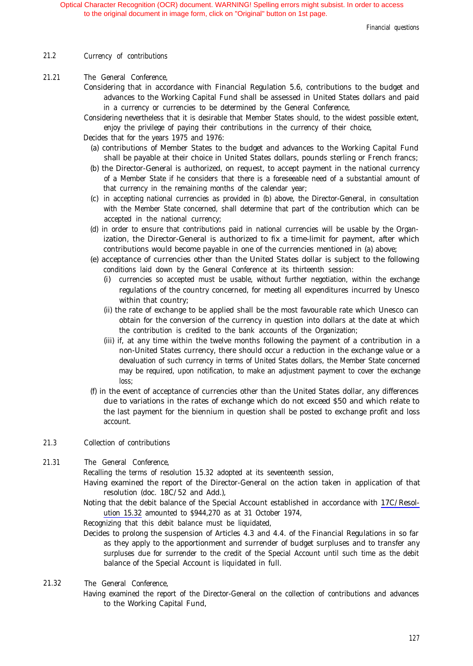Financial questions

- 21.2 Currency of contributions
- 21.21 The General Conference,
	- Considering that in accordance with Financial Regulation 5.6, contributions to the budget and advances to the Working Capital Fund shall be assessed in United States dollars and paid in a currency or currencies to be determined by the General Conference,
	- Considering nevertheless that it is desirable that Member States should, to the widest possible extent, enjoy the privilege of paying their contributions in the currency of their choice,

Decides that for the years 1975 and 1976:

- (a) contributions of Member States to the budget and advances to the Working Capital Fund shall be payable at their choice in United States dollars, pounds sterling or French francs;
- (b) the Director-General is authorized, on request, to accept payment in the national currency of a Member State if he considers that there is a foreseeable need of a substantial amount of that currency in the remaining months of the calendar year;
- (c) in accepting national currencies as provided in (b) above, the Director-General, in consultation with the Member State concerned, shall determine that part of the contribution which can be accepted in the national currency;
- (d) in order to ensure that contributions paid in national currencies will be usable by the Organization, the Director-General is authorized to fix a time-limit for payment, after which contributions would become payable in one of the currencies mentioned in (a) above;
- (e) acceptance of currencies other than the United States dollar is subject to the following conditions laid down by the General Conference at its thirteenth session:
	- (i) currencies so accepted must be usable, without further negotiation, within the exchange regulations of the country concerned, for meeting all expenditures incurred by Unesco within that country;
	- (ii) the rate of exchange to be applied shall be the most favourable rate which Unesco can obtain for the conversion of the currency in question into dollars at the date at which the contribution is credited to the bank accounts of the Organization;
	- (iii) if, at any time within the twelve months following the payment of a contribution in a non-United States currency, there should occur a reduction in the exchange value or a devaluation of such currency in terms of United States dollars, the Member State concerned may be required, upon notification, to make an adjustment payment to cover the exchange loss;
- (f) in the event of acceptance of currencies other than the United States dollar, any differences due to variations in the rates of exchange which do not exceed \$50 and which relate to the last payment for the biennium in question shall be posted to exchange profit and loss account.
- 21.3 Collection of contributions
- 21.31 The General Conference,

Recalling the terms of resolution 15.32 adopted at its seventeenth session,

- Having examined the report of the Director-General on the action taken in application of that resolution (doc. 18C/52 and Add.),
- Noting that the debit balance of the Special Account established in accordance with 17C/Resolution 15.32 amounted to \$944,270 as at 31 October 1974,

Recognizing that this debit balance must be liquidated,

- Decides to prolong the suspension of Articles 4.3 and 4.4. of the Financial Regulations in so far as they apply to the apportionment and surrender of budget surpluses and to transfer any surpluses due for surrender to the credit of the Special Account until such time as the debit balance of the Special Account is liquidated in full.
- 21.32 The General Conference,
	- Having examined the report of the Director-General on the collection of contributions and advances to the Working Capital Fund,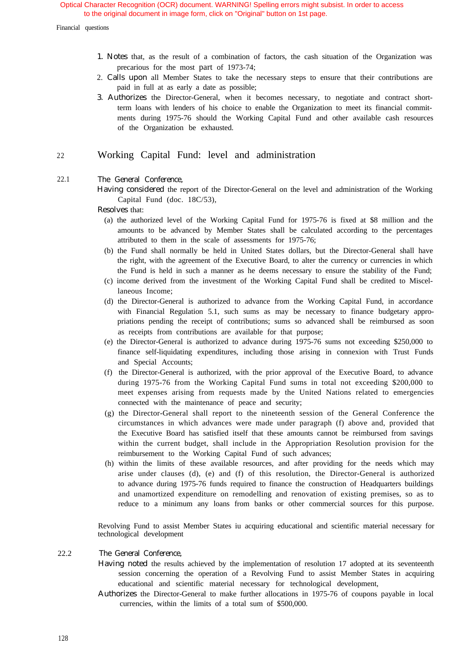<span id="page-124-0"></span>Financial questions

- 1. Notes that, as the result of a combination of factors, the cash situation of the Organization was precarious for the most part of 1973-74;
- 2. Calls upon all Member States to take the necessary steps to ensure that their contributions are paid in full at as early a date as possible;
- 3. Authorizes the Director-General, when it becomes necessary, to negotiate and contract shortterm loans with lenders of his choice to enable the Organization to meet its financial commitments during 1975-76 should the Working Capital Fund and other available cash resources of the Organization be exhausted.

### <sup>22</sup> Working Capital Fund: level and administration

#### 22.1 The General Conference,

- Having considered the report of the Director-General on the level and administration of the Working Capital Fund (doc. 18C/53),
- Resolves that:
	- (a) the authorized level of the Working Capital Fund for 1975-76 is fixed at \$8 million and the amounts to be advanced by Member States shall be calculated according to the percentages attributed to them in the scale of assessments for 1975-76;
	- (b) the Fund shall normally be held in United States dollars, but the Director-General shall have the right, with the agreement of the Executive Board, to alter the currency or currencies in which the Fund is held in such a manner as he deems necessary to ensure the stability of the Fund;
	- (c) income derived from the investment of the Working Capital Fund shall be credited to Miscellaneous Income;
	- (d) the Director-General is authorized to advance from the Working Capital Fund, in accordance with Financial Regulation 5.1, such sums as may be necessary to finance budgetary appropriations pending the receipt of contributions; sums so advanced shall be reimbursed as soon as receipts from contributions are available for that purpose;
	- (e) the Director-General is authorized to advance during 1975-76 sums not exceeding \$250,000 to finance self-liquidating expenditures, including those arising in connexion with Trust Funds and Special Accounts;
	- (f) the Director-General is authorized, with the prior approval of the Executive Board, to advance during 1975-76 from the Working Capital Fund sums in total not exceeding \$200,000 to meet expenses arising from requests made by the United Nations related to emergencies connected with the maintenance of peace and security;
	- (g) the Director-General shall report to the nineteenth session of the General Conference the circumstances in which advances were made under paragraph (f) above and, provided that the Executive Board has satisfied itself that these amounts cannot be reimbursed from savings within the current budget, shall include in the Appropriation Resolution provision for the reimbursement to the Working Capital Fund of such advances;
	- (h) within the limits of these available resources, and after providing for the needs which may arise under clauses (d), (e) and (f) of this resolution, the Director-General is authorized to advance during 1975-76 funds required to finance the construction of Headquarters buildings and unamortized expenditure on remodelling and renovation of existing premises, so as to reduce to a minimum any loans from banks or other commercial sources for this purpose.

Revolving Fund to assist Member States iu acquiring educational and scientific material necessary for technological development

- 22.2 The General Conference,
	- Having noted the results achieved by the implementation of resolution 17 adopted at its seventeenth session concerning the operation of a Revolving Fund to assist Member States in acquiring educational and scientific material necessary for technological development,
	- Authorizes the Director-General to make further allocations in 1975-76 of coupons payable in local currencies, within the limits of a total sum of \$500,000.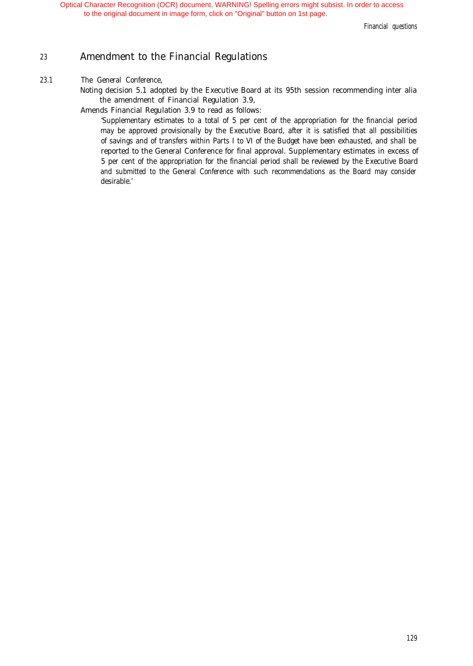Financial questions

## <sup>23</sup> Amendment to the Financial Regulations

### 23.1 The General Conference.

Noting decision 5.1 adopted by the Executive Board at its 95th session recommending inter alia the amendment of Financial Regulation 3.9,

Amends Financial Regulation 3.9 to read as follows:

'Supplementary estimates to a total of 5 per cent of the appropriation for the financial period may be approved provisionally by the Executive Board, after it is satisfied that all possibilities of savings and of transfers within Parts I to VI of the Budget have been exhausted, and shall be reported to the GeneraI Conference for final approval. Supplementary estimates in excess of 5 per cent of the appropriation for the financiaI period shall be reviewed by the Executive Board and submitted to the General Conference with such recommendations as the Board may consider desirable.'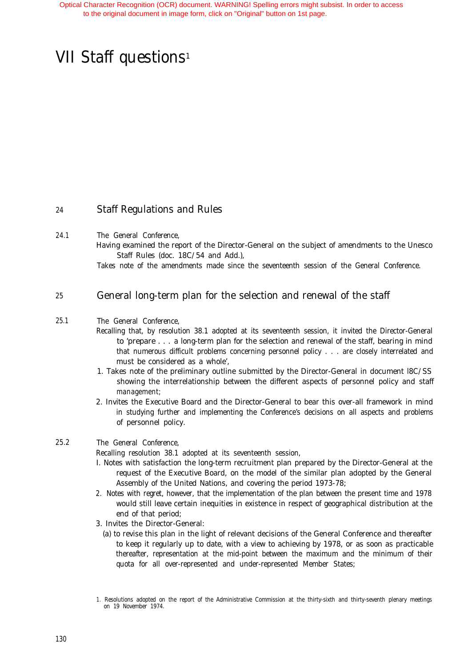# <span id="page-126-0"></span>VII Staff questions<sup>1</sup>

### <sup>24</sup> Staff Regulations and Rules

24.1 The General Conference,

Having examined the report of the Director-General on the subject of amendments to the Unesco Staff Rules (doc. 18C/54 and Add.),

Takes note of the amendments made since the seventeenth session of the General Conference.

### <sup>25</sup> General long-term plan for the selection and renewal of the staff

### 25.1 The General Conference,

- Recalling that, by resolution 38.1 adopted at its seventeenth session, it invited the Director-General to 'prepare . . . a long-term plan for the selection and renewal of the staff, bearing in mind that numerous difficult problems concerning personnel policy . . . are closely interrelated and must be considered as a whole',
- 1. Takes note of the preliminary outline submitted by the Director-General in document l8C/SS showing the interrelationship between the different aspects of personnel policy and staff management;
- 2. Invites the Executive Board and the Director-General to bear this over-all framework in mind in studying further and implementing the Conference's decisions on all aspects and problems of personnel policy.

### 25.2 The General Conference,

Recalling resolution 38.1 adopted at its seventeenth session,

- I. Notes with satisfaction the long-term recruitment plan prepared by the Director-General at the request of the Executive Board, on the model of the similar plan adopted by the General Assembly of the United Nations, and covering the period 1973-78;
- 2. Notes with regret, however, that the implementation of the plan between the present time and 1978 would still leave certain inequities in existence in respect of geographical distribution at the end of that period;
- 3. Invites the Director-General:
	- (a) to revise this plan in the light of relevant decisions of the General Conference and thereafter to keep it regularly up to date, with a view to achieving by 1978, or as soon as practicable thereafter, representation at the mid-point between the maximum and the minimum of their quota for all over-represented and under-represented Member States;

<sup>1.</sup> Resolutions adopted on the report of the Administrative Commission at the thirty-sixth and thirty-seventh plenary meetings on 19 November 1974.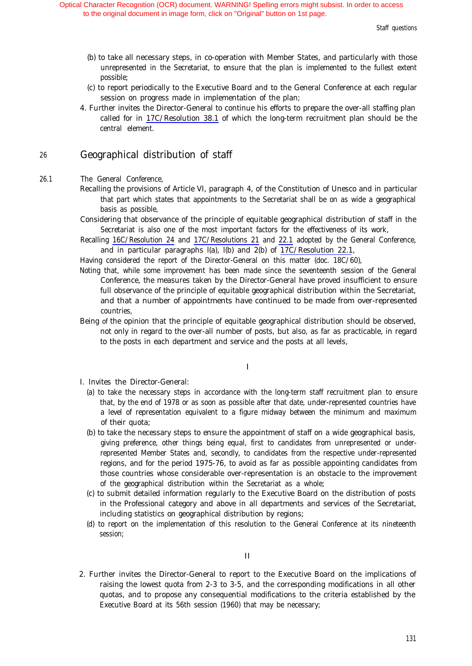- (b) to take all necessary steps, in co-operation with Member States, and particularly with those unrepresented in the Secretariat, to ensure that the plan is implemented to the fullest extent possible;
- (c) to report periodically to the Executive Board and to the General Conference at each regular session on progress made in implementation of the plan;
- 4. Further invites the Director-General to continue his efforts to prepare the over-all staffing plan called for in 17C/Resolution 38.1 of which the long-term recruitment plan should be the central element.

### <sup>26</sup> Geographical distribution of staff

#### 26.1 The General Conference,

- Recalling the provisions of Article VI, paragraph 4, of the Constitution of Unesco and in particular that part which states that appointments to the Secretariat shall be on as wide a geographical basis as possible,
- Considering that observance of the principle of equitable geographical distribution of staff in the Secretariat is also one of the most important factors for the effectiveness of its work,
- Recalling [16C/Resolution 24](#page-126-0) and [17C/Resolutions 21](#page-122-0) and [22.1](#page-124-0) adopted by the General Conference, and in particular paragraphs l(a), l(b) and 2(b) of [17C/Resolution 22.1](#page-124-0),

Having considered the report of the Director-General on this matter (doc. 18C/60),

- Noting that, while some improvement has been made since the seventeenth session of the General Conference, the measures taken by the Director-General have proved insufficient to ensure full observance of the principle of equitable geographical distribution within the Secretariat, and that a number of appointments have continued to be made from over-represented countries,
- Being of the opinion that the principle of equitable geographical distribution should be observed, not only in regard to the over-all number of posts, but also, as far as practicable, in regard to the posts in each department and service and the posts at all levels,

I

- I. Invites the Director-General:
	- (a) to take the necessary steps in accordance with the long-term staff recruitment plan to ensure that, by the end of 1978 or as soon as possible after that date, under-represented countries have a level of representation equivalent to a figure midway between the minimum and maximum of their quota;
	- (b) to take the necessary steps to ensure the appointment of staff on a wide geographical basis, giving preference, other things being equal, first to candidates from unrepresented or underrepresented Member States and, secondly, to candidates from the respective under-represented regions, and for the period 1975-76, to avoid as far as possible appointing candidates from those countries whose considerable over-representation is an obstacle to the improvement of the geographical distribution within the Secretariat as a whole;
	- (c) to submit detailed information regularly to the Executive Board on the distribution of posts in the Professional category and above in all departments and services of the Secretariat, including statistics on geographical distribution by regions;
	- (d) to report on the implementation of this resolution to the General Conference at its nineteenth session;

II

2. Further invites the Director-General to report to the Executive Board on the implications of raising the lowest quota from 2-3 to 3-5, and the corresponding modifications in all other quotas, and to propose any consequential modifications to the criteria established by the Executive Board at its 56th session (1960) that may be necessary;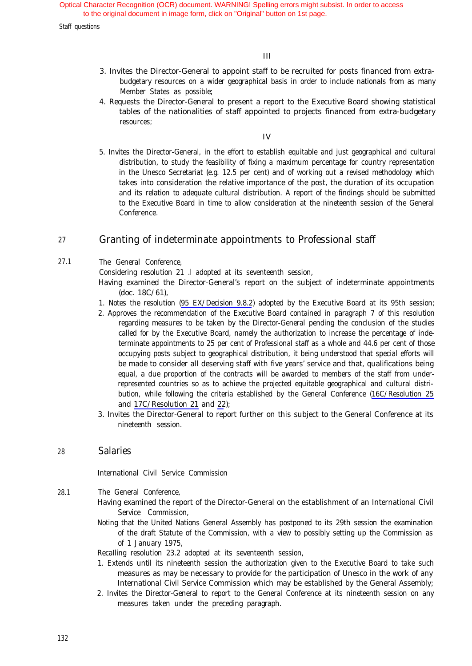Staff questions

- 3. Invites the Director-General to appoint staff to be recruited for posts financed from extrabudgetary resources on a wider geographical basis in order to include nationals from as many Member States as possible;
- 4. Requests the Director-General to present a report to the Executive Board showing statistical tables of the nationalities of staff appointed to projects financed from extra-budgetary resources;

IV

5. Invites the Director-General, in the effort to establish equitable and just geographical and cultural distribution, to study the feasibility of fixing a maximum percentage for country representation in the Unesco Secretariat (e.g. 12.5 per cent) and of working out a revised methodology which takes into consideration the relative importance of the post, the duration of its occupation and its relation to adequate cultural distribution. A report of the findings should be submitted to the Executive Board in time to allow consideration at the nineteenth session of the General Conference.

#### 27 Granting of indeterminate appointments to Professional staff

27.1 The General Conference,

Considering resolution 21 .l adopted at its seventeenth session,

- Having examined the Director-General's report on the subject of indeterminate appointments (doc. 18C/61),
- 1. Notes the resolution (95 EX/Decision 9.8.2) adopted by the Executive Board at its 95th session;
- 2. Approves the recommendation of the Executive Board contained in paragraph 7 of this resolution regarding measures to be taken by the Director-General pending the conclusion of the studies called for by the Executive Board, namely the authorization to increase the percentage of indeterminate appointments to 25 per cent of Professional staff as a whole and 44.6 per cent of those occupying posts subject to geographical distribution, it being understood that special efforts will be made to consider all deserving staff with five years' service and that, qualifications being equal, a due proportion of the contracts will be awarded to members of the staff from underrepresented countries so as to achieve the projected equitable geographical and cultural distribution, while following the criteria established by the General Conference ([16C/Resolution 25](#page-126-0) and [17C/Resolution 21](#page-122-0) and [22](#page-124-0));
- 3. Invites the Director-General to report further on this subject to the General Conference at its nineteenth session.

#### 28 Salaries

International Civil Service Commission

- 28.1 The General Conference,
	- Having examined the report of the Director-General on the establishment of an International Civil Service Commission,
	- Noting that the United Nations General Assembly has postponed to its 29th session the examination of the draft Statute of the Commission, with a view to possibly setting up the Commission as of 1 January 1975,
	- RecaIling resolution 23.2 adopted at its seventeenth session,
	- 1. Extends until its nineteenth session the authorization given to the Executive Board to take such measures as may be necessary to provide for the participation of Unesco in the work of any International Civil Service Commission which may be established by the General Assembly;
	- 2. Invites the Director-General to report to the General Conference at its nineteenth session on any measures taken under the preceding paragraph.

132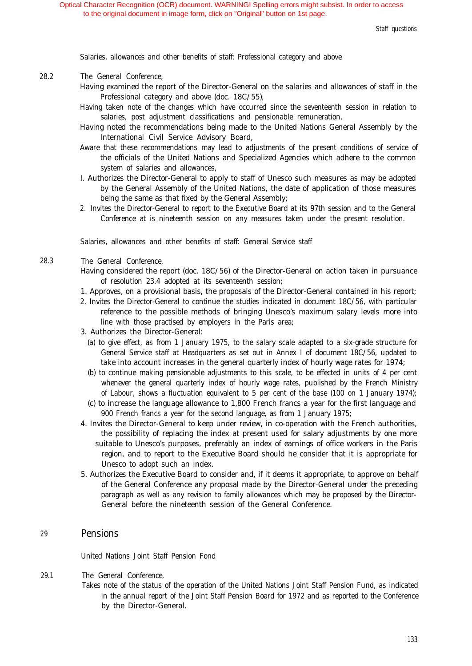Staff questions

Salaries, allowances and other benefits of staff: Professional category and above

### 28.2 The General Conference,

- Having examined the report of the Director-General on the salaries and allowances of staff in the Professional category and above (doc. 18C/55),
- Having taken note of the changes which have occurred since the seventeenth session in relation to salaries, post adjustment classifications and pensionable remuneration,
- Having noted the recommendations being made to the United Nations General Assembly by the International Civil Service Advisory Board,
- Aware that these recommendations may lead to adjustments of the present conditions of service of the officials of the United Nations and Specialized Agencies which adhere to the common system of salaries and allowances,
- I. Authorizes the Director-General to apply to staff of Unesco such measures as may be adopted by the General Assembly of the United Nations, the date of application of those measures being the same as that fixed by the General Assembly;
- 2. Invites the Director-General to report to the Executive Board at its 97th session and to the General Conference at is nineteenth session on any measures taken under the present resolution.

Salaries, allowances and other benefits of staff: General Service staff

- 28.3 The General Conference,
	- Having considered the report (doc. 18C/56) of the Director-General on action taken in pursuance of resolution 23.4 adopted at its seventeenth session;
	- 1. Approves, on a provisional basis, the proposals of the Director-General contained in his report;
	- 2. Invites the Director-General to continue the studies indicated in document 18C/56, with particular reference to the possible methods of bringing Unesco's maximum salary levels more into line with those practised by employers in the Paris area;
	- 3. Authorizes the Director-General:
		- (a) to give effect, as from 1 January 1975, to the salary scale adapted to a six-grade structure for General Service staff at Headquarters as set out in Annex I of document 18C/56, updated to take into account increases in the general quarterly index of hourly wage rates for 1974;
		- (b) to continue making pensionable adjustments to this scale, to be effected in units of 4 per cent whenever the general quarterly index of hourly wage rates, published by the French Ministry of Labour, shows a fluctuation equivalent to 5 per cent of the base (100 on 1 January 1974);
		- (c) to increase the language allowance to 1,800 French francs a year for the first language and 900 French francs a year for the second language, as from 1 January 1975;
	- 4. Invites the Director-General to keep under review, in co-operation with the French authorities, the possibility of replacing the index at present used for salary adjustments by one more suitable to Unesco's purposes, preferably an index of earnings of office workers in the Paris region, and to report to the Executive Board should he consider that it is appropriate for Unesco to adopt such an index.
	- 5. Authorizes the Executive Board to consider and, if it deems it appropriate, to approve on behalf of the General Conference any proposal made by the Director-General under the preceding paragraph as well as any revision to family allowances which may be proposed by the Director-General before the nineteenth session of the General Conference.

### <sup>29</sup> Pensions

United Nations Joint Staff Pension Fond

- 29.1 The General Conference,
	- Takes note of the status of the operation of the United Nations Joint Staff Pension Fund, as indicated in the annual report of the Joint Staff Pension Board for 1972 and as reported to the Conference by the Director-General.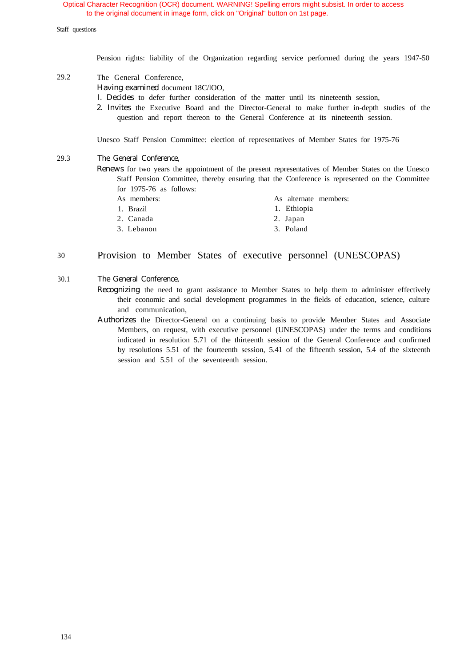Staff questions

Pension rights: liability of the Organization regarding service performed during the years 1947-50

29.2 The General Conference, Having examined document 18C/lOO, I. Decides to defer further consideration of the matter until its nineteenth session, 2. Invites the Executive Board and the Director-General to make further in-depth studies of the question and report thereon to the General Conference at its nineteenth session.

Unesco Staff Pension Committee: election of representatives of Member States for 1975-76

- 29.3 The General Conference,
	- Renews for two years the appointment of the present representatives of Member States on the Unesco Staff Pension Committee, thereby ensuring that the Conference is represented on the Committee for 1975-76 as follows:
		- As members: As alternate members:
		- 1. Brazil 1. Ethiopia
		- 2. Canada 2. Japan
		- 3. Lebanon 3. Poland

#### 30 Provision to Member States of executive personnel (UNESCOPAS)

- 30.1 The General Conference,
	- Recognizing the need to grant assistance to Member States to help them to administer effectively their economic and social development programmes in the fields of education, science, culture and communication,
	- Authorizes the Director-General on a continuing basis to provide Member States and Associate Members, on request, with executive personnel (UNESCOPAS) under the terms and conditions indicated in resolution 5.71 of the thirteenth session of the General Conference and confirmed by resolutions 5.51 of the fourteenth session, 5.41 of the fifteenth session, 5.4 of the sixteenth session and 5.51 of the seventeenth session.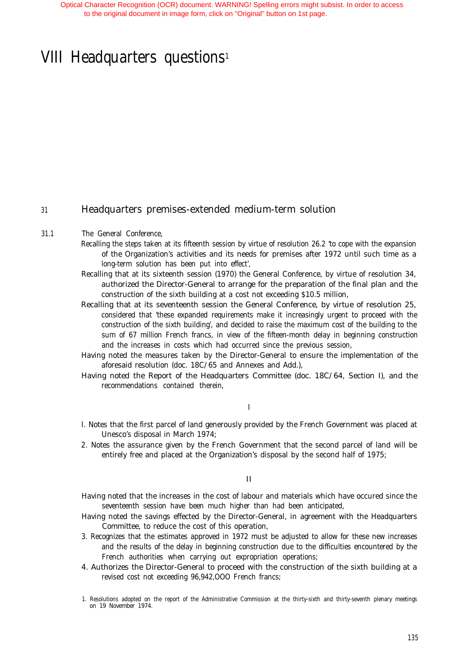# VIII Headquarters questions<sup>1</sup>

### <sup>31</sup> Headquarters premises-extended medium-term solution

#### 31.1 The General Conference,

- Recalling the steps taken at its fifteenth session by virtue of resolution 26.2 'to cope with the expansion of the Organization's activities and its needs for premises after 1972 until such time as a long-term solution has been put into effect',
- Recalling that at its sixteenth session (1970) the General Conference, by virtue of resolution 34, authorized the Director-General to arrange for the preparation of the final plan and the construction of the sixth building at a cost not exceeding \$10.5 million,
- Recalling that at its seventeenth session the General Conference, by virtue of resolution 25, considered that 'these expanded requirements make it increasingly urgent to proceed with the construction of the sixth building', and decided to raise the maximum cost of the building to the sum of 67 million French francs, in view of the fifteen-month delay in beginning construction and the increases in costs which had occurred since the previous session,
- Having noted the measures taken by the Director-General to ensure the implementation of the aforesaid resolution (doc. 18C/65 and Annexes and Add.),
- Having noted the Report of the Headquarters Committee (doc. 18C/64, Section I), and the recommendations contained therein,

I

- I. Notes that the first parcel of land generously provided by the French Government was placed at Unesco's disposal in March 1974;
- 2. Notes the assurance given by the French Government that the second parcel of land will be entirely free and placed at the Organization's disposal by the second half of 1975;

II

- Having noted that the increases in the cost of labour and materials which have occured since the seventeenth session have been much higher than had been anticipated,
- Having noted the savings effected by the Director-General, in agreement with the Headquarters Committee, to reduce the cost of this operation,
- 3. Recognizes that the estimates approved in 1972 must be adjusted to allow for these new increases and the results of the delay in beginning construction due to the difficulties encountered by the French authorities when carrying out expropriation operations;
- 4. Authorizes the Director-General to proceed with the construction of the sixth building at a revised cost not exceeding 96,942,OOO French francs;

<sup>1.</sup> Resolutions adopted on the report of the Administrative Commission at the thirty-sixth and thirty-seventh plenary meetings on 19 November 1974.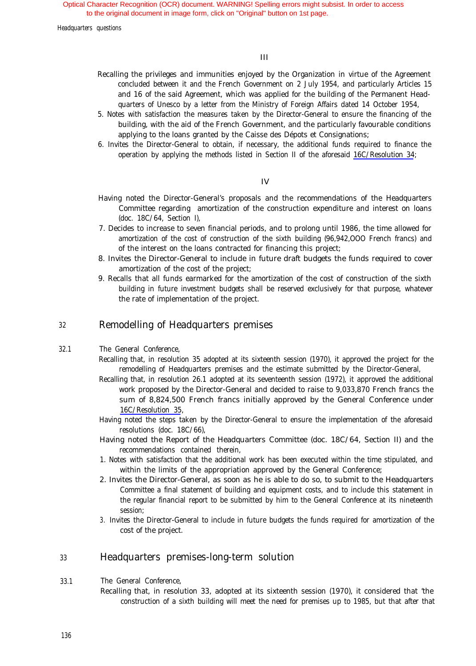<span id="page-132-0"></span>Headquarters questions

- Recalling the privileges and immunities enjoyed by the Organization in virtue of the Agreement concluded between it and the French Government on 2 July 1954, and particularly Articles 15 and 16 of the said Agreement, which was applied for the building of the Permanent Headquarters of Unesco by a letter from the Ministry of Foreign Affairs dated 14 October 1954,
- 5. Notes with satisfaction the measures taken by the Director-General to ensure the financing of the building, with the aid of the French Government, and the particularly favourable conditions applying to the loans granted by the Caisse des Dépots et Consignations;
- 6. Invites the Director-General to obtain, if necessary, the additional funds required to finance the operation by applying the methods listed in Section II of the aforesaid [16C/Resolution 34](#page-133-0);

IV

- Having noted the Director-General's proposals and the recommendations of the Headquarters Committee regarding amortization of the construction expenditure and interest on loans (doc. 18C/64, Section I),
- 7. Decides to increase to seven financial periods, and to prolong until 1986, the time allowed for amortization of the cost of construction of the sixth building (96,942,OOO French francs) and of the interest on the loans contracted for financing this project;
- 8. Invites the Director-General to include in future draft budgets the funds required to cover amortization of the cost of the project;
- 9. Recalls that all funds earmarked for the amortization of the cost of construction of the sixth building in future investment budgets shall be reserved exclusively for that purpose, whatever the rate of implementation of the project.

### <sup>32</sup> Remodelling of Headquarters premises

### 32.1 The General Conference,

- Recalling that, in resolution 35 adopted at its sixteenth session (1970), it approved the project for the remodelling of Headquarters premises and the estimate submitted by the Director-General,
- Recalling that, in resolution 26.1 adopted at its seventeenth session (1972), it approved the additional work proposed by the Director-General and decided to raise to 9,033,870 French francs the sum of 8,824,500 French francs initially approved by the General Conference under [16C/Resolution 35](#page-135-0),
- Having noted the steps taken by the Director-General to ensure the implementation of the aforesaid resolutions (doc. 18C/66),
- Having noted the Report of the Headquarters Committee (doc. 18C/64, Section II) and the recommendations contained therein,
- 1. Notes with satisfaction that the additional work has been executed within the time stipulated, and within the limits of the appropriation approved by the General Conference;
- 2. Invites the Director-General, as soon as he is able to do so, to submit to the Headquarters Committee a final statement of building and equipment costs, and to include this statement in the regular financial report to be submitted by him to the General Conference at its nineteenth session;
- 3. Invites the Director-General to include in future budgets the funds required for amortization of the cost of the project.

#### 33 Headquarters premises-long-term solution

33.1 The General Conference, Recalling that, in resolution 33, adopted at its sixteenth session (1970), it considered that 'the construction of a sixth building will meet the need for premises up to 1985, but that after that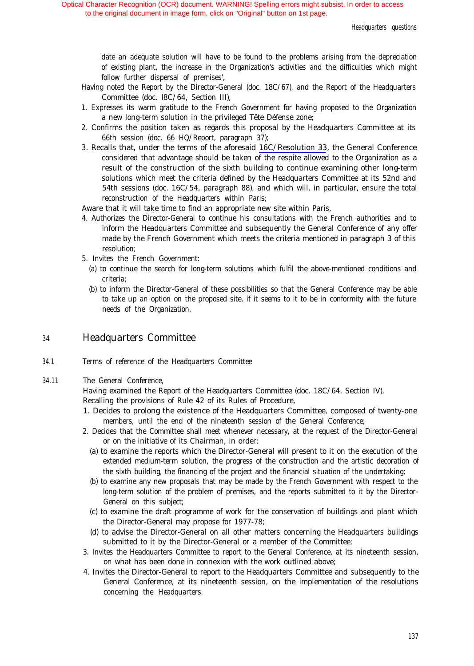<span id="page-133-0"></span>date an adequate solution will have to be found to the problems arising from the depreciation of existing plant, the increase in the Organization's activities and the difficulties which might follow further dispersal of premises',

- Having noted the Report by the Director-General (doc. 18C/67), and the Report of the Headquarters Committee (doc. l8C/64, Section III),
- 1. Expresses its warm gratitude to the French Government for having proposed to the Organization a new long-term solution in the privileged Tête Défense zone;
- 2. Confirms the position taken as regards this proposal by the Headquarters Committee at its 66th session (doc. 66 HQ/Report, paragraph 37);
- 3. Recalls that, under the terms of the aforesaid [16C/Resolution 33](#page-132-0), the General Conference considered that advantage should be taken of the respite allowed to the Organization as a result of the construction of the sixth building to continue examining other long-term solutions which meet the criteria defined by the Headquarters Committee at its 52nd and 54th sessions (doc. 16C/54, paragraph 88), and which will, in particular, ensure the total reconstruction of the Headquarters within Paris;

Aware that it will take time to find an appropriate new site within Paris,

- 4. Authorizes the Director-General to continue his consultations with the French authorities and to inform the Headquarters Committee and subsequently the General Conference of any offer made by the French Government which meets the criteria mentioned in paragraph 3 of this resolution;
- 5. Invites the French Government:
	- (a) to continue the search for long-term solutions which fulfil the above-mentioned conditions and criteria;
	- (b) to inform the Director-General of these possibilities so that the General Conference may be able to take up an option on the proposed site, if it seems to it to be in conformity with the future needs of the Organization.

### <sup>34</sup> Headquarters Committee

- 34.1 Terms of reference of the Headquarters Committee
- 34.11 The General Conference,

Having examined the Report of the Headquarters Committee (doc. 18C/64, Section IV),

- Recalling the provisions of Rule 42 of its Rules of Procedure,
- 1. Decides to prolong the existence of the Headquarters Committee, composed of twenty-one members, until the end of the nineteenth session of the General Conference;
- 2. Decides that the Committee shall meet whenever necessary, at the request of the Director-General or on the initiative of its Chairman, in order:
	- (a) to examine the reports which the Director-General will present to it on the execution of the extended medium-term solution, the progress of the construction and the artistic decoration of the sixth building, the financing of the project and the financial situation of the undertaking;
	- (b) to examine any new proposals that may be made by the French Government with respect to the long-term solution of the problem of premises, and the reports submitted to it by the Director-General on this subject;
	- (c) to examine the draft programme of work for the conservation of buildings and plant which the Director-General may propose for 1977-78;
	- (d) to advise the Director-General on all other matters concerning the Headquarters buildings submitted to it by the Director-General or a member of the Committee;
- 3. Invites the Headquarters Committee to report to the General Conference, at its nineteenth session, on what has been done in connexion with the work outlined above;
- 4. Invites the Director-General to report to the Headquarters Committee and subsequently to the General Conference, at its nineteenth session, on the implementation of the resolutions concerning the Headquarters.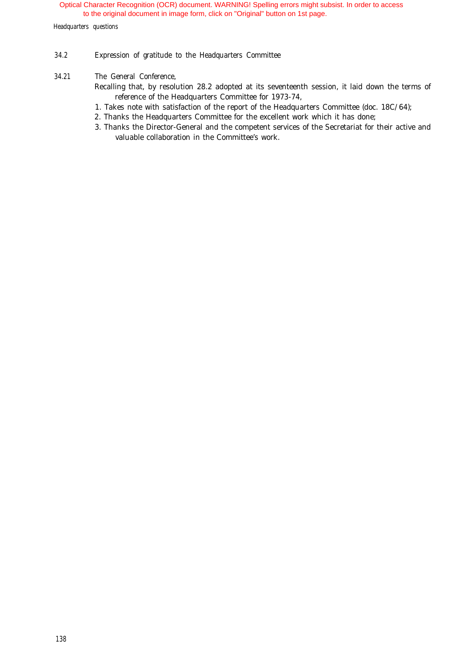Headquarters questions

34.2 Expression of gratitude to the Headquarters Committee

### 34.21 The General Conference,

Recalling that, by resolution 28.2 adopted at its seventeenth session, it laid down the terms of reference of the Headquarters Committee for 1973-74,

- 1. Takes note with satisfaction of the report of the Headquarters Committee (doc. 18C/64);
- 2. Thanks the Headquarters Committee for the excellent work which it has done;
- 3. Thanks the Director-General and the competent services of the Secretariat for their active and valuable collaboration in the Committee's work.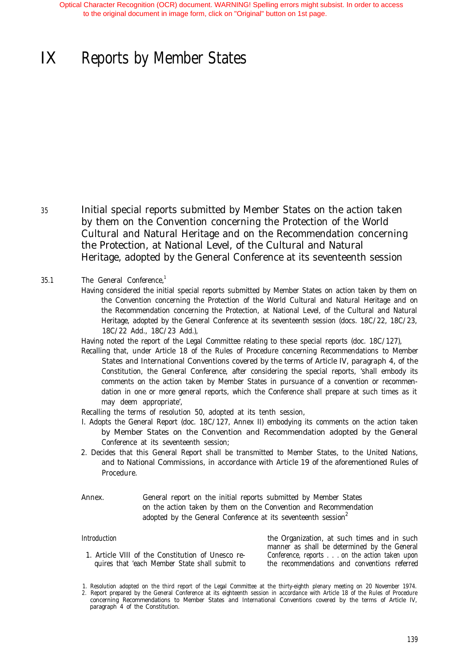# <span id="page-135-0"></span>IX Reports by Member States

<sup>35</sup> Initial special reports submitted by Member States on the action taken by them on the Convention concerning the Protection of the World Cultural and Natural Heritage and on the Recommendation concerning the Protection, at National Level, of the Cultural and Natural Heritage, adopted by the General Conference at its seventeenth session

#### 35.1 The General Conference,<sup>1</sup>

Having considered the initial special reports submitted by Member States on action taken by them on the Convention concerning the Protection of the World Cultural and Natural Heritage and on the Recommendation concerning the Protection, at National Level, of the Cultural and Natural Heritage, adopted by the General Conference at its seventeenth session (docs. 18C/22, 18C/23, 18C/22 Add., 18C/23 Add.),

Having noted the report of the Legal Committee relating to these special reports (doc. 18C/127),

Recalling that, under Article 18 of the Rules of Procedure concerning Recommendations to Member States and International Conventions covered by the terms of Article IV, paragraph 4, of the Constitution, the General Conference, after considering the special reports, 'shall embody its comments on the action taken by Member States in pursuance of a convention or recommendation in one or more general reports, which the Conference shall prepare at such times as it may deem appropriate',

Recalling the terms of resolution 50, adopted at its tenth session,

- I. Adopts the General Report (doc. 18C/127, Annex II) embodying its comments on the action taken by Member States on the Convention and Recommendation adopted by the General Conference at its seventeenth session;
- 2. Decides that this General Report shall be transmitted to Member States, to the United Nations, and to National Commissions, in accordance with Article 19 of the aforementioned Rules of Procedure.

Annex. General report on the initial reports submitted by Member States on the action taken by them on the Convention and Recommendation adopted by the General Conference at its seventeenth session<sup>2</sup>

#### Introduction

1. Article VIII of the Constitution of Unesco requires that 'each Member State shall submit to

the Organization, at such times and in such manner as shall be determined by the General Conference, reports . . . on the action taken upon the recommendations and conventions referred

<sup>1.</sup> Resolution adopted on the third report of the Legal Committee at the thirty-eighth plenary meeting on 20 November 1974. 2. Report prepared by the General Conference at its eighteenth session in accordance with Article 18 of the Rules of Procedure concerning Recommendations to Member States and International Conventions covered by the terms of Article IV, paragraph 4 of the Constitution.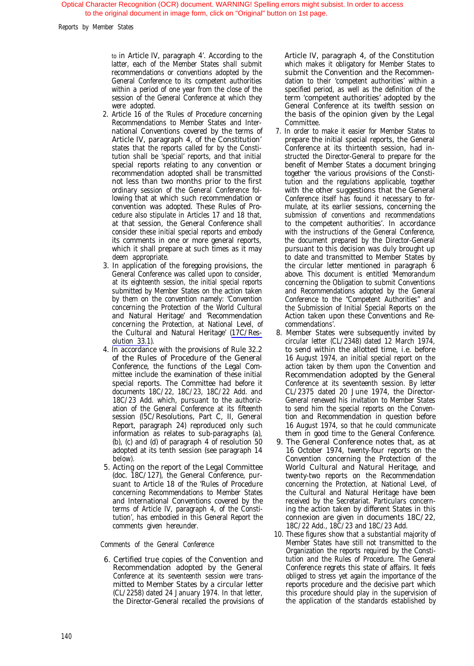to in Article IV, paragraph 4'. According to the latter, each of the Member States shall submit recommendations or conventions adopted by the General Conference to its competent authorities within a period of one year from the close of the session of the General Conference at which they were adopted.

- 2. Article 16 of the 'Rules of Procedure concerning Recommendations to Member States and International Conventions covered by the terms of Article IV, paragraph 4, of the Constitution' states that the reports called for by the Constitution shall be 'special' reports, and that initial special reports relating to any convention or recommendation adopted shall be transmitted not less than two months prior to the first ordinary session of the General Conference following that at which such recommendation or convention was adopted. These Rules of Procedure also stipulate in Articles 17 and 18 that, at that session, the General Conference shall consider these initial special reports and embody its comments in one or more general reports, which it shall prepare at such times as it may deem appropriate.
- 3. In application of the foregoing provisions, the General Conference was called upon to consider, at its eighteenth session, the initial special reports submitted by Member States on the action taken by them on the convention namely: 'Convention concerning the Protection of the World Cultural and Natural Heritage' and 'Recommendation concerning the Protection, at National Level, of the Cultural and Natural Heritage' ([17C/Res](#page-132-0)[olution 33.1](#page-132-0)).
- 4. In accordance with the provisions of Rule 32.2 of the Rules of Procedure of the General Conference, the functions of the Legal Committee include the examination of these initial special reports. The Committee had before it documents 18C/22, 18C/23, 18C/22 Add. and 18C/23 Add. which, pursuant to the authorization of the General Conference at its fifteenth session (l5C/Resolutions, Part C, II, General Report, paragraph 24) reproduced only such information as relates to sub-paragraphs (a), (b), (c) and (d) of paragraph 4 of resolution 50 adopted at its tenth session (see paragraph 14 below).
- 5. Acting on the report of the Legal Committee (doc. 18C/127), the General Conference, pursuant to Article 18 of the 'Rules of Procedure concerning Recommendations to Member States and International Conventions covered by the terms of Article IV, paragraph 4, of the Constitution', has embodied in this General Report the comments given hereunder.

Comments of the General Conference

6. Certified true copies of the Convention and Recommendation adopted by the General Conference at its seventeenth session were transmitted to Member States by a circular letter (CL/2258) dated 24 January 1974. In that letter,

Article IV, paragraph 4, of the Constitution which makes it obligatory for Member States to submit the Convention and the Recommendation to their 'competent authorities' within a specified period, as well as the definition of the term 'competent authorities' adopted by the General Conference at its twelfth session on the basis of the opinion given by the Legal Committee.

- 7. In order to make it easier for Member States to prepare the initial special reports, the General Conference at its thirteenth session, had instructed the Director-General to prepare for the benefit of Member States a document bringing together 'the various provisions of the Constitution and the regulations applicable, together with the other suggestions that the General Conference itself has found it necessary to formulate, at its earlier sessions, concerning the submission of conventions and recommendations to the competent authorities'. In accordance with the instructions of the General Conference, the document prepared by the Director-General pursuant to this decision was duly brought up to date and transmitted to Member States by the circular letter mentioned in paragraph 6 above. This document is entitled 'Memorandum concerning the Obligation to submit Conventions and Recommendations adopted by the General Conference to the "Competent Authorities" and the Submission of Initial Special Reports on the Action taken upon these Conventions and Recommendations'.
- 8. Member States were subsequently invited by circular letter (CL/2348) dated 12 March 1974, to send within the allotted time, i.e. before 16 August 1974, an initial special report on the action taken by them upon the Convention and Recommendation adopted by the General Conference at its seventeenth session. By letter CL/2375 dated 20 June 1974, the Director-General renewed his invitation to Member States to send him the special reports on the Convention and Recommendation in question before 16 August 1974, so that he could communicate them in good time to the General Conference.
- 9. The General Conference notes that, as at 16 October 1974, twenty-four reports on the Convention concerning the Protection of the World Cultural and Natural Heritage, and twenty-two reports on the Recommendation concerning the Protection, at National Level, of the Cultural and Natural Heritage have been received by the Secretariat. Particulars concerning the action taken by different States in this connexion are given in documents 18C/22, 18C/22 Add., 18C/23 and 18C/23 Add.
- 10. These figures show that a substantial majority of Member States have still not transmitted to the Organization the reports required by the Constitution and the Rules of Procedure. The General Conference regrets this state of affairs. It feels obliged to stress yet again the importance of the reports procedure and the decisive part which this procedure should play in the supervision of the Director-General recalled the provisions of the application of the standards established by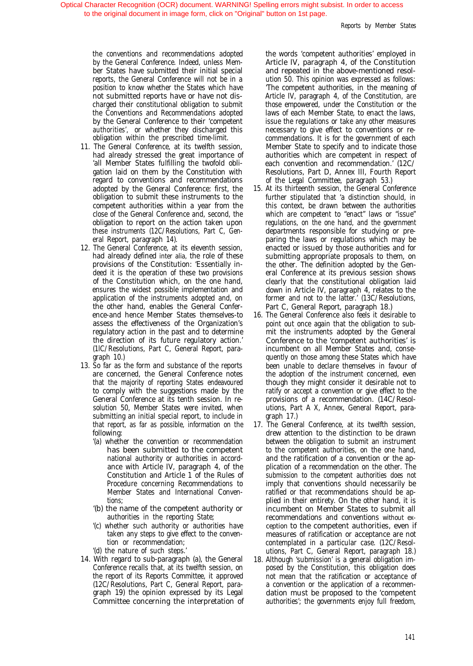the conventions and recommendations adopted by the General Conference. Indeed, unless Member States have submitted their initial special reports, the General Conference will not be in a position to know whether the States which have not submitted reports have or have not discharged their constitutional obligation to submit the Conventions and Recommendations adopted by the General Conference to their 'competent authorities', or whether they discharged this obligation within the prescribed time-limit.

- 11. The General Conference, at its twelfth session, had already stressed the great importance of 'all Member States fulfilling the twofold obligation laid on them by the Constitution with regard to conventions and recommendations adopted by the General Conference: first, the obligation to submit these instruments to the competent authorities within a year from the close of the General Conference and, second, the obligation to report on the action taken upon these instruments (12C/Resolutions, Part C, General Report, paragraph 14).
- 12. The General Conference, at its eleventh session, had already defined inter alia, the role of these provisions of the Constitution: 'Essentially indeed it is the operation of these two provisions of the Constitution which, on the one hand, ensures the widest possible implementation and application of the instruments adopted and, on the other hand, enables the General Conference-and hence Member States themselves-to assess the effectiveness of the Organization's regulatory action in the past and to determine the direction of its future regulatory action.' (1lC/Resolutions, Part C, General Report, paragraph 10.)
- 13. So far as the form and substance of the reports are concerned, the General Conference notes that the majority of reporting States endeavoured to comply with the suggestions made by the General Conference at its tenth session. In resolution 50, Member States were invited, when submitting an initial special report, to include in that report, as far as possible, information on the following:
	- '(a) whether the convention or recommendation has been submitted to the competent national authority or authorities in accordance with Article IV, paragraph 4, of the Constitution and Article 1 of the Rules of Procedure concerning Recommendations to Member States and International Conventions;
	- '(b) the name of the competent authority or authorities in the reporting State;
	- '(c) whether such authority or authorities have taken any steps to give effect to the convention or recommendation;
	- '(d) the nature of such steps.'
- 14. With regard to sub-paragraph (a), the General Conference recalls that, at its twelfth session, on the report of its Reports Committee, it approved (12C/Resolutions, Part C, General Report, paragraph 19) the opinion expressed by its Legal Committee concerning the interpretation of

the words 'competent authorities' employed in Article IV, paragraph 4, of the Constitution and repeated in the above-mentioned resolution 50. This opinion was expressed as follows: 'The competent authorities, in the meaning of Article IV, paragraph 4, of the Constitution, are those empowered, under the Constitution or the laws of each Member State, to enact the laws, issue the regulations or take any other measures necessary to give effect to conventions or recommendations. It is for the government of each Member State to specify and to indicate those authorities which are competent in respect of each convention and recommendation.' (12C/ Resolutions, Part D, Annex III, Fourth Report of the Legal Committee, paragraph 53.)

- 15. At its thirteenth session, the General Conference further stipulated that 'a distinction should, in this context, be drawn between the authorities which are competent to "enact" laws or "issue" regulations, on the one hand, and the government departments responsible for studying or preparing the laws or regulations which may be enacted or issued by those authorities and for submitting appropriate proposals to them, on the other. The definition adopted by the General Conference at its previous session shows clearly that the constitutional obligation laid down in Article IV, paragraph 4, relates to the former and not to the latter.' (13C/Resolutions, Part C, General Report, paragraph 18.)
- 16. The General Conference also feels it desirable to point out once again that the obligation to submit the instruments adopted by the General Conference to the 'competent authorities' is incumbent on all Member States and, consequently on those among these States which have been unable to declare themselves in favour of the adoption of the instrument concerned, even though they might consider it desirable not to ratify or accept a convention or give effect to the provisions of a recommendation. (14C/Resolutions, Part A X, Annex, General Report, paragraph 17.)
- 17. The General Conference, at its twelfth session, drew attention to the distinction to be drawn between the obligation to submit an instrument to the competent authorities, on the one hand, and the ratification of a convention or the application of a recommendation on the other. The submission to the competent authorities does not imply that conventions should necessarily be ratified or that recommendations should be applied in their entirety. On the other hand, it is incumbent on Member States to submit all recommendations and conventions without exception to the competent authorities, even if measures of ratification or acceptance are not contemplated in a particular case. (12C/Resolutions, Part C, General Report, paragraph 18.)
- 18. Although 'submission' is a general obligation imposed by the Constitution, this obligation does not mean that the ratification or acceptance of a convention or the application of a recommendation must be proposed to the 'competent authorities'; the governments enjoy full freedom,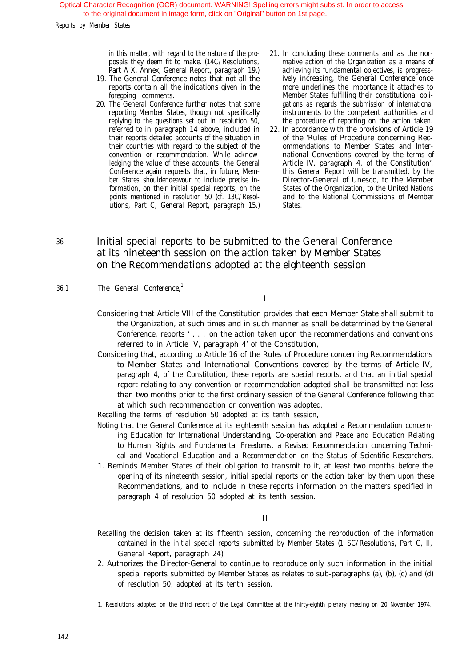in this matter, with regard to the nature of the proposals they deem fit to make. (14C/Resolutions, Part A X, Annex, General Report, paragraph 19.)

- 19. The General Conference notes that not all the reports contain all the indications given in the foregoing comments.
- 20. The General Conference further notes that some reporting Member States, though not specifically replying to the questions set out in resolution 50, referred to in paragraph 14 above, included in their reports detailed accounts of the situation in their countries with regard to the subject of the convention or recommendation. While acknowledging the value of these accounts, the General Conference again requests that, in future, Member States shouldendeavour to include precise information, on their initial special reports, on the points mentioned in resolution 50 (cf. 13C/Resolutions, Part C, General Report, paragraph 15.)
- 21. In concluding these comments and as the normative action of the Organization as a means of achieving its fundamental objectives, is progressively increasing, the General Conference once more underlines the importance it attaches to Member States fulfilling their constitutional obligations as regards the submission of international instruments to the competent authorities and the procedure of reporting on the action taken.
- 22. In accordance with the provisions of Article 19 of the 'Rules of Procedure concerning Recommendations to Member States and International Conventions covered by the terms of Article IV, paragraph 4, of the Constitution', this General Report will be transmitted, by the Director-General of Unesco, to the Member States of the Organization, to the United Nations and to the National Commissions of Member **States**.

<sup>36</sup> Initial special reports to be submitted to the General Conference at its nineteenth session on the action taken by Member States on the Recommendations adopted at the eighteenth session

36.1 The General Conference,1

I

- Considering that Article VIII of the Constitution provides that each Member State shall submit to the Organization, at such times and in such manner as shall be determined by the General Conference, reports ' . . . on the action taken upon the recommendations and conventions referred to in Article IV, paragraph 4' of the Constitution,
- Considering that, according to Article 16 of the Rules of Procedure concerning Recommendations to Member States and International Conventions covered by the terms of Article IV, paragraph 4, of the Constitution, these reports are special reports, and that an initial special report relating to any convention or recommendation adopted shall be transmitted not less than two months prior to the first ordinary session of the General Conference following that at which such recommendation or convention was adopted,
- Recalling the terms of resolution 50 adopted at its tenth session,
- Noting that the General Conference at its eighteenth session has adopted a Recommendation concerning Education for International Understanding, Co-operation and Peace and Education Relating to Human Rights and Fundamental Freedoms, a Revised Recommendation concerning Technical and Vocational Education and a Recommendation on the Status of Scientific Researchers,
- 1. Reminds Member States of their obligation to transmit to it, at least two months before the opening of its nineteenth session, initial special reports on the action taken by them upon these Recommendations, and to include in these reports information on the matters specified in paragraph 4 of resolution 50 adopted at its tenth session.

II

- Recalling the decision taken at its fifteenth session, concerning the reproduction of the information contained in the initial special reports submitted by Member States (1 SC/Resolutions, Part C, II, General Report, paragraph 24),
- 2. Authorizes the Director-General to continue to reproduce only such information in the initial special reports submitted by Member States as relates to sub-paragraphs (a), (b), (c) and (d) of resolution 50, adopted at its tenth session.
- 1. Resolutions adopted on the third report of the Legal Committee at the thirty-eighth plenary meeting on 20 November 1974.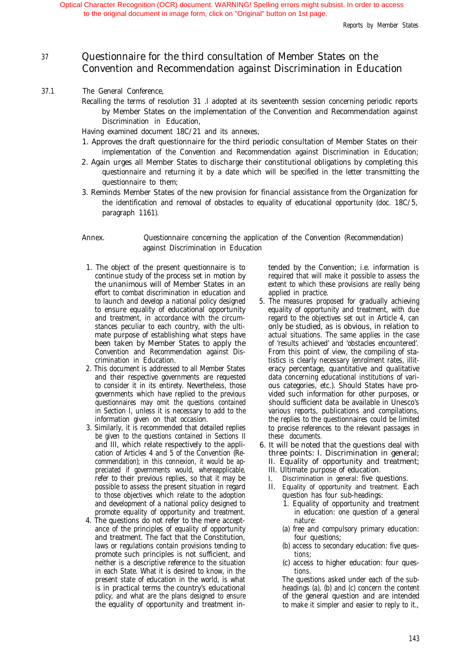## <sup>37</sup> Questionnaire for the third consultation of Member States on the Convention and Recommendation against Discrimination in Education

#### 37.1 The General Conference,

Recalling the terms of resolution 31 .l adopted at its seventeenth session concerning periodic reports by Member States on the implementation of the Convention and Recommendation against Discrimination in Education,

Having examined document 18C/21 and its annexes,

- 1. Approves the draft questionnaire for the third periodic consultation of Member States on their implementation of the Convention and Recommendation against Discrimination in Education;
- 2. Again urges all Member States to discharge their constitutional obligations by completing this questionnaire and returning it by a date which will be specified in the letter transmitting the questionnaire to them;
- 3. Reminds Member States of the new provision for financial assistance from the Organization for the identification and removal of obstacles to equality of educational opportunity (doc. 18C/5, paragraph 1161).

Annex. Questionnaire concerning the application of the Convention (Recommendation) against Discrimination in Education

- 1. The object of the present questionnaire is to continue study of the process set in motion by the unanimous will of Member States in an effort to combat discrimination in education and to launch and develop a national policy designed to ensure equality of educational opportunity and treatment, in accordance with the circumstances peculiar to each country, with the ultimate purpose of establishing what steps have been taken by Member States to apply the Convention and Recommendation against Discrimination in Education.
- 2. This document is addressed to all Member States and their respective governments are requested to consider it in its entirety. Nevertheless, those governments which have replied to the previous questionnaires may omit the questions contained in Section I, unless it is necessary to add to the information given on that occasion.
- 3. Similarly, it is recommended that detailed replies be given to the questions contained in Sections II and III, which relate respectively to the application of Articles 4 and 5 of the Convention (Recommendation); in this connexion, it would be appreciated if governments would, whereapplicable, refer to their previous replies, so that it may be possible to assess the present situation in regard to those objectives which relate to the adoption and development of a national policy designed to promote equality of opportunity and treatment.
- 4. The questions do not refer to the mere acceptance of the principles of equality of opportunity and treatment. The fact that the Constitution, laws or regulations contain provisions tending to promote such principles is not sufficient, and neither is a descriptive reference to the situation in each State. What it is desired to know, in the present state of education in the world, is what is in practical terms the country's educational policy, and what are the plans designed to ensure the equality of opportunity and treatment in-

tended by the Convention; i.e. information is required that will make it possible to assess the extent to which these provisions are really being applied in practice.

- 5. The measures proposed for gradually achieving equality of opportunity and treatment, with due regard to the objectives set out in Article 4, can only be studied, as is obvious, in relation to actual situations. The same applies in the case of 'results achieved' and 'obstacles encountered'. From this point of view, the compiling of statistics is clearly necessary (enrolment rates, illiteracy percentage, quantitative and qualitative data concerning educational institutions of various categories, etc.). Should States have provided such information for other purposes, or should sufficient data be available in Unesco's various reports, publications and compilations, the replies to the questionnaires could be limited to precise references to the relevant passages in these documents.
- 6. It will be noted that the questions deal with three points: I. Discrimination in general;
	- II. Equality of opportunity and treatment;
	- III. Ultimate purpose of education.
	- Discrimination in general: five questions.
	- II. Equality of opportunity and treatment. Each question has four sub-headings:
		- 1. Equality of opportunity and treatment in education: one question of a general nature:
		- (a) free and compulsory primary education: four questions;
		- (b) access to secondary education: five questions;
		- (c) access to higher education: four questions.

The questions asked under each of the subheadings (a), (b) and (c) concern the content of the general question and are intended to make it simpler and easier to reply to it.,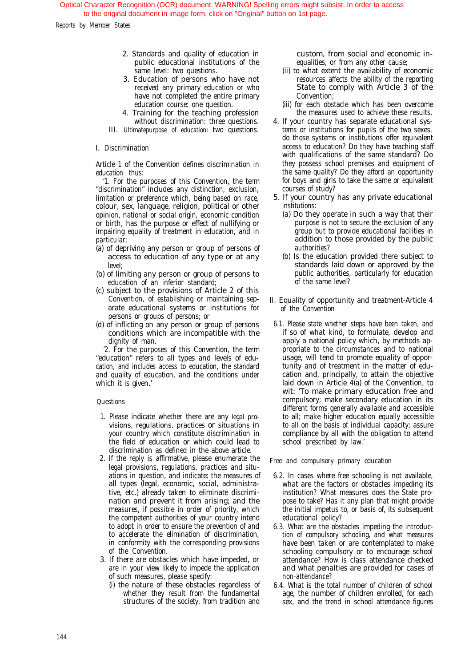Reports by Member States

- 2. Standards and quality of education in public educational institutions of the same level: two questions.
- 3. Education of persons who have not received any primary education or who have not completed the entire primary education course: one question.
- 4. Training for the teaching profession without discrimination: three questions.
- III. Ultimatepurpose of education: two questions.

#### I. Discrimination

Article 1 of the Convention defines discrimination in education thus:

'1. For the purposes of this Convention, the term "discrimination" includes any distinction, exclusion, limitation or preference which, being based on race, colour, sex, language, religion, political or other opinion, national or social origin, economic condition or birth, has the purpose or effect of nullifying or impairing equality of treatment in education, and in particular:

- (a) of depriving any person or group of persons of access to education of any type or at any level;
- (b) of limiting any person or group of persons to education of an inferior standard;
- (c) subject to the provisions of Article 2 of this Convention, of establishing or maintaining separate educational systems or institutions for persons or groups of persons; or
- (d) of inflicting on any person or group of persons conditions which are incompatible with the dignity of man.

'2. For the purposes of this Convention, the term "education" refers to all types and levels of education, and includes access to education, the standard and quality of education, and the conditions under which it is given.'

#### Questions

- 1. Please indicate whether there are any legal provisions, regulations, practices or situations in your country which constitute discrimination in the field of education or which could lead to discrimination as defined in the above article.
- 2. If the reply is affirmative, please enumerate the legal provisions, regulations, practices and situations in question, and indicate: the measures of all types (legal, economic, social, administrative, etc.) already taken to eliminate discrimination and prevent it from arising; and the measures, if possible in order of priority, which the competent authorities of your country intend to adopt in order to ensure the prevention of and to accelerate the elimination of discrimination, in conformity with the corresponding provisions of the Convention.
- 3. If there are obstacles which have impeded, or are in your view likely to impede the application of such measures, please specify:
	- (i) the nature of these obstacles regardless of whether they result from the fundamental structures of the society, from tradition and

custom, from social and economic inequalities, or from any other cause;

- (ii) to what extent the availability of economic resources affects the ability of the reporting State to comply with Article 3 of the Convention;
- (iii) for each obstacle which has been overcome the measures used to achieve these results.
- 4. If your country has separate educational systems or institutions for pupils of the two sexes, do those systems or institutions offer equivalent access to education? Do they have teaching staff with qualifications of the same standard? Do they possess school premises and equipment of the same quality? Do they afford an opportunity for boys and girls to take the same or equivalent courses of study?
- 5. If your country has any private educational institutions:
	- (a) Do they operate in such a way that their purpose is not to secure the exclusion of any group but to provide educational facilities in addition to those provided by the public authorities?
	- (b) Is the education provided there subject to standards laid down or approved by the public authorities, particularly for education of the same level?
- II. Equality of opportunity and treatment-Article 4 of the Convention
- 6.1. Please state whether steps have been taken, and if so of what kind, to formulate, develop and apply a national policy which, by methods appropriate to the circumstances and to national usage, will tend to promote equality of opportunity and of treatment in the matter of education and, principally, to attain the objective laid down in Article 4(a) of the Convention, to wit: 'To make primary education free and compulsory; make secondary education in its different forms generally available and accessible to all; make higher education equally accessible to all on the basis of individual capacity; assure compliance by all with the obligation to attend school prescribed by law.'

Free and compulsory primary education

- 6.2. In cases where free schooling is not available, what are the factors or obstacles impeding its institution? What measures does the State propose to take? Has it any plan that might provide the initial impetus to, or basis of, its subsequent educational policy?
- 6.3. What are the obstacles impeding the introduction of compulsory schooling, and what measures have been taken or are contemplated to make schooling compulsory or to encourage school attendance? How is class attendance checked and what penalties are provided for cases of non-attendance?
- 6.4. What is the total number of children of school age, the number of children enrolled, for each sex, and the trend in school attendance figures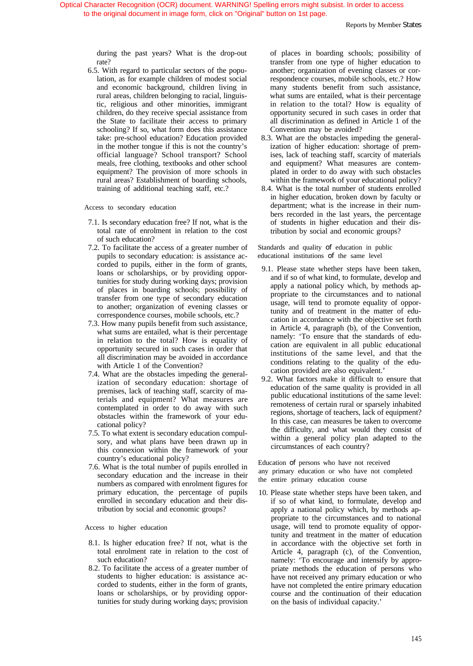during the past years? What is the drop-out rate?

6.5. With regard to particular sectors of the population, as for example children of modest social and economic background, children living in rural areas, children belonging to racial, linguistic, religious and other minorities, immigrant children, do they receive special assistance from the State to facilitate their access to primary schooling? If so, what form does this assistance take: pre-school education? Education provided in the mother tongue if this is not the country's official language? School transport? School meals, free clothing, textbooks and other school equipment? The provision of more schools in rural areas? Establishment of boarding schools, training of additional teaching staff, etc.?

Access to secondary education

- 7.1. Is secondary education free? If not, what is the total rate of enrolment in relation to the cost of such education?
- 7.2. To facilitate the access of a greater number of pupils to secondary education: is assistance accorded to pupils, either in the form of grants, loans or scholarships, or by providing opportunities for study during working days; provision of places in boarding schools; possibility of transfer from one type of secondary education to another; organization of evening classes or correspondence courses, mobile schools, etc.?
- 7.3. How many pupils benefit from such assistance, what sums are entailed, what is their percentage in relation to the total? How is equality of opportunity secured in such cases in order that all discrimination may be avoided in accordance with Article 1 of the Convention?
- 7.4. What are the obstacles impeding the generalization of secondary education: shortage of premises, lack of teaching staff, scarcity of materials and equipment? What measures are contemplated in order to do away with such obstacles within the framework of your educational policy?
- 7.5. To what extent is secondary education compulsory, and what plans have been drawn up in this connexion within the framework of your country's educational policy?
- 7.6. What is the total number of pupils enrolled in secondary education and the increase in their numbers as compared with enrolment figures for primary education, the percentage of pupils enrolled in secondary education and their distribution by social and economic groups?

Access to higher education

- 8.1. Is higher education free? If not, what is the total enrolment rate in relation to the cost of such education?
- 8.2. To facilitate the access of a greater number of students to higher education: is assistance accorded to students, either in the form of grants, loans or scholarships, or by providing opportunities for study during working days; provision

of places in boarding schools; possibility of transfer from one type of higher education to another; organization of evening classes or correspondence courses, mobile schools, etc.? How many students benefit from such assistance, what sums are entailed, what is their percentage in relation to the total? How is equality of opportunity secured in such cases in order that all discrimination as defined in Article 1 of the Convention may be avoided?

- 8.3. What are the obstacles impeding the generalization of higher education: shortage of premises, lack of teaching staff, scarcity of materials and equipment? What measures are contemplated in order to do away with such obstacles within the framework of your educational policy?
- 8.4. What is the total number of students enrolled in higher education, broken down by faculty or department; what is the increase in their numbers recorded in the last years, the percentage of students in higher education and their distribution by social and economic groups?

Standards and quality of education in public educational institutions of the same level

- 9.1. Please state whether steps have been taken, and if so of what kind, to formulate, develop and apply a national policy which, by methods appropriate to the circumstances and to national usage, will tend to promote equality of opportunity and of treatment in the matter of education in accordance with the objective set forth in Article 4, paragraph (b), of the Convention, namely: 'To ensure that the standards of education are equivalent in all public educational institutions of the same level, and that the conditions relating to the quality of the education provided are also equivalent.'
- 9.2. What factors make it difficult to ensure that education of the same quality is provided in all public educational institutions of the same level: remoteness of certain rural or sparsely inhabited regions, shortage of teachers, lack of equipment? In this case, can measures be taken to overcome the difficulty, and what would they consist of within a general policy plan adapted to the circumstances of each country?

Education of persons who have not received any primary education or who have not completed the entire primary education course

10. Please state whether steps have been taken, and if so of what kind, to formulate, develop and apply a national policy which, by methods appropriate to the circumstances and to national usage, will tend to promote equality of opportunity and treatment in the matter of education in accordance with the objective set forth in Article 4, paragraph (c), of the Convention, namely: 'To encourage and intensify by appropriate methods the education of persons who have not received any primary education or who have not completed the entire primary education course and the continuation of their education on the basis of individual capacity.'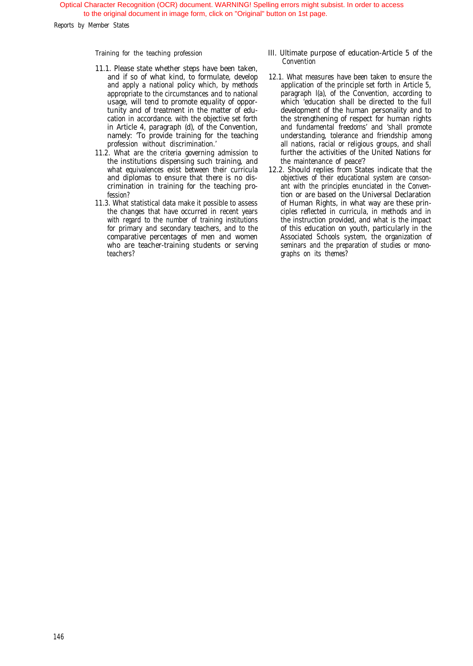Reports by Member States

Training for the teaching profession

- 11.1. Please state whether steps have been taken, and if so of what kind, to formulate, develop and apply a national policy which, by methods appropriate to the circumstances and to national usage, will tend to promote equality of opportunity and of treatment in the matter of education in accordance. with the objective set forth in Article 4, paragraph (d), of the Convention, namely: 'To provide training for the teaching profession without discrimination.'
- 11.2. What are the criteria governing admission to the institutions dispensing such training, and what equivalences exist between their curricula and diplomas to ensure that there is no discrimination in training for the teaching profession?
- 11.3. What statistical data make it possible to assess the changes that have occurred in recent years with regard to the number of training institutions for primary and secondary teachers, and to the comparative percentages of men and women who are teacher-training students or serving teachers?
- III. Ultimate purpose of education-Article 5 of the Convention
- 12.1. What measures have been taken to ensure the application of the principle set forth in Article 5, paragraph l(a), of the Convention, according to which 'education shall be directed to the full development of the human personality and to the strengthening of respect for human rights and fundamental freedoms' and 'shall promote understanding, tolerance and friendship among all nations, racial or religious groups, and shall further the activities of the United Nations for the maintenance of peace'?
- 12.2. Should replies from States indicate that the objectives of their educational system are consonant with the principles enunciated in the Convention or are based on the Universal Declaration of Human Rights, in what way are these principles reflected in curricula, in methods and in the instruction provided, and what is the impact of this education on youth, particularly in the Associated Schools system, the organization of seminars and the preparation of studies or monographs on its themes?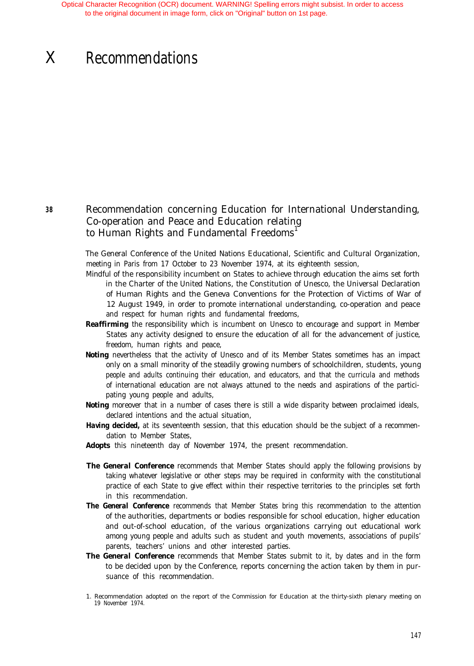# X Recommendations

## *<sup>38</sup>* Recommendation concerning Education for International Understanding, Co-operation and Peace and Education relating to Human Rights and Fundamental Freedoms<sup>1</sup>

The General Conference of the United Nations Educational, Scientific and Cultural Organization, meeting in Paris from 17 October to 23 November 1974, at its eighteenth session,

- *Mindful* of the responsibility incumbent on States to achieve through education the aims set forth in the Charter of the United Nations, the Constitution of Unesco, the Universal Declaration of Human Rights and the Geneva Conventions for the Protection of Victims of War of 12 August 1949, in order to promote international understanding, co-operation and peace and respect for human rights and fundamental freedoms,
- **Reaffirming** the responsibility which is incumbent on Unesco to encourage and support in Member States any activity designed to ensure the education of all for the advancement of justice, freedom, human rights and peace,
- **Noting** nevertheless that the activity of Unesco and of its Member States sometimes has an impact only on a small minority of the steadily growing numbers of schoolchildren, students, young people and adults continuing their education, and educators, and that the curricula and methods of international education are not always attuned to the needs and aspirations of the participating young people and adults,
- **Noting** moreover that in a number of cases there is still a wide disparity between proclaimed ideals, declared intentions and the actual situation,
- *Having decided,* at its seventeenth session, that this education should be the subject of a recommendation to Member States,
- *Adopts* this nineteenth day of November 1974, the present recommendation.
- **The General Conference** recommends that Member States should apply the following provisions by taking whatever legislative or other steps may be required in conformity with the constitutional practice of each State to give effect within their respective territories to the principles set forth in this recommendation.
- *The General Conference* recommends that Member States bring this recommendation to the attention of the authorities, departments or bodies responsible for school education, higher education and out-of-school education, of the various organizations carrying out educational work among young people and adults such as student and youth movements, associations of pupils' parents, teachers' unions and other interested parties.
- *The General Conference* recommends that Member States submit to it, by dates and in the form to be decided upon by the Conference, reports concerning the action taken by them in pursuance of this recommendation.

<sup>1.</sup> Recommendation adopted on the report of the Commission for Education at the thirty-sixth plenary meeting on 19 November 1974.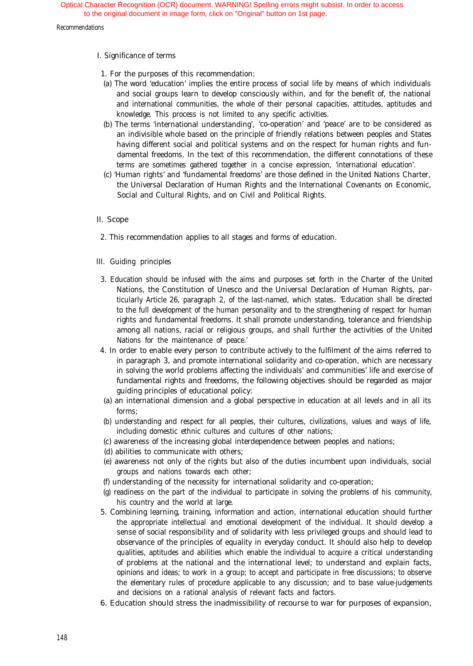Recommendations

#### I. Significance of terms

- 1. For the purposes of this recommendation:
- (a) The word 'education' implies the entire process of social life by means of which individuals and social groups learn to develop consciously within, and for the benefit of, the national and international communities, the whole of their personal capacities, attitudes, aptitudes and knowledge. This process is not limited to any specific activities.
- (b) The terms 'international understanding', 'co-operation' and 'peace' are to be considered as an indivisible whole based on the principle of friendly relations between peoples and States having different social and political systems and on the respect for human rights and fundamental freedoms. In the text of this recommendation, the different connotations of these terms are sometimes gathered together in a concise expression, 'international education'.
- (c) 'Human rights' and 'fundamental freedoms' are those defined in the United Nations Charter, the Universal Declaration of Human Rights and the International Covenants on Economic, Social and Cultural Rights, and on Civil and Political Rights.

#### II. Scope

- 2. This recommendation applies to all stages and forms of education.
- III. Guiding principles
- 3. Education should be infused with the aims and purposes set forth in the Charter of the United Nations, the Constitution of Unesco and the Universal Declaration of Human Rights, particularly Article 26, paragraph 2, of the last-named, which states.. 'Education shall be directed to the full development of the human personality and to the strengthening of respect for human rights and fundamental freedoms. It shall promote understanding, tolerance and friendship among all nations, racial or religious groups, and shall further the activities of the United Nations for the maintenance of peace.'
- 4. In order to enable every person to contribute actively to the fulfilment of the aims referred to in paragraph 3, and promote international solidarity and co-operation, which are necessary in solving the world problems affecting the individuals' and communities' life and exercise of fundamental rights and freedoms, the following objectives should be regarded as major guiding principles of educational policy:
- (a) an international dimension and a global perspective in education at all levels and in all its forms;
- (b) understanding and respect for all peoples, their cultures, civilizations, values and ways of life, including domestic ethnic cultures and cultures of other nations;
- (c) awareness of the increasing global interdependence between peoples and nations;
- (d) abilities to communicate with others;
- (e) awareness not only of the rights but also of the duties incumbent upon individuals, social groups and nations towards each other;
- (f) understanding of the necessity for international solidarity and co-operation;
- (g) readiness on the part of the individual to participate in solving the problems of his community, his country and the world at large.
- 5. Combining learning, training, information and action, international education should further the appropriate intellectual and emotional development of the individual. It should develop a sense of social responsibility and of solidarity with less privileged groups and should lead to observance of the principles of equality in everyday conduct. It should also help to develop qualities, aptitudes and abilities which enable the individual to acquire a critical understanding of problems at the national and the international level; to understand and explain facts, opinions and ideas; to work in a group; to accept and participate in free discussions; to observe the elementary rules of procedure applicable to any discussion; and to base value-judgements and decisions on a rational analysis of relevant facts and factors.
- 6. Education should stress the inadmissibility of recourse to war for purposes of expansion,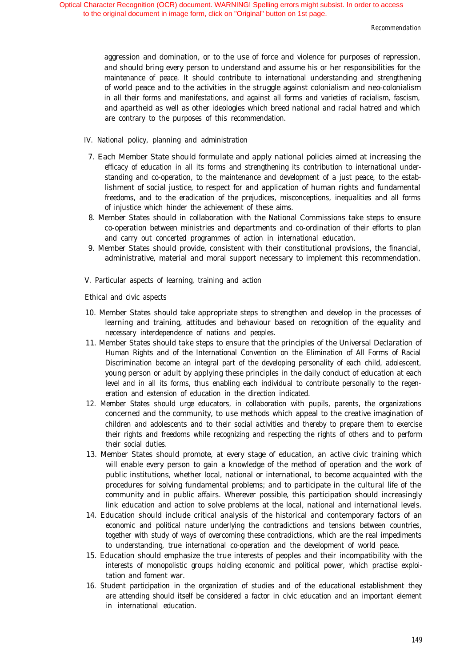aggression and domination, or to the use of force and violence for purposes of repression, and should bring every person to understand and assume his or her responsibilities for the maintenance of peace. It should contribute to international understanding and strengthening of world peace and to the activities in the struggle against colonialism and neo-colonialism in all their forms and manifestations, and against all forms and varieties of racialism, fascism, and apartheid as well as other ideologies which breed national and racial hatred and which are contrary to the purposes of this recommendation.

- IV. National policy, planning and administration
	- 7. Each Member State should formulate and apply national policies aimed at increasing the efficacy of education in all its forms and strengthening its contribution to international understanding and co-operation, to the maintenance and development of a just peace, to the establishment of social justice, to respect for and application of human rights and fundamental freedoms, and to the eradication of the prejudices, misconceptions, inequalities and all forms of injustice which hinder the achievement of these aims.
	- 8. Member States should in collaboration with the National Commissions take steps to ensure co-operation between ministries and departments and co-ordination of their efforts to plan and carry out concerted programmes of action in international education.
- 9. Member States should provide, consistent with their constitutional provisions, the financial, administrative, material and moral support necessary to implement this recommendation.
- V. Particular aspects of learning, training and action

Ethical and civic aspects

- 10. Member States should take appropriate steps to strengthen and develop in the processes of learning and training, attitudes and behaviour based on recognition of the equality and necessary interdependence of nations and peoples.
- 11. Member States should take steps to ensure that the principles of the Universal Declaration of Human Rights and of the International Convention on the Elimination of All Forms of Racial Discrimination become an integral part of the developing personality of each child, adolescent, young person or adult by applying these principles in the daily conduct of education at each level and in all its forms, thus enabling each individual to contribute personally to the regeneration and extension of education in the direction indicated.
- 12. Member States should urge educators, in collaboration with pupils, parents, the organizations concerned and the community, to use methods which appeal to the creative imagination of children and adolescents and to their social activities and thereby to prepare them to exercise their rights and freedoms while recognizing and respecting the rights of others and to perform their social duties.
- 13. Member States should promote, at every stage of education, an active civic training which will enable every person to gain a knowledge of the method of operation and the work of public institutions, whether local, national or international, to become acquainted with the procedures for solving fundamental problems; and to participate in the cultural life of the community and in public affairs. Wherever possible, this participation should increasingly link education and action to solve problems at the local, national and international levels.
- 14. Education should include critical analysis of the historical and contemporary factors of an economic and political nature underlying the contradictions and tensions between countries, together with study of ways of overcoming these contradictions, which are the real impediments to understanding, true international co-operation and the development of world peace.
- 15. Education should emphasize the true interests of peoples and their incompatibility with the interests of monopolistic groups holding economic and political power, which practise exploitation and foment war.
- 16. Student participation in the organization of studies and of the educational establishment they are attending should itself be considered a factor in civic education and an important element in international education.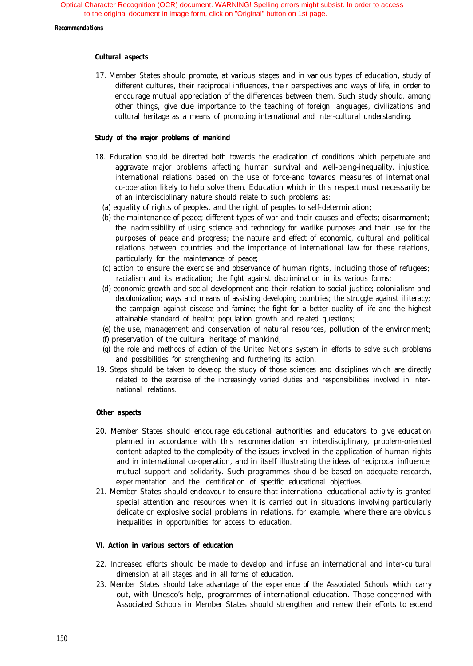#### *Recommendations*

#### *Cultural aspects*

17. Member States should promote, at various stages and in various types of education, study of different cultures, their reciprocal influences, their perspectives and ways of life, in order to encourage mutual appreciation of the differences between them. Such study should, among other things, give due importance to the teaching of foreign languages, civilizations and cultural heritage as a means of promoting international and inter-cultural understanding.

#### **Study of the major problems of mankind**

- 18. Education should be directed both towards the eradication of conditions which perpetuate and aggravate major problems affecting human survival and well-being-inequality, injustice, international relations based on the use of force-and towards measures of international co-operation likely to help solve them. Education which in this respect must necessarily be of an interdisciplinary nature should relate to such problems as:
	- (a) equality of rights of peoples, and the right of peoples to self-determination;
	- (b) the maintenance of peace; different types of war and their causes and effects; disarmament; the inadmissibility of using science and technology for warlike purposes and their use for the purposes of peace and progress; the nature and effect of economic, cultural and political relations between countries and the importance of international law for these relations, particularly for the maintenance of peace;
	- (c) action to ensure the exercise and observance of human rights, including those of refugees; racialism and its eradication; the fight against discrimination in its various forms;
	- (d) economic growth and social development and their relation to social justice; colonialism and decolonization; ways and means of assisting developing countries; the struggle against illiteracy; the campaign against disease and famine; the fight for a better quality of life and the highest attainable standard of health; population growth and related questions;
	- (e) the use, management and conservation of natural resources, pollution of the environment;
	- (f) preservation of the cultural heritage of mankind;
	- (g) the role and methods of action of the United Nations system in efforts to solve such problems and possibilities for strengthening and furthering its action.
- 19. Steps should be taken to develop the study of those sciences and disciplines which are directly related to the exercise of the increasingly varied duties and responsibilities involved in international relations.

#### *Other aspects*

- 20. Member States should encourage educational authorities and educators to give education planned in accordance with this recommendation an interdisciplinary, problem-oriented content adapted to the complexity of the issues involved in the application of human rights and in international co-operation, and in itself illustrating the ideas of reciprocal influence, mutual support and solidarity. Such programmes should be based on adequate research, experimentation and the identification of specific educational objectives.
- 21. Member States should endeavour to ensure that international educational activity is granted special attention and resources when it is carried out in situations involving particularly delicate or explosive social problems in relations, for example, where there are obvious inequalities in opportunities for access to education.

#### **VI. Action in various sectors of education**

- 22. Increased efforts should be made to develop and infuse an international and inter-cultural dimension at all stages and in all forms of education.
- 23. Member States should take advantage of the experience of the Associated Schools which carry out, with Unesco's help, programmes of international education. Those concerned with Associated Schools in Member States should strengthen and renew their efforts to extend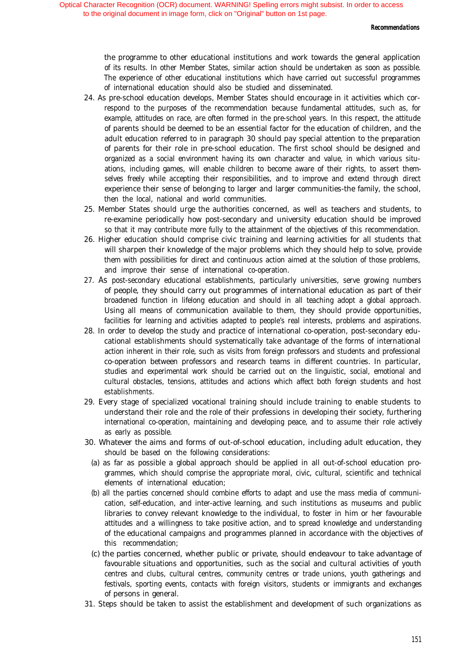the programme to other educational institutions and work towards the general application of its results. In other Member States, similar action should be undertaken as soon as possible. The experience of other educational institutions which have carried out successful programmes of international education should also be studied and disseminated.

- 24. As pre-school education develops, Member States should encourage in it activities which correspond to the purposes of the recommendation because fundamental attitudes, such as, for example, attitudes on race, are often formed in the pre-school years. In this respect, the attitude of parents should be deemed to be an essential factor for the education of children, and the adult education referred to in paragraph 30 should pay special attention to the preparation of parents for their role in pre-school education. The first school should be designed and organized as a social environment having its own character and value, in which various situations, including games, will enable children to become aware of their rights, to assert themselves freely while accepting their responsibilities, and to improve and extend through direct experience their sense of belonging to larger and larger communities-the family, the school, then the local, national and world communities.
- 25. Member States should urge the authorities concerned, as well as teachers and students, to re-examine periodically how post-secondary and university education should be improved so that it may contribute more fully to the attainment of the objectives of this recommendation.
- 26. Higher education should comprise civic training and learning activities for all students that will sharpen their knowledge of the major problems which they should help to solve, provide them with possibilities for direct and continuous action aimed at the solution of those problems, and improve their sense of international co-operation.
- 27. As post-secondary educational establishments, particularly universities, serve growing numbers of people, they should carry out programmes of international education as part of their broadened function in lifelong education and should in all teaching adopt a global approach. Using all means of communication available to them, they should provide opportunities, facilities for learning and activities adapted to people's real interests, problems and aspirations.
- 28. In order to develop the study and practice of international co-operation, post-secondary educational establishments should systematically take advantage of the forms of international action inherent in their role, such as visits from foreign professors and students and professional co-operation between professors and research teams in different countries. In particular, studies and experimental work should be carried out on the linguistic, social, emotional and cultural obstacles, tensions, attitudes and actions which affect both foreign students and host establishments.
- 29. Every stage of specialized vocational training should include training to enable students to understand their role and the role of their professions in developing their society, furthering international co-operation, maintaining and developing peace, and to assume their role actively as early as possible.
- 30. Whatever the aims and forms of out-of-school education, including adult education, they should be based on the following considerations:
	- (a) as far as possible a global approach should be applied in all out-of-school education programmes, which should comprise the appropriate moral, civic, cultural, scientific and technical elements of international education;
	- (b) all the parties concerned should combine efforts to adapt and use the mass media of communication, self-education, and inter-active learning, and such institutions as museums and public libraries to convey relevant knowledge to the individual, to foster in him or her favourable attitudes and a willingness to take positive action, and to spread knowledge and understanding of the educational campaigns and programmes planned in accordance with the objectives of this recommendation;
	- (c) the parties concerned, whether public or private, should endeavour to take advantage of favourable situations and opportunities, such as the social and cultural activities of youth centres and clubs, cultural centres, community centres or trade unions, youth gatherings and festivals, sporting events, contacts with foreign visitors, students or immigrants and exchanges of persons in general.
- 31. Steps should be taken to assist the establishment and development of such organizations as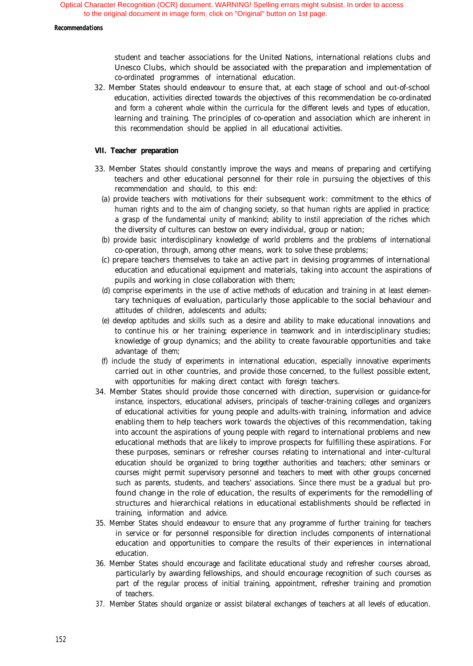#### *Recommendations*

student and teacher associations for the United Nations, international relations clubs and Unesco Clubs, which should be associated with the preparation and implementation of co-ordinated programmes of international education.

32. Member States should endeavour to ensure that, at each stage of school and out-of-school education, activities directed towards the objectives of this recommendation be co-ordinated and form a coherent whole within the curricula for the different levels and types of education, learning and training. The principles of co-operation and association which are inherent in this recommendation should be applied in all educational activities.

#### **VII. Teacher preparation**

- 33. Member States should constantly improve the ways and means of preparing and certifying teachers and other educational personnel for their role in pursuing the objectives of this recommendation and should, to this end:
	- (a) provide teachers with motivations for their subsequent work: commitment to the ethics of human rights and to the aim of changing society, so that human rights are applied in practice; a grasp of the fundamental unity of mankind; ability to instil appreciation of the riches which the diversity of cultures can bestow on every individual, group or nation;
	- (b) provide basic interdisciplinary knowledge of world problems and the problems of international co-operation, through, among other means, work to solve these problems;
	- (c) prepare teachers themselves to take an active part in devising programmes of international education and educational equipment and materials, taking into account the aspirations of pupils and working in close collaboration with them;
	- (d) comprise experiments in the use of active methods of education and training in at least elementary techniques of evaluation, particularly those applicable to the social behaviour and attitudes of children, adolescents and adults;
	- (e) develop aptitudes and skills such as a desire and ability to make educational innovations and to continue his or her training; experience in teamwork and in interdisciplinary studies; knowledge of group dynamics; and the ability to create favourable opportunities and take advantage of them;
	- (f) include the study of experiments in international education, especially innovative experiments carried out in other countries, and provide those concerned, to the fullest possible extent, with opportunities for making direct contact with foreign teachers.
- 34. Member States should provide those concerned with direction, supervision or guidance-for instance, inspectors, educational advisers, principals of teacher-training colleges and organizers of educational activities for young people and adults-with training, information and advice enabling them to help teachers work towards the objectives of this recommendation, taking into account the aspirations of young people with regard to international problems and new educational methods that are likely to improve prospects for fulfilling these aspirations. For these purposes, seminars or refresher courses relating to international and inter-cultural education should be organized to bring together authorities and teachers; other seminars or courses might permit supervisory personnel and teachers to meet with other groups concerned such as parents, students, and teachers' associations. Since there must be a gradual but profound change in the role of education, the results of experiments for the remodelling of structures and hierarchical relations in educational establishments should be reflected in training, information and advice.
- 35. Member States should endeavour to ensure that any programme of further training for teachers in service or for personnel responsible for direction includes components of international education and opportunities to compare the results of their experiences in international education.
- 36. Member States should encourage and facilitate educational study and refresher courses abroad, particularly by awarding fellowships, and should encourage recognition of such courses as part of the regular process of initial training, appointment, refresher training and promotion of teachers.
- 37. Member States should organize or assist bilateral exchanges of teachers at all levels of education.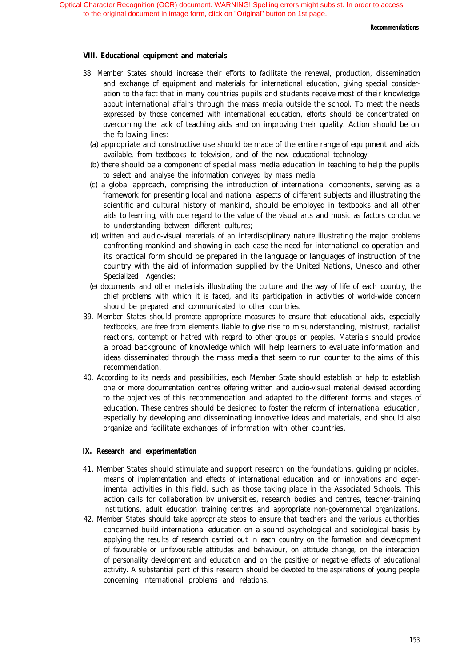#### **VIII. Educational equipment and materials**

- 38. Member States should increase their efforts to facilitate the renewal, production, dissemination and exchange of equipment and materials for international education, giving special consideration to the fact that in many countries pupils and students receive most of their knowledge about international affairs through the mass media outside the school. To meet the needs expressed by those concerned with international education, efforts should be concentrated on overcoming the lack of teaching aids and on improving their quality. Action should be on the following lines:
	- (a) appropriate and constructive use should be made of the entire range of equipment and aids available, from textbooks to television, and of the new educational technology;
	- (b) there should be a component of special mass media education in teaching to help the pupils to select and analyse the information conveyed by mass media;
	- (c) a global approach, comprising the introduction of international components, serving as a framework for presenting local and national aspects of different subjects and illustrating the scientific and cultural history of mankind, should be employed in textbooks and all other aids to learning, with due regard to the value of the visual arts and music as factors conducive to understanding between different cultures;
	- (d) written and audio-visual materials of an interdisciplinary nature illustrating the major problems confronting mankind and showing in each case the need for international co-operation and its practical form should be prepared in the language or languages of instruction of the country with the aid of information supplied by the United Nations, Unesco and other Specialized Agencies;
	- (e) documents and other materials illustrating the culture and the way of life of each country, the chief problems with which it is faced, and its participation in activities of world-wide concern should be prepared and communicated to other countries.
- 39. Member States should promote appropriate measures to ensure that educational aids, especially textbooks, are free from elements liable to give rise to misunderstanding, mistrust, racialist reactions, contempt or hatred with regard to other groups or peoples. Materials should provide a broad background of knowledge which will help learners to evaluate information and ideas disseminated through the mass media that seem to run counter to the aims of this recommendation.
- 40. According to its needs and possibilities, each Member State should establish or help to establish one or more documentation centres offering written and audio-visual material devised according to the objectives of this recommendation and adapted to the different forms and stages of education. These centres should be designed to foster the reform of international education, especially by developing and disseminating innovative ideas and materials, and should also organize and facilitate exchanges of information with other countries.

#### **IX. Research and experimentation**

- 41. Member States should stimulate and support research on the foundations, guiding principles, means of implementation and effects of international education and on innovations and experimental activities in this field, such as those taking place in the Associated Schools. This action calls for collaboration by universities, research bodies and centres, teacher-training institutions, adult education training centres and appropriate non-governmental organizations.
- 42. Member States should take appropriate steps to ensure that teachers and the various authorities concerned build international education on a sound psychological and sociological basis by applying the results of research carried out in each country on the formation and development of favourable or unfavourable attitudes and behaviour, on attitude change, on the interaction of personality development and education and on the positive or negative effects of educational activity. A substantial part of this research should be devoted to the aspirations of young people concerning international problems and relations.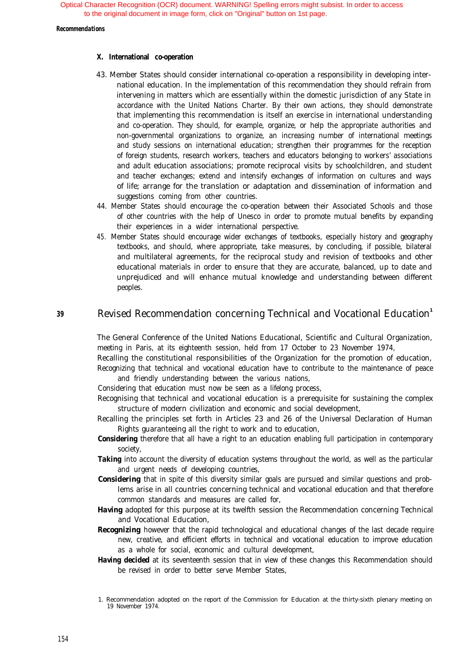#### *Recommendations*

#### **X. International co-operation**

- 43. Member States should consider international co-operation a responsibility in developing international education. In the implementation of this recommendation they should refrain from intervening in matters which are essentially within the domestic jurisdiction of any State in accordance with the United Nations Charter. By their own actions, they should demonstrate that implementing this recommendation is itself an exercise in international understanding and co-operation. They should, for example, organize, or help the appropriate authorities and non-governmental organizations to organize, an increasing number of international meetings and study sessions on international education; strengthen their programmes for the reception of foreign students, research workers, teachers and educators belonging to workers' associations and adult education associations; promote reciprocal visits by schoolchildren, and student and teacher exchanges; extend and intensify exchanges of information on cultures and ways of life; arrange for the translation or adaptation and dissemination of information and suggestions coming from other countries.
- 44. Member States should encourage the co-operation between their Associated Schools and those of other countries with the help of Unesco in order to promote mutual benefits by expanding their experiences in a wider international perspective.
- 45. Member States should encourage wider exchanges of textbooks, especially history and geography textbooks, and should, where appropriate, take measures, by concluding, if possible, bilateral and multilateral agreements, for the reciprocal study and revision of textbooks and other educational materials in order to ensure that they are accurate, balanced, up to date and unprejudiced and will enhance mutual knowledge and understanding between different peoples.

# **<sup>39</sup>** Revised Recommendation concerning Technical and Vocational Education**<sup>1</sup>**

The General Conference of the United Nations Educational, Scientific and Cultural Organization, meeting in Paris, at its eighteenth session, held from 17 October to 23 November 1974,

Recalling the constitutional responsibilities of the Organization for the promotion of education, Recognizing that technical and vocational education have to contribute to the maintenance of peace and friendly understanding between the various nations,

Considering that education must now be seen as a lifelong process,

- Recognising that technical and vocational education is a prerequisite for sustaining the complex structure of modern civilization and economic and social development,
- Recalling the principles set forth in Articles 23 and 26 of the Universal Declaration of Human Rights guaranteeing all the right to work and to education,
- **Considering** therefore that all have a right to an education enabling full participation in contemporary society,
- **Taking** into account the diversity of education systems throughout the world, as well as the particular and urgent needs of developing countries,
- *Considering* that in spite of this diversity similar goals are pursued and similar questions and problems arise in all countries concerning technical and vocational education and that therefore common standards and measures are called for,
- *Having* adopted for this purpose at its twelfth session the Recommendation concerning Technical and Vocational Education,
- **Recognizing** however that the rapid technological and educational changes of the last decade require new, creative, and efficient efforts in technical and vocational education to improve education as a whole for social, economic and cultural development,
- **Having decided** at its seventeenth session that in view of these changes this Recommendation should be revised in order to better serve Member States,

<sup>1.</sup> Recommendation adopted on the report of the Commission for Education at the thirty-sixth plenary meeting on 19 November 1974.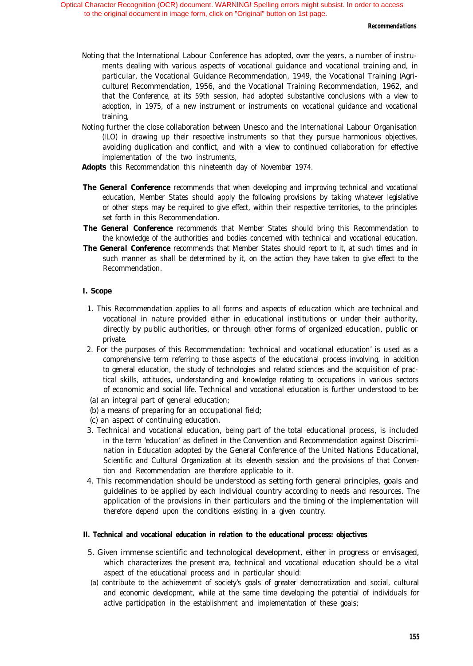- Noting that the International Labour Conference has adopted, over the years, a number of instruments dealing with various aspects of vocational guidance and vocational training and, in particular, the Vocational Guidance Recommendation, 1949, the Vocational Training (Agriculture) Recommendation, 1956, and the Vocational Training Recommendation, 1962, and that the Conference, at its 59th session, had adopted substantive conclusions with a view to adoption, in 1975, of a new instrument or instruments on vocational guidance and vocational training,
- Noting further the close collaboration between Unesco and the International Labour Organisation (ILO) in drawing up their respective instruments so that they pursue harmonious objectives, avoiding duplication and conflict, and with a view to continued collaboration for effective implementation of the two instruments,
- *Adopts* this Recommendation this nineteenth day of November 1974.
- **The General Conference** recommends that when developing and improving technical and vocational education, Member States should apply the following provisions by taking whatever legislative or other steps may be required to give effect, within their respective territories, to the principles set forth in this Recommendation.
- *The General Conference* recommends that Member States should bring this Recommendation to the knowledge of the authorities and bodies concerned with technical and vocational education.
- **The General Conference** recommends that Member States should report to it, at such times and in such manner as shall be determined by it, on the action they have taken to give effect to the Recommendation.

#### **I. Scope**

- 1. This Recommendation applies to all forms and aspects of education which are technical and vocational in nature provided either in educational institutions or under their authority, directly by public authorities, or through other forms of organized education, public or private.
- 2. For the purposes of this Recommendation: 'technical and vocational education' is used as a comprehensive term referring to those aspects of the educational process involving, in addition to general education, the study of technologies and related sciences and the acquisition of practical skills, attitudes, understanding and knowledge relating to occupations in various sectors of economic and social life. Technical and vocational education is further understood to be:
- (a) an integral part of general education;
- (b) a means of preparing for an occupational field;
- (c) an aspect of continuing education.
- 3. Technical and vocational education, being part of the total educational process, is included in the term 'education' as defined in the Convention and Recommendation against Discrimination in Education adopted by the General Conference of the United Nations Educational, Scientific and Cultural Organization at its eleventh session and the provisions of that Convention and Recommendation are therefore applicable to it.
- 4. This recommendation should be understood as setting forth general principles, goals and guidelines to be applied by each individual country according to needs and resources. The application of the provisions in their particulars and the timing of the implementation will therefore depend upon the conditions existing in a given country.

#### **II. Technical and vocational education in relation to the educational process: objectives**

- 5. Given immense scientific and technological development, either in progress or envisaged, which characterizes the present era, technical and vocational education should be a vital aspect of the educational process and in particular should:
- (a) contribute to the achievement of society's goals of greater democratization and social, cultural and economic development, while at the same time developing the potential of individuals for active participation in the establishment and implementation of these goals;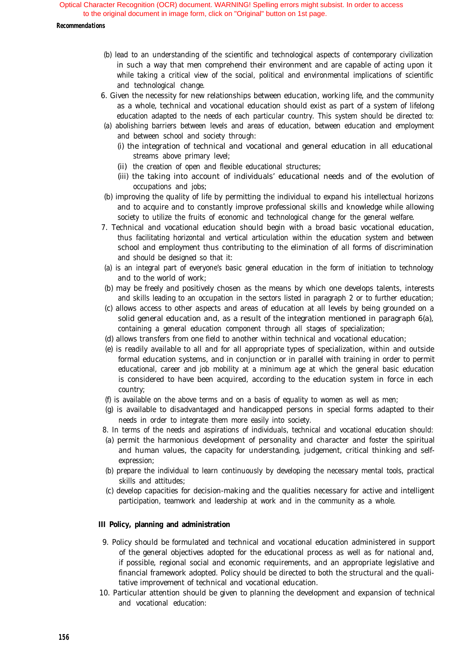#### *Recommendations*

- (b) lead to an understanding of the scientific and technological aspects of contemporary civilization in such a way that men comprehend their environment and are capable of acting upon it while taking a critical view of the social, political and environmental implications of scientific and technological change.
- 6. Given the necessity for new relationships between education, working life, and the community as a whole, technical and vocational education should exist as part of a system of lifelong education adapted to the needs of each particular country. This system should be directed to:
- (a) abolishing barriers between levels and areas of education, between education and employment and between school and society through:
	- (i) the integration of technical and vocational and general education in all educational streams above primary level;
	- (ii) the creation of open and flexible educational structures;
	- (iii) the taking into account of individuals' educational needs and of the evolution of occupations and jobs;
- (b) improving the quality of life by permitting the individual to expand his intellectual horizons and to acquire and to constantly improve professional skills and knowledge while allowing society to utilize the fruits of economic and technological change for the general welfare.
- 7. Technical and vocational education should begin with a broad basic vocational education, thus facilitating horizontal and vertical articulation within the education system and between school and employment thus contributing to the elimination of all forms of discrimination and should be designed so that it:
- (a) is an integral part of everyone's basic general education in the form of initiation to technology and to the world of work;
- (b) may be freely and positively chosen as the means by which one develops talents, interests and skills leading to an occupation in the sectors listed in paragraph 2 or to further education;
- (c) allows access to other aspects and areas of education at all levels by being grounded on a solid general education and, as a result of the integration mentioned in paragraph 6(a), containing a general education component through all stages of specialization;
- (d) allows transfers from one field to another within technical and vocational education;
- (e) is readily available to all and for all appropriate types of specialization, within and outside formal education systems, and in conjunction or in parallel with training in order to permit educational, career and job mobility at a minimum age at which the general basic education is considered to have been acquired, according to the education system in force in each country;
- (f) is available on the above terms and on a basis of equality to women as well as men;
- (g) is available to disadvantaged and handicapped persons in special forms adapted to their needs in order to integrate them more easily into society.
- 8. In terms of the needs and aspirations of individuals, technical and vocational education should:
- (a) permit the harmonious development of personality and character and foster the spiritual and human values, the capacity for understanding, judgement, critical thinking and selfexpression;
- (b) prepare the individual to learn continuously by developing the necessary mental tools, practical skills and attitudes;
- (c) develop capacities for decision-making and the qualities necessary for active and intelligent participation, teamwork and leadership at work and in the community as a whole.

#### **III Policy, planning and administration**

- 9. Policy should be formulated and technical and vocational education administered in support of the general objectives adopted for the educational process as well as for national and, if possible, regional social and economic requirements, and an appropriate legislative and financial framework adopted. Policy should be directed to both the structural and the qualitative improvement of technical and vocational education.
- 10. Particular attention should be given to planning the development and expansion of technical and vocational education: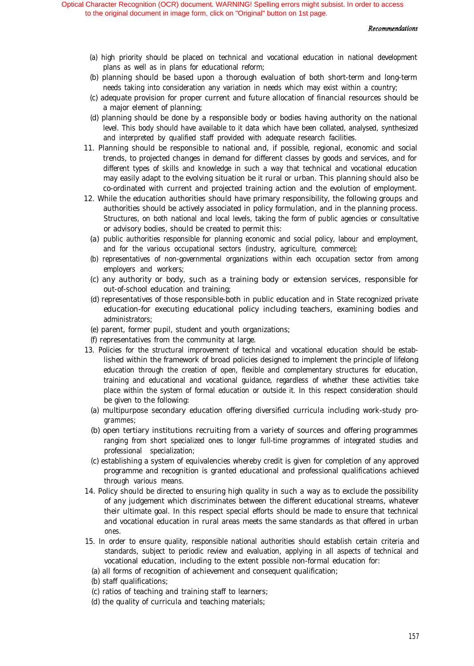#### Recommendations

- (a) high priority should be placed on technical and vocational education in national development plans as well as in plans for educational reform;
- (b) planning should be based upon a thorough evaluation of both short-term and long-term needs taking into consideration any variation in needs which may exist within a country;
- (c) adequate provision for proper current and future allocation of financial resources should be a major element of planning;
- (d) planning should be done by a responsible body or bodies having authority on the national level. This body should have available to it data which have been collated, analysed, synthesized and interpreted by qualified staff provided with adequate research facilities.
- 11. Planning should be responsible to national and, if possible, regional, economic and social trends, to projected changes in demand for different classes by goods and services, and for different types of skills and knowledge in such a way that technical and vocational education may easily adapt to the evolving situation be it rural or urban. This planning should also be co-ordinated with current and projected training action and the evolution of employment.
- 12. While the education authorities should have primary responsibility, the following groups and authorities should be actively associated in policy formulation, and in the planning process. Structures, on both national and local levels, taking the form of public agencies or consultative or advisory bodies, should be created to permit this:
	- (a) public authorities responsible for planning economic and social policy, labour and employment, and for the various occupational sectors (industry, agriculture, commerce);
	- (b) representatives of non-governmental organizations within each occupation sector from among employers and workers;
	- (c) any authority or body, such as a training body or extension services, responsible for out-of-school education and training;
	- (d) representatives of those responsible-both in public education and in State recognized private education-for executing educational policy including teachers, examining bodies and administrators;
	- (e) parent, former pupil, student and youth organizations;
- (f) representatives from the community at large.
- 13. Policies for the structural improvement of technical and vocational education should be established within the framework of broad policies designed to implement the principle of lifelong education through the creation of open, flexible and complementary structures for education, training and educational and vocational guidance, regardless of whether these activities take place within the system of formal education or outside it. In this respect consideration should be given to the following:
	- (a) multipurpose secondary education offering diversified curricula including work-study programmes;
	- (b) open tertiary institutions recruiting from a variety of sources and offering programmes ranging from short specialized ones to longer full-time programmes of integrated studies and professional specialization;
	- (c) establishing a system of equivalencies whereby credit is given for completion of any approved programme and recognition is granted educational and professional qualifications achieved through various means.
- 14. Policy should be directed to ensuring high quality in such a way as to exclude the possibility of any judgement which discriminates between the different educational streams, whatever their ultimate goal. In this respect special efforts should be made to ensure that technical and vocational education in rural areas meets the same standards as that offered in urban ones.
- 15. In order to ensure quality, responsible national authorities should establish certain criteria and standards, subject to periodic review and evaluation, applying in all aspects of technical and vocational education, including to the extent possible non-formal education for:
	- (a) all forms of recognition of achievement and consequent qualification;
	- (b) staff qualifications;
	- (c) ratios of teaching and training staff to learners;
	- (d) the quality of curricula and teaching materials;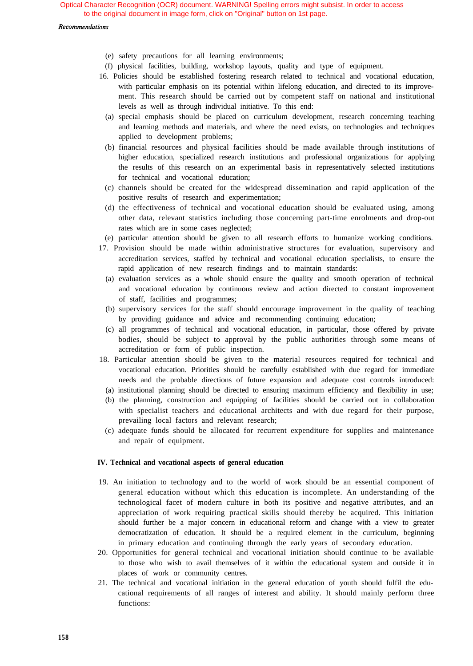#### Recommendations

- (e) safety precautions for all learning environments;
- (f) physical facilities, building, workshop layouts, quality and type of equipment.
- 16. Policies should be established fostering research related to technical and vocational education, with particular emphasis on its potential within lifelong education, and directed to its improvement. This research should be carried out by competent staff on national and institutional levels as well as through individual initiative. To this end:
	- (a) special emphasis should be placed on curriculum development, research concerning teaching and learning methods and materials, and where the need exists, on technologies and techniques applied to development problems;
	- (b) financial resources and physical facilities should be made available through institutions of higher education, specialized research institutions and professional organizations for applying the results of this research on an experimental basis in representatively selected institutions for technical and vocational education;
	- (c) channels should be created for the widespread dissemination and rapid application of the positive results of research and experimentation;
	- (d) the effectiveness of technical and vocational education should be evaluated using, among other data, relevant statistics including those concerning part-time enrolments and drop-out rates which are in some cases neglected;
- (e) particular attention should be given to all research efforts to humanize working conditions.
- 17. Provision should be made within administrative structures for evaluation, supervisory and accreditation services, staffed by technical and vocational education specialists, to ensure the rapid application of new research findings and to maintain standards:
	- (a) evaluation services as a whole should ensure the quality and smooth operation of technical and vocational education by continuous review and action directed to constant improvement of staff, facilities and programmes;
	- (b) supervisory services for the staff should encourage improvement in the quality of teaching by providing guidance and advice and recommending continuing education;
	- (c) all programmes of technical and vocational education, in particular, those offered by private bodies, should be subject to approval by the public authorities through some means of accreditation or form of public inspection.
- 18. Particular attention should be given to the material resources required for technical and vocational education. Priorities should be carefully established with due regard for immediate needs and the probable directions of future expansion and adequate cost controls introduced:
	- (a) institutional planning should be directed to ensuring maximum efficiency and flexibility in use;
	- (b) the planning, construction and equipping of facilities should be carried out in collaboration with specialist teachers and educational architects and with due regard for their purpose, prevailing local factors and relevant research;
	- (c) adequate funds should be allocated for recurrent expenditure for supplies and maintenance and repair of equipment.

#### **IV. Technical and vocational aspects of general education**

- 19. An initiation to technology and to the world of work should be an essential component of general education without which this education is incomplete. An understanding of the technological facet of modern culture in both its positive and negative attributes, and an appreciation of work requiring practical skills should thereby be acquired. This initiation should further be a major concern in educational reform and change with a view to greater democratization of education. It should be a required element in the curriculum, beginning in primary education and continuing through the early years of secondary education.
- 20. Opportunities for general technical and vocational initiation should continue to be available to those who wish to avail themselves of it within the educational system and outside it in places of work or community centres.
- 21. The technical and vocational initiation in the general education of youth should fulfil the educational requirements of all ranges of interest and ability. It should mainly perform three functions: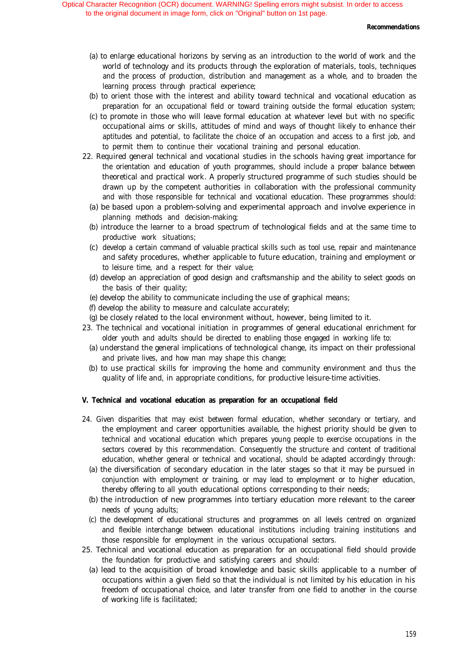#### *Recommendations*

- (a) to enlarge educational horizons by serving as an introduction to the world of work and the world of technology and its products through the exploration of materials, tools, techniques and the process of production, distribution and management as a whole, and to broaden the learning process through practical experience;
- (b) to orient those with the interest and ability toward technical and vocational education as preparation for an occupational field or toward training outside the formal education system;
- (c) to promote in those who will leave formal education at whatever level but with no specific occupational aims or skills, attitudes of mind and ways of thought likely to enhance their aptitudes and potential, to facilitate the choice of an occupation and access to a first job, and to permit them to continue their vocational training and personal education.
- 22. Required general technical and vocational studies in the schools having great importance for the orientation and education of youth programmes, should include a proper balance between theoretical and practical work. A properly structured programme of such studies should be drawn up by the competent authorities in collaboration with the professional community and with those responsible for technical and vocational education. These programmes should:
	- (a) be based upon a problem-solving and experimental approach and involve experience in planning methods and decision-making;
	- (b) introduce the learner to a broad spectrum of technological fields and at the same time to productive work situations;
	- (c) develop a certain command of valuable practical skills such as tool use, repair and maintenance and safety procedures, whether applicable to future education, training and employment or to leisure time, and a respect for their value;
	- (d) develop an appreciation of good design and craftsmanship and the ability to select goods on the basis of their quality;
	- (e) develop the ability to communicate including the use of graphical means;
	- (f) develop the ability to measure and calculate accurately;
- (g) be closely related to the local environment without, however, being limited to it.
- 23. The technical and vocational initiation in programmes of general educational enrichment for older youth and adults should be directed to enabling those engaged in working life to:
	- (a) understand the general implications of technological change, its impact on their professional and private lives, and how man may shape this change;
	- (b) to use practical skills for improving the home and community environment and thus the quality of life and, in appropriate conditions, for productive leisure-time activities.

#### **V. Technical and vocational education as preparation for an occupational field**

- 24. Given disparities that may exist between formal education, whether secondary or tertiary, and the employment and career opportunities available, the highest priority should be given to technical and vocational education which prepares young people to exercise occupations in the sectors covered by this recommendation. Consequently the structure and content of traditional education, whether general or technical and vocational, should be adapted accordingly through:
	- (a) the diversification of secondary education in the later stages so that it may be pursued in conjunction with employment or training, or may lead to employment or to higher education, thereby offering to all youth educational options corresponding to their needs;
	- (b) the introduction of new programmes into tertiary education more relevant to the career needs of young adults;
	- (c) the development of educational structures and programmes on all levels centred on organized and flexible interchange between educational institutions including training institutions and those responsible for employment in the various occupational sectors.
- 25. Technical and vocational education as preparation for an occupational field should provide the foundation for productive and satisfying careers and should:
	- (a) lead to the acquisition of broad knowledge and basic skills applicable to a number of occupations within a given field so that the individual is not limited by his education in his freedom of occupational choice, and later transfer from one field to another in the course of working life is facilitated;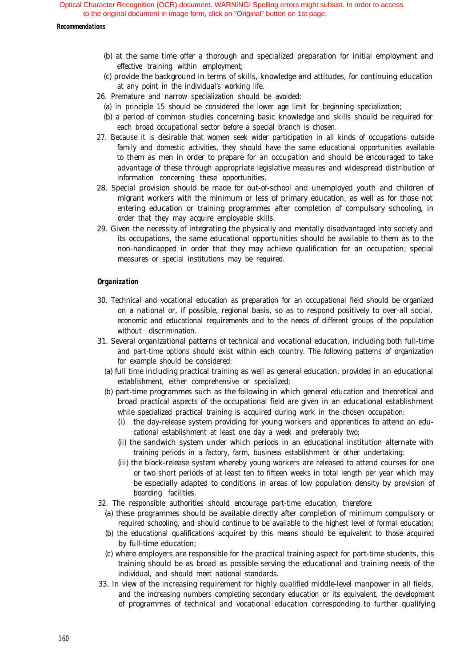#### *Recommendations*

- (b) at the same time offer a thorough and specialized preparation for initial employment and effective training within employment;
- (c) provide the background in terms of skills, knowledge and attitudes, for continuing education at any point in the individual's working life.
- 26. Premature and narrow specialization should be avoided:
- (a) in principle 15 should be considered the lower age limit for beginning specialization;
- (b) a period of common studies concerning basic knowledge and skills should be required for each broad occupational sector before a special branch is chosen.
- 27. Because it is desirable that women seek wider participation in all kinds of occupations outside family and domestic activities, they should have the same educational opportunities available to them as men in order to prepare for an occupation and should be encouraged to take advantage of these through appropriate legislative measures and widespread distribution of information concerning these opportunities.
- 28. Special provision should be made for out-of-school and unemployed youth and children of migrant workers with the minimum or less of primary education, as well as for those not entering education or training programmes after completion of compulsory schooling, in order that they may acquire employable skills.
- 29. Given the necessity of integrating the physically and mentally disadvantaged into society and its occupations, the same educational opportunities should be available to them as to the non-handicapped in order that they may achieve qualification for an occupation; special measures or special institutions may be required.

#### *Organization*

- 30. Technical and vocational education as preparation for an occupational field should be organized on a national or, if possible, regional basis, so as to respond positively to over-all social, economic and educational requirements and to the needs of different groups of the population without discrimination.
- 31. Several organizational patterns of technical and vocational education, including both full-time and part-time options should exist within each country. The following patterns of organization for example should be considered:
	- (a) full time including practical training as well as general education, provided in an educational establishment, either comprehensive or specialized;
	- (b) part-time programmes such as the following in which general education and theoretical and broad practical aspects of the occupational field are given in an educational establishment while specialized practical training is acquired during work in the chosen occupation:
		- (i) the day-release system providing for young workers and apprentices to attend an educational establishment at least one day a week and preferably two;
		- (ii) the sandwich system under which periods in an educational institution alternate with training periods in a factory, farm, business establishment or other undertaking;
		- (iii) the block-release system whereby young workers are released to attend courses for one or two short periods of at least ten to fifteen weeks in total length per year which may be especially adapted to conditions in areas of low population density by provision of boarding facilities.
- 32. The responsible authorities should encourage part-time education, therefore:
	- (a) these programmes should be available directly after completion of minimum compulsory or required schooling, and should continue to be available to the highest level of formal education;
	- (b) the educational qualifications acquired by this means should be equivalent to those acquired by full-time education;
	- (c) where employers are responsible for the practical training aspect for part-time students, this training should be as broad as possible serving the educational and training needs of the individual, and should meet national standards.
- 33. In view of the increasing requirement for highly qualified middle-level manpower in all fields, and the increasing numbers completing secondary education or its equivalent, the development of programmes of technical and vocational education corresponding to further qualifying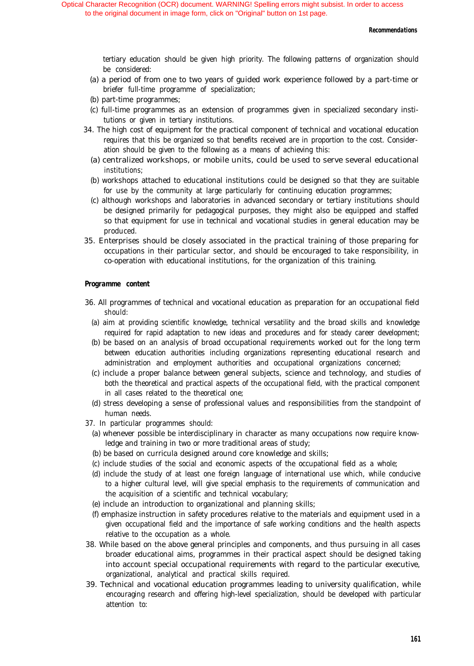#### *Recommendations*

tertiary education should be given high priority. The following patterns of organization should be considered:

- (a) a period of from one to two years of guided work experience followed by a part-time or briefer full-time programme of specialization;
- (b) part-time programmes;
- (c) full-time programmes as an extension of programmes given in specialized secondary institutions or given in tertiary institutions.
- 34. The high cost of equipment for the practical component of technical and vocational education requires that this be organized so that benefits received are in proportion to the cost. Consideration should be given to the following as a means of achieving this:
	- (a) centralized workshops, or mobile units, could be used to serve several educational institutions;
	- (b) workshops attached to educational institutions could be designed so that they are suitable for use by the community at large particularly for continuing education programmes;
	- (c) although workshops and laboratories in advanced secondary or tertiary institutions should be designed primarily for pedagogical purposes, they might also be equipped and staffed so that equipment for use in technical and vocational studies in general education may be produced.
- 35. Enterprises should be closely associated in the practical training of those preparing for occupations in their particular sector, and should be encouraged to take responsibility, in co-operation with educational institutions, for the organization of this training.

#### *Programme content*

- 36. All programmes of technical and vocational education as preparation for an occupational field should:
	- (a) aim at providing scientific knowledge, technical versatility and the broad skills and knowledge required for rapid adaptation to new ideas and procedures and for steady career development;
	- (b) be based on an analysis of broad occupational requirements worked out for the long term between education authorities including organizations representing educational research and administration and employment authorities and occupational organizations concerned;
	- (c) include a proper balance between general subjects, science and technology, and studies of both the theoretical and practical aspects of the occupational field, with the practical component in all cases related to the theoretical one;
	- (d) stress developing a sense of professional values and responsibilities from the standpoint of human needs.
- 37. In particular programmes should:
	- (a) whenever possible be interdisciplinary in character as many occupations now require knowledge and training in two or more traditional areas of study;
	- (b) be based on curricula designed around core knowledge and skills;
	- (c) include studies of the social and economic aspects of the occupational field as a whole;
	- (d) include the study of at least one foreign language of international use which, while conducive to a higher cultural level, will give special emphasis to the requirements of communication and the acquisition of a scientific and technical vocabulary;
	- (e) include an introduction to organizational and planning skills;
	- (f) emphasize instruction in safety procedures relative to the materials and equipment used in a given occupational field and the importance of safe working conditions and the health aspects relative to the occupation as a whole.
- 38. While based on the above general principles and components, and thus pursuing in all cases broader educational aims, programmes in their practical aspect should be designed taking into account special occupational requirements with regard to the particular executive, organizational, analytical and practical skills required.
- 39. Technical and vocational education programmes leading to university qualification, while encouraging research and offering high-level specialization, should be developed with particular attention to: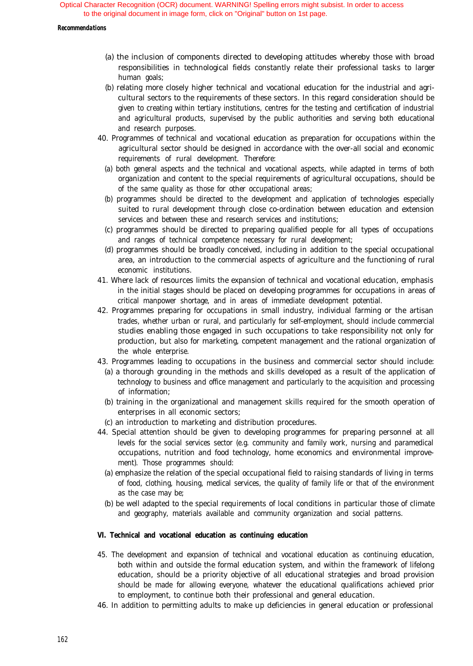#### *Recommendations*

- (a) the inclusion of components directed to developing attitudes whereby those with broad responsibilities in technological fields constantly relate their professional tasks to larger human goals;
- (b) relating more closely higher technical and vocational education for the industrial and agricultural sectors to the requirements of these sectors. In this regard consideration should be given to creating within tertiary institutions, centres for the testing and certification of industrial and agricultural products, supervised by the public authorities and serving both educational and research purposes.
- 40. Programmes of technical and vocational education as preparation for occupations within the agricultural sector should be designed in accordance with the over-all social and economic requirements of rural development. Therefore:
	- (a) both general aspects and the technical and vocational aspects, while adapted in terms of both organization and content to the special requirements of agricultural occupations, should be of the same quality as those for other occupational areas;
	- (b) programmes should be directed to the development and application of technologies especially suited to rural development through close co-ordination between education and extension services and between these and research services and institutions;
	- (c) programmes should be directed to preparing qualified people for all types of occupations and ranges of technical competence necessary for rural development;
	- (d) programmes should be broadly conceived, including in addition to the special occupational area, an introduction to the commercial aspects of agriculture and the functioning of rural economic institutions.
- 41. Where lack of resources limits the expansion of technical and vocational education, emphasis in the initial stages should be placed on developing programmes for occupations in areas of critical manpower shortage, and in areas of immediate development potential.
- 42. Programmes preparing for occupations in small industry, individual farming or the artisan trades, whether urban or rural, and particularly for self-employment, should include commercial studies enabling those engaged in such occupations to take responsibility not only for production, but also for marketing, competent management and the rational organization of the whole enterprise.
- 43. Programmes leading to occupations in the business and commercial sector should include:
	- (a) a thorough grounding in the methods and skills developed as a result of the application of technology to business and office management and particularly to the acquisition and processing of information;
	- (b) training in the organizational and management skills required for the smooth operation of enterprises in all economic sectors;
- (c) an introduction to marketing and distribution procedures.
- 44. Special attention should be given to developing programmes for preparing personnel at all levels for the social services sector (e.g. community and family work, nursing and paramedical occupations, nutrition and food technology, home economics and environmental improvement). Those programmes should:
	- (a) emphasize the relation of the special occupational field to raising standards of living in terms of food, clothing, housing, medical services, the quality of family life or that of the environment as the case may be;
	- (b) be well adapted to the special requirements of local conditions in particular those of climate and geography, materials available and community organization and social patterns.

#### **VI. Technical and vocational education as continuing education**

- 45. The development and expansion of technical and vocational education as continuing education, both within and outside the formal education system, and within the framework of lifelong education, should be a priority objective of all educational strategies and broad provision should be made for allowing everyone, whatever the educational qualifications achieved prior to employment, to continue both their professional and general education.
- 46. In addition to permitting adults to make up deficiencies in general education or professional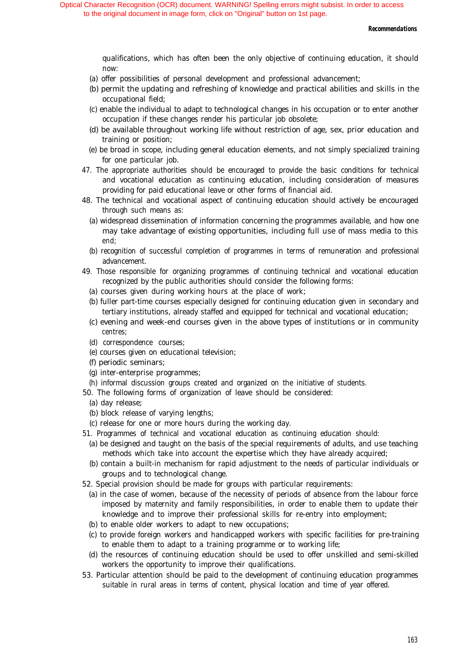#### *Recommendations*

qualifications, which has often been the only objective of continuing education, it should now:

- (a) offer possibilities of personal development and professional advancement;
- (b) permit the updating and refreshing of knowledge and practical abilities and skills in the occupational field;
- (c) enable the individual to adapt to technological changes in his occupation or to enter another occupation if these changes render his particular job obsolete;
- (d) be available throughout working life without restriction of age, sex, prior education and training or position;
- (e) be broad in scope, including general education elements, and not simply specialized training for one particular job.
- 47. The appropriate authorities should be encouraged to provide the basic conditions for technical and vocational education as continuing education, including consideration of measures providing for paid educational leave or other forms of financial aid.
- 48. The technical and vocational aspect of continuing education should actively be encouraged through such means as:
	- (a) widespread dissemination of information concerning the programmes available, and how one may take advantage of existing opportunities, including full use of mass media to this end;
	- (b) recognition of successful completion of programmes in terms of remuneration and professional advancement.
- 49. Those responsible for organizing programmes of continuing technical and vocational education recognized by the public authorities should consider the following forms:
	- (a) courses given during working hours at the place of work;
	- (b) fuller part-time courses especially designed for continuing education given in secondary and tertiary institutions, already staffed and equipped for technical and vocational education;
	- (c) evening and week-end courses given in the above types of institutions or in community centres;
	- (d) correspondence courses;
	- (e) courses given on educational television;
	- (f) periodic seminars;
	- (g) inter-enterprise programmes;
	- (h) informal discussion groups created and organized on the initiative of students.
- 50. The following forms of organization of leave should be considered:
	- (a) day release;
	- (b) block release of varying lengths;
	- (c) release for one or more hours during the working day.
- 51. Programmes of technical and vocational education as continuing education should:
	- (a) be designed and taught on the basis of the special requirements of adults, and use teaching methods which take into account the expertise which they have already acquired;
	- (b) contain a built-in mechanism for rapid adjustment to the needs of particular individuals or groups and to technological change.
- 52. Special provision should be made for groups with particular requirements:
	- (a) in the case of women, because of the necessity of periods of absence from the labour force imposed by maternity and family responsibilities, in order to enable them to update their knowledge and to improve their professional skills for re-entry into employment;
	- (b) to enable older workers to adapt to new occupations;
	- (c) to provide foreign workers and handicapped workers with specific facilities for pre-training to enable them to adapt to a training programme or to working life;
	- (d) the resources of continuing education should be used to offer unskilled and semi-skilled workers the opportunity to improve their qualifications.
- 53. Particular attention should be paid to the development of continuing education programmes suitable in rural areas in terms of content, physical location and time of year offered.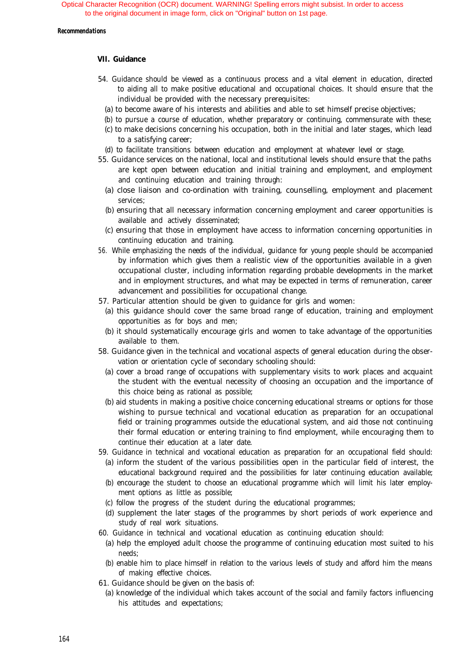#### *Recommendations*

#### **VII. Guidance**

- 54. Guidance should be viewed as a continuous process and a vital element in education, directed to aiding all to make positive educational and occupational choices. It should ensure that the individual be provided with the necessary prerequisites:
	- (a) to become aware of his interests and abilities and able to set himself precise objectives;
	- (b) to pursue a course of education, whether preparatory or continuing, commensurate with these;
	- (c) to make decisions concerning his occupation, both in the initial and later stages, which lead to a satisfying career;
	- (d) to facilitate transitions between education and employment at whatever level or stage.
- 55. Guidance services on the national, local and institutional levels should ensure that the paths are kept open between education and initial training and employment, and employment and continuing education and training through:
	- (a) close liaison and co-ordination with training, counselling, employment and placement services;
	- (b) ensuring that all necessary information concerning employment and career opportunities is available and actively disseminated;
	- (c) ensuring that those in employment have access to information concerning opportunities in continuing education and training.
- 56. While emphasizing the needs of the individual, guidance for young people should be accompanied by information which gives them a realistic view of the opportunities available in a given occupational cluster, including information regarding probable developments in the market and in employment structures, and what may be expected in terms of remuneration, career advancement and possibilities for occupational change.
- 57. Particular attention should be given to guidance for girls and women:
	- (a) this guidance should cover the same broad range of education, training and employment opportunities as for boys and men;
	- (b) it should systematically encourage girls and women to take advantage of the opportunities available to them.
- 58. Guidance given in the technical and vocational aspects of general education during the observation or orientation cycle of secondary schooling should:
	- (a) cover a broad range of occupations with supplementary visits to work places and acquaint the student with the eventual necessity of choosing an occupation and the importance of this choice being as rational as possible;
	- (b) aid students in making a positive choice concerning educational streams or options for those wishing to pursue technical and vocational education as preparation for an occupational field or training programmes outside the educational system, and aid those not continuing their formal education or entering training to find employment, while encouraging them to continue their education at a later date.
- 59. Guidance in technical and vocational education as preparation for an occupational field should:
	- (a) inform the student of the various possibilities open in the particular field of interest, the educational background required and the possibilities for later continuing education available;
	- (b) encourage the student to choose an educational programme which will limit his later employment options as little as possible;
	- (c) follow the progress of the student during the educational programmes;
	- (d) supplement the later stages of the programmes by short periods of work experience and study of real work situations.
- 60. Guidance in technical and vocational education as continuing education should:
	- (a) help the employed adult choose the programme of continuing education most suited to his needs;
	- (b) enable him to place himself in relation to the various levels of study and afford him the means of making effective choices.
- 61. Guidance should be given on the basis of:
	- (a) knowledge of the individual which takes account of the social and family factors influencing his attitudes and expectations;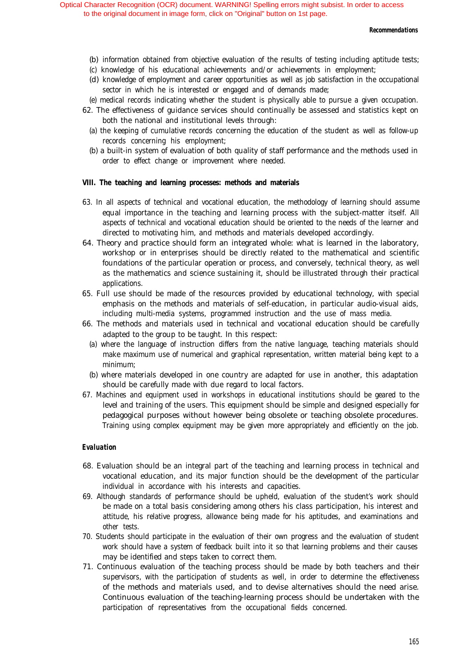#### *Recommendations*

- (b) information obtained from objective evaluation of the results of testing including aptitude tests;
- (c) knowledge of his educational achievements and/or achievements in employment;
- (d) knowledge of employment and career opportunities as well as job satisfaction in the occupational sector in which he is interested or engaged and of demands made;
- (e) medical records indicating whether the student is physically able to pursue a given occupation.
- 62. The effectiveness of guidance services should continually be assessed and statistics kept on both the national and institutional levels through:
	- (a) the keeping of cumulative records concerning the education of the student as well as follow-up records concerning his employment;
	- (b) a built-in system of evaluation of both quality of staff performance and the methods used in order to effect change or improvement where needed.

#### **VIII. The teaching and learning processes: methods and materials**

- 63. In all aspects of technical and vocational education, the methodology of learning should assume equal importance in the teaching and learning process with the subject-matter itself. All aspects of technical and vocational education should be oriented to the needs of the learner and directed to motivating him, and methods and materials developed accordingly.
- 64. Theory and practice should form an integrated whole: what is learned in the laboratory, workshop or in enterprises should be directly related to the mathematical and scientific foundations of the particular operation or process, and conversely, technical theory, as well as the mathematics and science sustaining it, should be illustrated through their practical applications.
- 65. Full use should be made of the resources provided by educational technology, with special emphasis on the methods and materials of self-education, in particular audio-visual aids, including multi-media systems, programmed instruction and the use of mass media.
- 66. The methods and materials used in technical and vocational education should be carefully adapted to the group to be taught. In this respect:
	- (a) where the language of instruction differs from the native language, teaching materials should make maximum use of numerical and graphical representation, written material being kept to a minimum;
	- (b) where materials developed in one country are adapted for use in another, this adaptation should be carefully made with due regard to local factors.
- 67. Machines and equipment used in workshops in educational institutions should be geared to the level and training of the users. This equipment should be simple and designed especially for pedagogical purposes without however being obsolete or teaching obsolete procedures. Training using complex equipment may be given more appropriately and efficiently on the job.

#### *Evaluation*

- 68. Evaluation should be an integral part of the teaching and learning process in technical and vocational education, and its major function should be the development of the particular individual in accordance with his interests and capacities.
- 69. Although standards of performance should be upheld, evaluation of the student's work should be made on a total basis considering among others his class participation, his interest and attitude, his relative progress, allowance being made for his aptitudes, and examinations and other tests.
- 70. Students should participate in the evaluation of their own progress and the evaluation of student work should have a system of feedback built into it so that learning problems and their causes may be identified and steps taken to correct them.
- 71. Continuous evaluation of the teaching process should be made by both teachers and their supervisors, with the participation of students as well, in order to determine the effectiveness of the methods and materials used, and to devise alternatives should the need arise. Continuous evaluation of the teaching-learning process should be undertaken with the participation of representatives from the occupational fields concerned.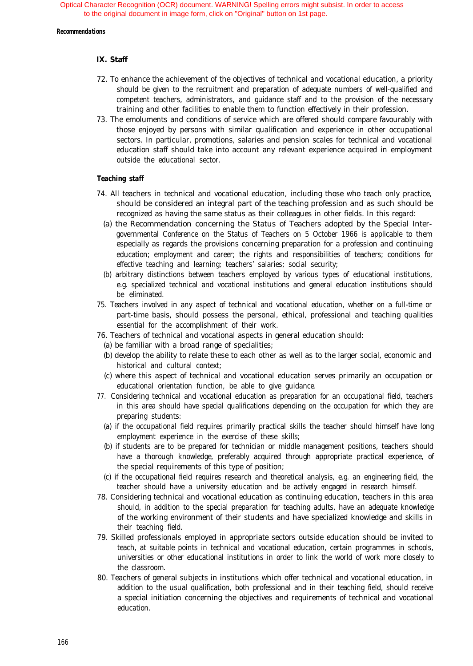#### *Recommendations*

#### **IX. Staff**

- 72. To enhance the achievement of the objectives of technical and vocational education, a priority should be given to the recruitment and preparation of adequate numbers of well-qualified and competent teachers, administrators, and guidance staff and to the provision of the necessary training and other facilities to enable them to function effectively in their profession.
- 73. The emoluments and conditions of service which are offered should compare favourably with those enjoyed by persons with similar qualification and experience in other occupational sectors. In particular, promotions, salaries and pension scales for technical and vocational education staff should take into account any relevant experience acquired in employment outside the educational sector.

#### *Teaching staff*

- 74. All teachers in technical and vocational education, including those who teach only practice, should be considered an integral part of the teaching profession and as such should be recognized as having the same status as their colleagues in other fields. In this regard:
	- (a) the Recommendation concerning the Status of Teachers adopted by the Special Intergovernmental Conference on the Status of Teachers on 5 October 1966 is applicable to them especially as regards the provisions concerning preparation for a profession and continuing education; employment and career; the rights and responsibilities of teachers; conditions for effective teaching and learning; teachers' salaries; social security;
	- (b) arbitrary distinctions between teachers employed by various types of educational institutions, e.g. specialized technical and vocational institutions and general education institutions should be eliminated.
- 75. Teachers involved in any aspect of technical and vocational education, whether on a full-time or part-time basis, should possess the personal, ethical, professional and teaching qualities essential for the accomplishment of their work.
- 76. Teachers of technical and vocational aspects in general education should:
	- (a) be familiar with a broad range of specialities;
	- (b) develop the ability to relate these to each other as well as to the larger social, economic and historical and cultural context;
	- (c) where this aspect of technical and vocational education serves primarily an occupation or educational orientation function, be able to give guidance.
- 77. Considering technical and vocational education as preparation for an occupational field, teachers in this area should have special qualifications depending on the occupation for which they are preparing students:
	- (a) if the occupational field requires primarily practical skills the teacher should himself have long employment experience in the exercise of these skills;
	- (b) if students are to be prepared for technician or middle management positions, teachers should have a thorough knowledge, preferably acquired through appropriate practical experience, of the special requirements of this type of position;
	- (c) if the occupational field requires research and theoretical analysis, e.g. an engineering field, the teacher should have a university education and be actively engaged in research himself.
- 78. Considering technical and vocational education as continuing education, teachers in this area should, in addition to the special preparation for teaching adults, have an adequate knowledge of the working environment of their students and have specialized knowledge and skills in their teaching field.
- 79. Skilled professionals employed in appropriate sectors outside education should be invited to teach, at suitable points in technical and vocational education, certain programmes in schools, universities or other educational institutions in order to link the world of work more closely to the classroom.
- 80. Teachers of general subjects in institutions which offer technical and vocational education, in addition to the usual qualification, both professional and in their teaching field, should receive a special initiation concerning the objectives and requirements of technical and vocational education.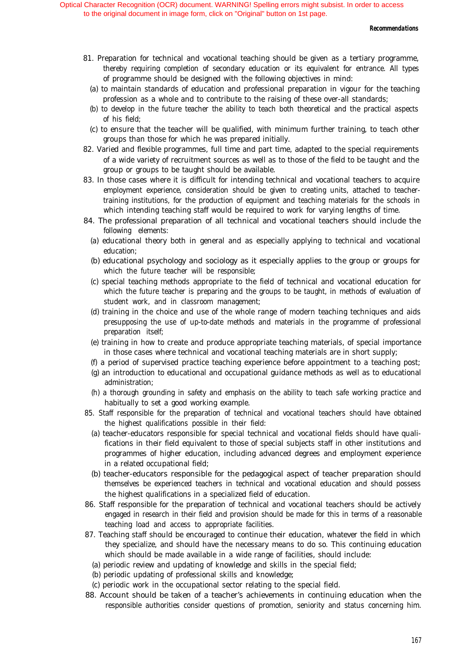#### *Recommendations*

- 81. Preparation for technical and vocational teaching should be given as a tertiary programme, thereby requiring completion of secondary education or its equivalent for entrance. All types of programme should be designed with the following objectives in mind:
	- (a) to maintain standards of education and professional preparation in vigour for the teaching profession as a whole and to contribute to the raising of these over-all standards;
	- (b) to develop in the future teacher the ability to teach both theoretical and the practical aspects of his field;
	- (c) to ensure that the teacher will be qualified, with minimum further training, to teach other groups than those for which he was prepared initially.
- 82. Varied and flexible programmes, full time and part time, adapted to the special requirements of a wide variety of recruitment sources as well as to those of the field to be taught and the group or groups to be taught should be available.
- 83. In those cases where it is difficult for intending technical and vocational teachers to acquire employment experience, consideration should be given to creating units, attached to teachertraining institutions, for the production of equipment and teaching materials for the schools in which intending teaching staff would be required to work for varying lengths of time.
- 84. The professional preparation of all technical and vocational teachers should include the following elements:
	- (a) educational theory both in general and as especially applying to technical and vocational education;
	- (b) educational psychology and sociology as it especially applies to the group or groups for which the future teacher will be responsible;
	- (c) special teaching methods appropriate to the field of technical and vocational education for which the future teacher is preparing and the groups to be taught, in methods of evaluation of student work, and in classroom management;
	- (d) training in the choice and use of the whole range of modern teaching techniques and aids presupposing the use of up-to-date methods and materials in the programme of professional preparation itself;
	- (e) training in how to create and produce appropriate teaching materials, of special importance in those cases where technical and vocational teaching materials are in short supply;
	- (f) a period of supervised practice teaching experience before appointment to a teaching post;
	- (g) an introduction to educational and occupational guidance methods as well as to educational administration;
	- (h) a thorough grounding in safety and emphasis on the ability to teach safe working practice and habitually to set a good working example.
- 85. Staff responsible for the preparation of technical and vocational teachers should have obtained the highest qualifications possible in their field:
	- (a) teacher-educators responsible for special technical and vocational fields should have qualifications in their field equivalent to those of special subjects staff in other institutions and programmes of higher education, including advanced degrees and employment experience in a related occupational field;
	- (b) teacher-educators responsible for the pedagogical aspect of teacher preparation should themselves be experienced teachers in technical and vocational education and should possess the highest qualifications in a specialized field of education.
- 86. Staff responsible for the preparation of technical and vocational teachers should be actively engaged in research in their field and provision should be made for this in terms of a reasonable teaching load and access to appropriate facilities.
- 87. Teaching staff should be encouraged to continue their education, whatever the field in which they specialize, and should have the necessary means to do so. This continuing education which should be made available in a wide range of facilities, should include:
	- (a) periodic review and updating of knowledge and skills in the special field;
	- (b) periodic updating of professional skills and knowledge;
- (c) periodic work in the occupational sector relating to the special field.
- 88. Account should be taken of a teacher's achievements in continuing education when the responsible authorities consider questions of promotion, seniority and status concerning him.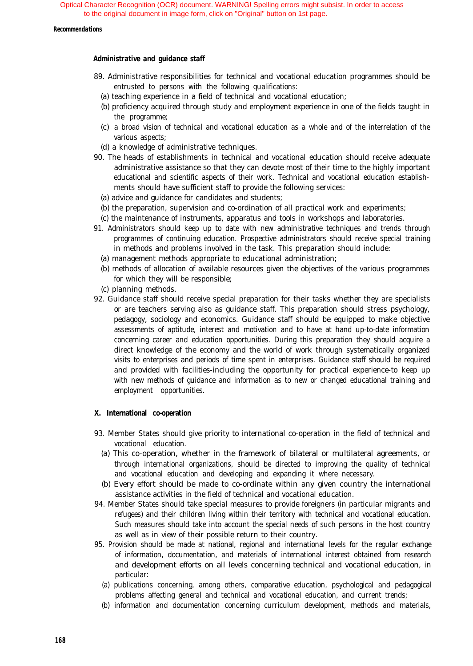#### *Recommendations*

#### *Administrative and guidance staff*

- 89. Administrative responsibilities for technical and vocational education programmes should be entrusted to persons with the following qualifications:
	- (a) teaching experience in a field of technical and vocational education;
	- (b) proficiency acquired through study and employment experience in one of the fields taught in the programme;
	- (c) a broad vision of technical and vocational education as a whole and of the interrelation of the various aspects;
	- (d) a knowledge of administrative techniques.
- 90. The heads of establishments in technical and vocational education should receive adequate administrative assistance so that they can devote most of their time to the highly important educational and scientific aspects of their work. Technical and vocational education establishments should have sufficient staff to provide the following services:
	- (a) advice and guidance for candidates and students;
	- (b) the preparation, supervision and co-ordination of all practical work and experiments;
	- (c) the maintenance of instruments, apparatus and tools in workshops and laboratories.
- 91. Administrators should keep up to date with new administrative techniques and trends through programmes of continuing education. Prospective administrators should receive special training in methods and problems involved in the task. This preparation should include:
	- (a) management methods appropriate to educational administration;
	- (b) methods of allocation of available resources given the objectives of the various programmes for which they will be responsible;
	- (c) planning methods.
- 92. Guidance staff should receive special preparation for their tasks whether they are specialists or are teachers serving also as guidance staff. This preparation should stress psychology, pedagogy, sociology and economics. Guidance staff should be equipped to make objective assessments of aptitude, interest and motivation and to have at hand up-to-date information concerning career and education opportunities. During this preparation they should acquire a direct knowledge of the economy and the world of work through systematically organized visits to enterprises and periods of time spent in enterprises. Guidance staff should be required and provided with facilities-including the opportunity for practical experience-to keep up with new methods of guidance and information as to new or changed educational training and employment opportunities.

#### **X. International co-operation**

- 93. Member States should give priority to international co-operation in the field of technical and vocational education.
	- (a) This co-operation, whether in the framework of bilateral or multilateral agreements, or through international organizations, should be directed to improving the quality of technical and vocational education and developing and expanding it where necessary.
	- (b) Every effort should be made to co-ordinate within any given country the international assistance activities in the field of technical and vocational education.
- 94. Member States should take special measures to provide foreigners (in particular migrants and refugees) and their children living within their territory with technical and vocational education. Such measures should take into account the special needs of such persons in the host country as well as in view of their possible return to their country.
- 95. Provision should be made at national, regional and international levels for the regular exchange of information, documentation, and materials of international interest obtained from research and development efforts on all levels concerning technical and vocational education, in particular:
	- (a) publications concerning, among others, comparative education, psychological and pedagogical problems affecting general and technical and vocational education, and current trends;
	- (b) information and documentation concerning curriculum development, methods and materials,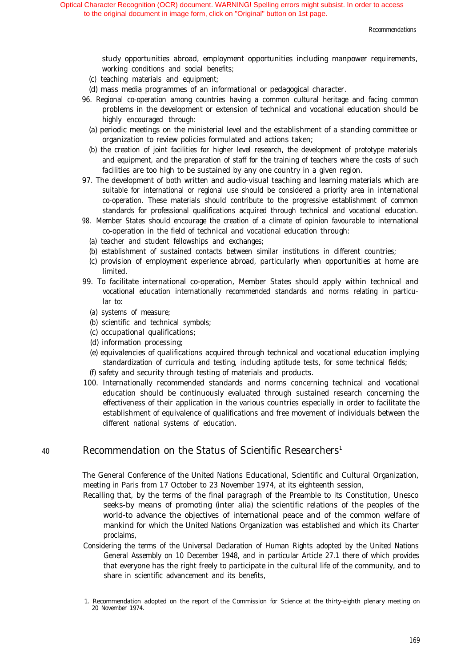study opportunities abroad, employment opportunities including manpower requirements, working conditions and social benefits;

- (c) teaching materials and equipment;
- (d) mass media programmes of an informational or pedagogical character.
- 96. Regional co-operation among countries having a common cultural heritage and facing common problems in the development or extension of technical and vocational education should be highly encouraged through:
	- (a) periodic meetings on the ministerial level and the establishment of a standing committee or organization to review policies formulated and actions taken;
	- (b) the creation of joint facilities for higher level research, the development of prototype materials and equipment, and the preparation of staff for the training of teachers where the costs of such facilities are too high to be sustained by any one country in a given region.
- 97. The development of both written and audio-visual teaching and learning materials which are suitable for international or regional use should be considered a priority area in international co-operation. These materials should contribute to the progressive establishment of common standards for professional qualifications acquired through technical and vocational education.
- 98. Member States should encourage the creation of a climate of opinion favourable to international co-operation in the field of technical and vocational education through:
	- (a) teacher and student fellowships and exchanges;
	- (b) establishment of sustained contacts between similar institutions in different countries;
	- (c) provision of employment experience abroad, particularly when opportunities at home are limited.
- 99. To facilitate international co-operation, Member States should apply within technical and vocational education internationally recommended standards and norms relating in particular to:
	- (a) systems of measure;
	- (b) scientific and technical symbols;
	- (c) occupational qualifications;
	- (d) information processing;
	- (e) equivalencies of qualifications acquired through technical and vocational education implying standardization of curricula and testing, including aptitude tests, for some technical fields;
- (f) safety and security through testing of materials and products.
- 100. Internationally recommended standards and norms concerning technical and vocational education should be continuously evaluated through sustained research concerning the effectiveness of their application in the various countries especially in order to facilitate the establishment of equivalence of qualifications and free movement of individuals between the different national systems of education.

#### 40 Recommendation on the Status of Scientific Researchers<sup>1</sup>

The General Conference of the United Nations Educational, Scientific and Cultural Organization, meeting in Paris from 17 October to 23 November 1974, at its eighteenth session,

- Recalling that, by the terms of the final paragraph of the Preamble to its Constitution, Unesco seeks-by means of promoting (inter alia) the scientific relations of the peoples of the world-to advance the objectives of international peace and of the common welfare of mankind for which the United Nations Organization was established and which its Charter proclaims,
- Considering the terms of the Universal Declaration of Human Rights adopted by the United Nations General Assembly on 10 December 1948, and in particular Article 27.1 there of which provides that everyone has the right freely to participate in the cultural life of the community, and to share in scientific advancement and its benefits,
- 1. Recommendation adopted on the report of the Commission for Science at the thirty-eighth plenary meeting on 20 November 1974.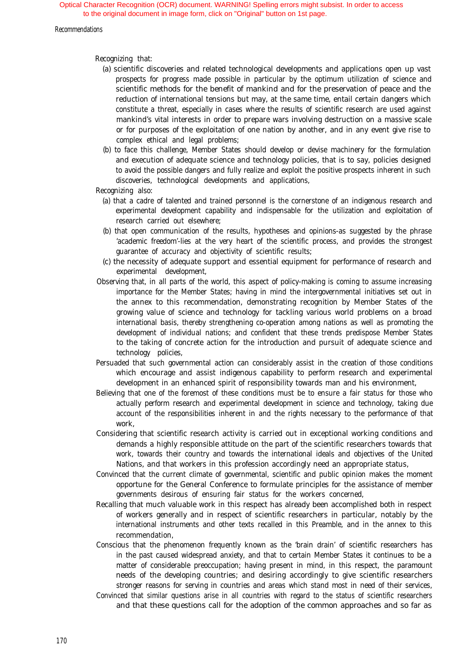Recommendations

Recognizing that:

- (a) scientific discoveries and related technological developments and applications open up vast prospects for progress made possible in particular by the optimum utilization of science and scientific methods for the benefit of mankind and for the preservation of peace and the reduction of international tensions but may, at the same time, entail certain dangers which constitute a threat, especially in cases where the results of scientific research are used against mankind's vital interests in order to prepare wars involving destruction on a massive scale or for purposes of the exploitation of one nation by another, and in any event give rise to complex ethical and legal problems;
- (b) to face this challenge, Member States should develop or devise machinery for the formulation and execution of adequate science and technology policies, that is to say, policies designed to avoid the possible dangers and fully realize and exploit the positive prospects inherent in such discoveries, technological developments and applications,

Recognizing also:

- (a) that a cadre of talented and trained personnel is the cornerstone of an indigenous research and experimental development capability and indispensable for the utilization and exploitation of research carried out elsewhere;
- (b) that open communication of the results, hypotheses and opinions-as suggested by the phrase 'academic freedom'-lies at the very heart of the scientific process, and provides the strongest guarantee of accuracy and objectivity of scientific results;
- (c) the necessity of adequate support and essential equipment for performance of research and experimental development,
- Observing that, in all parts of the world, this aspect of policy-making is coming to assume increasing importance for the Member States; having in mind the intergovernmental initiatives set out in the annex to this recommendation, demonstrating recognition by Member States of the growing value of science and technology for tackling various world problems on a broad international basis, thereby strengthening co-operation among nations as well as promoting the development of individual nations; and confident that these trends predispose Member States to the taking of concrete action for the introduction and pursuit of adequate science and technology policies,
- Persuaded that such governmental action can considerably assist in the creation of those conditions which encourage and assist indigenous capability to perform research and experimental development in an enhanced spirit of responsibility towards man and his environment,
- Believing that one of the foremost of these conditions must be to ensure a fair status for those who actually perform research and experimental development in science and technology, taking due account of the responsibilities inherent in and the rights necessary to the performance of that work,
- Considering that scientific research activity is carried out in exceptional working conditions and demands a highly responsible attitude on the part of the scientific researchers towards that work, towards their country and towards the international ideals and objectives of the United Nations, and that workers in this profession accordingly need an appropriate status,
- Convinced that the current climate of governmental, scientific and public opinion makes the moment opportune for the General Conference to formulate principles for the assistance of member governments desirous of ensuring fair status for the workers concerned,
- Recalling that much valuable work in this respect has already been accomplished both in respect of workers generally and in respect of scientific researchers in particular, notably by the international instruments and other texts recalled in this Preamble, and in the annex to this recommendation,
- Conscious that the phenomenon frequently known as the 'brain drain' of scientific researchers has in the past caused widespread anxiety, and that to certain Member States it continues to be a matter of considerable preoccupation; having present in mind, in this respect, the paramount needs of the developing countries; and desiring accordingly to give scientific researchers stronger reasons for serving in countries and areas which stand most in need of their services,
- Convinced that similar questions arise in all countries with regard to the status of scientific researchers and that these questions call for the adoption of the common approaches and so far as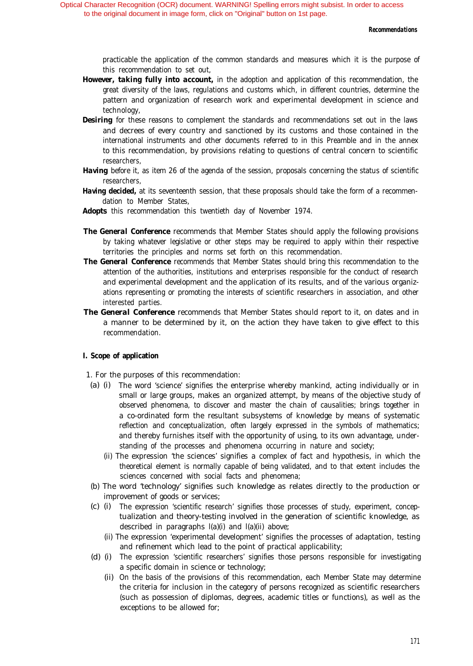practicable the application of the common standards and measures which it is the purpose of this recommendation to set out,

- *However, taking fully into account,* in the adoption and application of this recommendation, the great diversity of the laws, regulations and customs which, in different countries, determine the pattern and organization of research work and experimental development in science and technology,
- **Desiring** for these reasons to complement the standards and recommendations set out in the laws and decrees of every country and sanctioned by its customs and those contained in the international instruments and other documents referred to in this Preamble and in the annex to this recommendation, by provisions relating to questions of central concern to scientific researchers,
- *Having* before it, as item 26 of the agenda of the session, proposals concerning the status of scientific researchers,
- *Having decided,* at its seventeenth session, that these proposals should take the form of a recommendation to Member States,
- *Adopts* this recommendation this twentieth day of November 1974.
- *The General Conference* recommends that Member States should apply the following provisions by taking whatever legislative or other steps may be required to apply within their respective territories the principles and norms set forth on this recommendation.
- *The General Conference* recommends that Member States should bring this recommendation to the attention of the authorities, institutions and enterprises responsible for the conduct of research and experimental development and the application of its results, and of the various organizations representing or promoting the interests of scientific researchers in association, and other interested parties.
- **The General Conference** recommends that Member States should report to it, on dates and in a manner to be determined by it, on the action they have taken to give effect to this recommendation.

#### **I. Scope of application**

- 1. For the purposes of this recommendation:
- (a) (i) The word 'science' signifies the enterprise whereby mankind, acting individually or in small or large groups, makes an organized attempt, by means of the objective study of observed phenomena, to discover and master the chain of causalities; brings together in a co-ordinated form the resultant subsystems of knowledge by means of systematic reflection and conceptualization, often largely expressed in the symbols of mathematics; and thereby furnishes itself with the opportunity of using, to its own advantage, understanding of the processes and phenomena occurring in nature and society;
	- (ii) The expression 'the sciences' signifies a complex of fact and hypothesis, in which the theoretical element is normally capable of being validated, and to that extent includes the sciences concerned with social facts and phenomena;
- (b) The word 'technology' signifies such knowledge as relates directly to the production or improvement of goods or services;
- (c) (i) The expression 'scientific research' signifies those processes of study, experiment, conceptualization and theory-testing involved in the generation of scientific knowledge, as described in paragraphs l(a)(i) and l(a)(ii) above;
	- (ii) The expression 'experimental development' signifies the processes of adaptation, testing and refinement which lead to the point of practical applicability;
- (d) (i) The expression 'scientific researchers' signifies those persons responsible for investigating a specific domain in science or technology;
	- (ii) On the basis of the provisions of this recommendation, each Member State may determine the criteria for inclusion in the category of persons recognized as scientific researchers (such as possession of diplomas, degrees, academic titles or functions), as well as the exceptions to be allowed for;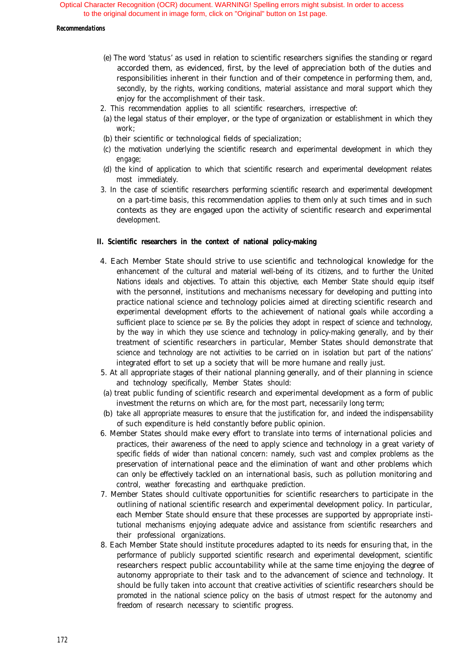#### *Recommendations*

- (e) The word 'status' as used in relation to scientific researchers signifies the standing or regard accorded them, as evidenced, first, by the level of appreciation both of the duties and responsibilities inherent in their function and of their competence in performing them, and, secondly, by the rights, working conditions, material assistance and moral support which they enjoy for the accomplishment of their task.
- 2. This recommendation applies to all scientific researchers, irrespective of:
- (a) the legal status of their employer, or the type of organization or establishment in which they work;
- (b) their scientific or technological fields of specialization;
- (c) the motivation underlying the scientific research and experimental development in which they engage;
- (d) the kind of application to which that scientific research and experimental development relates most immediately.
- 3. In the case of scientific researchers performing scientific research and experimental development on a part-time basis, this recommendation applies to them only at such times and in such contexts as they are engaged upon the activity of scientific research and experimental development.

#### **II. Scientific researchers in the context of national policy-making**

- 4. Each Member State should strive to use scientific and technological knowledge for the enhancement of the cultural and material well-being of its citizens, and to further the United Nations ideals and objectives. To attain this objective, each Member State should equip itself with the personnel, institutions and mechanisms necessary for developing and putting into practice national science and technology policies aimed at directing scientific research and experimental development efforts to the achievement of national goals while according a sufficient place to science per se. By the policies they adopt in respect of science and technology, by the way in which they use science and technology in policy-making generally, and by their treatment of scientific researchers in particular, Member States should demonstrate that science and technology are not activities to be carried on in isolation but part of the nations' integrated effort to set up a society that will be more humane and really just.
- 5. At all appropriate stages of their national planning generally, and of their planning in science and technology specifically, Member States should:
- (a) treat public funding of scientific research and experimental development as a form of public investment the returns on which are, for the most part, necessarily long term;
- (b) take all appropriate measures to ensure that the justification for, and indeed the indispensability of such expenditure is held constantly before public opinion.
- 6. Member States should make every effort to translate into terms of international policies and practices, their awareness of the need to apply science and technology in a great variety of specific fields of wider than national concern: namely, such vast and complex problems as the preservation of international peace and the elimination of want and other problems which can only be effectively tackled on an international basis, such as pollution monitoring and control, weather forecasting and earthquake prediction.
- 7. Member States should cultivate opportunities for scientific researchers to participate in the outlining of national scientific research and experimental development policy. In particular, each Member State should ensure that these processes are supported by appropriate institutional mechanisms enjoying adequate advice and assistance from scientific researchers and their professional organizations.
- 8. Each Member State should institute procedures adapted to its needs for ensuring that, in the performance of publicly supported scientific research and experimental development, scientific researchers respect public accountability while at the same time enjoying the degree of autonomy appropriate to their task and to the advancement of science and technology. It should be fully taken into account that creative activities of scientific researchers should be promoted in the national science policy on the basis of utmost respect for the autonomy and freedom of research necessary to scientific progress.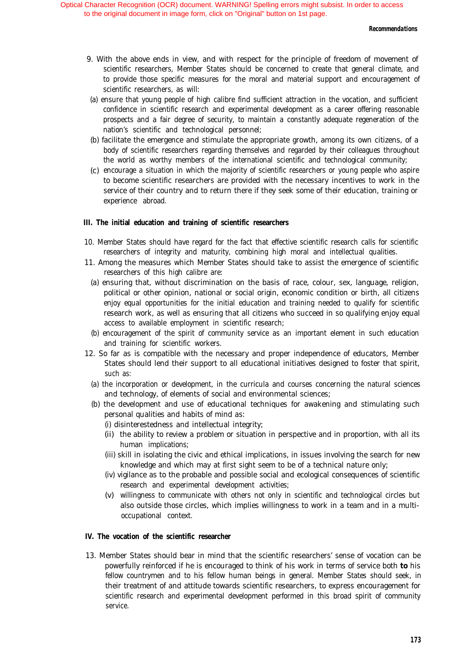#### *Recommendations*

- 9. With the above ends in view, and with respect for the principle of freedom of movement of scientific researchers, Member States should be concerned to create that general climate, and to provide those specific measures for the moral and material support and encouragement of scientific researchers, as will:
- (a) ensure that young people of high calibre find sufficient attraction in the vocation, and sufficient confidence in scientific research and experimental development as a career offering reasonable prospects and a fair degree of security, to maintain a constantly adequate regeneration of the nation's scientific and technological personnel;
- (b) facilitate the emergence and stimulate the appropriate growth, among its own citizens, of a body of scientific researchers regarding themselves and regarded by their colleagues throughout the world as worthy members of the international scientific and technological community;
- (c) encourage a situation in which the majority of scientific researchers or young people who aspire to become scientific researchers are provided with the necessary incentives to work in the service of their country and to return there if they seek some of their education, training or experience abroad.

#### **III. The initial education and training of scientific researchers**

- 10. Member States should have regard for the fact that effective scientific research calls for scientific researchers of integrity and maturity, combining high moral and intellectual qualities.
- 11. Among the measures which Member States should take to assist the emergence of scientific researchers of this high calibre are:
	- (a) ensuring that, without discrimination on the basis of race, colour, sex, language, religion, political or other opinion, national or social origin, economic condition or birth, all citizens enjoy equal opportunities for the initial education and training needed to qualify for scientific research work, as well as ensuring that all citizens who succeed in so qualifying enjoy equal access to available employment in scientific research;
	- (b) encouragement of the spirit of community service as an important element in such education and training for scientific workers.
- 12. So far as is compatible with the necessary and proper independence of educators, Member States should lend their support to all educational initiatives designed to foster that spirit, such as:
	- (a) the incorporation or development, in the curricula and courses concerning the natural sciences and technology, of elements of social and environmental sciences;
	- (b) the development and use of educational techniques for awakening and stimulating such personal qualities and habits of mind as:
		- (i) disinterestedness and intellectual integrity;
		- (ii) the ability to review a problem or situation in perspective and in proportion, with all its human implications;
		- (iii) skill in isolating the civic and ethical implications, in issues involving the search for new knowledge and which may at first sight seem to be of a technical nature only;
		- (iv) vigilance as to the probable and possible social and ecological consequences of scientific research and experimental development activities;
		- (v) willingness to communicate with others not only in scientific and technological circles but also outside those circles, which implies willingness to work in a team and in a multioccupational context.

### **IV. The vocation of the scientific researcher**

13. Member States should bear in mind that the scientific researchers' sense of vocation can be powerfully reinforced if he is encouraged to think of his work in terms of service both **to** his fellow countrymen and to his fellow human beings in general. Member States should seek, in their treatment of and attitude towards scientific researchers, to express encouragement for scientific research and experimental development performed in this broad spirit of community service.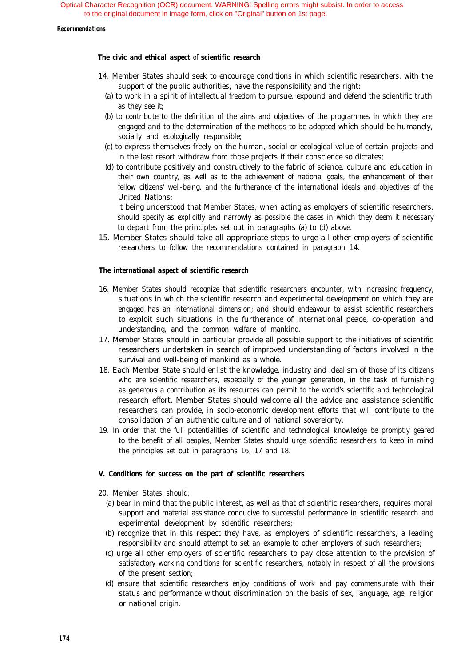#### *Recommendations*

#### *The civic and ethical aspect of scientific research*

- 14. Member States should seek to encourage conditions in which scientific researchers, with the support of the public authorities, have the responsibility and the right:
	- (a) to work in a spirit of intellectual freedom to pursue, expound and defend the scientific truth as they see it;
	- (b) to contribute to the definition of the aims and objectives of the programmes in which they are engaged and to the determination of the methods to be adopted which should be humanely, socially and ecologically responsible;
	- (c) to express themselves freely on the human, social or ecological value of certain projects and in the last resort withdraw from those projects if their conscience so dictates;
	- (d) to contribute positively and constructively to the fabric of science, culture and education in their own country, as well as to the achievement of national goals, the enhancement of their fellow citizens' well-being, and the furtherance of the international ideals and objectives of the United Nations;

it being understood that Member States, when acting as employers of scientific researchers, should specify as explicitly and narrowly as possible the cases in which they deem it necessary to depart from the principles set out in paragraphs (a) to (d) above.

15. Member States should take all appropriate steps to urge all other employers of scientific researchers to follow the recommendations contained in paragraph 14.

#### *The international aspect of scientific research*

- 16. Member States should recognize that scientific researchers encounter, with increasing frequency, situations in which the scientific research and experimental development on which they are engaged has an international dimension; and should endeavour to assist scientific researchers to exploit such situations in the furtherance of international peace, co-operation and understanding, and the common welfare of mankind.
- 17. Member States should in particular provide all possible support to the initiatives of scientific researchers undertaken in search of improved understanding of factors involved in the survival and well-being of mankind as a whole.
- 18. Each Member State should enlist the knowledge, industry and idealism of those of its citizens who are scientific researchers, especially of the younger generation, in the task of furnishing as generous a contribution as its resources can permit to the world's scientific and technological research effort. Member States should welcome all the advice and assistance scientific researchers can provide, in socio-economic development efforts that will contribute to the consolidation of an authentic culture and of national sovereignty.
- 19. In order that the full potentialities of scientific and technological knowledge be promptly geared to the benefit of all peoples, Member States should urge scientific researchers to keep in mind the principles set out in paragraphs 16, 17 and 18.

#### **V. Conditions for success on the part of scientific researchers**

- 20. Member States should:
	- (a) bear in mind that the public interest, as well as that of scientific researchers, requires moral support and material assistance conducive to successful performance in scientific research and experimental development by scientific researchers;
	- (b) recognize that in this respect they have, as employers of scientific researchers, a leading responsibility and should attempt to set an example to other employers of such researchers;
	- (c) urge all other employers of scientific researchers to pay close attention to the provision of satisfactory working conditions for scientific researchers, notably in respect of all the provisions of the present section;
	- (d) ensure that scientific researchers enjoy conditions of work and pay commensurate with their status and performance without discrimination on the basis of sex, language, age, religion or national origin.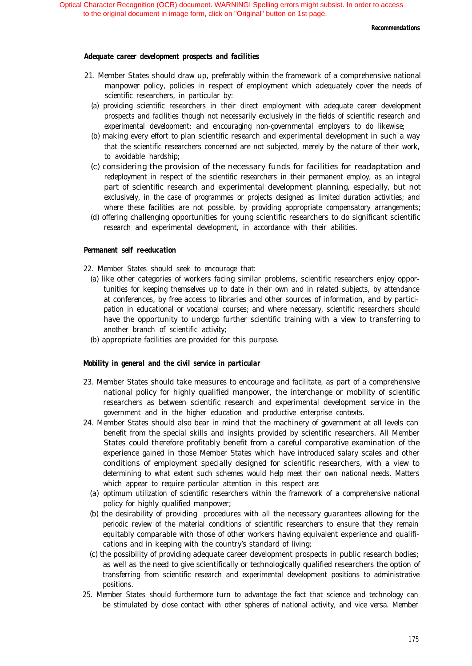#### *Adequate career development prospects and facilities*

- 21. Member States should draw up, preferably within the framework of a comprehensive national manpower policy, policies in respect of employment which adequately cover the needs of scientific researchers, in particular by:
	- (a) providing scientific researchers in their direct employment with adequate career development prospects and facilities though not necessarily exclusively in the fields of scientific research and experimental development: and encouraging non-governmental employers to do likewise;
	- (b) making every effort to plan scientific research and experimental development in such a way that the scientific researchers concerned are not subjected, merely by the nature of their work, to avoidable hardship;
	- (c) considering the provision of the necessary funds for facilities for readaptation and redeployment in respect of the scientific researchers in their permanent employ, as an integral part of scientific research and experimental development planning, especially, but not exclusively, in the case of programmes or projects designed as limited duration activities; and where these facilities are not possible, by providing appropriate compensatory arrangements;
	- (d) offering challenging opportunities for young scientific researchers to do significant scientific research and experimental development, in accordance with their abilities.

#### *Permanent self re-education*

22. Member States should seek to encourage that:

- (a) like other categories of workers facing similar problems, scientific researchers enjoy opportunities for keeping themselves up to date in their own and in related subjects, by attendance at conferences, by free access to libraries and other sources of information, and by participation in educational or vocational courses; and where necessary, scientific researchers should have the opportunity to undergo further scientific training with a view to transferring to another branch of scientific activity;
- (b) appropriate facilities are provided for this purpose.

#### *Mobility in general and the civil service in particular*

- 23. Member States should take measures to encourage and facilitate, as part of a comprehensive national policy for highly qualified manpower, the interchange or mobility of scientific researchers as between scientific research and experimental development service in the government and in the higher education and productive enterprise contexts.
- 24. Member States should also bear in mind that the machinery of government at all levels can benefit from the special skills and insights provided by scientific researchers. All Member States could therefore profitably benefit from a careful comparative examination of the experience gained in those Member States which have introduced salary scales and other conditions of employment specially designed for scientific researchers, with a view to determining to what extent such schemes would help meet their own national needs. Matters which appear to require particular attention in this respect are:
	- (a) optimum utilization of scientific researchers within the framework of a comprehensive national policy for highly qualified manpower;
	- (b) the desirability of providing procedures with all the necessary guarantees allowing for the periodic review of the material conditions of scientific researchers to ensure that they remain equitably comparable with those of other workers having equivalent experience and qualifications and in keeping with the country's standard of living;
	- (c) the possibility of providing adequate career development prospects in public research bodies; as well as the need to give scientifically or technologically qualified researchers the option of transferring from scientific research and experimental development positions to administrative positions.
- 25. Member States should furthermore turn to advantage the fact that science and technology can be stimulated by close contact with other spheres of national activity, and vice versa. Member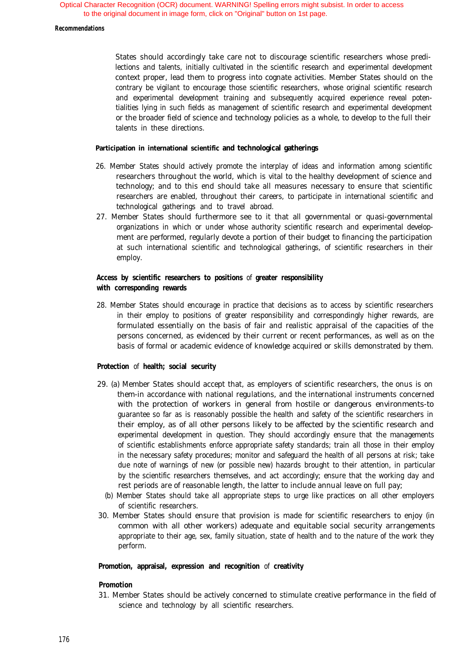#### **Recommendations**

States should accordingly take care not to discourage scientific researchers whose predilections and talents, initially cultivated in the scientific research and experimental development context proper, lead them to progress into cognate activities. Member States should on the contrary be vigilant to encourage those scientific researchers, whose original scientific research and experimental development training and subsequently acquired experience reveal potentialities lying in such fields as management of scientific research and experimental development or the broader field of science and technology policies as a whole, to develop to the full their talents in these directions.

#### **Participation in international scientific and technological gatherings**

- 26. Member States should actively promote the interplay of ideas and information among scientific researchers throughout the world, which is vital to the healthy development of science and technology; and to this end should take all measures necessary to ensure that scientific researchers are enabled, throughout their careers, to participate in international scientific and technological gatherings and to travel abroad.
- 27. Member States should furthermore see to it that all governmental or quasi-governmental organizations in which or under whose authority scientific research and experimental development are performed, regularly devote a portion of their budget to financing the participation at such international scientific and technological gatherings, of scientific researchers in their employ.

#### **Access by scientific researchers to positions** of **greater responsibility with corresponding rewards**

28. Member States should encourage in practice that decisions as to access by scientific researchers in their employ to positions of greater responsibility and correspondingly higher rewards, are formulated essentially on the basis of fair and realistic appraisal of the capacities of the persons concerned, as evidenced by their current or recent performances, as well as on the basis of formal or academic evidence of knowledge acquired or skills demonstrated by them.

#### **Protection** of **health; social security**

- 29. (a) Member States should accept that, as employers of scientific researchers, the onus is on them-in accordance with national regulations, and the international instruments concerned with the protection of workers in general from hostile or dangerous environments-to guarantee so far as is reasonably possible the health and safety of the scientific researchers in their employ, as of all other persons likely to be affected by the scientific research and experimental development in question. They should accordingly ensure that the managements of scientific establishments enforce appropriate safety standards; train all those in their employ in the necessary safety procedures; monitor and safeguard the health of all persons at risk; take due note of warnings of new (or possible new) hazards brought to their attention, in particular by the scientific researchers themselves, and act accordingly; ensure that the working day and rest periods are of reasonable length, the latter to include annual leave on full pay;
	- (b) Member States should take all appropriate steps to urge like practices on all other employers of scientific researchers.
- 30. Member States should ensure that provision is made for scientific researchers to enjoy (in common with all other workers) adequate and equitable social security arrangements appropriate to their age, sex, family situation, state of health and to the nature of the work they perform.

#### **Promotion, appraisal, expression and recognition** of **creativity**

#### **Promotion**

31. Member States should be actively concerned to stimulate creative performance in the field of science and technology by all scientific researchers.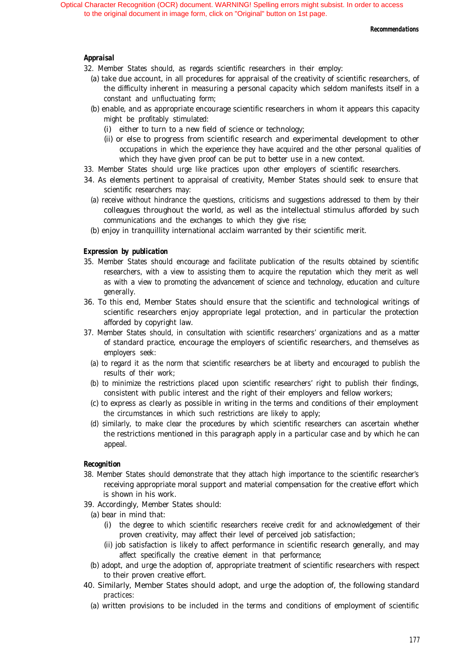#### *Recommendations*

#### *Appraisal*

- 32. Member States should, as regards scientific researchers in their employ:
	- (a) take due account, in all procedures for appraisal of the creativity of scientific researchers, of the difficulty inherent in measuring a personal capacity which seldom manifests itself in a constant and unfluctuating form;
	- (b) enable, and as appropriate encourage scientific researchers in whom it appears this capacity might be profitably stimulated:
		- (i) either to turn to a new field of science or technology;
		- (ii) or else to progress from scientific research and experimental development to other occupations in which the experience they have acquired and the other personal qualities of which they have given proof can be put to better use in a new context.
- 33. Member States should urge like practices upon other employers of scientific researchers.
- 34. As elements pertinent to appraisal of creativity, Member States should seek to ensure that scientific researchers may:
	- (a) receive without hindrance the questions, criticisms and suggestions addressed to them by their colleagues throughout the world, as well as the intellectual stimulus afforded by such communications and the exchanges to which they give rise;
	- (b) enjoy in tranquillity international acclaim warranted by their scientific merit.

#### *Expression by publication*

- 35. Member States should encourage and facilitate publication of the results obtained by scientific researchers, with a view to assisting them to acquire the reputation which they merit as well as with a view to promoting the advancement of science and technology, education and culture generally.
- 36. To this end, Member States should ensure that the scientific and technological writings of scientific researchers enjoy appropriate legal protection, and in particular the protection afforded by copyright law.
- 37. Member States should, in consultation with scientific researchers' organizations and as a matter of standard practice, encourage the employers of scientific researchers, and themselves as employers seek:
	- (a) to regard it as the norm that scientific researchers be at liberty and encouraged to publish the results of their work;
	- (b) to minimize the restrictions placed upon scientific researchers' right to publish their findings, consistent with public interest and the right of their employers and fellow workers;
	- (c) to express as clearly as possible in writing in the terms and conditions of their employment the circumstances in which such restrictions are likely to apply;
	- (d) similarly, to make clear the procedures by which scientific researchers can ascertain whether the restrictions mentioned in this paragraph apply in a particular case and by which he can appeal.

#### *Recognition*

- 38. Member States should demonstrate that they attach high importance to the scientific researcher's receiving appropriate moral support and material compensation for the creative effort which is shown in his work.
- 39. Accordingly, Member States should:
- (a) bear in mind that:
	- (i) the degree to which scientific researchers receive credit for and acknowledgement of their proven creativity, may affect their level of perceived job satisfaction;
	- (ii) job satisfaction is likely to affect performance in scientific research generally, and may affect specifically the creative element in that performance;
- (b) adopt, and urge the adoption of, appropriate treatment of scientific researchers with respect to their proven creative effort.
- 40. Similarly, Member States should adopt, and urge the adoption of, the following standard practices:
	- (a) written provisions to be included in the terms and conditions of employment of scientific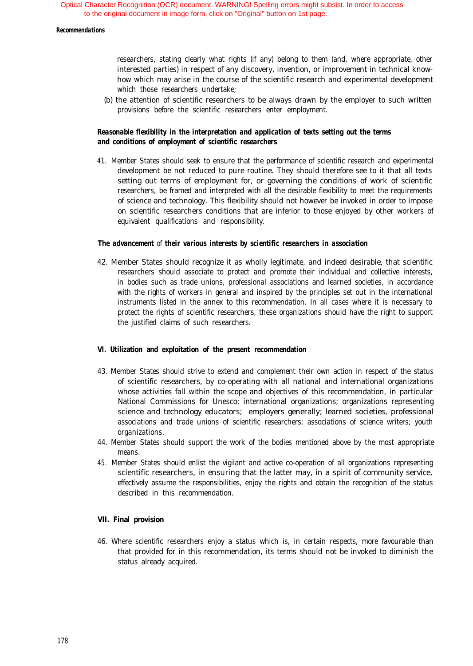#### *Recommendations*

researchers, stating clearly what rights (if any) belong to them (and, where appropriate, other interested parties) in respect of any discovery, invention, or improvement in technical knowhow which may arise in the course of the scientific research and experimental development which those researchers undertake;

(b) the attention of scientific researchers to be always drawn by the employer to such written provisions before the scientific researchers enter employment.

#### *Reasonable flexibility in the interpretation and appIication of texts setting out the terms and conditions of employment of scientific researchers*

41. Member States should seek to ensure that the performance of scientific research and experimental development be not reduced to pure routine. They should therefore see to it that all texts setting out terms of employment for, or governing the conditions of work of scientific researchers, be framed and interpreted with all the desirable flexibility to meet the requirements of science and technology. This flexibility should not however be invoked in order to impose on scientific researchers conditions that are inferior to those enjoyed by other workers of equivalent qualifications and responsibility.

#### *The advancement of their various interests by scientific researchers in association*

42. Member States should recognize it as wholly legitimate, and indeed desirable, that scientific researchers should associate to protect and promote their individual and collective interests, in bodies such as trade unions, professional associations and learned societies, in accordance with the rights of workers in general and inspired by the principles set out in the international instruments listed in the annex to this recommendation. In all cases where it is necessary to protect the rights of scientific researchers, these organizations should have the right to support the justified claims of such researchers.

#### **VI. Utilization and exploitation of the present recommendation**

- 43. Member States should strive to extend and complement their own action in respect of the status of scientific researchers, by co-operating with all national and international organizations whose activities fall within the scope and objectives of this recommendation, in particular National Commissions for Unesco; international organizations; organizations representing science and technology educators; employers generally; learned societies, professional associations and trade unions of scientific researchers; associations of science writers; youth organizations.
- 44. Member States should support the work of the bodies mentioned above by the most appropriate means.
- 45. Member States should enlist the vigilant and active co-operation of all organizations representing scientific researchers, in ensuring that the latter may, in a spirit of community service, effectively assume the responsibilities, enjoy the rights and obtain the recognition of the status described in this recommendation.

#### **VII. Final provision**

46. Where scientific researchers enjoy a status which is, in certain respects, more favourable than that provided for in this recommendation, its terms should not be invoked to diminish the status already acquired.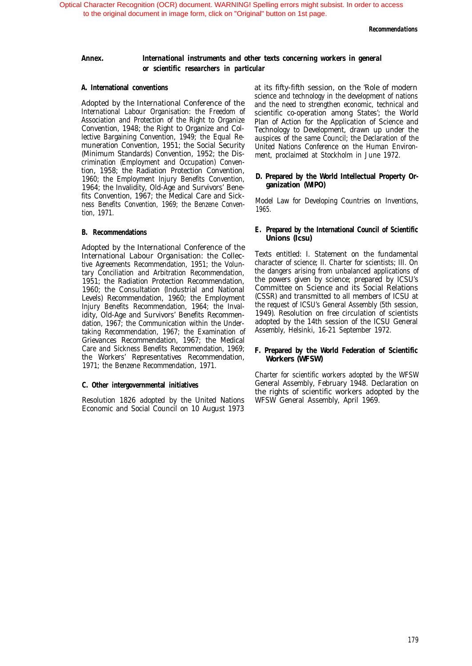#### *Annex. International instruments and other texts concerning workers in general or scientific researchers in particular*

#### **A. International conventions**

Adopted by the International Conference of the International Labour Organisation: the Freedom of Association and Protection of the Right to Organize Convention, 1948; the Right to Organize and Collective Bargaining Convention, 1949; the Equal Remuneration Convention, 1951; the Social Security (Minimum Standards) Convention, 1952; the Discrimination (Employment and Occupation) Convention, 1958; the Radiation Protection Convention, 1960; the Employment Injury Benefits Convention, 1964; the Invalidity, Old-Age and Survivors' Benefits Convention, 1967; the Medical Care and Sickness Benefits Convention, 1969; the Benzene Convention, 1971.

#### **B. Recommendations**

Adopted by the International Conference of the International Labour Organisation: the Collective Agreements Recommendation, 1951; the Voluntary Conciliation and Arbitration Recommendation, 1951; the Radiation Protection Recommendation, 1960; the Consultation (Industrial and National Levels) Recommendation, 1960; the Employment Injury Benefits Recommendation, 1964; the Invalidity, Old-Age and Survivors' Benefits Recommendation, 1967; the Communication within the Undertaking Recommendation, 1967; the Examination of Grievances Recommendation, 1967; the Medical Care and Sickness Benefits Recommendation, 1969; the Workers' Representatives Recommendation, 1971; the Benzene Recommendation, 1971.

#### **C. Other intergovernmental initiatives**

Resolution 1826 adopted by the United Nations Economic and Social Council on 10 August 1973

at its fifty-fifth session, on the 'Role of modern science and technology in the development of nations and the need to strengthen economic, technical and scientific co-operation among States'; the World Plan of Action for the Application of Science and Technology to Development, drawn up under the auspices of the same Council; the Declaration of the United Nations Conference on the Human Environment, proclaimed at Stockholm in June 1972.

#### **D. Prepared by the World Intellectual Property Organization (WIPO)**

Model Law for Developing Countries on Inventions, 1965.

#### **E. Prepared by the International Council of Scientific Unions (Icsu)**

Texts entitled: I. Statement on the fundamental character of science; II. Charter for scientists; III. On the dangers arising from unbalanced applications of the powers given by science; prepared by ICSU's Committee on Science and its Social Relations (CSSR) and transmitted to all members of ICSU at the request of ICSU's General Assembly (5th session, 1949). Resolution on free circulation of scientists adopted by the 14th session of the ICSU General Assembly, Helsinki, 16-21 September 1972.

#### **F. Prepared by the World Federation of Scientific Workers (WFSW)**

Charter for scientific workers adopted by the WFSW General Assembly, February 1948. Declaration on the rights of scientific workers adopted by the WFSW General Assembly, April 1969.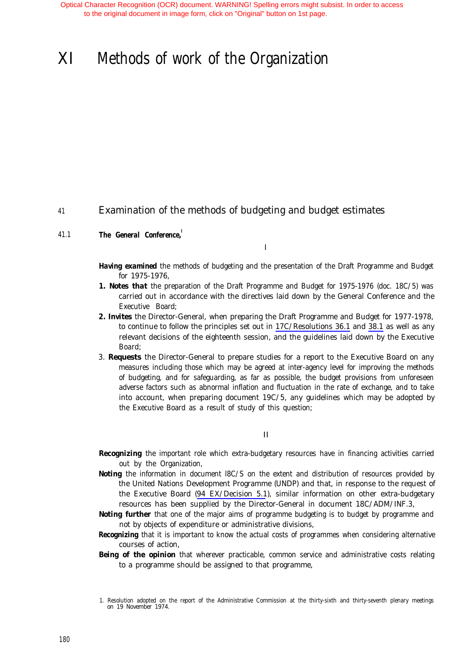# XI Methods of work of the Organization

#### 41 Examination of the methods of budgeting and budget estimates

#### 41.1 The General Conference.<sup>1</sup>

I

*Having examined* the methods of budgeting and the presentation of the Draft Programme and Budget for 1975-1976,

- *1. Notes that* the preparation of the Draft Programme and Budget for 1975-1976 (doc. 18C/5) was carried out in accordance with the directives laid down by the General Conference and the Executive Board;
- *2. Invites* the Director-General, when preparing the Draft Programme and Budget for 1977-1978, to continue to follow the principles set out in [17C/Resolutions 36.1](#page-138-0) and 38.1 as well as any relevant decisions of the eighteenth session, and the guidelines laid down by the Executive Board;
- 3. *Requests* the Director-General to prepare studies for a report to the Executive Board on any measures including those which may be agreed at inter-agency level for improving the methods of budgeting, and for safeguarding, as far as possible, the budget provisions from unforeseen adverse factors such as abnormal inflation and fluctuation in the rate of exchange, and to take into account, when preparing document 19C/5, any guidelines which may be adopted by the Executive Board as a result of study of this question;

II

- *Recognizing* the important role which extra-budgetary resources have in financing activities carried out by the Organization,
- **Noting** the information in document  $BC/S$  on the extent and distribution of resources provided by the United Nations Development Programme (UNDP) and that, in response to the request of the Executive Board [\(94 EX/Decision 5.1](#page-69-0)), similar information on other extra-budgetary resources has been supplied by the Director-General in document 18C/ADM/INF.3,
- **Noting further** that one of the major aims of programme budgeting is to budget by programme and not by objects of expenditure or administrative divisions,
- **Recognizing** that it is important to know the actual costs of programmes when considering alternative courses of action,
- **Being of the opinion** that wherever practicable, common service and administrative costs relating to a programme should be assigned to that programme,

<sup>1.</sup> Resolution adopted on the report of the Administrative Commission at the thirty-sixth and thirty-seventh plenary meetings on 19 November 1974.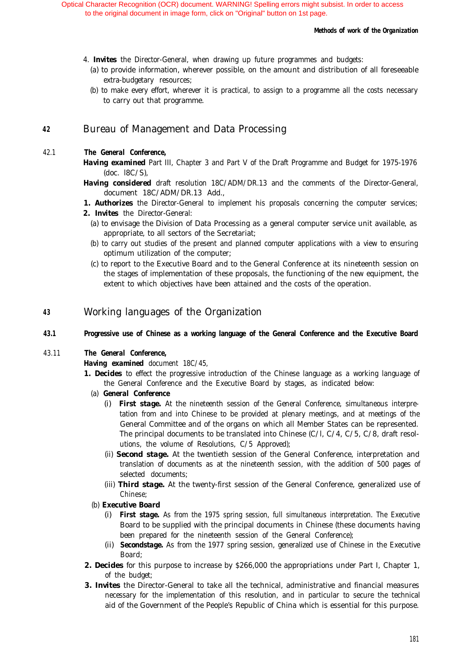- 4. *Invites* the Director-General, when drawing up future programmes and budgets:
	- (a) to provide information, wherever possible, on the amount and distribution of all foreseeable extra-budgetary resources;
	- (b) to make every effort, wherever it is practical, to assign to a programme all the costs necessary to carry out that programme.

## *<sup>42</sup>* Bureau of Management and Data Processing

#### 42.1 *The General Conference,*

- Having examined Part III, Chapter 3 and Part V of the Draft Programme and Budget for 1975-1976 (doc. l8C/S),
- *Having considered* draft resolution 18C/ADM/DR.13 and the comments of the Director-General, document 18C/ADM/DR.13 Add.,
- 1. Authorizes the Director-General to implement his proposals concerning the computer services;
- *2. Invites* the Director-General:
	- (a) to envisage the Division of Data Processing as a general computer service unit available, as appropriate, to all sectors of the Secretariat;
	- (b) to carry out studies of the present and planned computer applications with a view to ensuring optimum utilization of the computer;
	- (c) to report to the Executive Board and to the General Conference at its nineteenth session on the stages of implementation of these proposals, the functioning of the new equipment, the extent to which objectives have been attained and the costs of the operation.

### *<sup>43</sup>* Working languages of the Organization

#### *43.1* **Progressive use of Chinese as a working language of the General Conference and the Executive Board**

#### 43.11 *The General Conference,*

#### *Having examined* document 18C/45,

- *1. Decides* to effect the progressive introduction of the Chinese language as a working language of the General Conference and the Executive Board by stages, as indicated below:
	- (a) *General Conference*
		- (i) *First stage.* At the nineteenth session of the General Conference, simultaneous interpretation from and into Chinese to be provided at plenary meetings, and at meetings of the General Committee and of the organs on which all Member States can be represented. The principal documents to be translated into Chinese (C/l, C/4, C/5, C/8, draft resolutions, the volume of Resolutions, C/5 Approved);
		- (ii) *Second stage.* At the twentieth session of the General Conference, interpretation and translation of documents as at the nineteenth session, with the addition of 500 pages of selected documents;
		- (iii) *Third stage.* At the twenty-first session of the General Conference, generalized use of Chinese;
	- (b) *Executive Board*
		- (i) *First stage.* As from the 1975 spring session, full simultaneous interpretation. The Executive Board to be supplied with the principal documents in Chinese (these documents having been prepared for the nineteenth session of the General Conference);
		- (ii) *Secondstage.* As from the 1977 spring session, generalized use of Chinese in the Executive Board;
- *2. Decides* for this purpose to increase by \$266,000 the appropriations under Part I, Chapter 1, of the budget;
- *3. Invites* the Director-General to take all the technical, administrative and financial measures necessary for the implementation of this resolution, and in particular to secure the technical aid of the Government of the People's Republic of China which is essential for this purpose.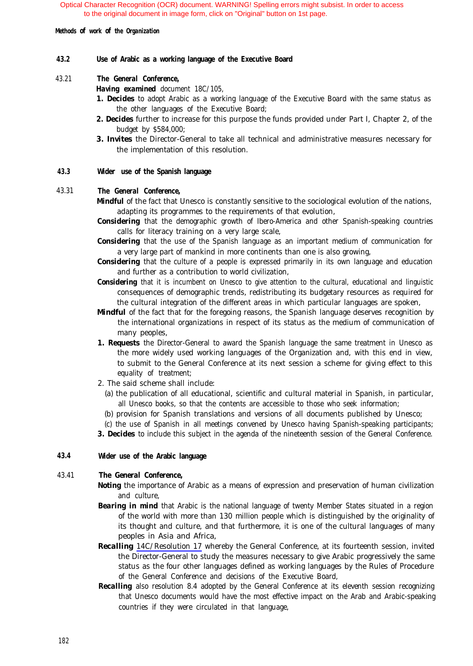*Methods of work of the Organization*

#### **43.2 Use of Arabic as a working language of the Executive Board**

#### 43.21 *The General Conference,*

*Having examined* document 18C/105,

- 1. Decides to adopt Arabic as a working language of the Executive Board with the same status as the other languages of the Executive Board;
- *2. Decides* further to increase for this purpose the funds provided under Part I, Chapter 2, of the budget by \$584,000;
- *3. Invites* the Director-General to take all technical and administrative measures necessary for the implementation of this resolution.

#### **43.3 Wider use of the Spanish language**

### 43.31 *The General Conference,*

- *Mindful* of the fact that Unesco is constantly sensitive to the sociological evolution of the nations, adapting its programmes to the requirements of that evolution,
- **Considering** that the demographic growth of Ibero-America and other Spanish-speaking countries calls for literacy training on a very large scale,
- **Considering** that the use of the Spanish language as an important medium of communication for a very large part of mankind in more continents than one is also growing,
- **Considering** that the culture of a people is expressed primarily in its own language and education and further as a contribution to world civilization,
- **Considering** that it is incumbent on Unesco to give attention to the cultural, educational and linguistic consequences of demographic trends, redistributing its budgetary resources as required for the cultural integration of the different areas in which particular languages are spoken,
- *Mindful* of the fact that for the foregoing reasons, the Spanish language deserves recognition by the international organizations in respect of its status as the medium of communication of many peoples,
- *1. Requests* the Director-General to award the Spanish language the same treatment in Unesco as the more widely used working languages of the Organization and, with this end in view, to submit to the General Conference at its next session a scheme for giving effect to this equality of treatment;
- 2. The said scheme shall include:
	- (a) the publication of all educational, scientific and cultural material in Spanish, in particular, all Unesco books, so that the contents are accessible to those who seek information;
	- (b) provision for Spanish translations and versions of all documents published by Unesco;
- (c) the use of Spanish in all meetings convened by Unesco having Spanish-speaking participants;
- **3. Decides** to include this subject in the agenda of the nineteenth session of the General Conference.

### **43.4 Wider use of the Arabic language**

#### 43.41 *The General Conference,*

- **Noting** the importance of Arabic as a means of expression and preservation of human civilization and culture,
- **Bearing in mind** that Arabic is the national language of twenty Member States situated in a region of the world with more than 130 million people which is distinguished by the originality of its thought and culture, and that furthermore, it is one of the cultural languages of many peoples in Asia and Africa,
- *Recalling* [14C/Resolution 17](#page-118-0) whereby the General Conference, at its fourteenth session, invited the Director-General to study the measures necessary to give Arabic progressively the same status as the four other languages defined as working languages by the Rules of Procedure of the General Conference and decisions of the Executive Board,
- **Recalling** also resolution 8.4 adopted by the General Conference at its eleventh session recognizing that Unesco documents would have the most effective impact on the Arab and Arabic-speaking countries if they were circulated in that language,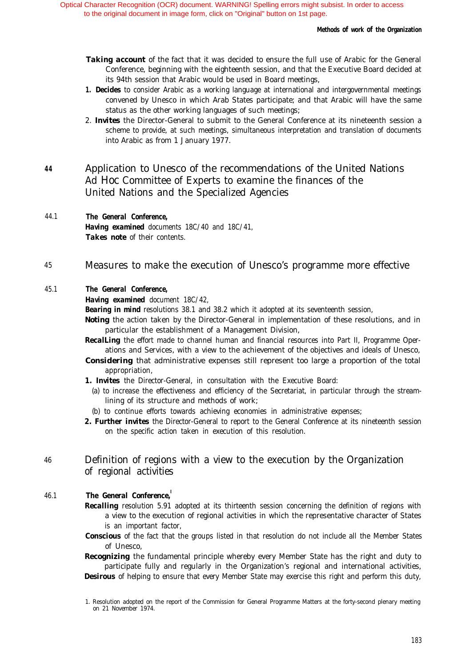- *Taking account* of the fact that it was decided to ensure the full use of Arabic for the General Conference, beginning with the eighteenth session, and that the Executive Board decided at its 94th session that Arabic would be used in Board meetings,
- *1. Decides* to consider Arabic as a working language at international and intergovernmental meetings convened by Unesco in which Arab States participate; and that Arabic will have the same status as the other working languages of such meetings;
- 2. *Invites* the Director-General to submit to the General Conference at its nineteenth session a scheme to provide, at such meetings, simultaneous interpretation and translation of documents into Arabic as from 1 January 1977.
- *<sup>44</sup>* Application to Unesco of the recommendations of the United Nations Ad *Hoc* Committee of Experts to examine the finances of the United Nations and the Specialized Agencies
- 44.1 *The General Conference, Having examined* documents 18C/40 and 18C/41, *Takes note* of their contents.
- *<sup>45</sup>* Measures to make the execution of Unesco's programme more effective

#### 45.1 *The General Conference,*

*Having examined* document 18C/42,

*Bearing in mind* resolutions 38.1 and 38.2 which it adopted at its seventeenth session,

- **Noting** the action taken by the Director-General in implementation of these resolutions, and in particular the establishment of a Management Division,
- *RecalLing* the effort made to channel human and financial resources into Part II, Programme Operations and Services, with a view to the achievement of the objectives and ideals of Unesco,
- **Considering** that administrative expenses still represent too large a proportion of the total appropriation,
- *1. Invites* the Director-General, in consultation with the Executive Board:
- (a) to increase the effectiveness and efficiency of the Secretariat, in particular through the streamlining of its structure and methods of work;
- (b) to continue efforts towards achieving economies in administrative expenses;
- 2. Further invites the Director-General to report to the General Conference at its nineteenth session on the specific action taken in execution of this resolution.

# *<sup>46</sup>* Definition of regions with a view to the execution by the Organization of regional activities

### 46.1 *The General Conference.*

- **Recalling** resolution 5.91 adopted at its thirteenth session concerning the definition of regions with a view to the execution of regional activities in which the representative character of States is an important factor,
- *Conscious* of the fact that the groups listed in that resolution do not include all the Member States of Unesco,

**Recognizing** the fundamental principle whereby every Member State has the right and duty to participate fully and regularly in the Organization's regional and international activities, **Desirous** of helping to ensure that every Member State may exercise this right and perform this duty,

<sup>1.</sup> Resolution adopted on the report of the Commission for General Programme Matters at the forty-second plenary meeting on 21 November 1974.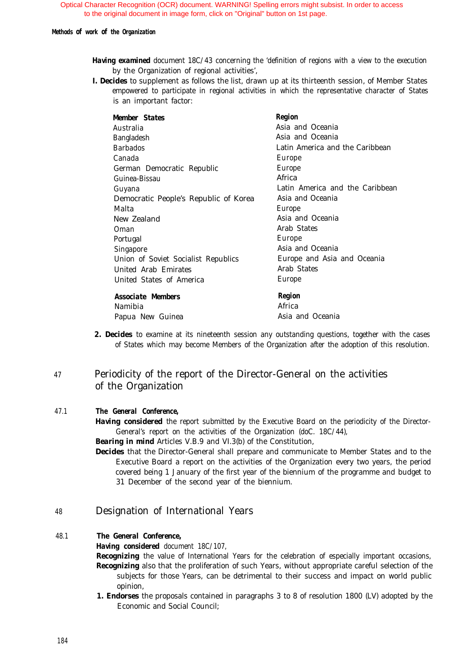#### *Methods of work of the Organization*

- *Having examined* document 18C/43 concerning the 'definition of regions with a view to the execution by the Organization of regional activities',
- *I. Decides* to supplement as follows the list, drawn up at its thirteenth session, of Member States empowered to participate in regional activities in which the representative character of States is an important factor:

| Member States                         | Region                          |
|---------------------------------------|---------------------------------|
| Australia                             | Asia and Oceania                |
| Bangladesh                            | Asia and Oceania                |
| Barbados                              | Latin America and the Caribbean |
| Canada                                | Europe                          |
| German Democratic Republic            | Europe                          |
| Guinea-Bissau                         | Africa                          |
| Guyana                                | Latin America and the Caribbean |
| Democratic People's Republic of Korea | Asia and Oceania                |
| Malta                                 | Europe                          |
| New Zealand                           | Asia and Oceania                |
| Oman                                  | Arab States                     |
| Portugal                              | Europe                          |
| Singapore                             | Asia and Oceania                |
| Union of Soviet Socialist Republics   | Europe and Asia and Oceania     |
| United Arab Emirates                  | Arab States                     |
| United States of America              | Europe                          |
| <b>Associate Members</b>              | Region                          |
| Namibia                               | Africa                          |
| Papua New Guinea                      | Asia and Oceania                |

2. **Decides** to examine at its nineteenth session any outstanding questions, together with the cases of States which may become Members of the Organization after the adoption of this resolution.

# <sup>47</sup> Periodicity of the report of the Director-General on the activities of the Organization

## 47.1 *The General Conference,*

*Having considered* the report submitted by the Executive Board on the periodicity of the Director-General's report on the activities of the Organization (doC. 18C/44),

*Bearing in mind* Articles V.B.9 and VI.3(b) of the Constitution,

*Decides* that the Director-General shall prepare and communicate to Member States and to the Executive Board a report on the activities of the Organization every two years, the period covered being 1 January of the first year of the biennium of the programme and budget to 31 December of the second year of the biennium.

## <sup>48</sup> Designation of International Years

## 48.1 *The General Conference,*

*Having considered* document 18C/107,

- **Recognizing** the value of International Years for the celebration of especially important occasions, *Recognizing* also that the proliferation of such Years, without appropriate careful selection of the subjects for those Years, can be detrimental to their success and impact on world public opinion,
- *1. Endorses* the proposals contained in paragraphs 3 to 8 of resolution 1800 (LV) adopted by the Economic and Social Council;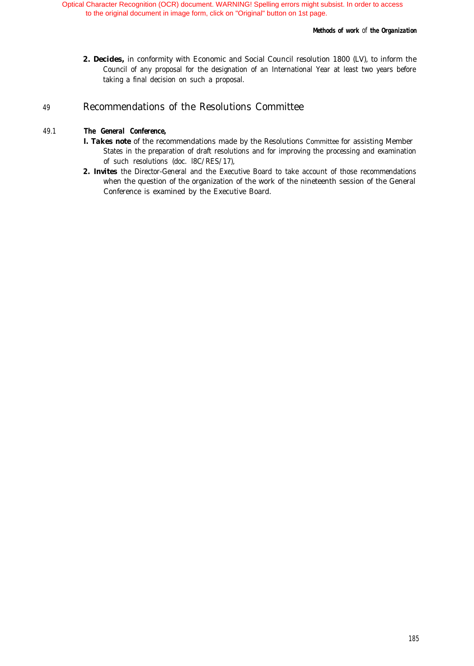2. **Decides,** in conformity with Economic and Social Council resolution 1800 (LV), to inform the Council of any proposal for the designation of an International Year at least two years before taking a final decision on such a proposal.

## *<sup>49</sup>* Recommendations of the Resolutions Committee

## *49.1 The General Conference,*

- *I. Takes note* of the recommendations made by the Resolutions Committee for assisting Member States in the preparation of draft resolutions and for improving the processing and examination of such resolutions (doc. l8C/RES/17),
- 2. Invites the Director-General and the Executive Board to take account of those recommendations when the question of the organization of the work of the nineteenth session of the General Conference is examined by the Executive Board.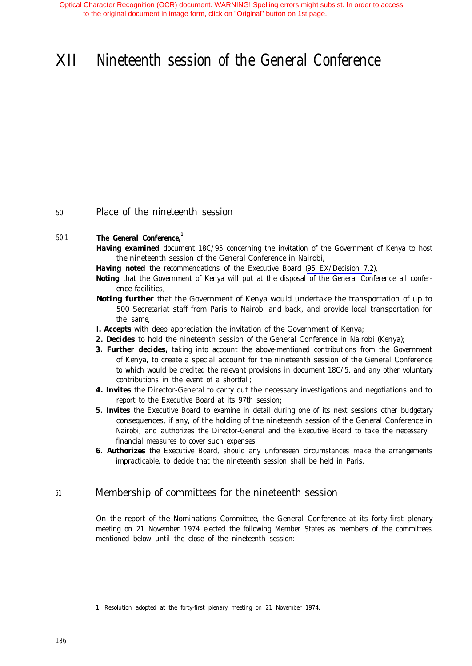# XII Nineteenth session of the General Conference

# <sup>50</sup> Place of the nineteenth session

## 50.1 **The General Conference.**

- *Having examined* document 18C/95 concerning the invitation of the Government of Kenya to host the nineteenth session of the General Conference in Nairobi,
- *Having noted* the recommendations of the Executive Board ([95 EX/Decision 7.2](#page-83-0)),
- *Noting* that the Government of Kenya will put at the disposal of the General Conference all conference facilities,
- *Noting further* that the Government of Kenya would undertake the transportation of up to 500 Secretariat staff from Paris to Nairobi and back, and provide local transportation for the same,
- *I. Accepts* with deep appreciation the invitation of the Government of Kenya;
- *2. Decides* to hold the nineteenth session of the General Conference in Nairobi (Kenya);
- 3. Further decides, taking into account the above-mentioned contributions from the Government of Kenya, to create a special account for the nineteenth session of the General Conference to which would be credited the relevant provisions in document 18C/5, and any other voluntary contributions in the event of a shortfall;
- *4. Invites* the Director-General to carry out the necessary investigations and negotiations and to report to the Executive Board at its 97th session;
- *5. Invites* the Executive Board to examine in detail during one of its next sessions other budgetary consequences, if any, of the holding of the nineteenth session of the General Conference in Nairobi, and *authorizes* the Director-General and the Executive Board to take the necessary financial measures to cover such expenses;
- *6. Authorizes* the Executive Board, should any unforeseen circumstances make the arrangements impracticable, to decide that the nineteenth session shall be held in Paris.

## <sup>51</sup> Membership of committees for the nineteenth session

On the report of the Nominations Committee, the General Conference at its forty-first plenary meeting on 21 November 1974 elected the following Member States as members of the committees mentioned below until the close of the nineteenth session:

<sup>1.</sup> Resolution adopted at the forty-first plenary meeting on 21 November 1974.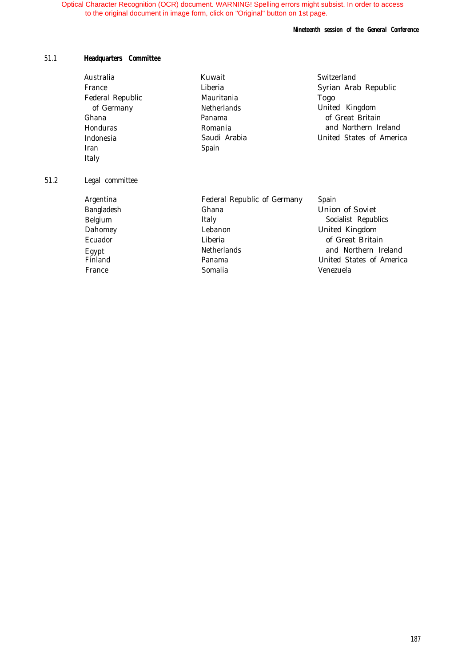### *Nineteenth session of the General Conference*

## 51.1 **Headquarters Committee**

| Australia        |  |
|------------------|--|
| France           |  |
| Federal Republic |  |
| of Germany       |  |
| Ghana            |  |
| Honduras         |  |
| Indonesia        |  |
| Iran             |  |
| Italy            |  |
|                  |  |

Kuwait Liberia Mauritania Netherlands Panama Romania Saudi Arabia Spain

Switzerland Syrian Arab Republic Togo United Kingdom of Great Britain and Northern Ireland United States of America

## 51.2 Legal committee

Argentina Bangladesh Belgium Dahomey Ecuador Egypt Finland France

Federal Republic of Germany Ghana Italy Lebanon Liberia Netherlands Panama Somalia

Spain Union of Soviet Socialist Republics United Kingdom of Great Britain and Northern Ireland United States of America Venezuela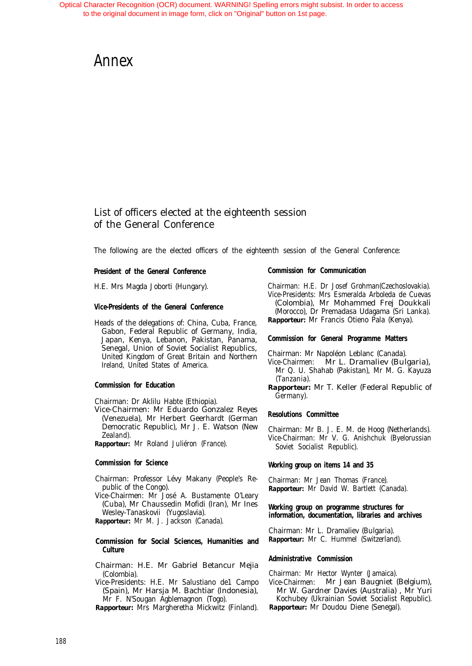# Annex

# List of officers elected at the eighteenth session of the General Conference

The following are the elected officers of the eighteenth session of the General Conference:

## **President of the General Conference**

H.E. Mrs Magda Joborti (Hungary).

#### **Vice-Presidents of the General Conference**

Heads of the delegations of: China, Cuba, France, Gabon, Federal Republic of Germany, India, Japan, Kenya, Lebanon, Pakistan, Panama, Senegal, Union of Soviet Socialist Republics, United Kingdom of Great Britain and Northern Ireland, United States of America.

#### **Commission for Education**

Chairman: Dr Aklilu Habte (Ethiopia).

- Vice-Chairmen: Mr Eduardo Gonzalez Reyes (Venezuela), Mr Herbert Geerhardt (German Democratic Republic), Mr J. E. Watson (New Zealand).
- *Rapporteur:* Mr Roland Juliéron (France).

#### **Commission for Science**

- Chairman: Professor Lévy Makany (People's Republic of the Congo).
- Vice-Chairmen: Mr José A. Bustamente O'Leary (Cuba), Mr Chaussedin Mofidi (Iran), Mr Ines Wesley-Tanaskovii (Yugoslavia).

*Rapporteur:* Mr M. J. Jackson (Canada).

#### **Commission for Social Sciences, Humanities and Culture**

Chairman: H.E. Mr Gabriel Betancur Mejia (Colombia).

Vice-Presidents: H.E. Mr Salustiano de1 Campo (Spain), Mr Harsja M. Bachtiar (Indonesia), Mr F. N'Sougan Agblemagnon (Togo).

*Rapporteur:* Mrs Margheretha Mickwitz (Finland).

#### **Commission for Communication**

Chairman: H.E. Dr Josef Grohman(Czechoslovakia). Vice-Presidents: Mrs Esmeralda Arboleda de Cuevas (Colombia), Mr Mohammed Frej Doukkali (Morocco), Dr Premadasa Udagama (Sri Lanka).

*Rapporteur:* Mr Francis Otieno Pala (Kenya).

#### **Commission for General Programme Matters**

Chairman: Mr Napoléon Leblanc (Canada).

- Vice-Chairmen: Mr L. Dramaliev (Bulgaria), Mr Q. U. Shahab (Pakistan), Mr M. G. Kayuza (Tanzania).
- *Rapporteur:* Mr T. Keller (Federal Republic of Germany).

#### **Resolutions Committee**

Chairman: Mr B. J. E. M. de Hoog (Netherlands). Vice-Chairman: Mr V. G. Anishchuk (Byelorussian Soviet Socialist Republic).

#### **Working group on items 14 and 35**

Chairman: Mr Jean Thomas (France). *Rapporteur:* Mr David W. Bartlett (Canada).

#### **Working group on programme structures for information, documentation, libraries and archives**

Chairman: Mr L. Dramaliev (Bulgaria). *Rapporteur:* Mr C. Hummel (Switzerland).

#### **Administrative Commission**

Chairman: Mr Hector Wynter (Jamaica).

Vice-Chairmen: Mr Jean Baugniet (Belgium), Mr W. Gardner Davies (Australia) , Mr Yuri

Kochubey (Ukrainian Soviet Socialist Republic). *Rapporteur:* Mr Doudou Diene (Senegal).